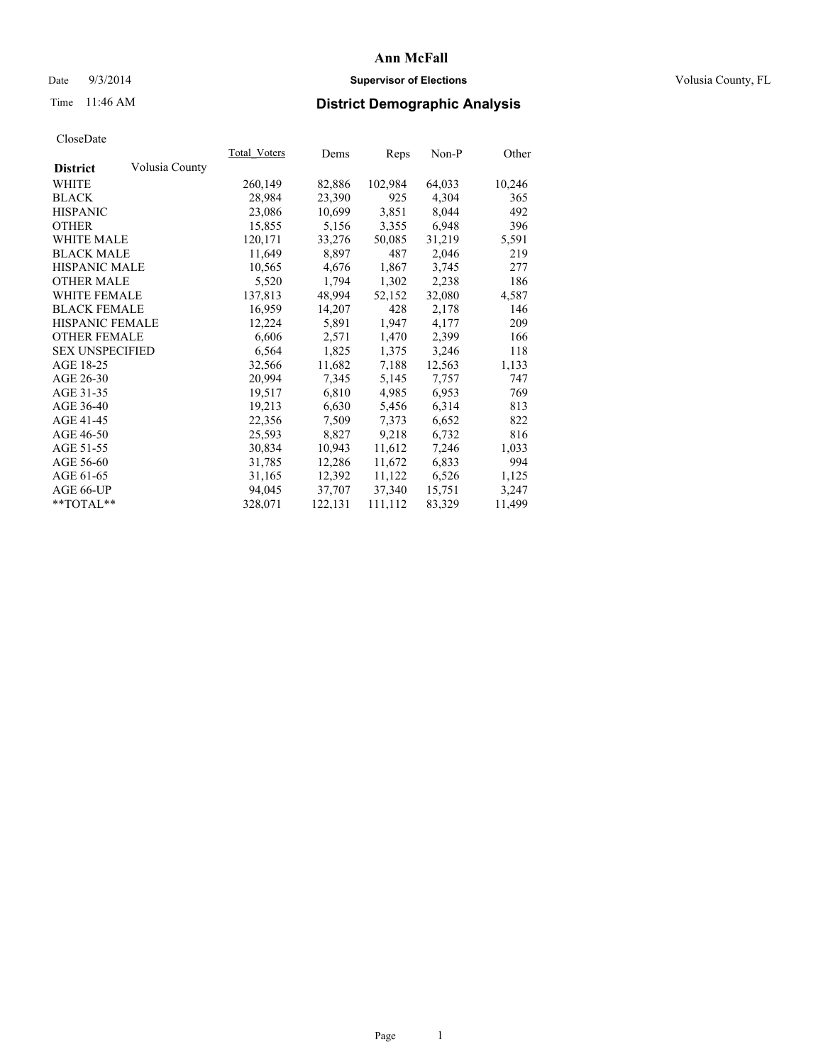# Date  $9/3/2014$  **Supervisor of Elections Supervisor of Elections** Volusia County, FL

# Time 11:46 AM **District Demographic Analysis**

|                        |                | <b>Total Voters</b> | Dems    | <b>Reps</b> | $Non-P$ | <u>Other</u> |
|------------------------|----------------|---------------------|---------|-------------|---------|--------------|
| <b>District</b>        | Volusia County |                     |         |             |         |              |
| WHITE                  |                | 260,149             | 82,886  | 102,984     | 64,033  | 10,246       |
| <b>BLACK</b>           |                | 28,984              | 23,390  | 925         | 4,304   | 365          |
| <b>HISPANIC</b>        |                | 23,086              | 10,699  | 3,851       | 8,044   | 492          |
| <b>OTHER</b>           |                | 15,855              | 5,156   | 3,355       | 6,948   | 396          |
| WHITE MALE             |                | 120,171             | 33,276  | 50,085      | 31,219  | 5,591        |
| <b>BLACK MALE</b>      |                | 11,649              | 8,897   | 487         | 2,046   | 219          |
| <b>HISPANIC MALE</b>   |                | 10,565              | 4,676   | 1,867       | 3,745   | 277          |
| <b>OTHER MALE</b>      |                | 5,520               | 1,794   | 1,302       | 2,238   | 186          |
| <b>WHITE FEMALE</b>    |                | 137,813             | 48,994  | 52,152      | 32,080  | 4,587        |
| <b>BLACK FEMALE</b>    |                | 16,959              | 14,207  | 428         | 2,178   | 146          |
| HISPANIC FEMALE        |                | 12,224              | 5,891   | 1,947       | 4,177   | 209          |
| OTHER FEMALE           |                | 6,606               | 2,571   | 1,470       | 2,399   | 166          |
| <b>SEX UNSPECIFIED</b> |                | 6,564               | 1,825   | 1,375       | 3,246   | 118          |
| AGE 18-25              |                | 32,566              | 11,682  | 7,188       | 12,563  | 1,133        |
| AGE 26-30              |                | 20,994              | 7,345   | 5,145       | 7,757   | 747          |
| AGE 31-35              |                | 19,517              | 6,810   | 4,985       | 6,953   | 769          |
| AGE 36-40              |                | 19,213              | 6,630   | 5,456       | 6,314   | 813          |
| AGE 41-45              |                | 22,356              | 7,509   | 7,373       | 6,652   | 822          |
| AGE 46-50              |                | 25,593              | 8,827   | 9,218       | 6,732   | 816          |
| AGE 51-55              |                | 30,834              | 10,943  | 11,612      | 7,246   | 1,033        |
| AGE 56-60              |                | 31,785              | 12,286  | 11,672      | 6,833   | 994          |
| AGE 61-65              |                | 31,165              | 12,392  | 11,122      | 6,526   | 1,125        |
| AGE 66-UP              |                | 94,045              | 37,707  | 37,340      | 15,751  | 3,247        |
| $*$ $TOTAI.**$         |                | 328,071             | 122,131 | 111,112     | 83,329  | 11,499       |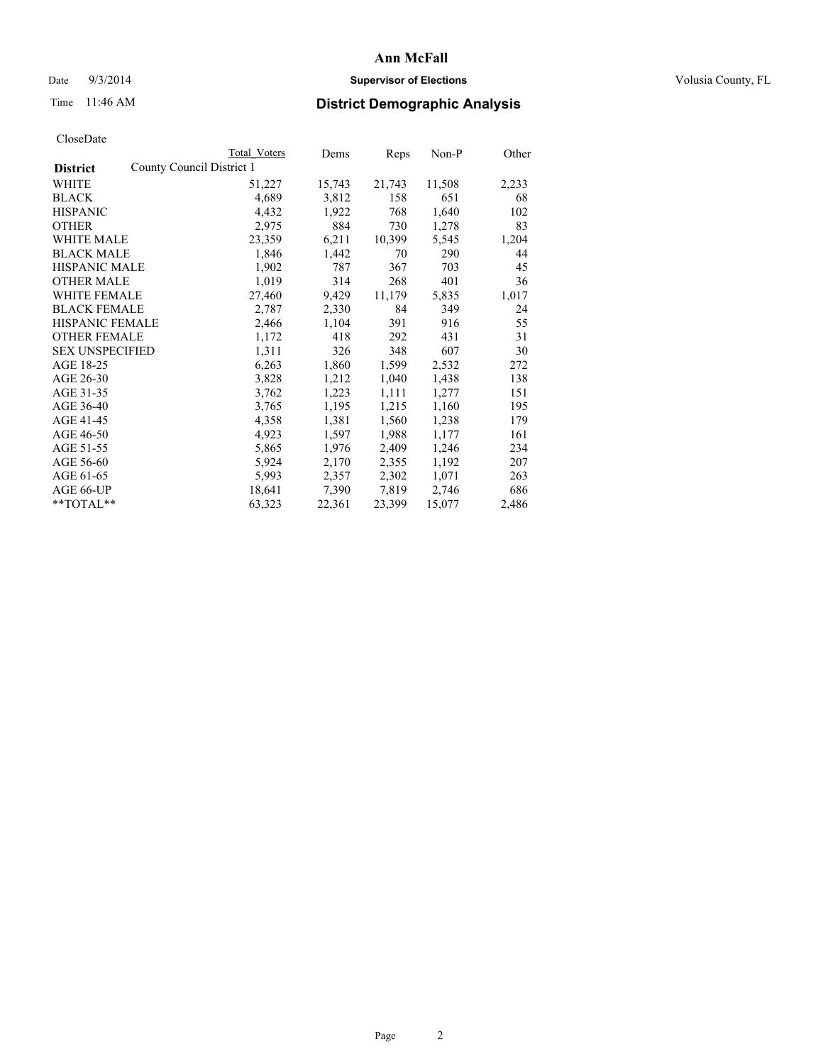# Date  $9/3/2014$  **Supervisor of Elections Supervisor of Elections** Volusia County, FL

# Time 11:46 AM **District Demographic Analysis**

| County Council District 1<br><b>District</b><br>WHITE<br>11,508<br>51,227<br>15,743<br>21,743<br><b>BLACK</b><br>4,689<br>3,812<br>651<br>158<br>4,432<br><b>HISPANIC</b><br>1,922<br>768<br>1,640<br>884<br>OTHER<br>2,975<br>730<br>1,278<br>23,359<br>6,211<br>WHITE MALE<br>10,399<br>5,545<br><b>BLACK MALE</b><br>1,846<br>1,442<br>290<br>70<br><b>HISPANIC MALE</b><br>1,902<br>787<br>367<br>703<br>314<br>401<br><b>OTHER MALE</b><br>1,019<br>268<br><b>WHITE FEMALE</b><br>27,460<br>9,429<br>11,179<br>5,835<br><b>BLACK FEMALE</b><br>2,787<br>2,330<br>84<br>349<br>HISPANIC FEMALE<br>1,104<br>391<br>916<br>2,466<br>418<br><b>OTHER FEMALE</b><br>431<br>1,172<br>292<br><b>SEX UNSPECIFIED</b><br>1,311<br>348<br>326<br>607<br>AGE 18-25<br>6,263<br>1,860<br>1,599<br>2,532<br>AGE 26-30<br>3,828<br>1,212<br>1,040<br>1,438<br>AGE 31-35<br>1,223<br>3,762<br>1,111<br>1,277 | 2,233<br>68<br>102<br>83<br>1,204<br>44<br>45 |
|----------------------------------------------------------------------------------------------------------------------------------------------------------------------------------------------------------------------------------------------------------------------------------------------------------------------------------------------------------------------------------------------------------------------------------------------------------------------------------------------------------------------------------------------------------------------------------------------------------------------------------------------------------------------------------------------------------------------------------------------------------------------------------------------------------------------------------------------------------------------------------------------------|-----------------------------------------------|
|                                                                                                                                                                                                                                                                                                                                                                                                                                                                                                                                                                                                                                                                                                                                                                                                                                                                                                    |                                               |
|                                                                                                                                                                                                                                                                                                                                                                                                                                                                                                                                                                                                                                                                                                                                                                                                                                                                                                    |                                               |
|                                                                                                                                                                                                                                                                                                                                                                                                                                                                                                                                                                                                                                                                                                                                                                                                                                                                                                    |                                               |
|                                                                                                                                                                                                                                                                                                                                                                                                                                                                                                                                                                                                                                                                                                                                                                                                                                                                                                    |                                               |
|                                                                                                                                                                                                                                                                                                                                                                                                                                                                                                                                                                                                                                                                                                                                                                                                                                                                                                    |                                               |
|                                                                                                                                                                                                                                                                                                                                                                                                                                                                                                                                                                                                                                                                                                                                                                                                                                                                                                    |                                               |
|                                                                                                                                                                                                                                                                                                                                                                                                                                                                                                                                                                                                                                                                                                                                                                                                                                                                                                    |                                               |
|                                                                                                                                                                                                                                                                                                                                                                                                                                                                                                                                                                                                                                                                                                                                                                                                                                                                                                    |                                               |
|                                                                                                                                                                                                                                                                                                                                                                                                                                                                                                                                                                                                                                                                                                                                                                                                                                                                                                    | 36                                            |
|                                                                                                                                                                                                                                                                                                                                                                                                                                                                                                                                                                                                                                                                                                                                                                                                                                                                                                    | 1,017                                         |
|                                                                                                                                                                                                                                                                                                                                                                                                                                                                                                                                                                                                                                                                                                                                                                                                                                                                                                    | 24                                            |
|                                                                                                                                                                                                                                                                                                                                                                                                                                                                                                                                                                                                                                                                                                                                                                                                                                                                                                    | 55                                            |
|                                                                                                                                                                                                                                                                                                                                                                                                                                                                                                                                                                                                                                                                                                                                                                                                                                                                                                    | 31                                            |
|                                                                                                                                                                                                                                                                                                                                                                                                                                                                                                                                                                                                                                                                                                                                                                                                                                                                                                    | 30                                            |
|                                                                                                                                                                                                                                                                                                                                                                                                                                                                                                                                                                                                                                                                                                                                                                                                                                                                                                    | 272                                           |
|                                                                                                                                                                                                                                                                                                                                                                                                                                                                                                                                                                                                                                                                                                                                                                                                                                                                                                    | 138                                           |
|                                                                                                                                                                                                                                                                                                                                                                                                                                                                                                                                                                                                                                                                                                                                                                                                                                                                                                    | 151                                           |
| AGE 36-40<br>1,195<br>1,215<br>1,160<br>3,765                                                                                                                                                                                                                                                                                                                                                                                                                                                                                                                                                                                                                                                                                                                                                                                                                                                      | 195                                           |
| AGE 41-45<br>4,358<br>1,381<br>1,560<br>1,238                                                                                                                                                                                                                                                                                                                                                                                                                                                                                                                                                                                                                                                                                                                                                                                                                                                      | 179                                           |
| AGE 46-50<br>4,923<br>1,597<br>1,988<br>1,177                                                                                                                                                                                                                                                                                                                                                                                                                                                                                                                                                                                                                                                                                                                                                                                                                                                      | 161                                           |
| AGE 51-55<br>2,409<br>5,865<br>1,976<br>1,246                                                                                                                                                                                                                                                                                                                                                                                                                                                                                                                                                                                                                                                                                                                                                                                                                                                      | 234                                           |
| AGE 56-60<br>2,355<br>5,924<br>2,170<br>1,192                                                                                                                                                                                                                                                                                                                                                                                                                                                                                                                                                                                                                                                                                                                                                                                                                                                      | 207                                           |
| AGE 61-65<br>5,993<br>2,357<br>2,302<br>1,071                                                                                                                                                                                                                                                                                                                                                                                                                                                                                                                                                                                                                                                                                                                                                                                                                                                      | 263                                           |
| 7,819<br>AGE 66-UP<br>18,641<br>7,390<br>2,746                                                                                                                                                                                                                                                                                                                                                                                                                                                                                                                                                                                                                                                                                                                                                                                                                                                     | 686                                           |
| 22,361<br>23,399<br>15,077<br>$*$ TOTAL $*$<br>63,323<br>2,486                                                                                                                                                                                                                                                                                                                                                                                                                                                                                                                                                                                                                                                                                                                                                                                                                                     |                                               |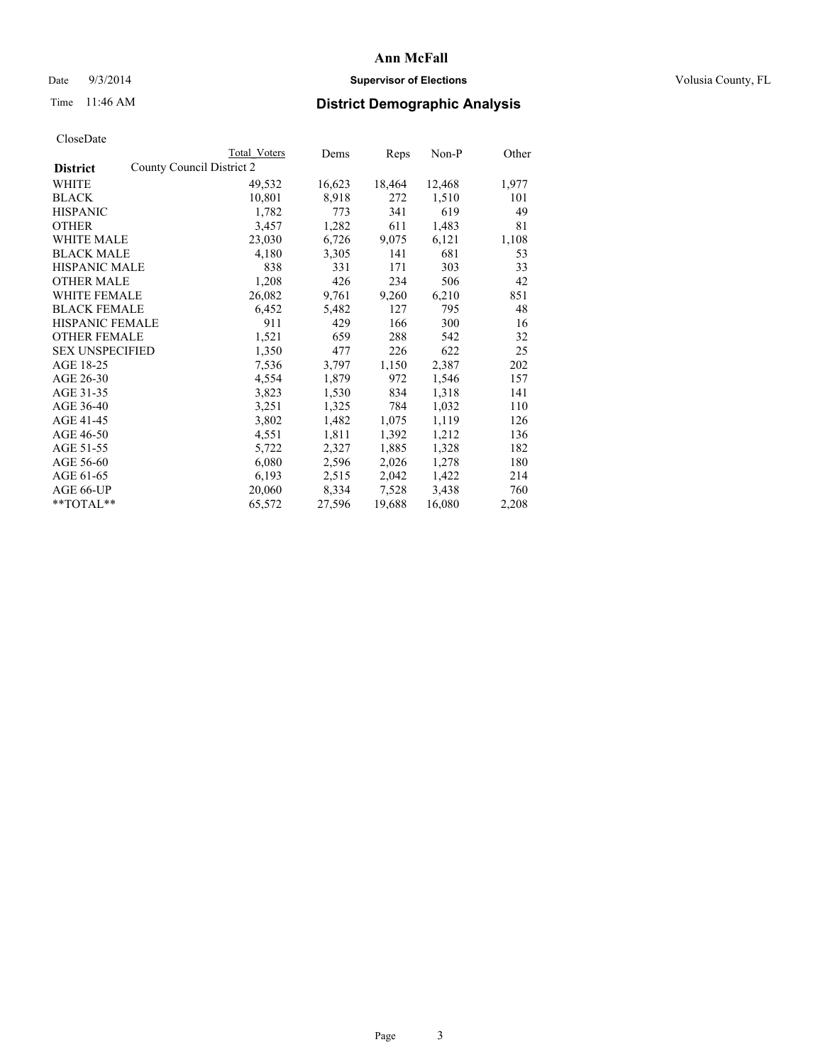# Date  $9/3/2014$  **Supervisor of Elections Supervisor of Elections** Volusia County, FL

# Time 11:46 AM **District Demographic Analysis**

|                        | Total Voters              | Dems   | <b>Reps</b> | $Non-P$ | Other |
|------------------------|---------------------------|--------|-------------|---------|-------|
| <b>District</b>        | County Council District 2 |        |             |         |       |
| WHITE                  | 49,532                    | 16,623 | 18,464      | 12,468  | 1,977 |
| <b>BLACK</b>           | 10,801                    | 8,918  | 272         | 1,510   | 101   |
| <b>HISPANIC</b>        | 1,782                     | 773    | 341         | 619     | 49    |
| <b>OTHER</b>           | 3,457                     | 1,282  | 611         | 1,483   | 81    |
| WHITE MALE             | 23,030                    | 6,726  | 9,075       | 6,121   | 1,108 |
| <b>BLACK MALE</b>      | 4,180                     | 3,305  | 141         | 681     | 53    |
| <b>HISPANIC MALE</b>   | 838                       | 331    | 171         | 303     | 33    |
| <b>OTHER MALE</b>      | 1,208                     | 426    | 234         | 506     | 42    |
| <b>WHITE FEMALE</b>    | 26,082                    | 9,761  | 9,260       | 6,210   | 851   |
| <b>BLACK FEMALE</b>    | 6,452                     | 5,482  | 127         | 795     | 48    |
| HISPANIC FEMALE        | 911                       | 429    | 166         | 300     | 16    |
| <b>OTHER FEMALE</b>    | 1,521                     | 659    | 288         | 542     | 32    |
| <b>SEX UNSPECIFIED</b> | 1,350                     | 477    | 226         | 622     | 25    |
| AGE 18-25              | 7,536                     | 3,797  | 1,150       | 2,387   | 202   |
| AGE 26-30              | 4,554                     | 1,879  | 972         | 1,546   | 157   |
| AGE 31-35              | 3,823                     | 1,530  | 834         | 1,318   | 141   |
| AGE 36-40              | 3,251                     | 1,325  | 784         | 1,032   | 110   |
| AGE 41-45              | 3,802                     | 1,482  | 1,075       | 1,119   | 126   |
| AGE 46-50              | 4,551                     | 1,811  | 1,392       | 1,212   | 136   |
| AGE 51-55              | 5,722                     | 2,327  | 1,885       | 1,328   | 182   |
| AGE 56-60              | 6,080                     | 2,596  | 2,026       | 1,278   | 180   |
| AGE 61-65              | 6,193                     | 2,515  | 2,042       | 1,422   | 214   |
| AGE 66-UP              | 20,060                    | 8,334  | 7,528       | 3,438   | 760   |
| $*$ TOTAL $*$          | 65,572                    | 27,596 | 19,688      | 16,080  | 2,208 |
|                        |                           |        |             |         |       |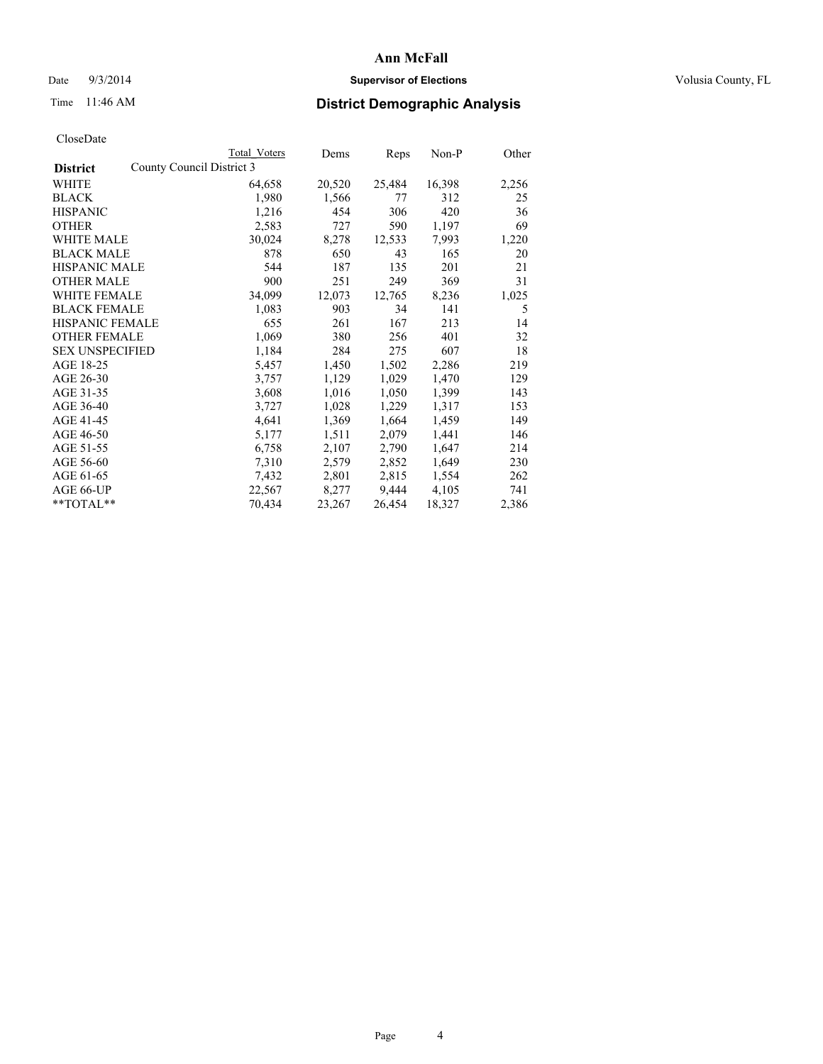# Date  $9/3/2014$  **Supervisor of Elections Supervisor of Elections** Volusia County, FL

# Time 11:46 AM **District Demographic Analysis**

|                        | <b>Total Voters</b>       | Dems   | Reps   | Non-P  | Other |
|------------------------|---------------------------|--------|--------|--------|-------|
| <b>District</b>        | County Council District 3 |        |        |        |       |
| WHITE                  | 64,658                    | 20,520 | 25,484 | 16,398 | 2,256 |
| <b>BLACK</b>           | 1,980                     | 1,566  | 77     | 312    | 25    |
| <b>HISPANIC</b>        | 1,216                     | 454    | 306    | 420    | 36    |
| <b>OTHER</b>           | 2,583                     | 727    | 590    | 1,197  | 69    |
| <b>WHITE MALE</b>      | 30,024                    | 8,278  | 12,533 | 7,993  | 1,220 |
| <b>BLACK MALE</b>      | 878                       | 650    | 43     | 165    | 20    |
| <b>HISPANIC MALE</b>   | 544                       | 187    | 135    | 201    | 21    |
| <b>OTHER MALE</b>      | 900                       | 251    | 249    | 369    | 31    |
| <b>WHITE FEMALE</b>    | 34,099                    | 12,073 | 12,765 | 8,236  | 1,025 |
| <b>BLACK FEMALE</b>    | 1,083                     | 903    | 34     | 141    | 5     |
| <b>HISPANIC FEMALE</b> | 655                       | 261    | 167    | 213    | 14    |
| <b>OTHER FEMALE</b>    | 1,069                     | 380    | 256    | 401    | 32    |
| <b>SEX UNSPECIFIED</b> | 1,184                     | 284    | 275    | 607    | 18    |
| AGE 18-25              | 5,457                     | 1,450  | 1,502  | 2,286  | 219   |
| AGE 26-30              | 3,757                     | 1,129  | 1,029  | 1,470  | 129   |
| AGE 31-35              | 3,608                     | 1,016  | 1,050  | 1,399  | 143   |
| AGE 36-40              | 3,727                     | 1,028  | 1,229  | 1,317  | 153   |
| AGE 41-45              | 4,641                     | 1,369  | 1,664  | 1,459  | 149   |
| AGE 46-50              | 5,177                     | 1,511  | 2,079  | 1,441  | 146   |
| AGE 51-55              | 6,758                     | 2,107  | 2,790  | 1,647  | 214   |
| AGE 56-60              | 7,310                     | 2,579  | 2,852  | 1,649  | 230   |
| AGE 61-65              | 7,432                     | 2,801  | 2,815  | 1,554  | 262   |
| AGE 66-UP              | 22,567                    | 8,277  | 9,444  | 4,105  | 741   |
| **TOTAL**              | 70,434                    | 23,267 | 26,454 | 18,327 | 2,386 |
|                        |                           |        |        |        |       |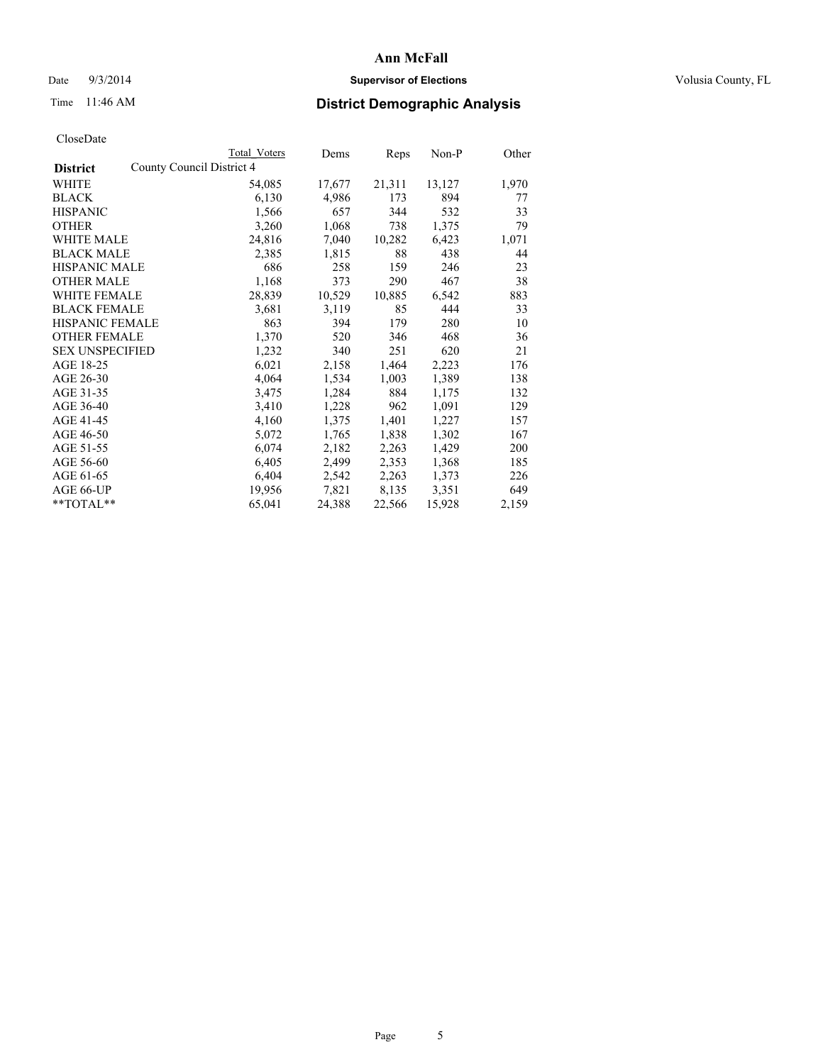# Date  $9/3/2014$  **Supervisor of Elections Supervisor of Elections** Volusia County, FL

# Time 11:46 AM **District Demographic Analysis**

|                                              | Total Voters | Dems   | Reps   | $Non-P$ | Other |
|----------------------------------------------|--------------|--------|--------|---------|-------|
| County Council District 4<br><b>District</b> |              |        |        |         |       |
| WHITE                                        | 54,085       | 17,677 | 21,311 | 13,127  | 1,970 |
| <b>BLACK</b>                                 | 6,130        | 4,986  | 173    | 894     | 77    |
| <b>HISPANIC</b>                              | 1,566        | 657    | 344    | 532     | 33    |
| <b>OTHER</b>                                 | 3,260        | 1,068  | 738    | 1,375   | 79    |
| WHITE MALE                                   | 24,816       | 7,040  | 10,282 | 6,423   | 1,071 |
| <b>BLACK MALE</b>                            | 2,385        | 1,815  | 88     | 438     | 44    |
| <b>HISPANIC MALE</b>                         | 686          | 258    | 159    | 246     | 23    |
| <b>OTHER MALE</b>                            | 1,168        | 373    | 290    | 467     | 38    |
| <b>WHITE FEMALE</b>                          | 28,839       | 10,529 | 10,885 | 6,542   | 883   |
| <b>BLACK FEMALE</b>                          | 3,681        | 3,119  | 85     | 444     | 33    |
| HISPANIC FEMALE                              | 863          | 394    | 179    | 280     | 10    |
| <b>OTHER FEMALE</b>                          | 1,370        | 520    | 346    | 468     | 36    |
| <b>SEX UNSPECIFIED</b>                       | 1,232        | 340    | 251    | 620     | 21    |
| AGE 18-25                                    | 6,021        | 2,158  | 1,464  | 2,223   | 176   |
| AGE 26-30                                    | 4,064        | 1,534  | 1,003  | 1,389   | 138   |
| AGE 31-35                                    | 3,475        | 1,284  | 884    | 1,175   | 132   |
| AGE 36-40                                    | 3,410        | 1,228  | 962    | 1,091   | 129   |
| AGE 41-45                                    | 4,160        | 1,375  | 1,401  | 1,227   | 157   |
| AGE 46-50                                    | 5,072        | 1,765  | 1,838  | 1,302   | 167   |
| AGE 51-55                                    | 6,074        | 2,182  | 2,263  | 1,429   | 200   |
| AGE 56-60                                    | 6,405        | 2,499  | 2,353  | 1,368   | 185   |
| AGE 61-65                                    | 6,404        | 2,542  | 2,263  | 1,373   | 226   |
| AGE 66-UP                                    | 19,956       | 7,821  | 8,135  | 3,351   | 649   |
| $*$ TOTAL $*$                                | 65,041       | 24,388 | 22,566 | 15,928  | 2,159 |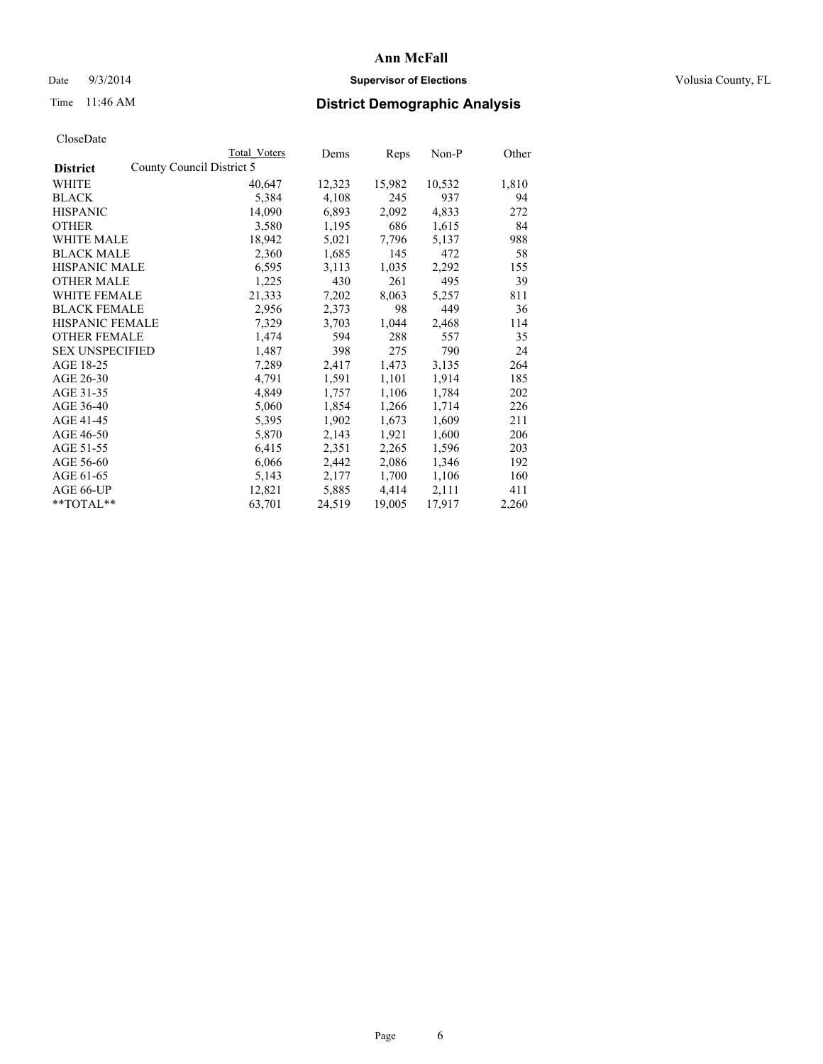# Date  $9/3/2014$  **Supervisor of Elections Supervisor of Elections** Volusia County, FL

# Time 11:46 AM **District Demographic Analysis**

|                        |                           | <b>Total Voters</b> | Dems   | <b>Reps</b> | $Non-P$ | Other |
|------------------------|---------------------------|---------------------|--------|-------------|---------|-------|
| <b>District</b>        | County Council District 5 |                     |        |             |         |       |
| WHITE                  |                           | 40,647              | 12,323 | 15,982      | 10,532  | 1,810 |
| <b>BLACK</b>           |                           | 5,384               | 4,108  | 245         | 937     | 94    |
| <b>HISPANIC</b>        |                           | 14,090              | 6,893  | 2,092       | 4,833   | 272   |
| <b>OTHER</b>           |                           | 3,580               | 1,195  | 686         | 1,615   | 84    |
| WHITE MALE             |                           | 18,942              | 5,021  | 7.796       | 5,137   | 988   |
| <b>BLACK MALE</b>      |                           | 2,360               | 1,685  | 145         | 472     | 58    |
| <b>HISPANIC MALE</b>   |                           | 6,595               | 3,113  | 1,035       | 2,292   | 155   |
| <b>OTHER MALE</b>      |                           | 1,225               | 430    | 261         | 495     | 39    |
| WHITE FEMALE           |                           | 21,333              | 7,202  | 8,063       | 5,257   | 811   |
| <b>BLACK FEMALE</b>    |                           | 2,956               | 2,373  | 98          | 449     | 36    |
| HISPANIC FEMALE        |                           | 7,329               | 3,703  | 1,044       | 2,468   | 114   |
| <b>OTHER FEMALE</b>    |                           | 1,474               | 594    | 288         | 557     | 35    |
| <b>SEX UNSPECIFIED</b> |                           | 1,487               | 398    | 275         | 790     | 24    |
| AGE 18-25              |                           | 7,289               | 2,417  | 1,473       | 3,135   | 264   |
| AGE 26-30              |                           | 4,791               | 1,591  | 1,101       | 1,914   | 185   |
| AGE 31-35              |                           | 4,849               | 1,757  | 1,106       | 1,784   | 202   |
| AGE 36-40              |                           | 5,060               | 1,854  | 1,266       | 1,714   | 226   |
| AGE 41-45              |                           | 5,395               | 1,902  | 1,673       | 1,609   | 211   |
| AGE 46-50              |                           | 5,870               | 2,143  | 1,921       | 1,600   | 206   |
| AGE 51-55              |                           | 6,415               | 2,351  | 2,265       | 1,596   | 203   |
| AGE 56-60              |                           | 6,066               | 2,442  | 2,086       | 1,346   | 192   |
| AGE 61-65              |                           | 5,143               | 2,177  | 1,700       | 1,106   | 160   |
| AGE 66-UP              |                           | 12,821              | 5,885  | 4,414       | 2,111   | 411   |
| **TOTAL**              |                           | 63,701              | 24,519 | 19,005      | 17,917  | 2,260 |
|                        |                           |                     |        |             |         |       |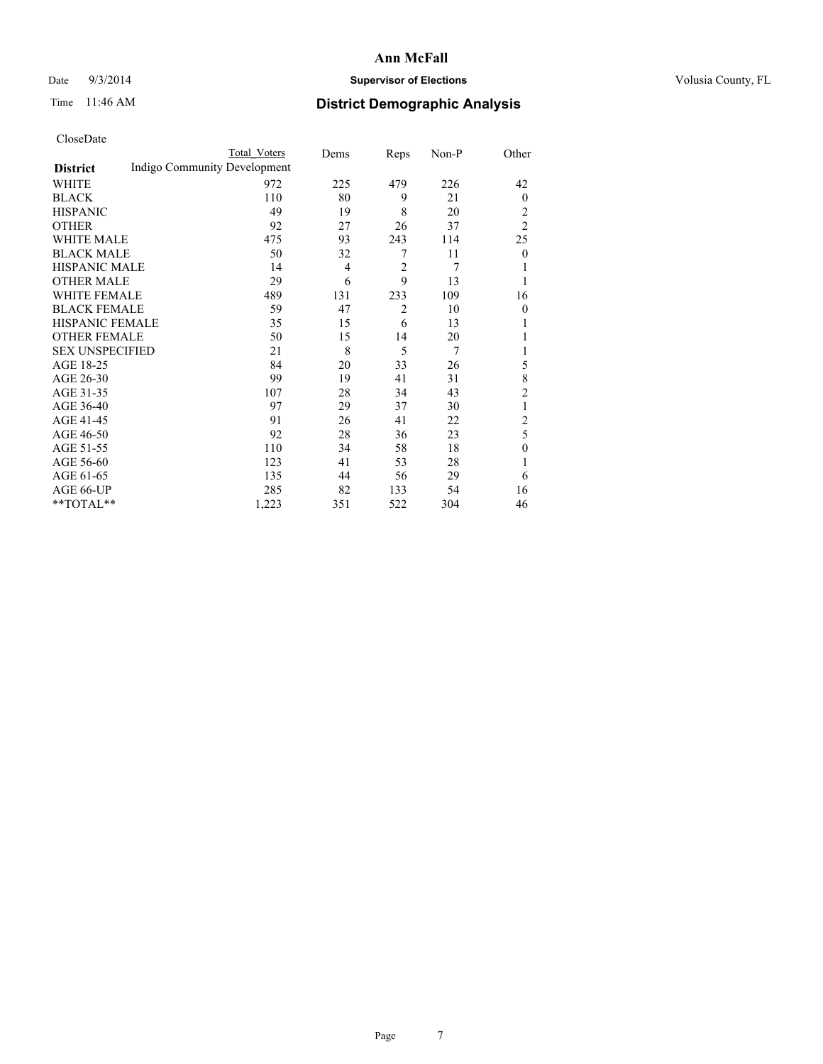# Date  $9/3/2014$  **Supervisor of Elections Supervisor of Elections** Volusia County, FL

# Time 11:46 AM **District Demographic Analysis**

|                        |                              | <b>Total Voters</b> | Dems | Reps           | Non-P | Other          |
|------------------------|------------------------------|---------------------|------|----------------|-------|----------------|
| <b>District</b>        | Indigo Community Development |                     |      |                |       |                |
| WHITE                  |                              | 972                 | 225  | 479            | 226   | 42             |
| <b>BLACK</b>           |                              | 110                 | 80   | 9              | 21    | $\mathbf{0}$   |
| <b>HISPANIC</b>        |                              | 49                  | 19   | 8              | 20    | 2              |
| <b>OTHER</b>           |                              | 92                  | 27   | 26             | 37    | $\overline{2}$ |
| WHITE MALE             |                              | 475                 | 93   | 243            | 114   | 25             |
| <b>BLACK MALE</b>      |                              | 50                  | 32   | 7              | 11    | $\mathbf{0}$   |
| <b>HISPANIC MALE</b>   |                              | 14                  | 4    | $\overline{2}$ | 7     |                |
| <b>OTHER MALE</b>      |                              | 29                  | 6    | 9              | 13    | 1              |
| WHITE FEMALE           |                              | 489                 | 131  | 233            | 109   | 16             |
| <b>BLACK FEMALE</b>    |                              | 59                  | 47   | $\overline{2}$ | 10    | $\theta$       |
| <b>HISPANIC FEMALE</b> |                              | 35                  | 15   | 6              | 13    |                |
| <b>OTHER FEMALE</b>    |                              | 50                  | 15   | 14             | 20    |                |
| <b>SEX UNSPECIFIED</b> |                              | 21                  | 8    | 5              | 7     |                |
| AGE 18-25              |                              | 84                  | 20   | 33             | 26    | 5              |
| AGE 26-30              |                              | 99                  | 19   | 41             | 31    | 8              |
| AGE 31-35              |                              | 107                 | 28   | 34             | 43    | $\overline{c}$ |
| AGE 36-40              |                              | 97                  | 29   | 37             | 30    | 1              |
| AGE 41-45              |                              | 91                  | 26   | 41             | 22    | 2              |
| AGE 46-50              |                              | 92                  | 28   | 36             | 23    | 5              |
| AGE 51-55              |                              | 110                 | 34   | 58             | 18    | $\theta$       |
| AGE 56-60              |                              | 123                 | 41   | 53             | 28    |                |
| AGE 61-65              |                              | 135                 | 44   | 56             | 29    | 6              |
| AGE 66-UP              |                              | 285                 | 82   | 133            | 54    | 16             |
| **TOTAL**              |                              | 1,223               | 351  | 522            | 304   | 46             |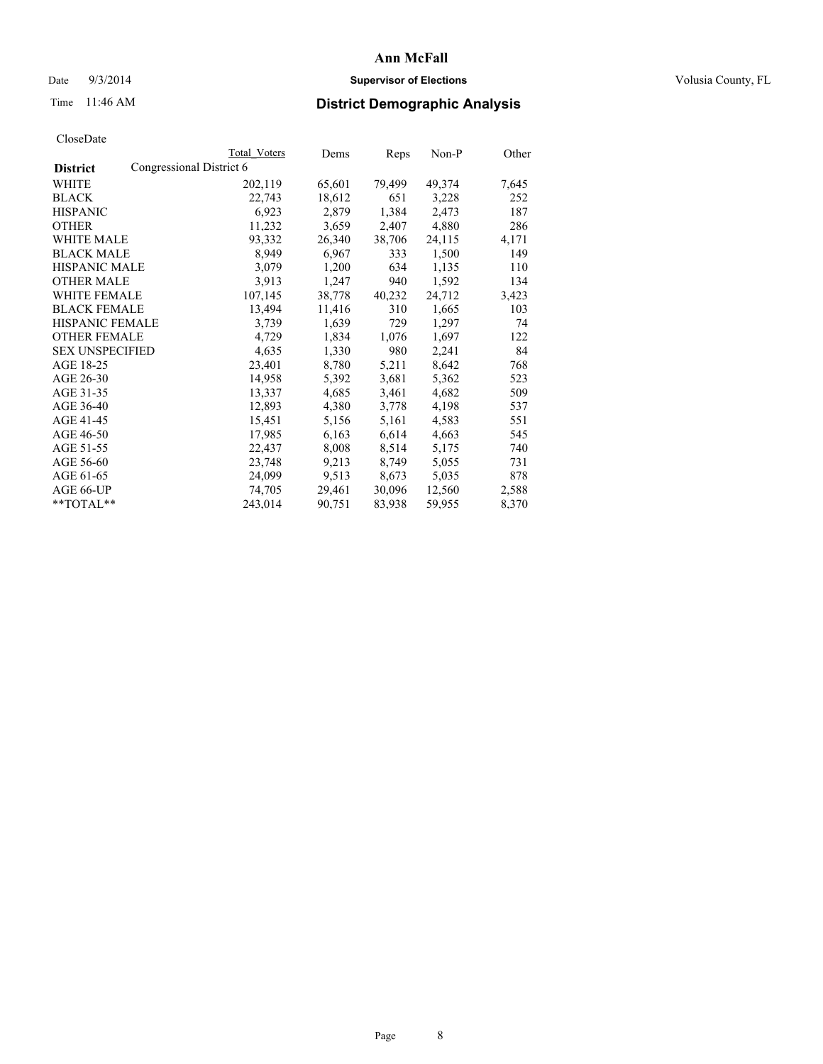# Date  $9/3/2014$  **Supervisor of Elections Supervisor of Elections** Volusia County, FL

# Time 11:46 AM **District Demographic Analysis**

|                                             | <b>Total Voters</b> | Dems   | Reps   | Non-P  | Other |
|---------------------------------------------|---------------------|--------|--------|--------|-------|
| Congressional District 6<br><b>District</b> |                     |        |        |        |       |
| WHITE                                       | 202,119             | 65,601 | 79,499 | 49,374 | 7,645 |
| <b>BLACK</b>                                | 22,743              | 18,612 | 651    | 3,228  | 252   |
| <b>HISPANIC</b>                             | 6,923               | 2,879  | 1,384  | 2,473  | 187   |
| <b>OTHER</b>                                | 11,232              | 3,659  | 2,407  | 4,880  | 286   |
| WHITE MALE                                  | 93,332              | 26,340 | 38,706 | 24,115 | 4,171 |
| <b>BLACK MALE</b>                           | 8,949               | 6,967  | 333    | 1,500  | 149   |
| <b>HISPANIC MALE</b>                        | 3,079               | 1,200  | 634    | 1,135  | 110   |
| <b>OTHER MALE</b>                           | 3,913               | 1,247  | 940    | 1,592  | 134   |
| <b>WHITE FEMALE</b>                         | 107,145             | 38,778 | 40,232 | 24,712 | 3,423 |
| <b>BLACK FEMALE</b>                         | 13,494              | 11,416 | 310    | 1,665  | 103   |
| <b>HISPANIC FEMALE</b>                      | 3,739               | 1,639  | 729    | 1,297  | 74    |
| <b>OTHER FEMALE</b>                         | 4,729               | 1,834  | 1,076  | 1,697  | 122   |
| <b>SEX UNSPECIFIED</b>                      | 4,635               | 1,330  | 980    | 2,241  | 84    |
| AGE 18-25                                   | 23,401              | 8,780  | 5,211  | 8,642  | 768   |
| AGE 26-30                                   | 14,958              | 5,392  | 3,681  | 5,362  | 523   |
| AGE 31-35                                   | 13,337              | 4,685  | 3,461  | 4,682  | 509   |
| AGE 36-40                                   | 12,893              | 4,380  | 3,778  | 4,198  | 537   |
| AGE 41-45                                   | 15,451              | 5,156  | 5,161  | 4,583  | 551   |
| AGE 46-50                                   | 17,985              | 6,163  | 6,614  | 4,663  | 545   |
| AGE 51-55                                   | 22,437              | 8,008  | 8,514  | 5,175  | 740   |
| AGE 56-60                                   | 23,748              | 9,213  | 8,749  | 5,055  | 731   |
| AGE 61-65                                   | 24,099              | 9,513  | 8,673  | 5,035  | 878   |
| AGE 66-UP                                   | 74,705              | 29,461 | 30,096 | 12,560 | 2,588 |
| **TOTAL**                                   | 243,014             | 90,751 | 83,938 | 59,955 | 8,370 |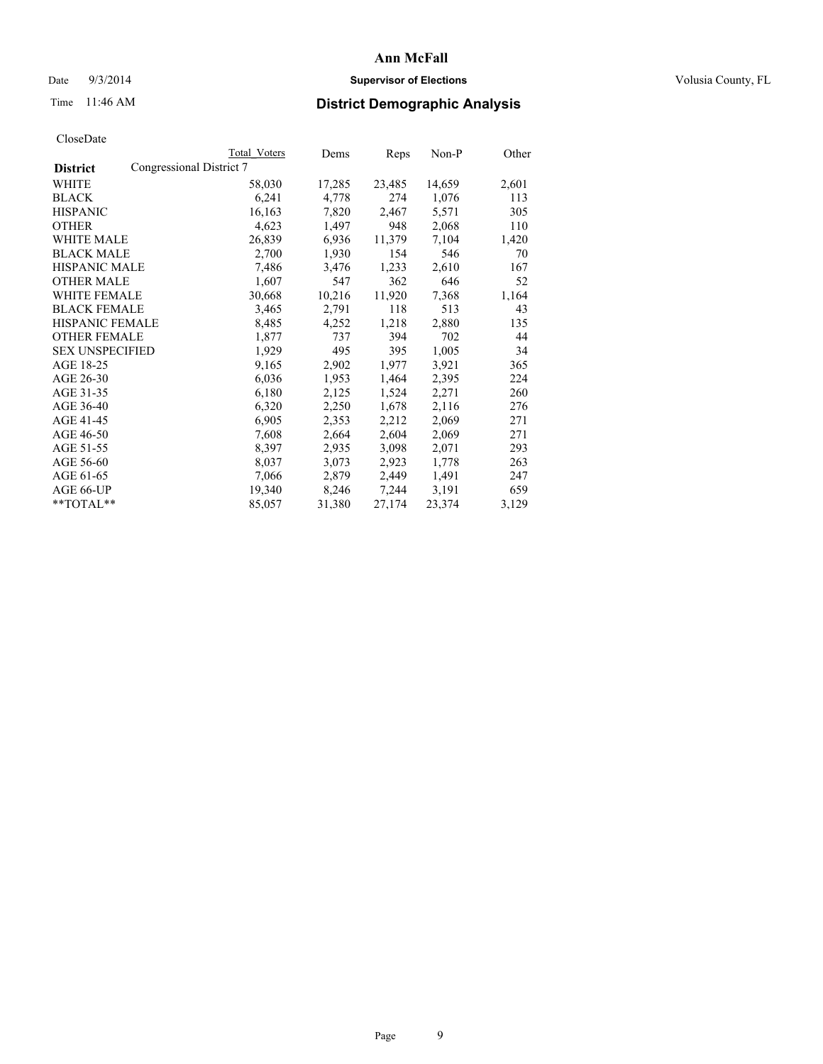# Date  $9/3/2014$  **Supervisor of Elections Supervisor of Elections** Volusia County, FL

# Time 11:46 AM **District Demographic Analysis**

|                                             | Total Voters | Dems   | Reps   | Non-P  | Other |
|---------------------------------------------|--------------|--------|--------|--------|-------|
| Congressional District 7<br><b>District</b> |              |        |        |        |       |
| <b>WHITE</b>                                | 58,030       | 17,285 | 23,485 | 14,659 | 2,601 |
| <b>BLACK</b>                                | 6,241        | 4,778  | 274    | 1,076  | 113   |
| <b>HISPANIC</b>                             | 16,163       | 7,820  | 2,467  | 5,571  | 305   |
| <b>OTHER</b>                                | 4,623        | 1,497  | 948    | 2,068  | 110   |
| WHITE MALE                                  | 26,839       | 6,936  | 11,379 | 7,104  | 1,420 |
| <b>BLACK MALE</b>                           | 2,700        | 1,930  | 154    | 546    | 70    |
| <b>HISPANIC MALE</b>                        | 7,486        | 3,476  | 1,233  | 2,610  | 167   |
| <b>OTHER MALE</b>                           | 1,607        | 547    | 362    | 646    | 52    |
| <b>WHITE FEMALE</b>                         | 30,668       | 10,216 | 11,920 | 7,368  | 1,164 |
| <b>BLACK FEMALE</b>                         | 3,465        | 2,791  | 118    | 513    | 43    |
| HISPANIC FEMALE                             | 8,485        | 4,252  | 1,218  | 2,880  | 135   |
| <b>OTHER FEMALE</b>                         | 1,877        | 737    | 394    | 702    | 44    |
| <b>SEX UNSPECIFIED</b>                      | 1,929        | 495    | 395    | 1,005  | 34    |
| AGE 18-25                                   | 9,165        | 2,902  | 1,977  | 3,921  | 365   |
| AGE 26-30                                   | 6,036        | 1,953  | 1,464  | 2,395  | 224   |
| AGE 31-35                                   | 6,180        | 2,125  | 1,524  | 2,271  | 260   |
| AGE 36-40                                   | 6,320        | 2,250  | 1,678  | 2,116  | 276   |
| AGE 41-45                                   | 6,905        | 2,353  | 2,212  | 2,069  | 271   |
| AGE 46-50                                   | 7,608        | 2,664  | 2,604  | 2,069  | 271   |
| AGE 51-55                                   | 8,397        | 2,935  | 3,098  | 2,071  | 293   |
| AGE 56-60                                   | 8,037        | 3,073  | 2,923  | 1,778  | 263   |
| AGE 61-65                                   | 7,066        | 2,879  | 2,449  | 1,491  | 247   |
| AGE 66-UP                                   | 19,340       | 8,246  | 7,244  | 3,191  | 659   |
| **TOTAL**                                   | 85,057       | 31,380 | 27,174 | 23,374 | 3,129 |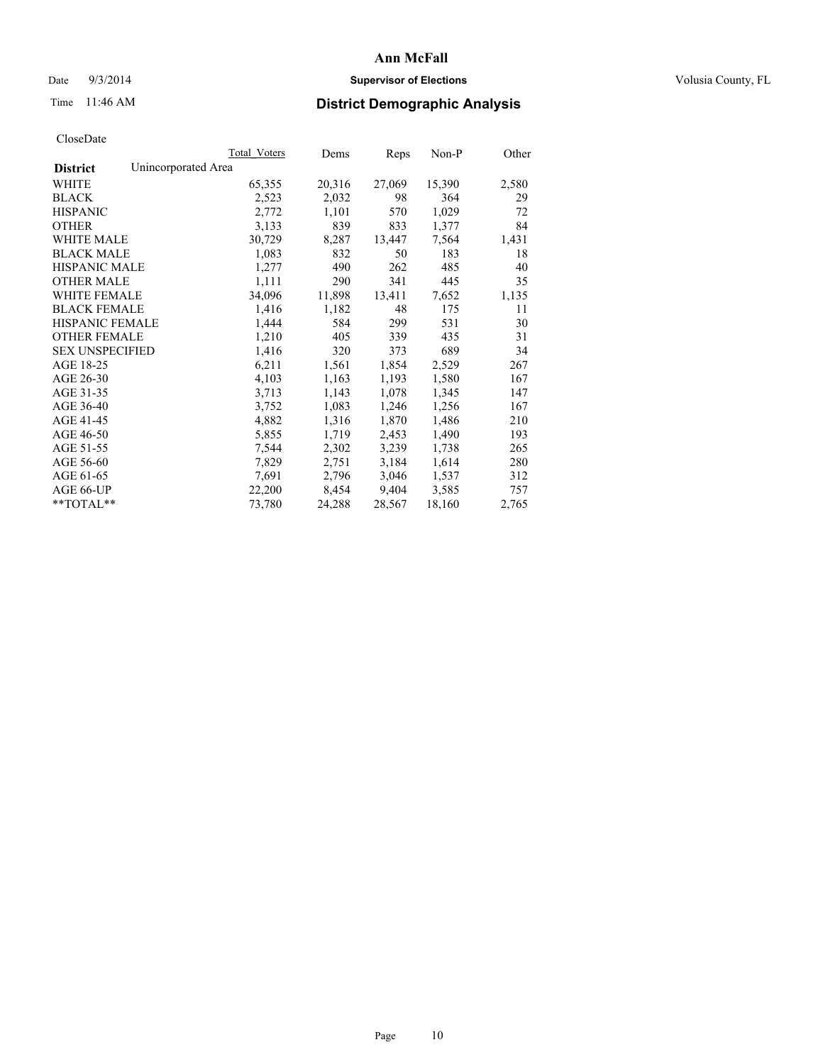# Date  $9/3/2014$  **Supervisor of Elections Supervisor of Elections** Volusia County, FL

# Time 11:46 AM **District Demographic Analysis**

|                                        | Total Voters | Dems   | <b>Reps</b> | $Non-P$ | Other |
|----------------------------------------|--------------|--------|-------------|---------|-------|
| Unincorporated Area<br><b>District</b> |              |        |             |         |       |
| WHITE                                  | 65,355       | 20,316 | 27,069      | 15,390  | 2,580 |
| <b>BLACK</b>                           | 2,523        | 2,032  | 98          | 364     | 29    |
| <b>HISPANIC</b>                        | 2,772        | 1,101  | 570         | 1,029   | 72    |
| <b>OTHER</b>                           | 3,133        | 839    | 833         | 1,377   | 84    |
| <b>WHITE MALE</b>                      | 30,729       | 8,287  | 13,447      | 7.564   | 1,431 |
| <b>BLACK MALE</b>                      | 1,083        | 832    | 50          | 183     | 18    |
| <b>HISPANIC MALE</b>                   | 1,277        | 490    | 262         | 485     | 40    |
| <b>OTHER MALE</b>                      | 1,111        | 290    | 341         | 445     | 35    |
| WHITE FEMALE                           | 34,096       | 11,898 | 13,411      | 7,652   | 1,135 |
| <b>BLACK FEMALE</b>                    | 1,416        | 1,182  | 48          | 175     | 11    |
| HISPANIC FEMALE                        | 1,444        | 584    | 299         | 531     | 30    |
| <b>OTHER FEMALE</b>                    | 1,210        | 405    | 339         | 435     | 31    |
| <b>SEX UNSPECIFIED</b>                 | 1,416        | 320    | 373         | 689     | 34    |
| AGE 18-25                              | 6,211        | 1,561  | 1,854       | 2,529   | 267   |
| AGE 26-30                              | 4,103        | 1,163  | 1,193       | 1,580   | 167   |
| AGE 31-35                              | 3,713        | 1,143  | 1,078       | 1,345   | 147   |
| AGE 36-40                              | 3,752        | 1,083  | 1,246       | 1,256   | 167   |
| AGE 41-45                              | 4,882        | 1,316  | 1,870       | 1,486   | 210   |
| AGE 46-50                              | 5,855        | 1,719  | 2,453       | 1,490   | 193   |
| AGE 51-55                              | 7,544        | 2,302  | 3,239       | 1,738   | 265   |
| AGE 56-60                              | 7,829        | 2,751  | 3,184       | 1,614   | 280   |
| AGE 61-65                              | 7,691        | 2,796  | 3,046       | 1,537   | 312   |
| AGE 66-UP                              | 22,200       | 8,454  | 9,404       | 3,585   | 757   |
| $*$ $TOTAI.**$                         | 73,780       | 24,288 | 28,567      | 18,160  | 2,765 |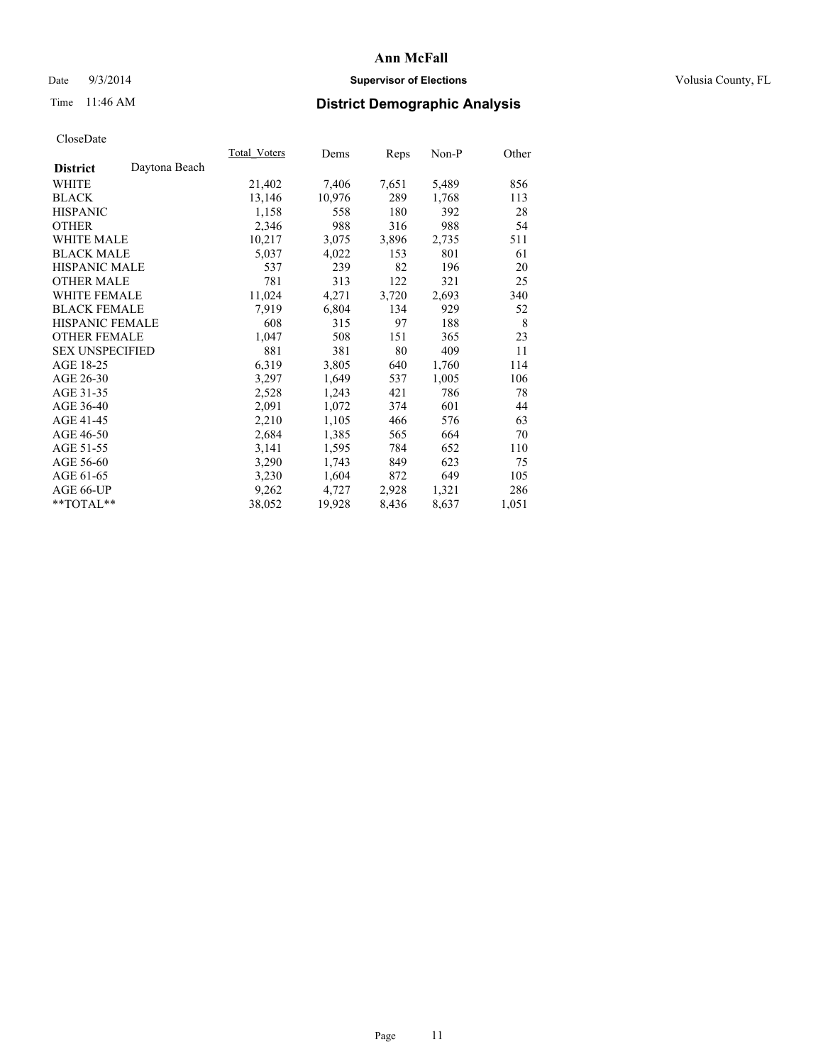# Date  $9/3/2014$  **Supervisor of Elections Supervisor of Elections** Volusia County, FL

# Time 11:46 AM **District Demographic Analysis**

|                                  | <b>Total Voters</b> | Dems   | Reps  | Non-P | Other |
|----------------------------------|---------------------|--------|-------|-------|-------|
| Daytona Beach<br><b>District</b> |                     |        |       |       |       |
| WHITE                            | 21,402              | 7,406  | 7,651 | 5,489 | 856   |
| <b>BLACK</b>                     | 13,146              | 10,976 | 289   | 1,768 | 113   |
| <b>HISPANIC</b>                  | 1,158               | 558    | 180   | 392   | 28    |
| <b>OTHER</b>                     | 2,346               | 988    | 316   | 988   | 54    |
| <b>WHITE MALE</b>                | 10,217              | 3,075  | 3,896 | 2,735 | 511   |
| <b>BLACK MALE</b>                | 5,037               | 4,022  | 153   | 801   | 61    |
| <b>HISPANIC MALE</b>             | 537                 | 239    | 82    | 196   | 20    |
| <b>OTHER MALE</b>                | 781                 | 313    | 122   | 321   | 25    |
| <b>WHITE FEMALE</b>              | 11,024              | 4,271  | 3,720 | 2,693 | 340   |
| <b>BLACK FEMALE</b>              | 7.919               | 6,804  | 134   | 929   | 52    |
| <b>HISPANIC FEMALE</b>           | 608                 | 315    | 97    | 188   | 8     |
| <b>OTHER FEMALE</b>              | 1,047               | 508    | 151   | 365   | 23    |
| <b>SEX UNSPECIFIED</b>           | 881                 | 381    | 80    | 409   | 11    |
| AGE 18-25                        | 6,319               | 3,805  | 640   | 1,760 | 114   |
| AGE 26-30                        | 3,297               | 1,649  | 537   | 1,005 | 106   |
| AGE 31-35                        | 2,528               | 1,243  | 421   | 786   | 78    |
| AGE 36-40                        | 2,091               | 1,072  | 374   | 601   | 44    |
| AGE 41-45                        | 2,210               | 1,105  | 466   | 576   | 63    |
| AGE 46-50                        | 2,684               | 1,385  | 565   | 664   | 70    |
| AGE 51-55                        | 3,141               | 1,595  | 784   | 652   | 110   |
| AGE 56-60                        | 3,290               | 1,743  | 849   | 623   | 75    |
| AGE 61-65                        | 3,230               | 1,604  | 872   | 649   | 105   |
| AGE 66-UP                        | 9,262               | 4,727  | 2,928 | 1,321 | 286   |
| **TOTAL**                        | 38,052              | 19,928 | 8,436 | 8,637 | 1,051 |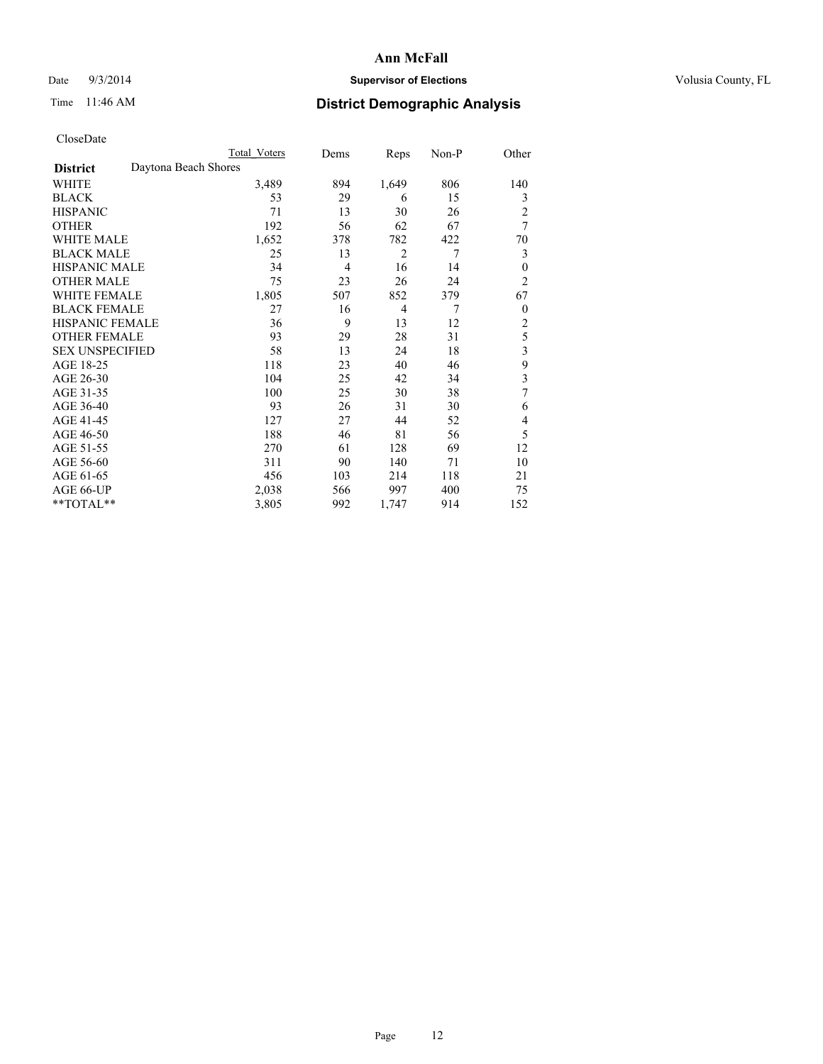# Date  $9/3/2014$  **Supervisor of Elections Supervisor of Elections** Volusia County, FL

# Time 11:46 AM **District Demographic Analysis**

|                                         | Total Voters | Dems           | Reps           | Non-P          | Other          |
|-----------------------------------------|--------------|----------------|----------------|----------------|----------------|
| Daytona Beach Shores<br><b>District</b> |              |                |                |                |                |
| WHITE                                   | 3,489        | 894            | 1,649          | 806            | 140            |
| <b>BLACK</b>                            | 53           | 29             | 6              | 15             | 3              |
| <b>HISPANIC</b>                         | 71           | 13             | 30             | 26             | $\overline{2}$ |
| <b>OTHER</b>                            | 192          | 56             | 62             | 67             | 7              |
| <b>WHITE MALE</b>                       | 1,652        | 378            | 782            | 422            | 70             |
| <b>BLACK MALE</b>                       | 25           | 13             | 2              | $\overline{7}$ | 3              |
| <b>HISPANIC MALE</b>                    | 34           | $\overline{4}$ | 16             | 14             | $\theta$       |
| <b>OTHER MALE</b>                       | 75           | 23             | 26             | 24             | $\overline{2}$ |
| <b>WHITE FEMALE</b>                     | 1,805        | 507            | 852            | 379            | 67             |
| <b>BLACK FEMALE</b>                     | 27           | 16             | $\overline{4}$ | $\overline{7}$ | $\overline{0}$ |
| <b>HISPANIC FEMALE</b>                  | 36           | 9              | 13             | 12             | $\overline{2}$ |
| <b>OTHER FEMALE</b>                     | 93           | 29             | 28             | 31             | 5              |
| <b>SEX UNSPECIFIED</b>                  | 58           | 13             | 24             | 18             | 3              |
| AGE 18-25                               | 118          | 23             | 40             | 46             | 9              |
| AGE 26-30                               | 104          | 25             | 42             | 34             | 3              |
| AGE 31-35                               | 100          | 25             | 30             | 38             | 7              |
| AGE 36-40                               | 93           | 26             | 31             | 30             | 6              |
| AGE 41-45                               | 127          | 27             | 44             | 52             | 4              |
| AGE 46-50                               | 188          | 46             | 81             | 56             | 5              |
| AGE 51-55                               | 270          | 61             | 128            | 69             | 12             |
| AGE 56-60                               | 311          | 90             | 140            | 71             | 10             |
| AGE 61-65                               | 456          | 103            | 214            | 118            | 21             |
| AGE 66-UP                               | 2,038        | 566            | 997            | 400            | 75             |
| **TOTAL**                               | 3,805        | 992            | 1,747          | 914            | 152            |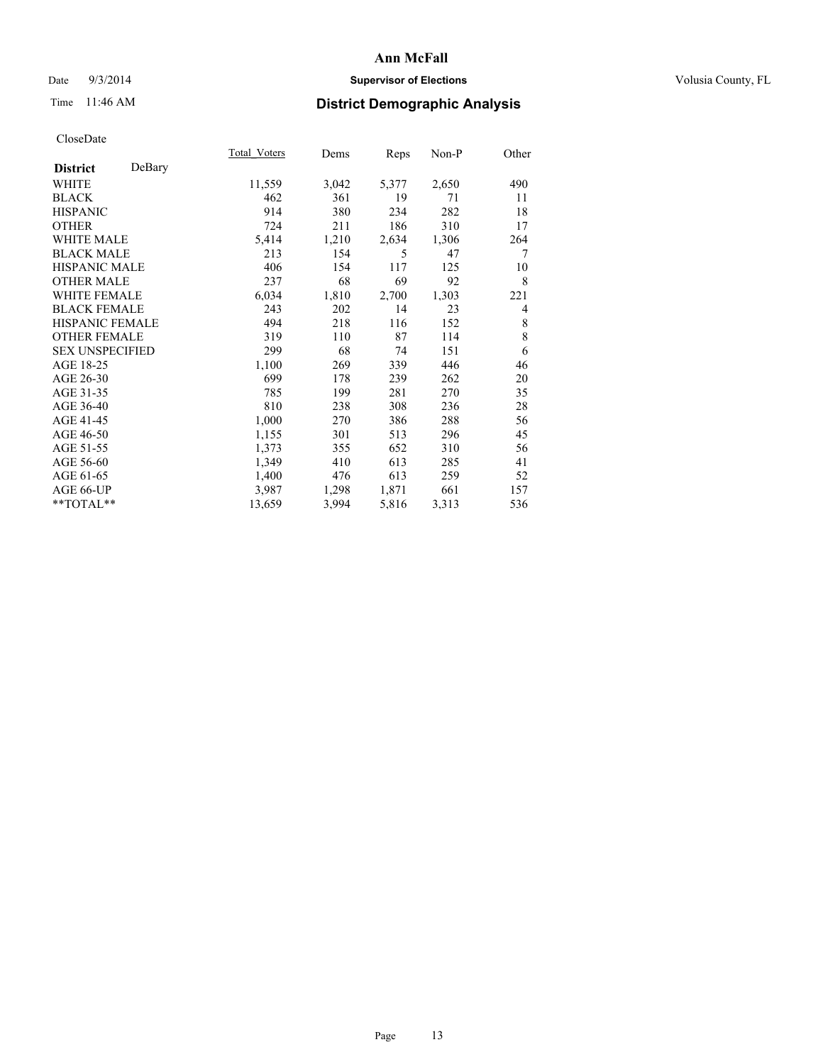# Date  $9/3/2014$  **Supervisor of Elections Supervisor of Elections** Volusia County, FL

# Time 11:46 AM **District Demographic Analysis**

|                           | Total Voters | Dems  | <b>Reps</b> | Non-P | Other |
|---------------------------|--------------|-------|-------------|-------|-------|
| DeBary<br><b>District</b> |              |       |             |       |       |
| WHITE                     | 11,559       | 3,042 | 5,377       | 2,650 | 490   |
| <b>BLACK</b>              | 462          | 361   | 19          | 71    | 11    |
| <b>HISPANIC</b>           | 914          | 380   | 234         | 282   | 18    |
| <b>OTHER</b>              | 724          | 211   | 186         | 310   | 17    |
| WHITE MALE                | 5,414        | 1,210 | 2,634       | 1,306 | 264   |
| <b>BLACK MALE</b>         | 213          | 154   | 5           | 47    | 7     |
| <b>HISPANIC MALE</b>      | 406          | 154   | 117         | 125   | 10    |
| <b>OTHER MALE</b>         | 237          | 68    | 69          | 92    | 8     |
| WHITE FEMALE              | 6,034        | 1,810 | 2,700       | 1,303 | 221   |
| <b>BLACK FEMALE</b>       | 243          | 202   | 14          | 23    | 4     |
| <b>HISPANIC FEMALE</b>    | 494          | 218   | 116         | 152   | 8     |
| <b>OTHER FEMALE</b>       | 319          | 110   | 87          | 114   | 8     |
| <b>SEX UNSPECIFIED</b>    | 299          | 68    | 74          | 151   | 6     |
| AGE 18-25                 | 1,100        | 269   | 339         | 446   | 46    |
| AGE 26-30                 | 699          | 178   | 239         | 262   | 20    |
| AGE 31-35                 | 785          | 199   | 281         | 270   | 35    |
| AGE 36-40                 | 810          | 238   | 308         | 236   | 28    |
| AGE 41-45                 | 1,000        | 270   | 386         | 288   | 56    |
| AGE 46-50                 | 1,155        | 301   | 513         | 296   | 45    |
| AGE 51-55                 | 1,373        | 355   | 652         | 310   | 56    |
| AGE 56-60                 | 1,349        | 410   | 613         | 285   | 41    |
| AGE 61-65                 | 1,400        | 476   | 613         | 259   | 52    |
| AGE 66-UP                 | 3,987        | 1,298 | 1,871       | 661   | 157   |
| **TOTAL**                 | 13,659       | 3,994 | 5,816       | 3,313 | 536   |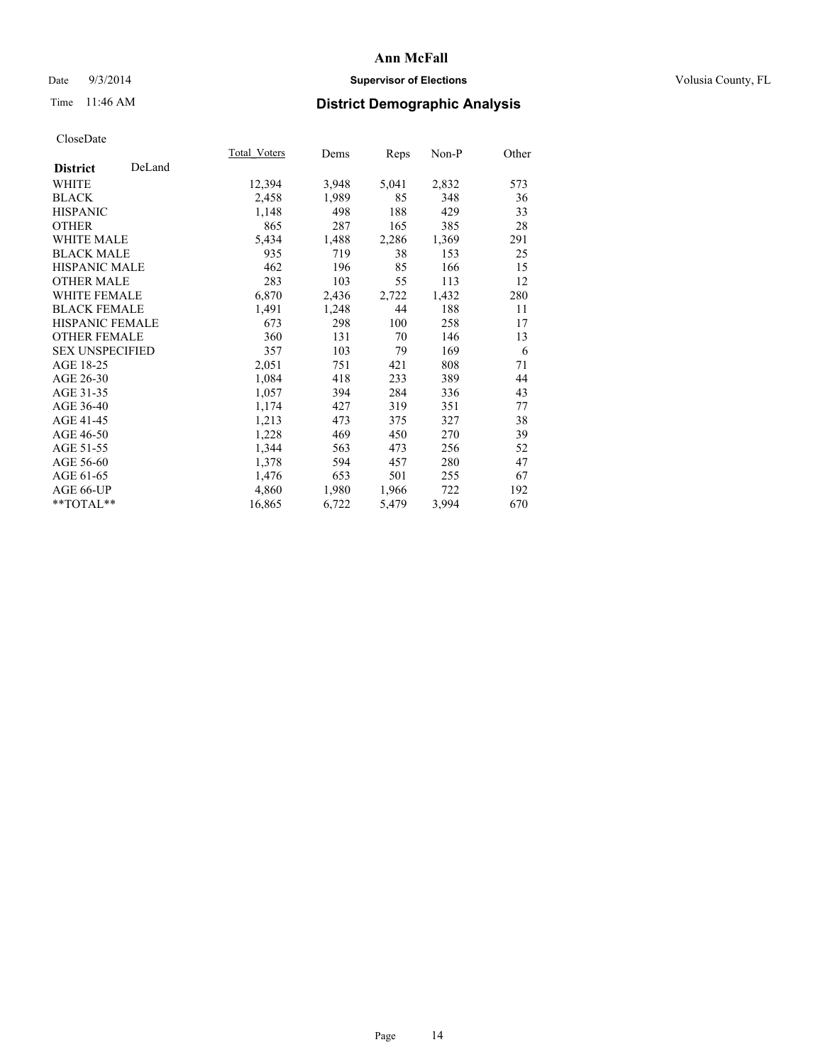# Date  $9/3/2014$  **Supervisor of Elections Supervisor of Elections** Volusia County, FL

# Time 11:46 AM **District Demographic Analysis**

|                        |        | <b>Total Voters</b> | Dems  | Reps  | Non-P | Other |
|------------------------|--------|---------------------|-------|-------|-------|-------|
| <b>District</b>        | DeLand |                     |       |       |       |       |
| WHITE                  |        | 12,394              | 3,948 | 5,041 | 2,832 | 573   |
| <b>BLACK</b>           |        | 2,458               | 1,989 | 85    | 348   | 36    |
| <b>HISPANIC</b>        |        | 1,148               | 498   | 188   | 429   | 33    |
| <b>OTHER</b>           |        | 865                 | 287   | 165   | 385   | 28    |
| WHITE MALE             |        | 5,434               | 1,488 | 2,286 | 1,369 | 291   |
| <b>BLACK MALE</b>      |        | 935                 | 719   | 38    | 153   | 25    |
| <b>HISPANIC MALE</b>   |        | 462                 | 196   | 85    | 166   | 15    |
| OTHER MALE             |        | 283                 | 103   | 55    | 113   | 12    |
| <b>WHITE FEMALE</b>    |        | 6,870               | 2,436 | 2,722 | 1,432 | 280   |
| <b>BLACK FEMALE</b>    |        | 1,491               | 1,248 | 44    | 188   | 11    |
| HISPANIC FEMALE        |        | 673                 | 298   | 100   | 258   | 17    |
| <b>OTHER FEMALE</b>    |        | 360                 | 131   | 70    | 146   | 13    |
| <b>SEX UNSPECIFIED</b> |        | 357                 | 103   | 79    | 169   | 6     |
| AGE 18-25              |        | 2,051               | 751   | 421   | 808   | 71    |
| AGE 26-30              |        | 1,084               | 418   | 233   | 389   | 44    |
| AGE 31-35              |        | 1,057               | 394   | 284   | 336   | 43    |
| AGE 36-40              |        | 1,174               | 427   | 319   | 351   | 77    |
| AGE 41-45              |        | 1,213               | 473   | 375   | 327   | 38    |
| AGE 46-50              |        | 1,228               | 469   | 450   | 270   | 39    |
| AGE 51-55              |        | 1,344               | 563   | 473   | 256   | 52    |
| AGE 56-60              |        | 1,378               | 594   | 457   | 280   | 47    |
| AGE 61-65              |        | 1,476               | 653   | 501   | 255   | 67    |
| AGE 66-UP              |        | 4,860               | 1,980 | 1,966 | 722   | 192   |
| $*$ $TOTAL**$          |        | 16,865              | 6,722 | 5,479 | 3,994 | 670   |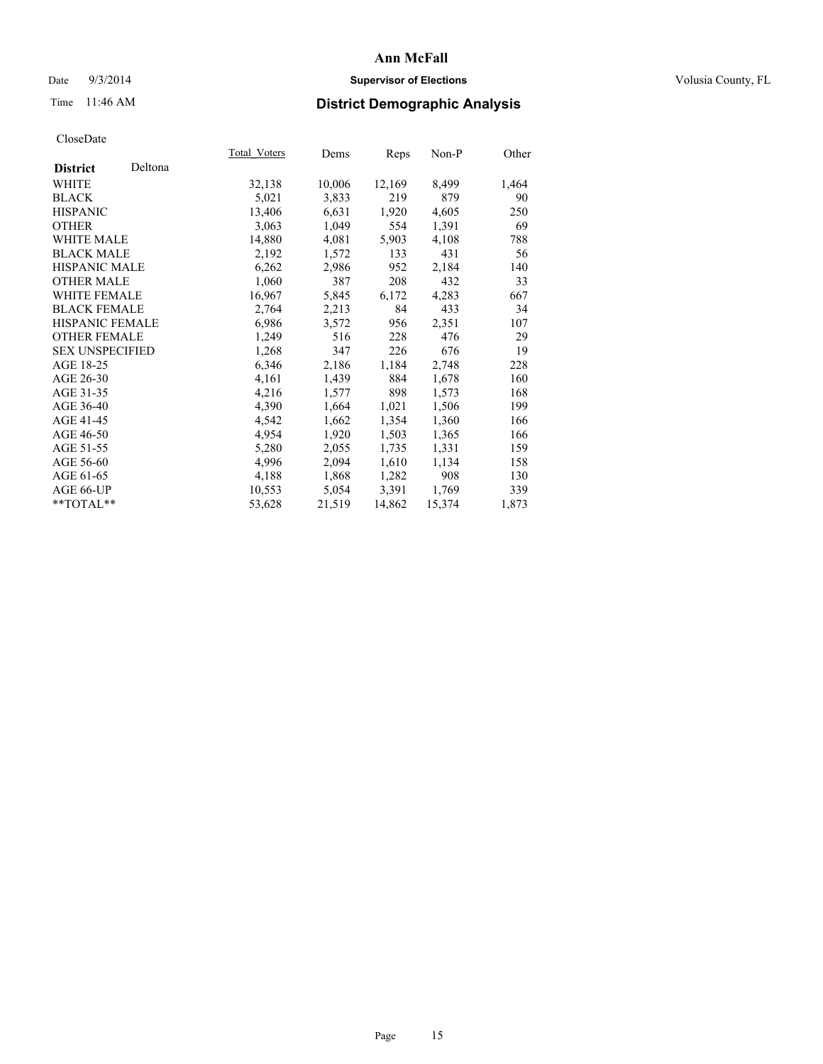# Date  $9/3/2014$  **Supervisor of Elections Supervisor of Elections** Volusia County, FL

# Time 11:46 AM **District Demographic Analysis**

|                        |         | Total Voters | Dems   | <b>Reps</b> | $Non-P$ | Other |
|------------------------|---------|--------------|--------|-------------|---------|-------|
| <b>District</b>        | Deltona |              |        |             |         |       |
| WHITE                  |         | 32,138       | 10,006 | 12,169      | 8,499   | 1,464 |
| <b>BLACK</b>           |         | 5,021        | 3,833  | 219         | 879     | 90    |
| <b>HISPANIC</b>        |         | 13,406       | 6,631  | 1,920       | 4,605   | 250   |
| <b>OTHER</b>           |         | 3,063        | 1,049  | 554         | 1,391   | 69    |
| WHITE MALE             |         | 14,880       | 4,081  | 5,903       | 4,108   | 788   |
| <b>BLACK MALE</b>      |         | 2,192        | 1,572  | 133         | 431     | 56    |
| <b>HISPANIC MALE</b>   |         | 6,262        | 2,986  | 952         | 2,184   | 140   |
| <b>OTHER MALE</b>      |         | 1,060        | 387    | 208         | 432     | 33    |
| WHITE FEMALE           |         | 16,967       | 5,845  | 6,172       | 4,283   | 667   |
| <b>BLACK FEMALE</b>    |         | 2,764        | 2,213  | 84          | 433     | 34    |
| HISPANIC FEMALE        |         | 6,986        | 3,572  | 956         | 2,351   | 107   |
| <b>OTHER FEMALE</b>    |         | 1,249        | 516    | 228         | 476     | 29    |
| <b>SEX UNSPECIFIED</b> |         | 1,268        | 347    | 226         | 676     | 19    |
| AGE 18-25              |         | 6,346        | 2,186  | 1,184       | 2,748   | 228   |
| AGE 26-30              |         | 4,161        | 1,439  | 884         | 1,678   | 160   |
| AGE 31-35              |         | 4,216        | 1,577  | 898         | 1,573   | 168   |
| AGE 36-40              |         | 4,390        | 1,664  | 1,021       | 1,506   | 199   |
| AGE 41-45              |         | 4,542        | 1,662  | 1,354       | 1,360   | 166   |
| AGE 46-50              |         | 4,954        | 1,920  | 1,503       | 1,365   | 166   |
| AGE 51-55              |         | 5,280        | 2,055  | 1,735       | 1,331   | 159   |
| AGE 56-60              |         | 4,996        | 2,094  | 1,610       | 1,134   | 158   |
| AGE 61-65              |         | 4,188        | 1,868  | 1,282       | 908     | 130   |
| AGE 66-UP              |         | 10,553       | 5,054  | 3,391       | 1,769   | 339   |
| **TOTAL**              |         | 53,628       | 21,519 | 14,862      | 15,374  | 1,873 |
|                        |         |              |        |             |         |       |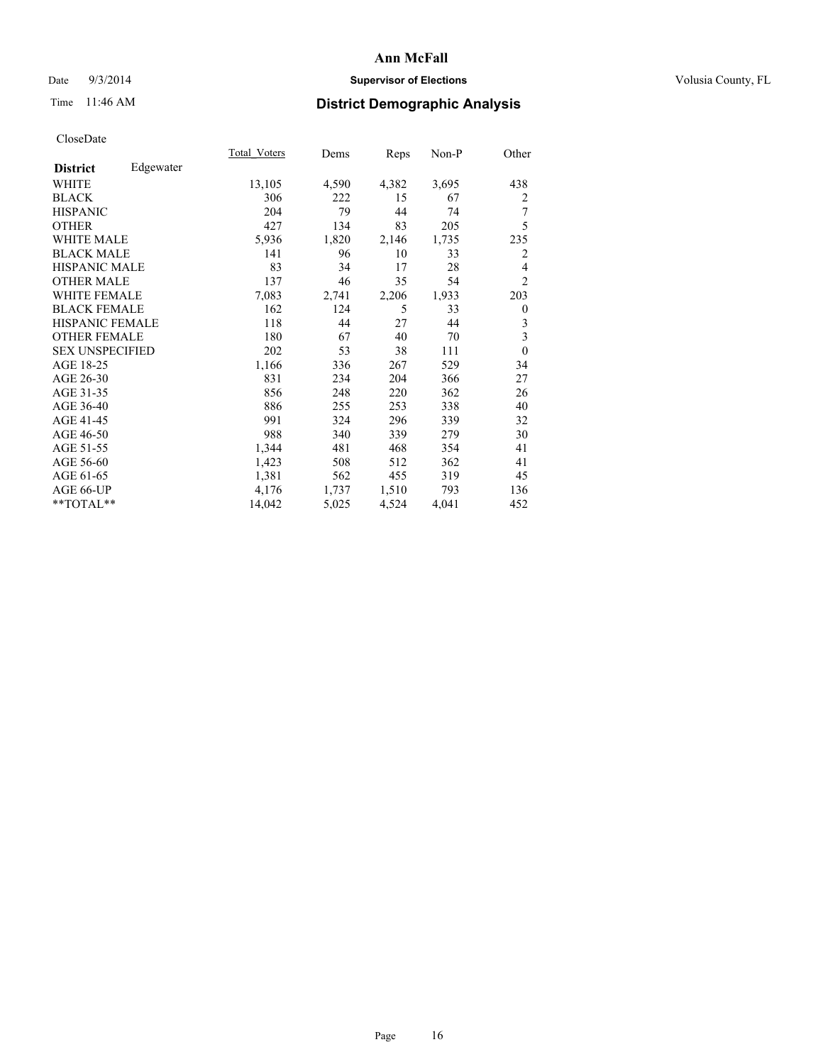# Date  $9/3/2014$  **Supervisor of Elections Supervisor of Elections** Volusia County, FL

# Time 11:46 AM **District Demographic Analysis**

|                              | Total Voters | Dems  | <b>Reps</b> | Non-P | Other          |
|------------------------------|--------------|-------|-------------|-------|----------------|
| Edgewater<br><b>District</b> |              |       |             |       |                |
| WHITE                        | 13,105       | 4,590 | 4,382       | 3,695 | 438            |
| <b>BLACK</b>                 | 306          | 222   | 15          | 67    | 2              |
| <b>HISPANIC</b>              | 204          | 79    | 44          | 74    | 7              |
| <b>OTHER</b>                 | 427          | 134   | 83          | 205   | 5              |
| <b>WHITE MALE</b>            | 5,936        | 1,820 | 2,146       | 1,735 | 235            |
| <b>BLACK MALE</b>            | 141          | 96    | 10          | 33    | 2              |
| <b>HISPANIC MALE</b>         | 83           | 34    | 17          | 28    | $\overline{4}$ |
| <b>OTHER MALE</b>            | 137          | 46    | 35          | 54    | $\overline{2}$ |
| WHITE FEMALE                 | 7,083        | 2,741 | 2,206       | 1,933 | 203            |
| <b>BLACK FEMALE</b>          | 162          | 124   | 5           | 33    | $\theta$       |
| <b>HISPANIC FEMALE</b>       | 118          | 44    | 27          | 44    | 3              |
| <b>OTHER FEMALE</b>          | 180          | 67    | 40          | 70    | 3              |
| <b>SEX UNSPECIFIED</b>       | 202          | 53    | 38          | 111   | $\overline{0}$ |
| AGE 18-25                    | 1,166        | 336   | 267         | 529   | 34             |
| AGE 26-30                    | 831          | 234   | 204         | 366   | 27             |
| AGE 31-35                    | 856          | 248   | 220         | 362   | 26             |
| AGE 36-40                    | 886          | 255   | 253         | 338   | 40             |
| AGE 41-45                    | 991          | 324   | 296         | 339   | 32             |
| AGE 46-50                    | 988          | 340   | 339         | 279   | 30             |
| AGE 51-55                    | 1,344        | 481   | 468         | 354   | 41             |
| AGE 56-60                    | 1,423        | 508   | 512         | 362   | 41             |
| AGE 61-65                    | 1,381        | 562   | 455         | 319   | 45             |
| AGE 66-UP                    | 4,176        | 1,737 | 1,510       | 793   | 136            |
| **TOTAL**                    | 14,042       | 5,025 | 4,524       | 4,041 | 452            |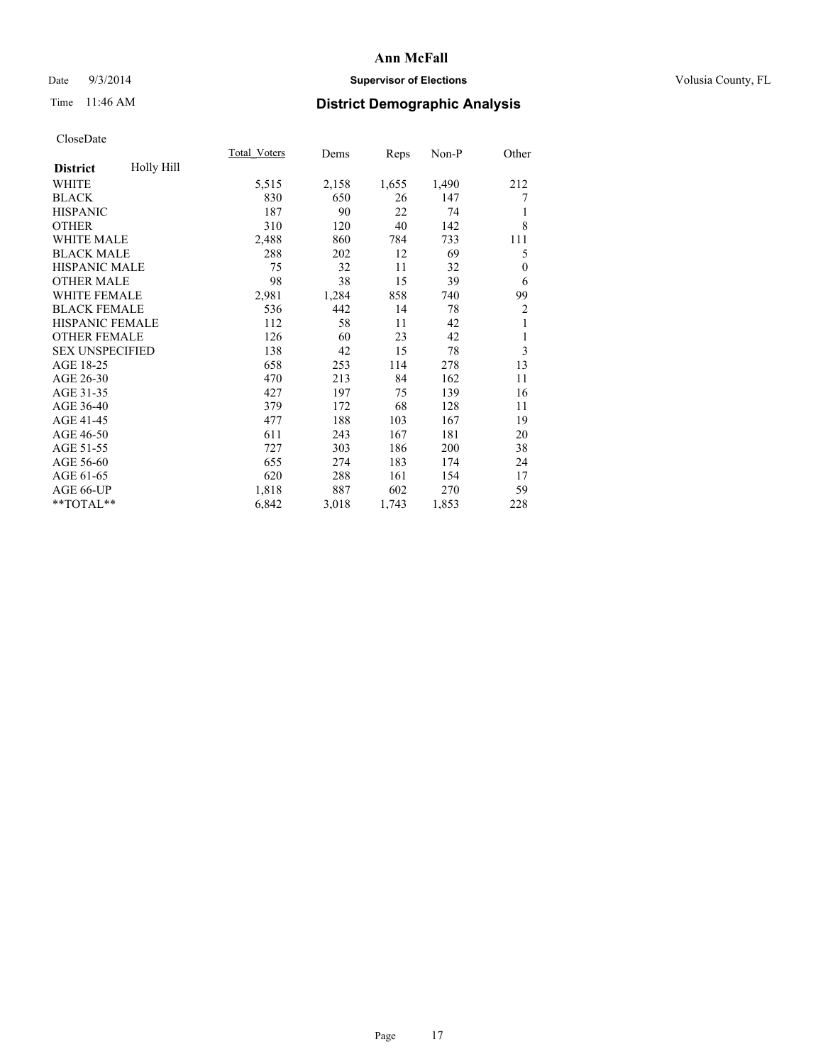# Date  $9/3/2014$  **Supervisor of Elections Supervisor of Elections** Volusia County, FL

# Time 11:46 AM **District Demographic Analysis**

| Total Voters | Dems  | Reps  | Non-P | Other          |
|--------------|-------|-------|-------|----------------|
|              |       |       |       |                |
| 5,515        | 2,158 | 1,655 | 1,490 | 212            |
| 830          | 650   | 26    | 147   | 7              |
| 187          | 90    | 22    | 74    | 1              |
| 310          | 120   | 40    | 142   | 8              |
| 2,488        | 860   | 784   | 733   | 111            |
| 288          | 202   | 12    | 69    | 5              |
| 75           | 32    | 11    | 32    | $\mathbf{0}$   |
| 98           | 38    | 15    | 39    | 6              |
| 2,981        | 1,284 | 858   | 740   | 99             |
| 536          | 442   | 14    | 78    | $\overline{2}$ |
| 112          | 58    | 11    | 42    | 1              |
| 126          | 60    | 23    | 42    | 1              |
| 138          | 42    | 15    | 78    | 3              |
| 658          | 253   | 114   | 278   | 13             |
| 470          | 213   | 84    | 162   | 11             |
| 427          | 197   | 75    | 139   | 16             |
| 379          | 172   | 68    | 128   | 11             |
| 477          | 188   | 103   | 167   | 19             |
| 611          | 243   | 167   | 181   | 20             |
| 727          | 303   | 186   | 200   | 38             |
| 655          | 274   | 183   | 174   | 24             |
| 620          | 288   | 161   | 154   | 17             |
| 1,818        | 887   | 602   | 270   | 59             |
| 6,842        | 3,018 | 1,743 | 1,853 | 228            |
|              |       |       |       |                |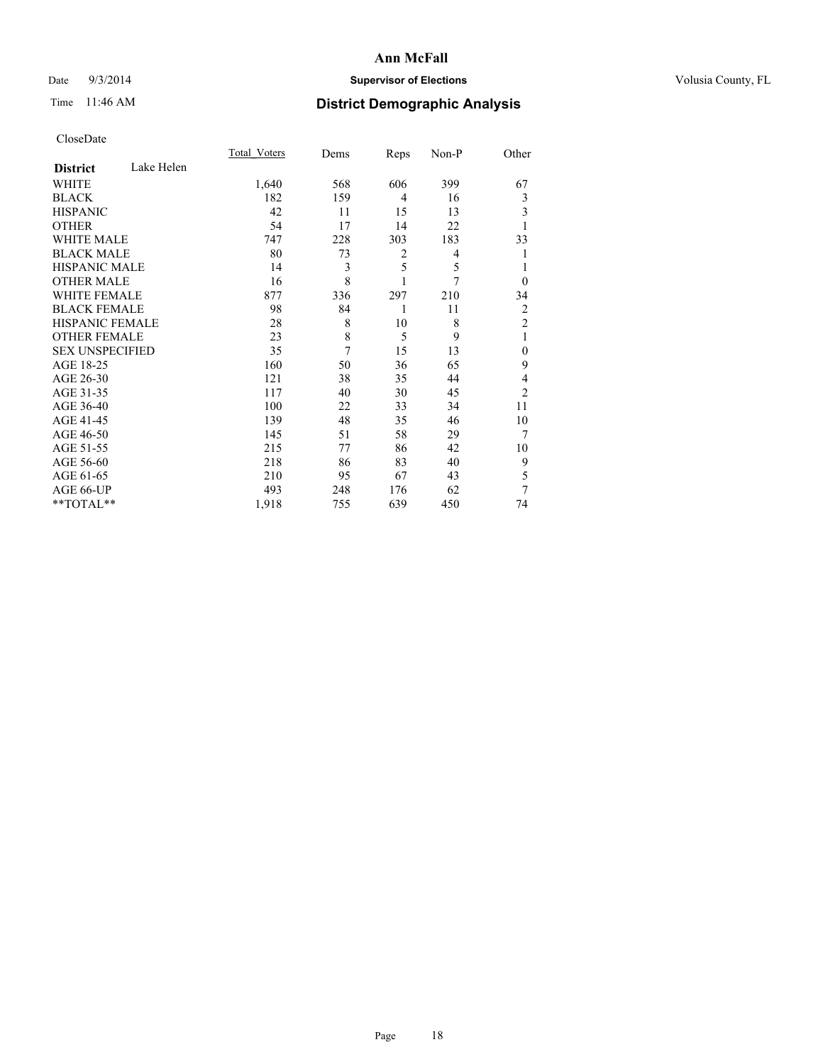# Date  $9/3/2014$  **Supervisor of Elections Supervisor of Elections** Volusia County, FL

# Time 11:46 AM **District Demographic Analysis**

|                        |            | Total Voters | Dems | Reps           | Non-P | Other          |
|------------------------|------------|--------------|------|----------------|-------|----------------|
| <b>District</b>        | Lake Helen |              |      |                |       |                |
| WHITE                  |            | 1,640        | 568  | 606            | 399   | 67             |
| <b>BLACK</b>           |            | 182          | 159  | $\overline{4}$ | 16    | 3              |
| <b>HISPANIC</b>        |            | 42           | 11   | 15             | 13    | 3              |
| <b>OTHER</b>           |            | 54           | 17   | 14             | 22    | 1              |
| <b>WHITE MALE</b>      |            | 747          | 228  | 303            | 183   | 33             |
| <b>BLACK MALE</b>      |            | 80           | 73   | $\overline{2}$ | 4     | 1              |
| <b>HISPANIC MALE</b>   |            | 14           | 3    | 5              | 5     |                |
| <b>OTHER MALE</b>      |            | 16           | 8    |                | 7     | $\theta$       |
| WHITE FEMALE           |            | 877          | 336  | 297            | 210   | 34             |
| <b>BLACK FEMALE</b>    |            | 98           | 84   | 1              | 11    | 2              |
| HISPANIC FEMALE        |            | 28           | 8    | 10             | 8     | $\overline{2}$ |
| <b>OTHER FEMALE</b>    |            | 23           | 8    | 5              | 9     | 1              |
| <b>SEX UNSPECIFIED</b> |            | 35           | 7    | 15             | 13    | $\theta$       |
| AGE 18-25              |            | 160          | 50   | 36             | 65    | 9              |
| AGE 26-30              |            | 121          | 38   | 35             | 44    | 4              |
| AGE 31-35              |            | 117          | 40   | 30             | 45    | $\overline{2}$ |
| AGE 36-40              |            | 100          | 22   | 33             | 34    | 11             |
| AGE 41-45              |            | 139          | 48   | 35             | 46    | 10             |
| AGE 46-50              |            | 145          | 51   | 58             | 29    | 7              |
| AGE 51-55              |            | 215          | 77   | 86             | 42    | 10             |
| AGE 56-60              |            | 218          | 86   | 83             | 40    | 9              |
| AGE 61-65              |            | 210          | 95   | 67             | 43    | 5              |
| AGE 66-UP              |            | 493          | 248  | 176            | 62    | 7              |
| $*$ TOTAL $**$         |            | 1,918        | 755  | 639            | 450   | 74             |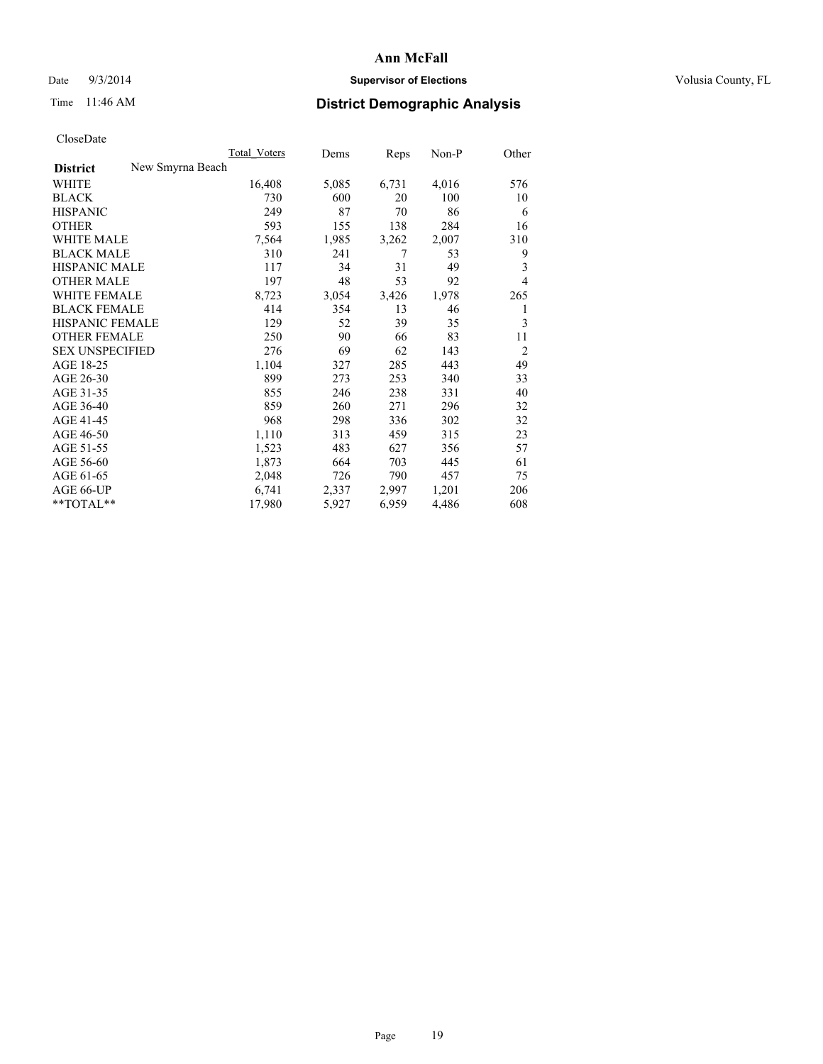# Date  $9/3/2014$  **Supervisor of Elections Supervisor of Elections** Volusia County, FL

# Time 11:46 AM **District Demographic Analysis**

|                        |                  | <b>Total Voters</b> | Dems  | Reps  | Non-P | Other          |
|------------------------|------------------|---------------------|-------|-------|-------|----------------|
| <b>District</b>        | New Smyrna Beach |                     |       |       |       |                |
| WHITE                  |                  | 16,408              | 5,085 | 6,731 | 4,016 | 576            |
| <b>BLACK</b>           |                  | 730                 | 600   | 20    | 100   | 10             |
| <b>HISPANIC</b>        |                  | 249                 | 87    | 70    | 86    | 6              |
| <b>OTHER</b>           |                  | 593                 | 155   | 138   | 284   | 16             |
| WHITE MALE             |                  | 7,564               | 1,985 | 3,262 | 2,007 | 310            |
| <b>BLACK MALE</b>      |                  | 310                 | 241   | 7     | 53    | 9              |
| <b>HISPANIC MALE</b>   |                  | 117                 | 34    | 31    | 49    | 3              |
| <b>OTHER MALE</b>      |                  | 197                 | 48    | 53    | 92    | $\overline{4}$ |
| WHITE FEMALE           |                  | 8,723               | 3,054 | 3,426 | 1,978 | 265            |
| <b>BLACK FEMALE</b>    |                  | 414                 | 354   | 13    | 46    | 1              |
| HISPANIC FEMALE        |                  | 129                 | 52    | 39    | 35    | 3              |
| <b>OTHER FEMALE</b>    |                  | 250                 | 90    | 66    | 83    | 11             |
| <b>SEX UNSPECIFIED</b> |                  | 276                 | 69    | 62    | 143   | $\overline{2}$ |
| AGE 18-25              |                  | 1,104               | 327   | 285   | 443   | 49             |
| AGE 26-30              |                  | 899                 | 273   | 253   | 340   | 33             |
| AGE 31-35              |                  | 855                 | 246   | 238   | 331   | 40             |
| AGE 36-40              |                  | 859                 | 260   | 271   | 296   | 32             |
| AGE 41-45              |                  | 968                 | 298   | 336   | 302   | 32             |
| AGE 46-50              |                  | 1,110               | 313   | 459   | 315   | 23             |
| AGE 51-55              |                  | 1,523               | 483   | 627   | 356   | 57             |
| AGE 56-60              |                  | 1,873               | 664   | 703   | 445   | 61             |
| AGE 61-65              |                  | 2,048               | 726   | 790   | 457   | 75             |
| AGE 66-UP              |                  | 6,741               | 2,337 | 2,997 | 1,201 | 206            |
| $*$ TOTAL $*$          |                  | 17,980              | 5,927 | 6,959 | 4,486 | 608            |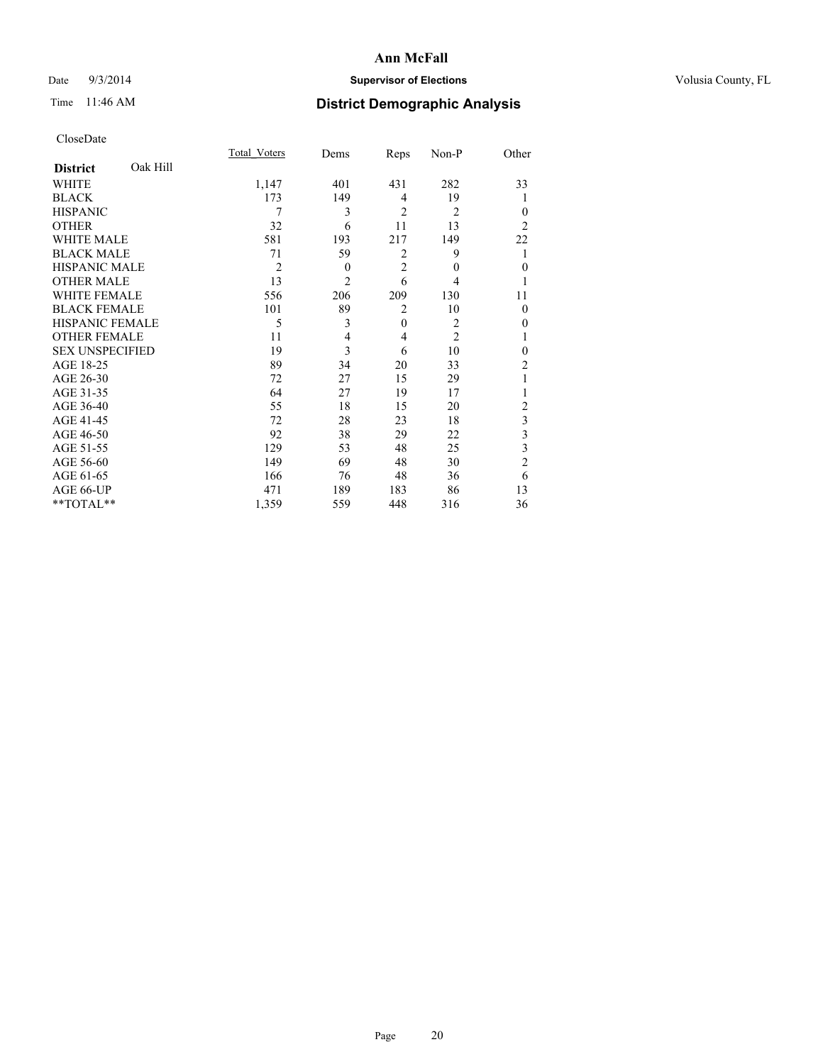# Date  $9/3/2014$  **Supervisor of Elections Supervisor of Elections** Volusia County, FL

# Time 11:46 AM **District Demographic Analysis**

|                        |          | <b>Total Voters</b> | Dems           | Reps           | Non-P          | Other          |
|------------------------|----------|---------------------|----------------|----------------|----------------|----------------|
| <b>District</b>        | Oak Hill |                     |                |                |                |                |
| WHITE                  |          | 1,147               | 401            | 431            | 282            | 33             |
| <b>BLACK</b>           |          | 173                 | 149            | 4              | 19             | 1              |
| <b>HISPANIC</b>        |          | 7                   | 3              | $\overline{2}$ | $\overline{2}$ | $\Omega$       |
| <b>OTHER</b>           |          | 32                  | 6              | 11             | 13             | $\overline{2}$ |
| WHITE MALE             |          | 581                 | 193            | 217            | 149            | 22             |
| <b>BLACK MALE</b>      |          | 71                  | 59             | 2              | 9              | 1              |
| <b>HISPANIC MALE</b>   |          | $\overline{2}$      | $\theta$       | $\overline{2}$ | $\theta$       | $\overline{0}$ |
| <b>OTHER MALE</b>      |          | 13                  | $\overline{c}$ | 6              | 4              | 1              |
| <b>WHITE FEMALE</b>    |          | 556                 | 206            | 209            | 130            | 11             |
| <b>BLACK FEMALE</b>    |          | 101                 | 89             | $\overline{2}$ | 10             | $\Omega$       |
| HISPANIC FEMALE        |          | 5                   | 3              | $\mathbf{0}$   | 2              | $\theta$       |
| <b>OTHER FEMALE</b>    |          | 11                  | 4              | 4              | $\overline{2}$ | 1              |
| <b>SEX UNSPECIFIED</b> |          | 19                  | 3              | 6              | 10             | $\Omega$       |
| AGE 18-25              |          | 89                  | 34             | 20             | 33             | $\overline{c}$ |
| AGE 26-30              |          | 72                  | 27             | 15             | 29             | 1              |
| AGE 31-35              |          | 64                  | 27             | 19             | 17             |                |
| AGE 36-40              |          | 55                  | 18             | 15             | 20             | $\overline{c}$ |
| AGE 41-45              |          | 72                  | 28             | 23             | 18             | 3              |
| AGE 46-50              |          | 92                  | 38             | 29             | 22             | 3              |
| AGE 51-55              |          | 129                 | 53             | 48             | 25             | 3              |
| AGE 56-60              |          | 149                 | 69             | 48             | 30             | $\overline{c}$ |
| AGE 61-65              |          | 166                 | 76             | 48             | 36             | 6              |
| AGE 66-UP              |          | 471                 | 189            | 183            | 86             | 13             |
| **TOTAL**              |          | 1,359               | 559            | 448            | 316            | 36             |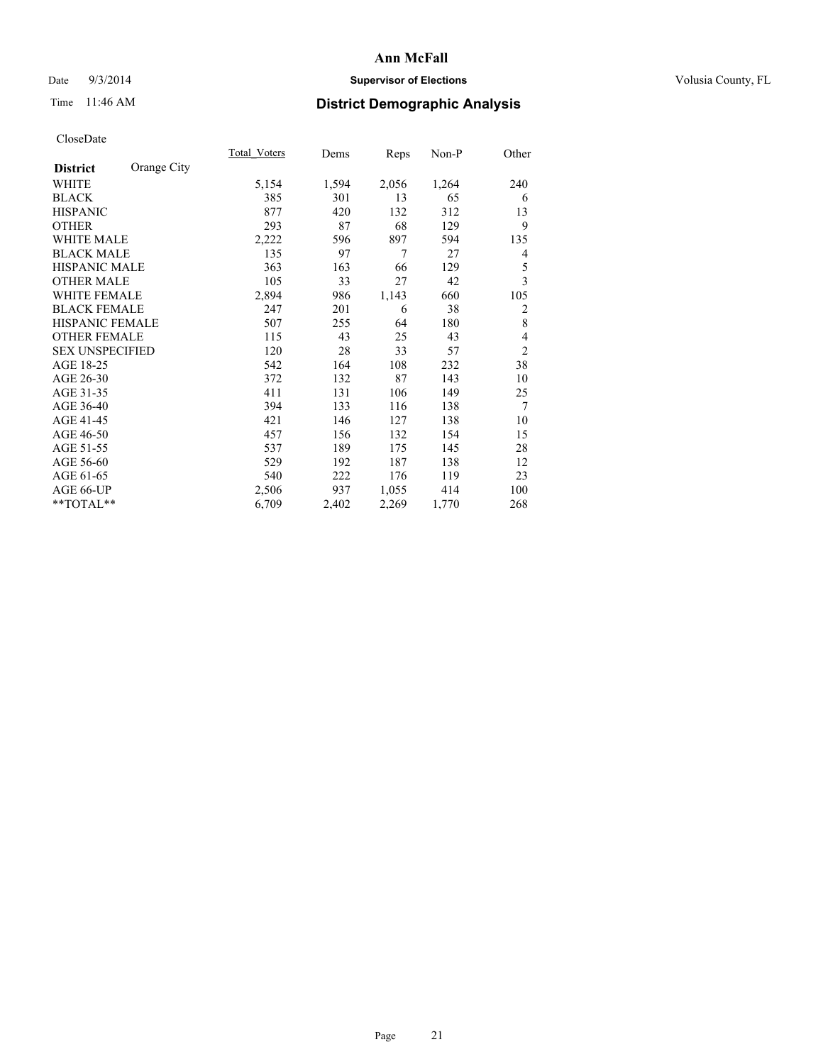# Date  $9/3/2014$  **Supervisor of Elections Supervisor of Elections** Volusia County, FL

# Time 11:46 AM **District Demographic Analysis**

|                        |             | Total Voters | Dems  | Reps  | Non-P | Other          |
|------------------------|-------------|--------------|-------|-------|-------|----------------|
| <b>District</b>        | Orange City |              |       |       |       |                |
| WHITE                  |             | 5,154        | 1,594 | 2,056 | 1,264 | 240            |
| <b>BLACK</b>           |             | 385          | 301   | 13    | 65    | 6              |
| <b>HISPANIC</b>        |             | 877          | 420   | 132   | 312   | 13             |
| <b>OTHER</b>           |             | 293          | 87    | 68    | 129   | 9              |
| <b>WHITE MALE</b>      |             | 2,222        | 596   | 897   | 594   | 135            |
| <b>BLACK MALE</b>      |             | 135          | 97    | 7     | 27    | 4              |
| <b>HISPANIC MALE</b>   |             | 363          | 163   | 66    | 129   | 5              |
| <b>OTHER MALE</b>      |             | 105          | 33    | 27    | 42    | 3              |
| <b>WHITE FEMALE</b>    |             | 2,894        | 986   | 1,143 | 660   | 105            |
| <b>BLACK FEMALE</b>    |             | 247          | 201   | 6     | 38    | $\overline{c}$ |
| HISPANIC FEMALE        |             | 507          | 255   | 64    | 180   | 8              |
| <b>OTHER FEMALE</b>    |             | 115          | 43    | 25    | 43    | 4              |
| <b>SEX UNSPECIFIED</b> |             | 120          | 28    | 33    | 57    | $\overline{2}$ |
| AGE 18-25              |             | 542          | 164   | 108   | 232   | 38             |
| AGE 26-30              |             | 372          | 132   | 87    | 143   | 10             |
| AGE 31-35              |             | 411          | 131   | 106   | 149   | 25             |
| AGE 36-40              |             | 394          | 133   | 116   | 138   | 7              |
| AGE 41-45              |             | 421          | 146   | 127   | 138   | 10             |
| AGE 46-50              |             | 457          | 156   | 132   | 154   | 15             |
| AGE 51-55              |             | 537          | 189   | 175   | 145   | 28             |
| AGE 56-60              |             | 529          | 192   | 187   | 138   | 12             |
| AGE 61-65              |             | 540          | 222   | 176   | 119   | 23             |
| AGE 66-UP              |             | 2,506        | 937   | 1,055 | 414   | 100            |
| **TOTAL**              |             | 6,709        | 2,402 | 2,269 | 1,770 | 268            |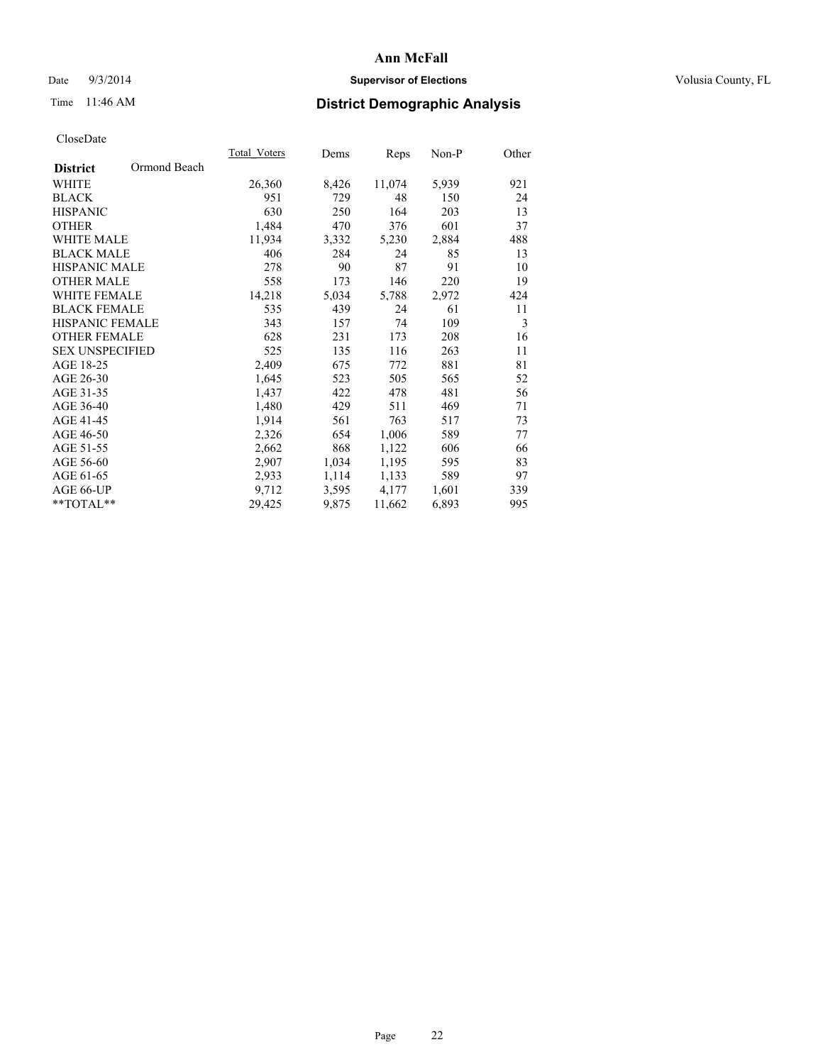# Date  $9/3/2014$  **Supervisor of Elections Supervisor of Elections** Volusia County, FL

# Time 11:46 AM **District Demographic Analysis**

|                                 | <b>Total Voters</b> | Dems  | Reps   | Non-P | Other |
|---------------------------------|---------------------|-------|--------|-------|-------|
| Ormond Beach<br><b>District</b> |                     |       |        |       |       |
| WHITE                           | 26,360              | 8,426 | 11,074 | 5,939 | 921   |
| <b>BLACK</b>                    | 951                 | 729   | 48     | 150   | 24    |
| <b>HISPANIC</b>                 | 630                 | 250   | 164    | 203   | 13    |
| <b>OTHER</b>                    | 1,484               | 470   | 376    | 601   | 37    |
| WHITE MALE                      | 11,934              | 3,332 | 5,230  | 2,884 | 488   |
| <b>BLACK MALE</b>               | 406                 | 284   | 24     | 85    | 13    |
| <b>HISPANIC MALE</b>            | 278                 | 90    | 87     | 91    | 10    |
| <b>OTHER MALE</b>               | 558                 | 173   | 146    | 220   | 19    |
| <b>WHITE FEMALE</b>             | 14,218              | 5,034 | 5,788  | 2,972 | 424   |
| <b>BLACK FEMALE</b>             | 535                 | 439   | 24     | 61    | 11    |
| <b>HISPANIC FEMALE</b>          | 343                 | 157   | 74     | 109   | 3     |
| <b>OTHER FEMALE</b>             | 628                 | 231   | 173    | 208   | 16    |
| <b>SEX UNSPECIFIED</b>          | 525                 | 135   | 116    | 263   | 11    |
| AGE 18-25                       | 2,409               | 675   | 772    | 881   | 81    |
| AGE 26-30                       | 1,645               | 523   | 505    | 565   | 52    |
| AGE 31-35                       | 1,437               | 422   | 478    | 481   | 56    |
| AGE 36-40                       | 1,480               | 429   | 511    | 469   | 71    |
| AGE 41-45                       | 1,914               | 561   | 763    | 517   | 73    |
| AGE 46-50                       | 2,326               | 654   | 1,006  | 589   | 77    |
| AGE 51-55                       | 2,662               | 868   | 1,122  | 606   | 66    |
| AGE 56-60                       | 2,907               | 1,034 | 1,195  | 595   | 83    |
| AGE 61-65                       | 2,933               | 1,114 | 1,133  | 589   | 97    |
| AGE 66-UP                       | 9,712               | 3,595 | 4,177  | 1,601 | 339   |
| $*$ TOTAL $*$                   | 29,425              | 9,875 | 11,662 | 6,893 | 995   |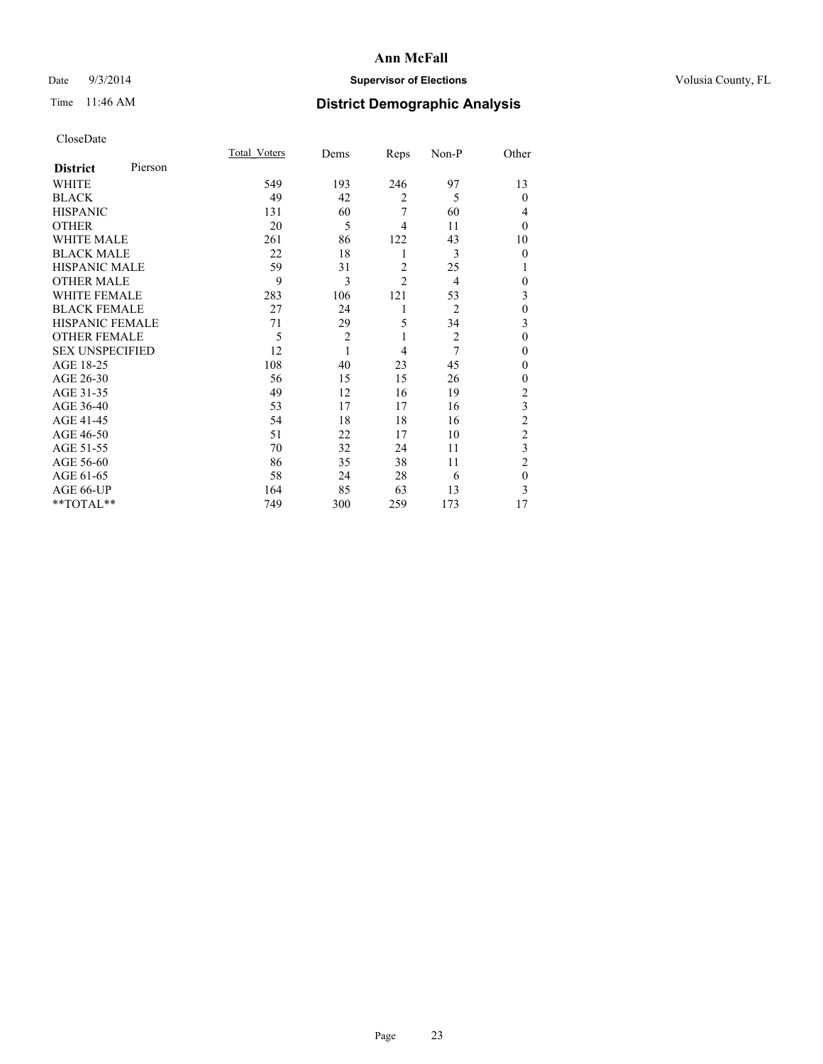# Date  $9/3/2014$  **Supervisor of Elections Supervisor of Elections** Volusia County, FL

# Time 11:46 AM **District Demographic Analysis**

|                        |         | Total Voters | Dems           | Reps           | Non-P          | Other          |
|------------------------|---------|--------------|----------------|----------------|----------------|----------------|
| <b>District</b>        | Pierson |              |                |                |                |                |
| WHITE                  |         | 549          | 193            | 246            | 97             | 13             |
| <b>BLACK</b>           |         | 49           | 42             | $\overline{2}$ | 5              | $\theta$       |
| <b>HISPANIC</b>        |         | 131          | 60             | 7              | 60             | 4              |
| <b>OTHER</b>           |         | 20           | 5              | 4              | 11             | $\theta$       |
| WHITE MALE             |         | 261          | 86             | 122            | 43             | 10             |
| <b>BLACK MALE</b>      |         | 22           | 18             | 1              | 3              | $\theta$       |
| <b>HISPANIC MALE</b>   |         | 59           | 31             | $\overline{2}$ | 25             | 1              |
| <b>OTHER MALE</b>      |         | 9            | 3              | $\overline{c}$ | $\overline{4}$ | $\mathbf{0}$   |
| <b>WHITE FEMALE</b>    |         | 283          | 106            | 121            | 53             | 3              |
| <b>BLACK FEMALE</b>    |         | 27           | 24             | 1              | $\overline{2}$ | $\mathbf{0}$   |
| <b>HISPANIC FEMALE</b> |         | 71           | 29             | 5              | 34             | 3              |
| <b>OTHER FEMALE</b>    |         | 5            | $\overline{c}$ | 1              | $\overline{c}$ | $\theta$       |
| <b>SEX UNSPECIFIED</b> |         | 12           | $\mathbf{1}$   | 4              | 7              | $\theta$       |
| AGE 18-25              |         | 108          | 40             | 23             | 45             | $\theta$       |
| AGE 26-30              |         | 56           | 15             | 15             | 26             | $\mathbf{0}$   |
| AGE 31-35              |         | 49           | 12             | 16             | 19             | $\overline{2}$ |
| AGE 36-40              |         | 53           | 17             | 17             | 16             | 3              |
| AGE 41-45              |         | 54           | 18             | 18             | 16             | $\overline{c}$ |
| AGE 46-50              |         | 51           | 22             | 17             | 10             | $\overline{2}$ |
| AGE 51-55              |         | 70           | 32             | 24             | 11             | 3              |
| AGE 56-60              |         | 86           | 35             | 38             | 11             | $\overline{2}$ |
| AGE 61-65              |         | 58           | 24             | 28             | 6              | $\mathbf{0}$   |
| AGE 66-UP              |         | 164          | 85             | 63             | 13             | 3              |
| **TOTAL**              |         | 749          | 300            | 259            | 173            | 17             |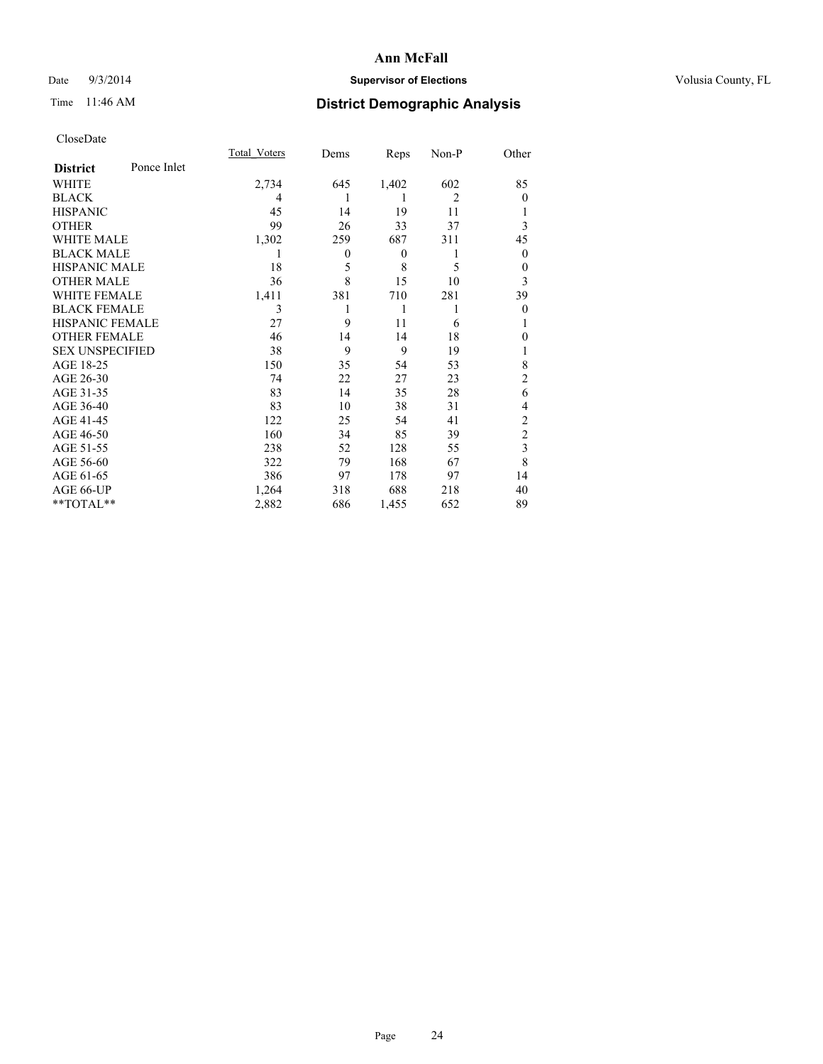# Date  $9/3/2014$  **Supervisor of Elections Supervisor of Elections** Volusia County, FL

# Time 11:46 AM **District Demographic Analysis**

|                        |             | <b>Total Voters</b> | Dems         | Reps             | Non-P          | Other          |
|------------------------|-------------|---------------------|--------------|------------------|----------------|----------------|
| <b>District</b>        | Ponce Inlet |                     |              |                  |                |                |
| WHITE                  |             | 2,734               | 645          | 1,402            | 602            | 85             |
| <b>BLACK</b>           |             | 4                   |              |                  | $\overline{2}$ | $\Omega$       |
| <b>HISPANIC</b>        |             | 45                  | 14           | 19               | 11             |                |
| <b>OTHER</b>           |             | 99                  | 26           | 33               | 37             | 3              |
| WHITE MALE             |             | 1,302               | 259          | 687              | 311            | 45             |
| <b>BLACK MALE</b>      |             | 1                   | $\mathbf{0}$ | $\boldsymbol{0}$ | 1              | $\mathbf{0}$   |
| <b>HISPANIC MALE</b>   |             | 18                  | 5            | 8                | 5              | 0              |
| <b>OTHER MALE</b>      |             | 36                  | 8            | 15               | 10             | 3              |
| <b>WHITE FEMALE</b>    |             | 1,411               | 381          | 710              | 281            | 39             |
| <b>BLACK FEMALE</b>    |             | 3                   | 1            | 1                | 1              | $\theta$       |
| <b>HISPANIC FEMALE</b> |             | 27                  | 9            | 11               | 6              |                |
| <b>OTHER FEMALE</b>    |             | 46                  | 14           | 14               | 18             | 0              |
| <b>SEX UNSPECIFIED</b> |             | 38                  | 9            | 9                | 19             |                |
| AGE 18-25              |             | 150                 | 35           | 54               | 53             | 8              |
| AGE 26-30              |             | 74                  | 22           | 27               | 23             | $\overline{c}$ |
| AGE 31-35              |             | 83                  | 14           | 35               | 28             | 6              |
| AGE 36-40              |             | 83                  | 10           | 38               | 31             | 4              |
| AGE 41-45              |             | 122                 | 25           | 54               | 41             | $\overline{c}$ |
| AGE 46-50              |             | 160                 | 34           | 85               | 39             | $\overline{2}$ |
| AGE 51-55              |             | 238                 | 52           | 128              | 55             | 3              |
| AGE 56-60              |             | 322                 | 79           | 168              | 67             | 8              |
| AGE 61-65              |             | 386                 | 97           | 178              | 97             | 14             |
| AGE 66-UP              |             | 1,264               | 318          | 688              | 218            | 40             |
| **TOTAL**              |             | 2,882               | 686          | 1,455            | 652            | 89             |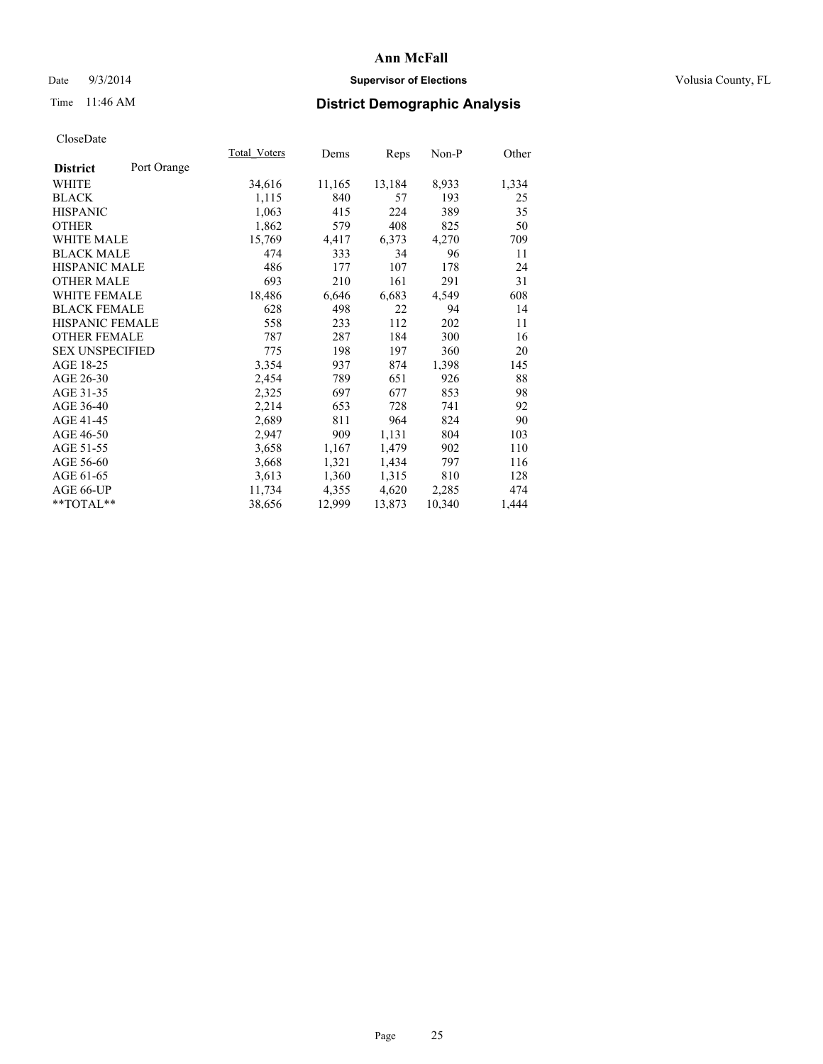# Date  $9/3/2014$  **Supervisor of Elections Supervisor of Elections** Volusia County, FL

# Time 11:46 AM **District Demographic Analysis**

|                        |             | Total Voters | Dems   | Reps   | $Non-P$ | Other |
|------------------------|-------------|--------------|--------|--------|---------|-------|
| <b>District</b>        | Port Orange |              |        |        |         |       |
| <b>WHITE</b>           |             | 34,616       | 11,165 | 13,184 | 8,933   | 1,334 |
| <b>BLACK</b>           |             | 1,115        | 840    | 57     | 193     | 25    |
| <b>HISPANIC</b>        |             | 1,063        | 415    | 224    | 389     | 35    |
| <b>OTHER</b>           |             | 1,862        | 579    | 408    | 825     | 50    |
| WHITE MALE             |             | 15,769       | 4,417  | 6,373  | 4,270   | 709   |
| <b>BLACK MALE</b>      |             | 474          | 333    | 34     | 96      | 11    |
| <b>HISPANIC MALE</b>   |             | 486          | 177    | 107    | 178     | 24    |
| <b>OTHER MALE</b>      |             | 693          | 210    | 161    | 291     | 31    |
| <b>WHITE FEMALE</b>    |             | 18,486       | 6,646  | 6,683  | 4,549   | 608   |
| <b>BLACK FEMALE</b>    |             | 628          | 498    | 22     | 94      | 14    |
| HISPANIC FEMALE        |             | 558          | 233    | 112    | 202     | 11    |
| <b>OTHER FEMALE</b>    |             | 787          | 287    | 184    | 300     | 16    |
| <b>SEX UNSPECIFIED</b> |             | 775          | 198    | 197    | 360     | 20    |
| AGE 18-25              |             | 3,354        | 937    | 874    | 1,398   | 145   |
| AGE 26-30              |             | 2,454        | 789    | 651    | 926     | 88    |
| AGE 31-35              |             | 2,325        | 697    | 677    | 853     | 98    |
| AGE 36-40              |             | 2,214        | 653    | 728    | 741     | 92    |
| AGE 41-45              |             | 2,689        | 811    | 964    | 824     | 90    |
| AGE 46-50              |             | 2,947        | 909    | 1,131  | 804     | 103   |
| AGE 51-55              |             | 3,658        | 1,167  | 1,479  | 902     | 110   |
| AGE 56-60              |             | 3,668        | 1,321  | 1,434  | 797     | 116   |
| AGE 61-65              |             | 3,613        | 1,360  | 1,315  | 810     | 128   |
| AGE 66-UP              |             | 11,734       | 4,355  | 4,620  | 2,285   | 474   |
| $*$ $TOTAL**$          |             | 38,656       | 12,999 | 13,873 | 10,340  | 1,444 |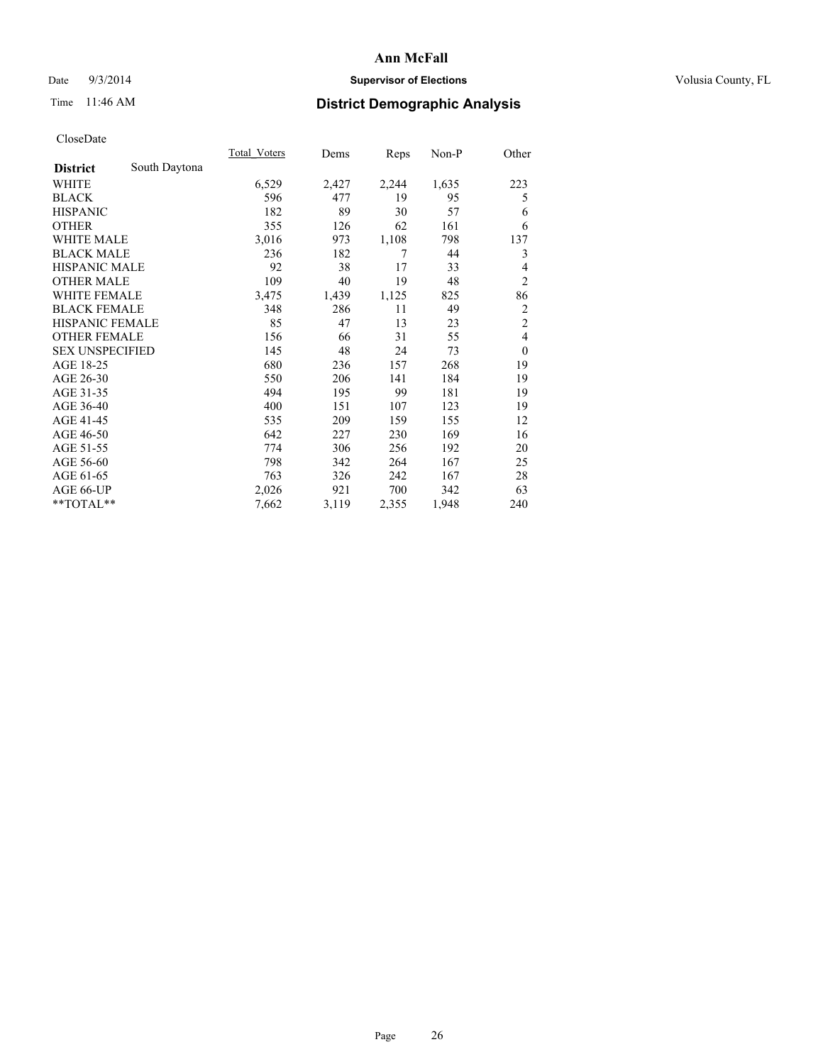# Date  $9/3/2014$  **Supervisor of Elections Supervisor of Elections** Volusia County, FL

# Time 11:46 AM **District Demographic Analysis**

|                        |               | <b>Total Voters</b> | Dems  | Reps  | Non-P | Other          |
|------------------------|---------------|---------------------|-------|-------|-------|----------------|
| <b>District</b>        | South Daytona |                     |       |       |       |                |
| WHITE                  |               | 6,529               | 2,427 | 2,244 | 1,635 | 223            |
| <b>BLACK</b>           |               | 596                 | 477   | 19    | 95    | 5              |
| <b>HISPANIC</b>        |               | 182                 | 89    | 30    | 57    | 6              |
| <b>OTHER</b>           |               | 355                 | 126   | 62    | 161   | 6              |
| <b>WHITE MALE</b>      |               | 3,016               | 973   | 1,108 | 798   | 137            |
| <b>BLACK MALE</b>      |               | 236                 | 182   | 7     | 44    | 3              |
| <b>HISPANIC MALE</b>   |               | 92                  | 38    | 17    | 33    | 4              |
| <b>OTHER MALE</b>      |               | 109                 | 40    | 19    | 48    | $\overline{2}$ |
| <b>WHITE FEMALE</b>    |               | 3,475               | 1,439 | 1,125 | 825   | 86             |
| <b>BLACK FEMALE</b>    |               | 348                 | 286   | 11    | 49    | $\overline{2}$ |
| <b>HISPANIC FEMALE</b> |               | 85                  | 47    | 13    | 23    | $\overline{c}$ |
| <b>OTHER FEMALE</b>    |               | 156                 | 66    | 31    | 55    | $\overline{4}$ |
| <b>SEX UNSPECIFIED</b> |               | 145                 | 48    | 24    | 73    | $\overline{0}$ |
| AGE 18-25              |               | 680                 | 236   | 157   | 268   | 19             |
| AGE 26-30              |               | 550                 | 206   | 141   | 184   | 19             |
| AGE 31-35              |               | 494                 | 195   | 99    | 181   | 19             |
| AGE 36-40              |               | 400                 | 151   | 107   | 123   | 19             |
| AGE 41-45              |               | 535                 | 209   | 159   | 155   | 12             |
| AGE 46-50              |               | 642                 | 227   | 230   | 169   | 16             |
| AGE 51-55              |               | 774                 | 306   | 256   | 192   | 20             |
| AGE 56-60              |               | 798                 | 342   | 264   | 167   | 25             |
| AGE 61-65              |               | 763                 | 326   | 242   | 167   | 28             |
| AGE 66-UP              |               | 2,026               | 921   | 700   | 342   | 63             |
| $*$ TOTAL $*$          |               | 7,662               | 3,119 | 2,355 | 1,948 | 240            |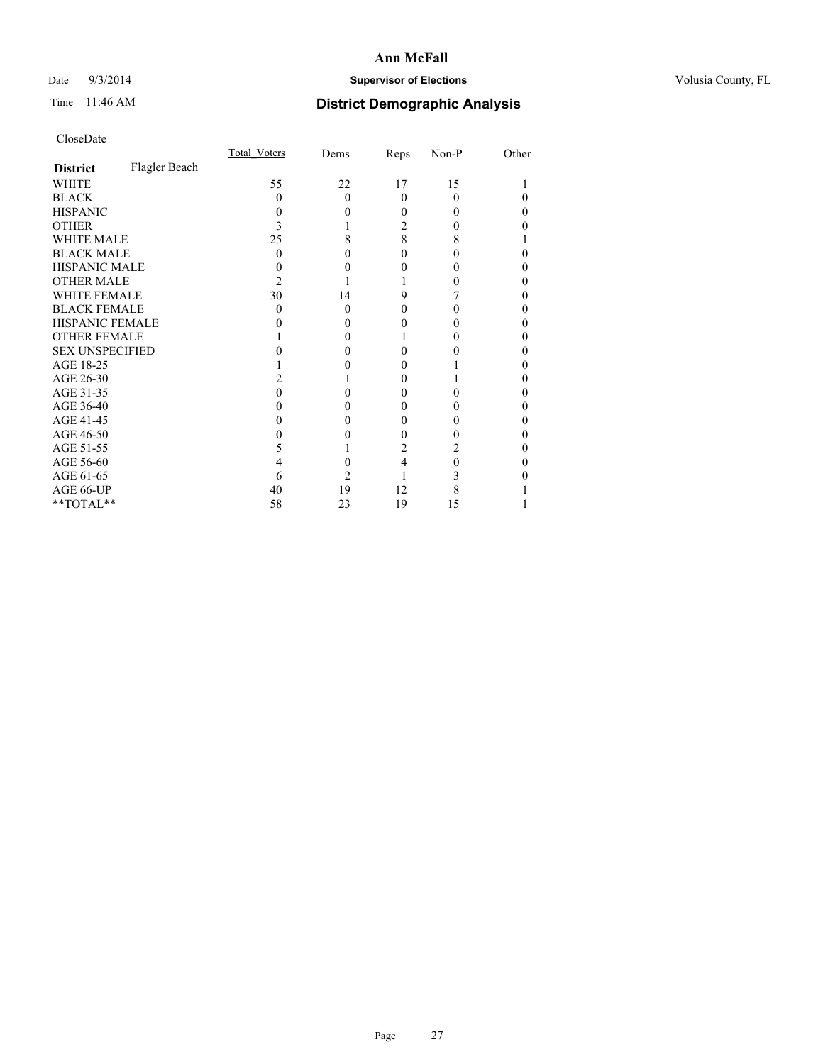# Date  $9/3/2014$  **Supervisor of Elections Supervisor of Elections** Volusia County, FL

# Time 11:46 AM **District Demographic Analysis**

|                        |               | <b>Total Voters</b> | Dems     | Reps     | Non-P | Other |
|------------------------|---------------|---------------------|----------|----------|-------|-------|
| <b>District</b>        | Flagler Beach |                     |          |          |       |       |
| WHITE                  |               | 55                  | 22       | 17       | 15    |       |
| <b>BLACK</b>           |               | 0                   | $\Omega$ | $\theta$ | 0     | 0     |
| <b>HISPANIC</b>        |               | $\theta$            | 0        | 0        | 0     | 0     |
| <b>OTHER</b>           |               |                     |          | 2        |       |       |
| <b>WHITE MALE</b>      |               | 25                  | 8        | 8        | 8     |       |
| <b>BLACK MALE</b>      |               | 0                   | 0        | 0        |       | 0     |
| <b>HISPANIC MALE</b>   |               |                     |          | 0        |       |       |
| <b>OTHER MALE</b>      |               | 2                   |          |          |       | 0     |
| <b>WHITE FEMALE</b>    |               | 30                  | 14       | 9        |       | 0     |
| <b>BLACK FEMALE</b>    |               | $\theta$            | $\Omega$ | 0        |       | 0     |
| <b>HISPANIC FEMALE</b> |               |                     | 0        | 0        |       |       |
| <b>OTHER FEMALE</b>    |               |                     | 0        |          |       | 0     |
| <b>SEX UNSPECIFIED</b> |               |                     |          | 0        |       |       |
| AGE 18-25              |               |                     |          | 0        |       | 0     |
| AGE 26-30              |               |                     |          | 0        |       | 0     |
| AGE 31-35              |               |                     |          | 0        |       | 0     |
| AGE 36-40              |               |                     | 0        | 0        |       | 0     |
| AGE 41-45              |               |                     | 0        | 0        |       | 0     |
| AGE 46-50              |               |                     | 0        | 0        |       | 0     |
| AGE 51-55              |               | 5                   |          | 2        | 2     |       |
| AGE 56-60              |               |                     | 0        | 4        | 0     | 0     |
| AGE 61-65              |               | 6                   | 2        |          | 3     |       |
| AGE 66-UP              |               | 40                  | 19       | 12       | 8     |       |
| $**TOTAL**$            |               | 58                  | 23       | 19       | 15    |       |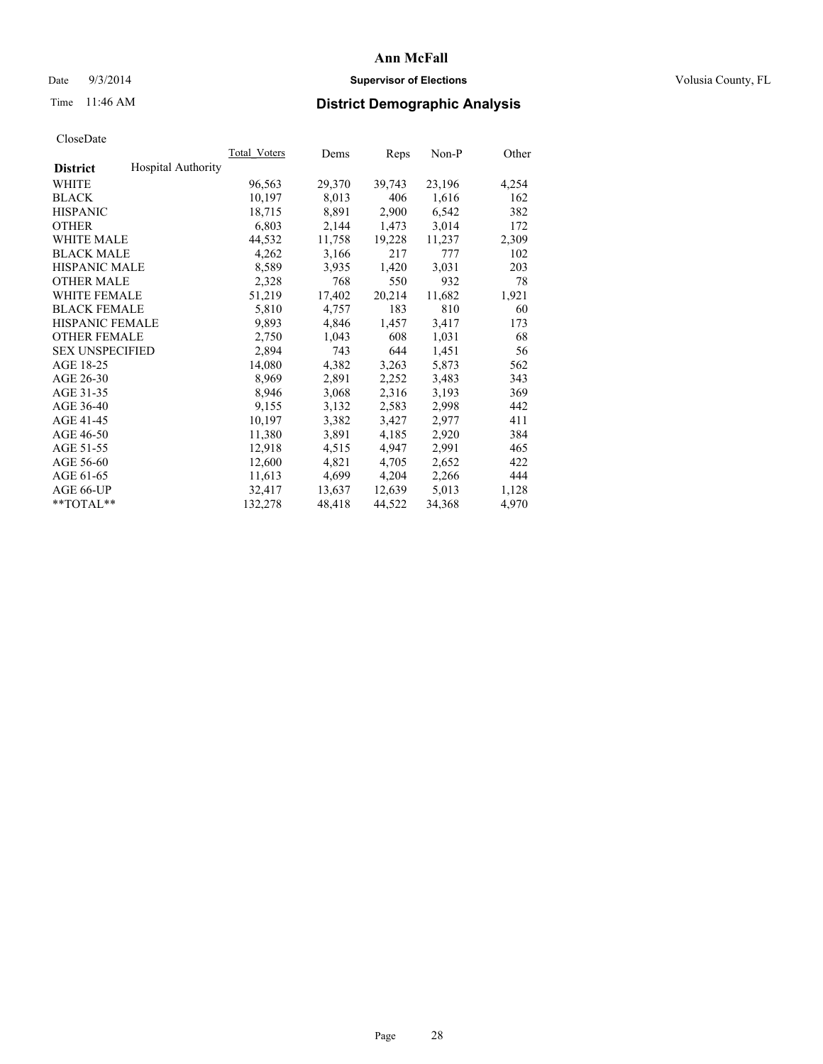# Date  $9/3/2014$  **Supervisor of Elections Supervisor of Elections** Volusia County, FL

# Time 11:46 AM **District Demographic Analysis**

|                        |                           | Total Voters | Dems   | Reps   | Non-P  | Other |
|------------------------|---------------------------|--------------|--------|--------|--------|-------|
| <b>District</b>        | <b>Hospital Authority</b> |              |        |        |        |       |
| WHITE                  |                           | 96,563       | 29,370 | 39,743 | 23,196 | 4,254 |
| <b>BLACK</b>           |                           | 10,197       | 8,013  | 406    | 1,616  | 162   |
| <b>HISPANIC</b>        |                           | 18,715       | 8,891  | 2,900  | 6,542  | 382   |
| <b>OTHER</b>           |                           | 6,803        | 2,144  | 1,473  | 3,014  | 172   |
| <b>WHITE MALE</b>      |                           | 44,532       | 11,758 | 19,228 | 11,237 | 2,309 |
| <b>BLACK MALE</b>      |                           | 4,262        | 3,166  | 217    | 777    | 102   |
| <b>HISPANIC MALE</b>   |                           | 8,589        | 3,935  | 1,420  | 3,031  | 203   |
| <b>OTHER MALE</b>      |                           | 2,328        | 768    | 550    | 932    | 78    |
| <b>WHITE FEMALE</b>    |                           | 51,219       | 17,402 | 20,214 | 11,682 | 1,921 |
| <b>BLACK FEMALE</b>    |                           | 5,810        | 4,757  | 183    | 810    | 60    |
| HISPANIC FEMALE        |                           | 9,893        | 4,846  | 1,457  | 3,417  | 173   |
| <b>OTHER FEMALE</b>    |                           | 2,750        | 1,043  | 608    | 1,031  | 68    |
| <b>SEX UNSPECIFIED</b> |                           | 2,894        | 743    | 644    | 1,451  | 56    |
| AGE 18-25              |                           | 14,080       | 4,382  | 3,263  | 5,873  | 562   |
| AGE 26-30              |                           | 8,969        | 2,891  | 2,252  | 3,483  | 343   |
| AGE 31-35              |                           | 8,946        | 3,068  | 2,316  | 3,193  | 369   |
| AGE 36-40              |                           | 9,155        | 3,132  | 2,583  | 2,998  | 442   |
| AGE 41-45              |                           | 10,197       | 3,382  | 3,427  | 2,977  | 411   |
| AGE 46-50              |                           | 11,380       | 3,891  | 4,185  | 2,920  | 384   |
| AGE 51-55              |                           | 12,918       | 4,515  | 4,947  | 2,991  | 465   |
| AGE 56-60              |                           | 12,600       | 4,821  | 4,705  | 2,652  | 422   |
| AGE 61-65              |                           | 11,613       | 4,699  | 4,204  | 2,266  | 444   |
| AGE 66-UP              |                           | 32,417       | 13,637 | 12,639 | 5,013  | 1,128 |
| $*$ $TOTAL**$          |                           | 132,278      | 48,418 | 44,522 | 34,368 | 4,970 |
|                        |                           |              |        |        |        |       |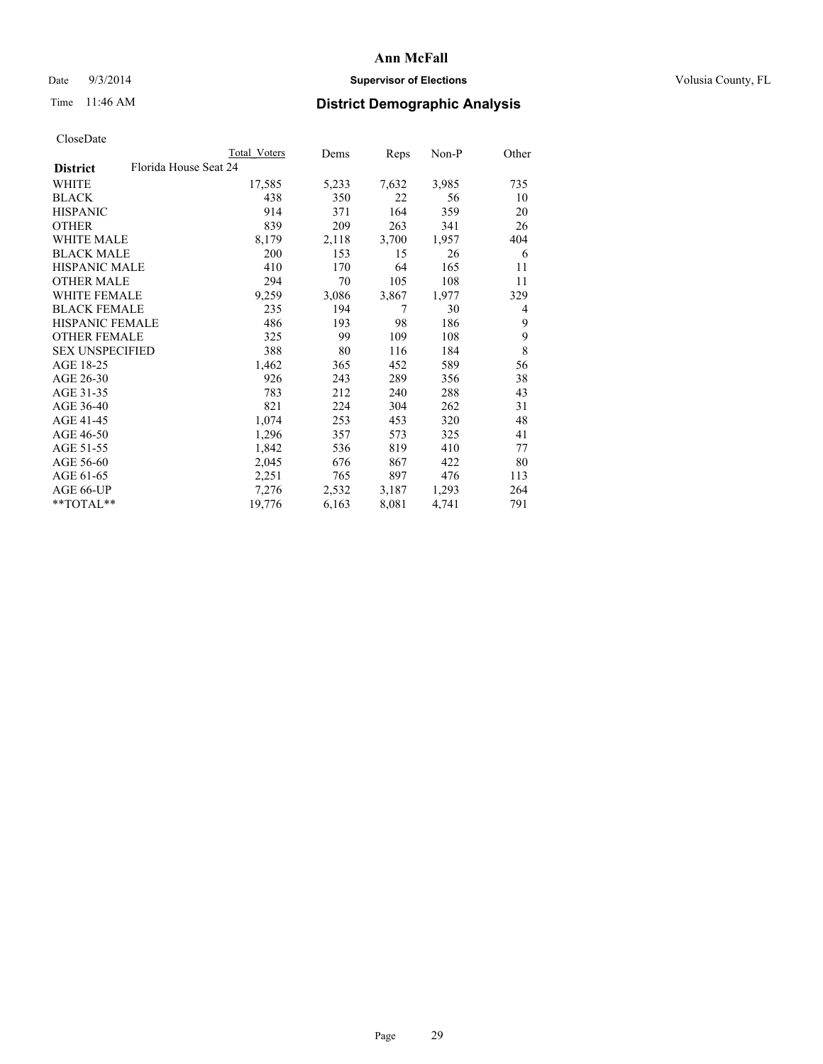# Date  $9/3/2014$  **Supervisor of Elections Supervisor of Elections** Volusia County, FL

# Time 11:46 AM **District Demographic Analysis**

| <b>Total Voters</b>   | Dems  | <b>Reps</b> | Non-P | Other |
|-----------------------|-------|-------------|-------|-------|
| Florida House Seat 24 |       |             |       |       |
| 17,585                | 5,233 | 7,632       | 3,985 | 735   |
| 438                   | 350   | 22          | 56    | 10    |
| 914                   | 371   | 164         | 359   | 20    |
| 839                   | 209   | 263         | 341   | 26    |
| 8,179                 | 2,118 | 3,700       | 1,957 | 404   |
| 200                   | 153   | 15          | 26    | 6     |
| 410                   | 170   | 64          | 165   | 11    |
| 294                   | 70    | 105         | 108   | 11    |
| 9,259                 | 3,086 | 3,867       | 1,977 | 329   |
| 235                   | 194   | 7           | 30    | 4     |
| 486                   | 193   | 98          | 186   | 9     |
| 325                   | 99    | 109         | 108   | 9     |
| 388                   | 80    | 116         | 184   | 8     |
| 1,462                 | 365   | 452         | 589   | 56    |
| 926                   | 243   | 289         | 356   | 38    |
| 783                   | 212   | 240         | 288   | 43    |
| 821                   | 224   | 304         | 262   | 31    |
| 1,074                 | 253   | 453         | 320   | 48    |
| 1,296                 | 357   | 573         | 325   | 41    |
| 1,842                 | 536   | 819         | 410   | 77    |
| 2,045                 | 676   | 867         | 422   | 80    |
| 2,251                 | 765   | 897         | 476   | 113   |
| 7,276                 | 2,532 | 3,187       | 1,293 | 264   |
| 19,776                | 6,163 | 8,081       | 4,741 | 791   |
|                       |       |             |       |       |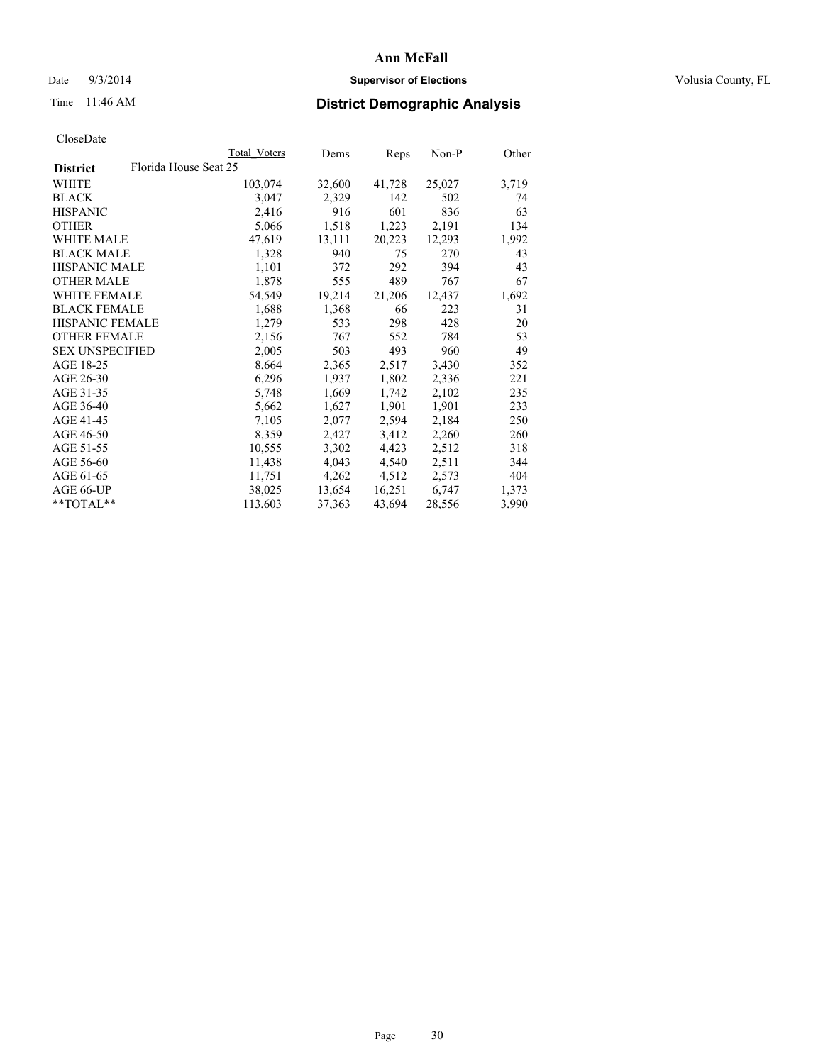# Date  $9/3/2014$  **Supervisor of Elections Supervisor of Elections** Volusia County, FL

# Time 11:46 AM **District Demographic Analysis**

|                                          | Total Voters | Dems   | <b>Reps</b> | $Non-P$ | Other |
|------------------------------------------|--------------|--------|-------------|---------|-------|
| Florida House Seat 25<br><b>District</b> |              |        |             |         |       |
| WHITE                                    | 103,074      | 32,600 | 41,728      | 25,027  | 3,719 |
| <b>BLACK</b>                             | 3,047        | 2,329  | 142         | 502     | 74    |
| <b>HISPANIC</b>                          | 2,416        | 916    | 601         | 836     | 63    |
| <b>OTHER</b>                             | 5,066        | 1,518  | 1,223       | 2,191   | 134   |
| WHITE MALE                               | 47,619       | 13,111 | 20,223      | 12,293  | 1,992 |
| <b>BLACK MALE</b>                        | 1,328        | 940    | 75          | 270     | 43    |
| <b>HISPANIC MALE</b>                     | 1,101        | 372    | 292         | 394     | 43    |
| <b>OTHER MALE</b>                        | 1,878        | 555    | 489         | 767     | 67    |
| <b>WHITE FEMALE</b>                      | 54,549       | 19,214 | 21,206      | 12,437  | 1,692 |
| <b>BLACK FEMALE</b>                      | 1,688        | 1,368  | 66          | 223     | 31    |
| HISPANIC FEMALE                          | 1,279        | 533    | 298         | 428     | 20    |
| <b>OTHER FEMALE</b>                      | 2,156        | 767    | 552         | 784     | 53    |
| <b>SEX UNSPECIFIED</b>                   | 2,005        | 503    | 493         | 960     | 49    |
| AGE 18-25                                | 8,664        | 2,365  | 2,517       | 3,430   | 352   |
| AGE 26-30                                | 6,296        | 1,937  | 1,802       | 2,336   | 221   |
| AGE 31-35                                | 5,748        | 1,669  | 1,742       | 2,102   | 235   |
| AGE 36-40                                | 5,662        | 1,627  | 1,901       | 1,901   | 233   |
| AGE 41-45                                | 7,105        | 2,077  | 2,594       | 2,184   | 250   |
| AGE 46-50                                | 8,359        | 2,427  | 3,412       | 2,260   | 260   |
| AGE 51-55                                | 10,555       | 3,302  | 4,423       | 2,512   | 318   |
| AGE 56-60                                | 11,438       | 4,043  | 4,540       | 2,511   | 344   |
| AGE 61-65                                | 11,751       | 4,262  | 4,512       | 2,573   | 404   |
| AGE 66-UP                                | 38,025       | 13,654 | 16,251      | 6,747   | 1,373 |
| $*$ TOTAL $*$                            | 113,603      | 37,363 | 43,694      | 28,556  | 3,990 |
|                                          |              |        |             |         |       |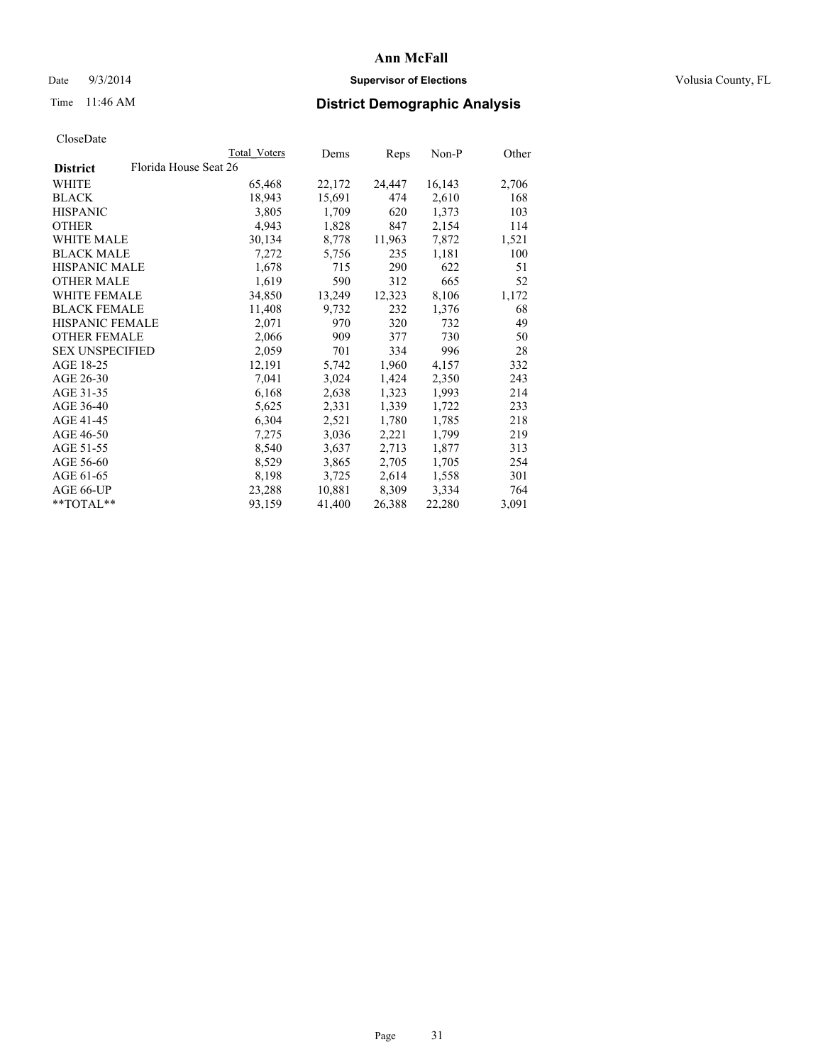# Date  $9/3/2014$  **Supervisor of Elections Supervisor of Elections** Volusia County, FL

# Time 11:46 AM **District Demographic Analysis**

|                                          | Total Voters | Dems   | <b>Reps</b> | Non-P  | Other |
|------------------------------------------|--------------|--------|-------------|--------|-------|
| Florida House Seat 26<br><b>District</b> |              |        |             |        |       |
| WHITE                                    | 65,468       | 22,172 | 24,447      | 16,143 | 2,706 |
| <b>BLACK</b>                             | 18,943       | 15,691 | 474         | 2,610  | 168   |
| <b>HISPANIC</b>                          | 3,805        | 1,709  | 620         | 1,373  | 103   |
| <b>OTHER</b>                             | 4,943        | 1,828  | 847         | 2,154  | 114   |
| <b>WHITE MALE</b>                        | 30,134       | 8,778  | 11,963      | 7,872  | 1,521 |
| <b>BLACK MALE</b>                        | 7,272        | 5,756  | 235         | 1,181  | 100   |
| <b>HISPANIC MALE</b>                     | 1,678        | 715    | 290         | 622    | 51    |
| <b>OTHER MALE</b>                        | 1,619        | 590    | 312         | 665    | 52    |
| <b>WHITE FEMALE</b>                      | 34,850       | 13,249 | 12,323      | 8,106  | 1,172 |
| <b>BLACK FEMALE</b>                      | 11,408       | 9,732  | 232         | 1,376  | 68    |
| HISPANIC FEMALE                          | 2,071        | 970    | 320         | 732    | 49    |
| <b>OTHER FEMALE</b>                      | 2,066        | 909    | 377         | 730    | 50    |
| <b>SEX UNSPECIFIED</b>                   | 2,059        | 701    | 334         | 996    | 28    |
| AGE 18-25                                | 12,191       | 5,742  | 1,960       | 4,157  | 332   |
| AGE 26-30                                | 7,041        | 3,024  | 1,424       | 2,350  | 243   |
| AGE 31-35                                | 6,168        | 2,638  | 1,323       | 1,993  | 214   |
| AGE 36-40                                | 5,625        | 2,331  | 1,339       | 1,722  | 233   |
| AGE 41-45                                | 6,304        | 2,521  | 1,780       | 1,785  | 218   |
| AGE 46-50                                | 7,275        | 3,036  | 2,221       | 1,799  | 219   |
| AGE 51-55                                | 8,540        | 3,637  | 2,713       | 1,877  | 313   |
| AGE 56-60                                | 8,529        | 3,865  | 2,705       | 1,705  | 254   |
| AGE 61-65                                | 8,198        | 3,725  | 2,614       | 1,558  | 301   |
| AGE 66-UP                                | 23,288       | 10,881 | 8,309       | 3,334  | 764   |
| $*$ $TOTAI.**$                           | 93,159       | 41,400 | 26,388      | 22,280 | 3,091 |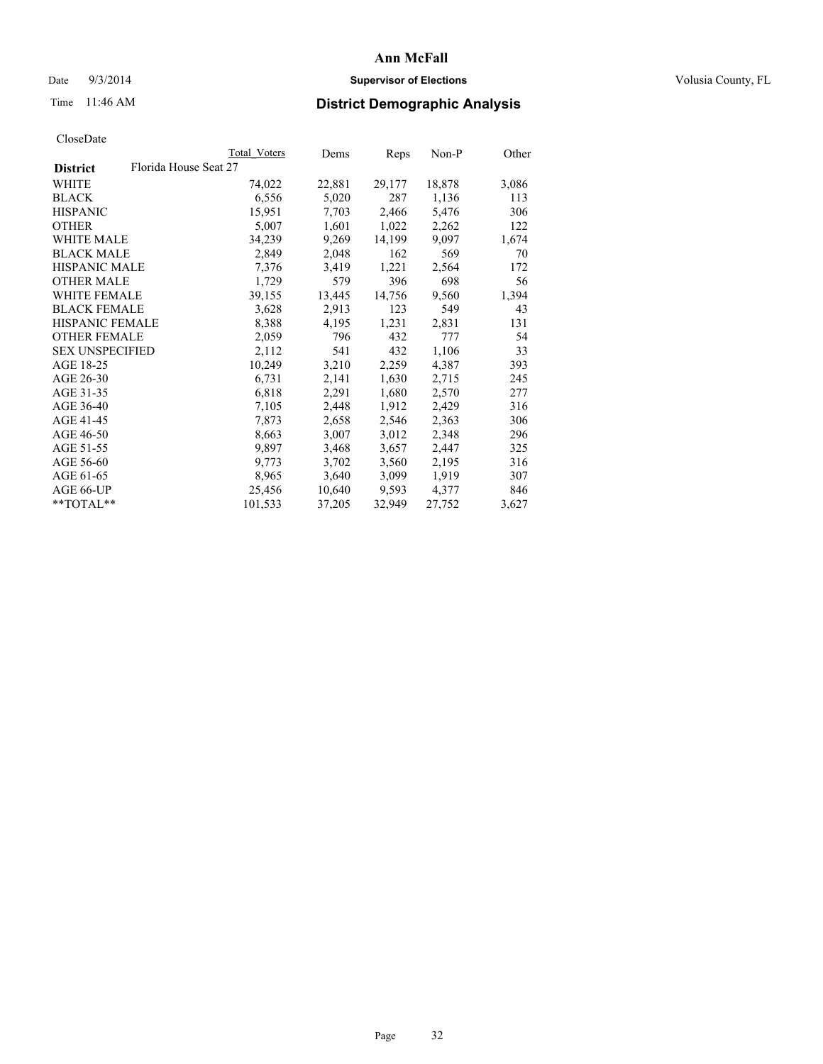# Date  $9/3/2014$  **Supervisor of Elections Supervisor of Elections** Volusia County, FL

# Time 11:46 AM **District Demographic Analysis**

|                                          | Total Voters | Dems   | Reps   | Non-P  | Other |
|------------------------------------------|--------------|--------|--------|--------|-------|
| Florida House Seat 27<br><b>District</b> |              |        |        |        |       |
| WHITE                                    | 74,022       | 22,881 | 29,177 | 18,878 | 3,086 |
| <b>BLACK</b>                             | 6,556        | 5,020  | 287    | 1,136  | 113   |
| <b>HISPANIC</b>                          | 15,951       | 7,703  | 2,466  | 5,476  | 306   |
| <b>OTHER</b>                             | 5,007        | 1,601  | 1,022  | 2,262  | 122   |
| <b>WHITE MALE</b>                        | 34,239       | 9,269  | 14,199 | 9,097  | 1,674 |
| <b>BLACK MALE</b>                        | 2,849        | 2,048  | 162    | 569    | 70    |
| HISPANIC MALE                            | 7,376        | 3,419  | 1,221  | 2,564  | 172   |
| <b>OTHER MALE</b>                        | 1,729        | 579    | 396    | 698    | 56    |
| WHITE FEMALE                             | 39,155       | 13,445 | 14,756 | 9,560  | 1,394 |
| <b>BLACK FEMALE</b>                      | 3,628        | 2,913  | 123    | 549    | 43    |
| <b>HISPANIC FEMALE</b>                   | 8,388        | 4,195  | 1,231  | 2,831  | 131   |
| <b>OTHER FEMALE</b>                      | 2,059        | 796    | 432    | 777    | 54    |
| <b>SEX UNSPECIFIED</b>                   | 2,112        | 541    | 432    | 1,106  | 33    |
| AGE 18-25                                | 10,249       | 3,210  | 2,259  | 4,387  | 393   |
| AGE 26-30                                | 6,731        | 2,141  | 1,630  | 2,715  | 245   |
| AGE 31-35                                | 6,818        | 2,291  | 1,680  | 2,570  | 277   |
| AGE 36-40                                | 7,105        | 2,448  | 1,912  | 2,429  | 316   |
| AGE 41-45                                | 7,873        | 2,658  | 2,546  | 2,363  | 306   |
| AGE 46-50                                | 8,663        | 3,007  | 3,012  | 2,348  | 296   |
| AGE 51-55                                | 9,897        | 3,468  | 3,657  | 2,447  | 325   |
| AGE 56-60                                | 9,773        | 3,702  | 3,560  | 2,195  | 316   |
| AGE 61-65                                | 8,965        | 3,640  | 3,099  | 1,919  | 307   |
| AGE 66-UP                                | 25,456       | 10,640 | 9,593  | 4,377  | 846   |
| $*$ $TOTAI.**$                           | 101,533      | 37,205 | 32,949 | 27,752 | 3,627 |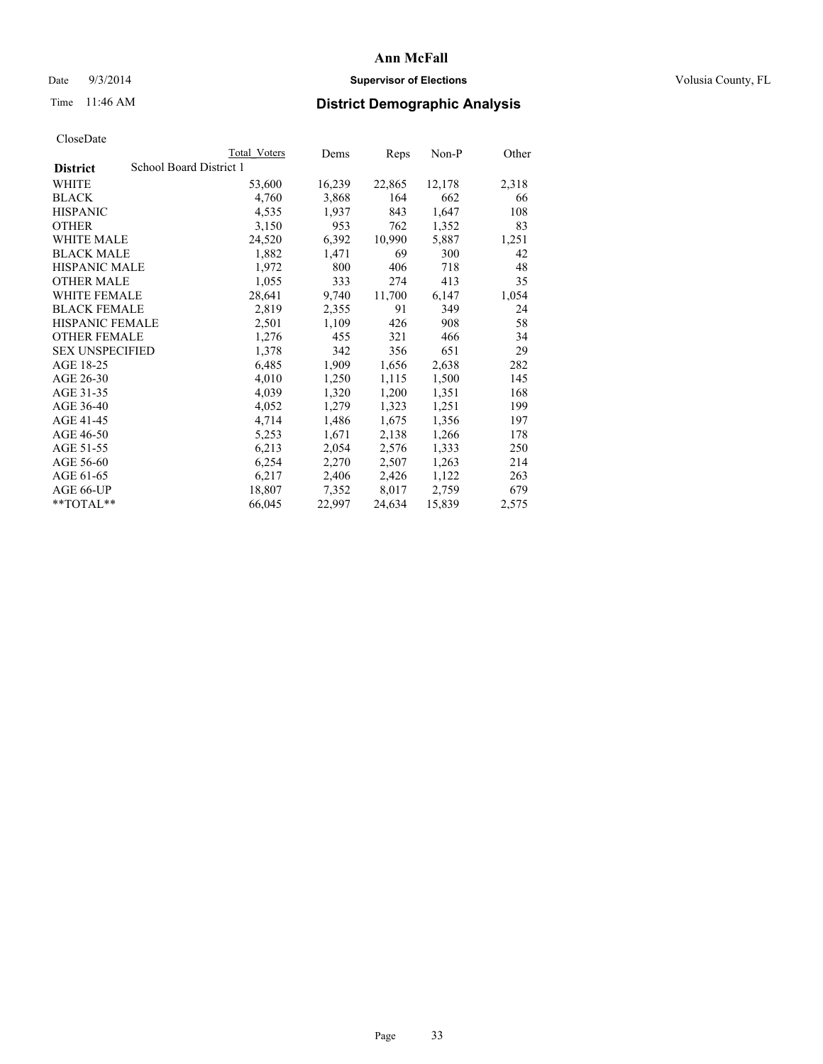# Date  $9/3/2014$  **Supervisor of Elections Supervisor of Elections** Volusia County, FL

# Time 11:46 AM **District Demographic Analysis**

|                        |                         | <b>Total Voters</b> | Dems   | <b>Reps</b> | Non-P  | Other |
|------------------------|-------------------------|---------------------|--------|-------------|--------|-------|
| <b>District</b>        | School Board District 1 |                     |        |             |        |       |
| WHITE                  |                         | 53,600              | 16,239 | 22,865      | 12,178 | 2,318 |
| <b>BLACK</b>           |                         | 4,760               | 3,868  | 164         | 662    | 66    |
| <b>HISPANIC</b>        |                         | 4,535               | 1,937  | 843         | 1,647  | 108   |
| <b>OTHER</b>           |                         | 3,150               | 953    | 762         | 1,352  | 83    |
| WHITE MALE             |                         | 24,520              | 6,392  | 10,990      | 5,887  | 1,251 |
| <b>BLACK MALE</b>      |                         | 1,882               | 1,471  | 69          | 300    | 42    |
| <b>HISPANIC MALE</b>   |                         | 1,972               | 800    | 406         | 718    | 48    |
| <b>OTHER MALE</b>      |                         | 1,055               | 333    | 274         | 413    | 35    |
| <b>WHITE FEMALE</b>    |                         | 28,641              | 9,740  | 11,700      | 6,147  | 1,054 |
| <b>BLACK FEMALE</b>    |                         | 2,819               | 2,355  | 91          | 349    | 24    |
| <b>HISPANIC FEMALE</b> |                         | 2,501               | 1,109  | 426         | 908    | 58    |
| <b>OTHER FEMALE</b>    |                         | 1,276               | 455    | 321         | 466    | 34    |
| <b>SEX UNSPECIFIED</b> |                         | 1,378               | 342    | 356         | 651    | 29    |
| AGE 18-25              |                         | 6,485               | 1,909  | 1,656       | 2,638  | 282   |
| AGE 26-30              |                         | 4,010               | 1,250  | 1,115       | 1,500  | 145   |
| AGE 31-35              |                         | 4,039               | 1,320  | 1,200       | 1,351  | 168   |
| AGE 36-40              |                         | 4,052               | 1,279  | 1,323       | 1,251  | 199   |
| AGE 41-45              |                         | 4,714               | 1,486  | 1,675       | 1,356  | 197   |
| AGE 46-50              |                         | 5,253               | 1,671  | 2,138       | 1,266  | 178   |
| AGE 51-55              |                         | 6,213               | 2,054  | 2,576       | 1,333  | 250   |
| AGE 56-60              |                         | 6,254               | 2,270  | 2,507       | 1,263  | 214   |
| AGE 61-65              |                         | 6,217               | 2,406  | 2,426       | 1,122  | 263   |
| AGE 66-UP              |                         | 18,807              | 7,352  | 8,017       | 2,759  | 679   |
| **TOTAL**              |                         | 66,045              | 22,997 | 24,634      | 15,839 | 2,575 |
|                        |                         |                     |        |             |        |       |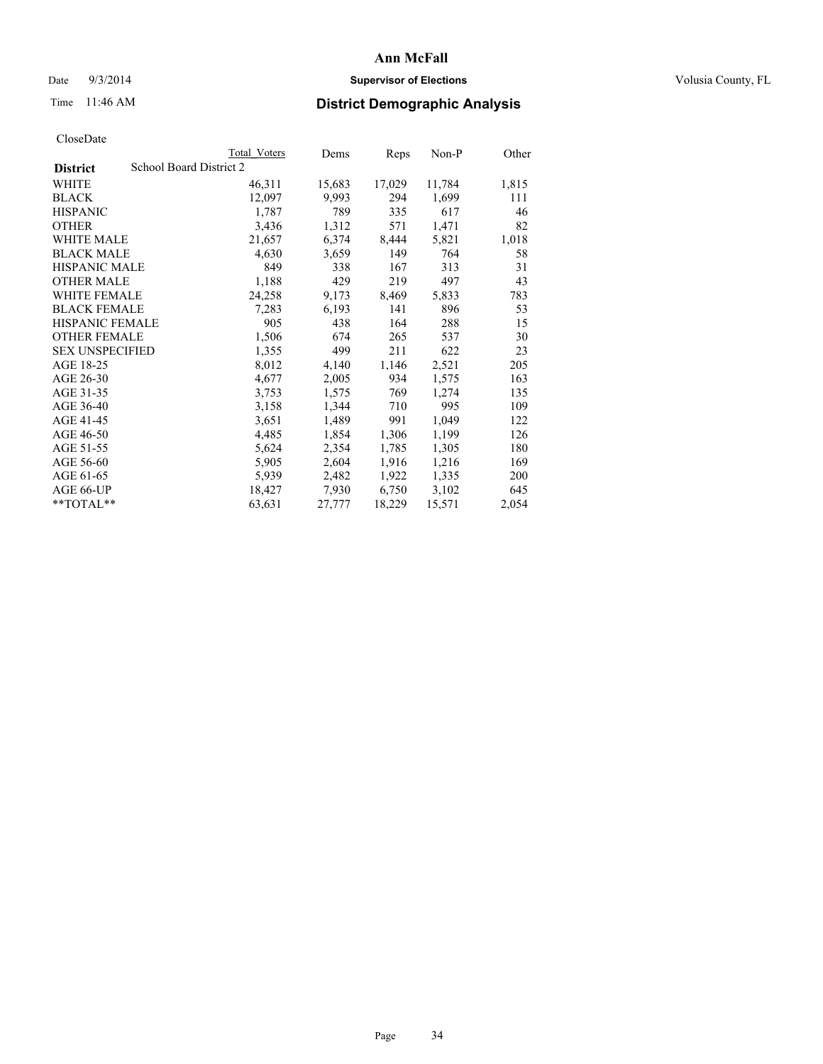# Date  $9/3/2014$  **Supervisor of Elections Supervisor of Elections** Volusia County, FL

# Time 11:46 AM **District Demographic Analysis**

|                                            | Total Voters | Dems   | Reps   | Non-P  | Other |
|--------------------------------------------|--------------|--------|--------|--------|-------|
| School Board District 2<br><b>District</b> |              |        |        |        |       |
| WHITE                                      | 46,311       | 15,683 | 17,029 | 11,784 | 1,815 |
| <b>BLACK</b>                               | 12,097       | 9,993  | 294    | 1,699  | 111   |
| <b>HISPANIC</b>                            | 1,787        | 789    | 335    | 617    | 46    |
| <b>OTHER</b>                               | 3,436        | 1,312  | 571    | 1,471  | 82    |
| WHITE MALE                                 | 21,657       | 6,374  | 8,444  | 5,821  | 1,018 |
| <b>BLACK MALE</b>                          | 4,630        | 3,659  | 149    | 764    | 58    |
| <b>HISPANIC MALE</b>                       | 849          | 338    | 167    | 313    | 31    |
| <b>OTHER MALE</b>                          | 1,188        | 429    | 219    | 497    | 43    |
| <b>WHITE FEMALE</b>                        | 24,258       | 9,173  | 8,469  | 5,833  | 783   |
| <b>BLACK FEMALE</b>                        | 7,283        | 6,193  | 141    | 896    | 53    |
| <b>HISPANIC FEMALE</b>                     | 905          | 438    | 164    | 288    | 15    |
| <b>OTHER FEMALE</b>                        | 1,506        | 674    | 265    | 537    | 30    |
| <b>SEX UNSPECIFIED</b>                     | 1,355        | 499    | 211    | 622    | 23    |
| AGE 18-25                                  | 8,012        | 4,140  | 1,146  | 2,521  | 205   |
| AGE 26-30                                  | 4,677        | 2,005  | 934    | 1,575  | 163   |
| AGE 31-35                                  | 3,753        | 1,575  | 769    | 1,274  | 135   |
| AGE 36-40                                  | 3,158        | 1,344  | 710    | 995    | 109   |
| AGE 41-45                                  | 3,651        | 1,489  | 991    | 1,049  | 122   |
| AGE 46-50                                  | 4,485        | 1,854  | 1,306  | 1,199  | 126   |
| AGE 51-55                                  | 5,624        | 2,354  | 1,785  | 1,305  | 180   |
| AGE 56-60                                  | 5,905        | 2,604  | 1,916  | 1,216  | 169   |
| AGE 61-65                                  | 5,939        | 2,482  | 1,922  | 1,335  | 200   |
| AGE 66-UP                                  | 18,427       | 7,930  | 6,750  | 3,102  | 645   |
| $*$ TOTAL $*$                              | 63,631       | 27,777 | 18,229 | 15,571 | 2,054 |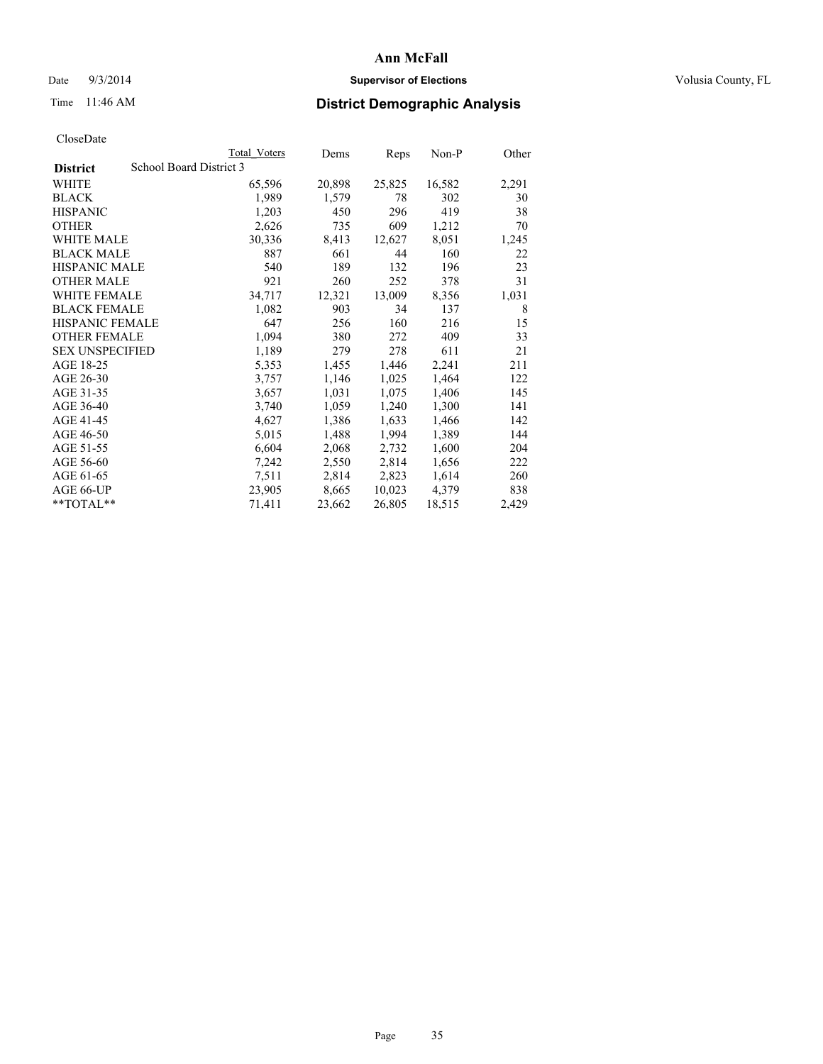# Date  $9/3/2014$  **Supervisor of Elections Supervisor of Elections** Volusia County, FL

# Time 11:46 AM **District Demographic Analysis**

|                        | Total Voters            | Dems   | <b>Reps</b> | Non-P  | Other |
|------------------------|-------------------------|--------|-------------|--------|-------|
| <b>District</b>        | School Board District 3 |        |             |        |       |
| WHITE                  | 65,596                  | 20,898 | 25,825      | 16,582 | 2,291 |
| <b>BLACK</b>           | 1,989                   | 1,579  | 78          | 302    | 30    |
| <b>HISPANIC</b>        | 1,203                   | 450    | 296         | 419    | 38    |
| <b>OTHER</b>           | 2,626                   | 735    | 609         | 1,212  | 70    |
| <b>WHITE MALE</b>      | 30,336                  | 8,413  | 12,627      | 8,051  | 1,245 |
| <b>BLACK MALE</b>      | 887                     | 661    | 44          | 160    | 22    |
| <b>HISPANIC MALE</b>   | 540                     | 189    | 132         | 196    | 23    |
| <b>OTHER MALE</b>      | 921                     | 260    | 252         | 378    | 31    |
| WHITE FEMALE           | 34,717                  | 12,321 | 13,009      | 8,356  | 1,031 |
| <b>BLACK FEMALE</b>    | 1,082                   | 903    | 34          | 137    | 8     |
| <b>HISPANIC FEMALE</b> | 647                     | 256    | 160         | 216    | 15    |
| <b>OTHER FEMALE</b>    | 1,094                   | 380    | 272         | 409    | 33    |
| <b>SEX UNSPECIFIED</b> | 1,189                   | 279    | 278         | 611    | 21    |
| AGE 18-25              | 5,353                   | 1,455  | 1,446       | 2,241  | 211   |
| AGE 26-30              | 3,757                   | 1,146  | 1,025       | 1,464  | 122   |
| AGE 31-35              | 3,657                   | 1,031  | 1,075       | 1,406  | 145   |
| AGE 36-40              | 3,740                   | 1,059  | 1,240       | 1,300  | 141   |
| AGE 41-45              | 4,627                   | 1,386  | 1,633       | 1,466  | 142   |
| AGE 46-50              | 5,015                   | 1,488  | 1,994       | 1,389  | 144   |
| AGE 51-55              | 6,604                   | 2,068  | 2,732       | 1,600  | 204   |
| AGE 56-60              | 7,242                   | 2,550  | 2,814       | 1,656  | 222   |
| AGE 61-65              | 7.511                   | 2,814  | 2,823       | 1,614  | 260   |
| AGE 66-UP              | 23,905                  | 8,665  | 10,023      | 4,379  | 838   |
| $*$ $TOTAI.**$         | 71,411                  | 23,662 | 26,805      | 18,515 | 2,429 |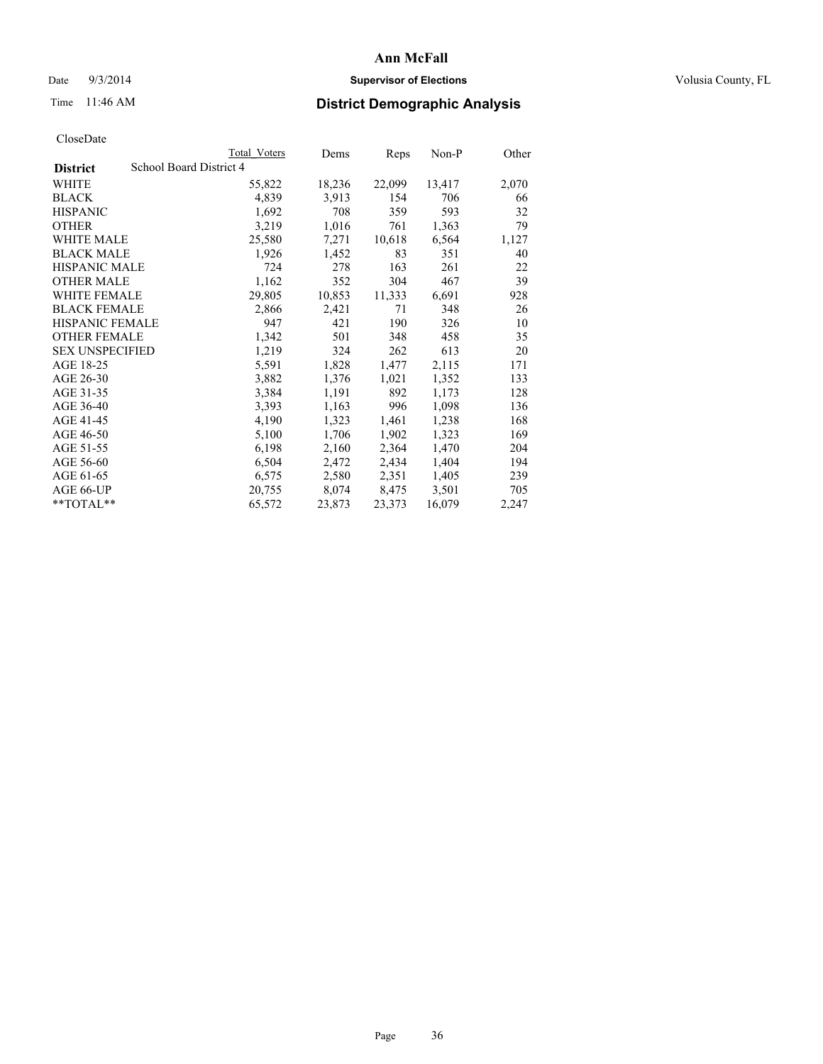# Date  $9/3/2014$  **Supervisor of Elections Supervisor of Elections** Volusia County, FL

# Time 11:46 AM **District Demographic Analysis**

| Total Voters                               | Dems   | Reps   | Non-P  | Other |  |  |
|--------------------------------------------|--------|--------|--------|-------|--|--|
| School Board District 4<br><b>District</b> |        |        |        |       |  |  |
| 55,822                                     | 18,236 | 22,099 | 13,417 | 2,070 |  |  |
| 4,839                                      | 3,913  | 154    | 706    | 66    |  |  |
| 1,692                                      | 708    | 359    | 593    | 32    |  |  |
| 3,219                                      | 1,016  | 761    | 1,363  | 79    |  |  |
| 25,580                                     | 7,271  | 10,618 | 6,564  | 1,127 |  |  |
| 1,926                                      | 1,452  | 83     | 351    | 40    |  |  |
| 724                                        | 278    | 163    | 261    | 22    |  |  |
| 1,162                                      | 352    | 304    | 467    | 39    |  |  |
| 29,805                                     | 10,853 | 11,333 | 6,691  | 928   |  |  |
| 2,866                                      | 2,421  | 71     | 348    | 26    |  |  |
| 947                                        | 421    | 190    | 326    | 10    |  |  |
| 1,342                                      | 501    | 348    | 458    | 35    |  |  |
| 1,219                                      | 324    | 262    | 613    | 20    |  |  |
| 5,591                                      | 1,828  | 1,477  | 2,115  | 171   |  |  |
| 3,882                                      | 1,376  | 1,021  | 1,352  | 133   |  |  |
| 3,384                                      | 1,191  | 892    | 1,173  | 128   |  |  |
| 3,393                                      | 1,163  | 996    | 1,098  | 136   |  |  |
| 4,190                                      | 1,323  | 1,461  | 1,238  | 168   |  |  |
| 5,100                                      | 1,706  | 1,902  | 1,323  | 169   |  |  |
| 6,198                                      | 2,160  | 2,364  | 1,470  | 204   |  |  |
| 6,504                                      | 2,472  | 2,434  | 1,404  | 194   |  |  |
| 6,575                                      | 2,580  | 2,351  | 1,405  | 239   |  |  |
| 20,755                                     | 8,074  | 8,475  | 3,501  | 705   |  |  |
| 65,572                                     | 23,873 | 23,373 | 16,079 | 2,247 |  |  |
|                                            |        |        |        |       |  |  |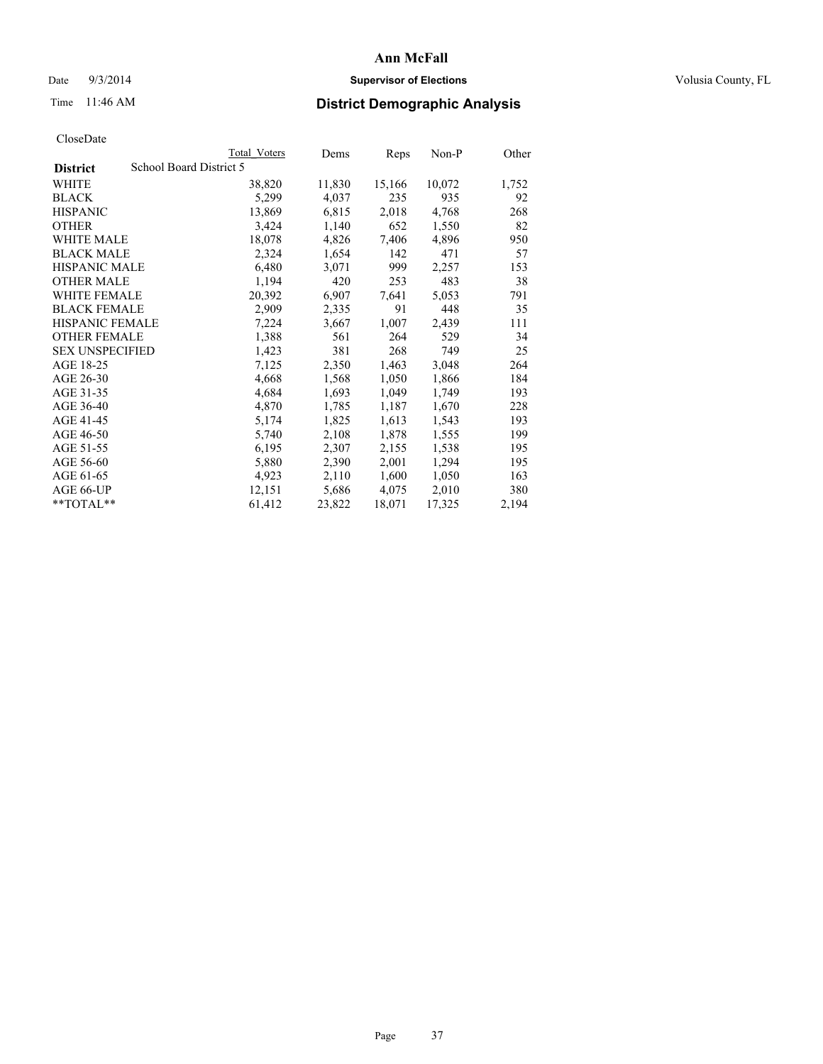## Date  $9/3/2014$  **Supervisor of Elections Supervisor of Elections** Volusia County, FL

# Time 11:46 AM **District Demographic Analysis**

|                        | Total Voters            | Dems   | Reps   | $Non-P$ | Other |
|------------------------|-------------------------|--------|--------|---------|-------|
| <b>District</b>        | School Board District 5 |        |        |         |       |
| WHITE                  | 38,820                  | 11,830 | 15,166 | 10,072  | 1,752 |
| <b>BLACK</b>           | 5,299                   | 4,037  | 235    | 935     | 92    |
| <b>HISPANIC</b>        | 13,869                  | 6,815  | 2,018  | 4,768   | 268   |
| <b>OTHER</b>           | 3,424                   | 1,140  | 652    | 1,550   | 82    |
| WHITE MALE             | 18,078                  | 4,826  | 7,406  | 4,896   | 950   |
| <b>BLACK MALE</b>      | 2,324                   | 1,654  | 142    | 471     | 57    |
| <b>HISPANIC MALE</b>   | 6,480                   | 3,071  | 999    | 2,257   | 153   |
| <b>OTHER MALE</b>      | 1,194                   | 420    | 253    | 483     | 38    |
| WHITE FEMALE           | 20,392                  | 6,907  | 7,641  | 5,053   | 791   |
| <b>BLACK FEMALE</b>    | 2,909                   | 2,335  | 91     | 448     | 35    |
| HISPANIC FEMALE        | 7,224                   | 3,667  | 1,007  | 2,439   | 111   |
| <b>OTHER FEMALE</b>    | 1,388                   | 561    | 264    | 529     | 34    |
| <b>SEX UNSPECIFIED</b> | 1,423                   | 381    | 268    | 749     | 25    |
| AGE 18-25              | 7,125                   | 2,350  | 1,463  | 3,048   | 264   |
| AGE 26-30              | 4,668                   | 1,568  | 1,050  | 1,866   | 184   |
| AGE 31-35              | 4,684                   | 1,693  | 1,049  | 1,749   | 193   |
| AGE 36-40              | 4,870                   | 1,785  | 1,187  | 1,670   | 228   |
| AGE 41-45              | 5,174                   | 1,825  | 1,613  | 1,543   | 193   |
| AGE 46-50              | 5,740                   | 2,108  | 1,878  | 1,555   | 199   |
| AGE 51-55              | 6,195                   | 2,307  | 2,155  | 1,538   | 195   |
| AGE 56-60              | 5,880                   | 2,390  | 2,001  | 1,294   | 195   |
| AGE 61-65              | 4,923                   | 2,110  | 1,600  | 1,050   | 163   |
| AGE 66-UP              | 12,151                  | 5,686  | 4,075  | 2,010   | 380   |
| $*$ $TOTAI.**$         | 61,412                  | 23,822 | 18,071 | 17,325  | 2,194 |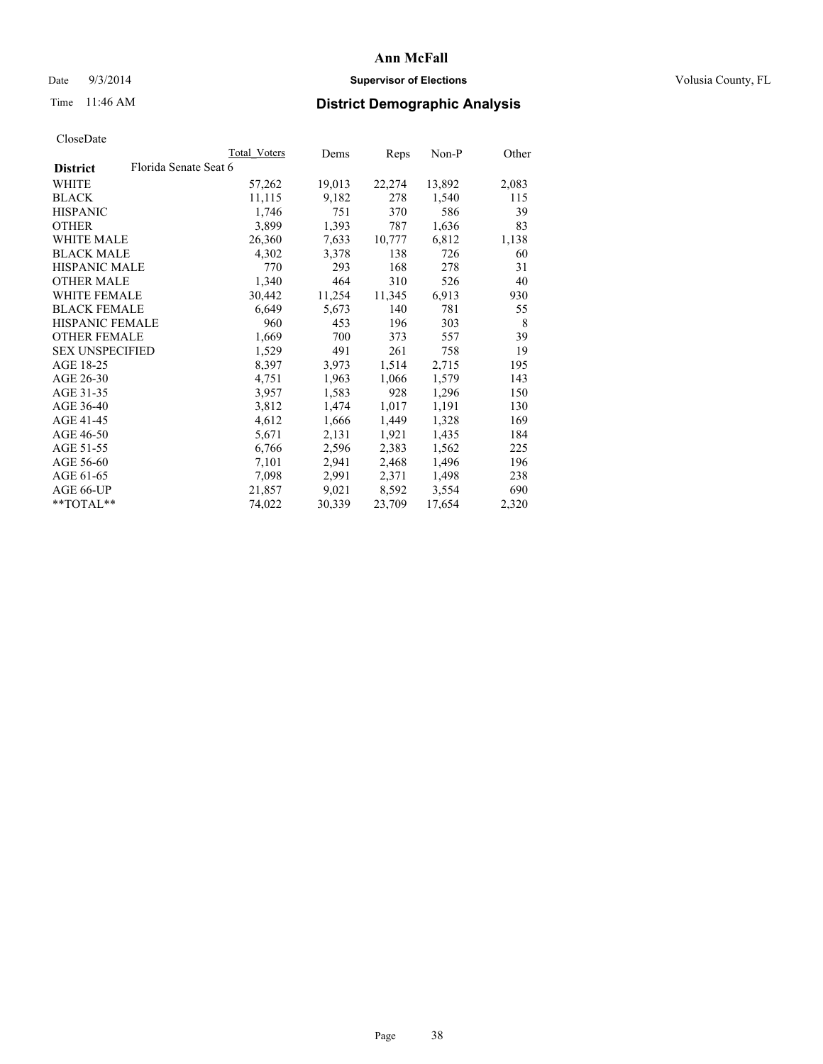## Date  $9/3/2014$  **Supervisor of Elections Supervisor of Elections** Volusia County, FL

# Time 11:46 AM **District Demographic Analysis**

|                        |                       | <b>Total Voters</b> | Dems   | <b>Reps</b> | Non-P  | Other |
|------------------------|-----------------------|---------------------|--------|-------------|--------|-------|
| <b>District</b>        | Florida Senate Seat 6 |                     |        |             |        |       |
| WHITE                  |                       | 57,262              | 19,013 | 22,274      | 13,892 | 2,083 |
| <b>BLACK</b>           |                       | 11,115              | 9,182  | 278         | 1,540  | 115   |
| <b>HISPANIC</b>        |                       | 1,746               | 751    | 370         | 586    | 39    |
| <b>OTHER</b>           |                       | 3,899               | 1,393  | 787         | 1,636  | 83    |
| WHITE MALE             |                       | 26,360              | 7,633  | 10,777      | 6,812  | 1,138 |
| <b>BLACK MALE</b>      |                       | 4,302               | 3,378  | 138         | 726    | 60    |
| <b>HISPANIC MALE</b>   |                       | 770                 | 293    | 168         | 278    | 31    |
| <b>OTHER MALE</b>      |                       | 1,340               | 464    | 310         | 526    | 40    |
| <b>WHITE FEMALE</b>    |                       | 30,442              | 11,254 | 11,345      | 6,913  | 930   |
| <b>BLACK FEMALE</b>    |                       | 6,649               | 5,673  | 140         | 781    | 55    |
| <b>HISPANIC FEMALE</b> |                       | 960                 | 453    | 196         | 303    | 8     |
| <b>OTHER FEMALE</b>    |                       | 1,669               | 700    | 373         | 557    | 39    |
| <b>SEX UNSPECIFIED</b> |                       | 1,529               | 491    | 261         | 758    | 19    |
| AGE 18-25              |                       | 8,397               | 3,973  | 1,514       | 2,715  | 195   |
| AGE 26-30              |                       | 4,751               | 1,963  | 1,066       | 1,579  | 143   |
| AGE 31-35              |                       | 3,957               | 1,583  | 928         | 1,296  | 150   |
| AGE 36-40              |                       | 3,812               | 1,474  | 1,017       | 1,191  | 130   |
| AGE 41-45              |                       | 4,612               | 1,666  | 1,449       | 1,328  | 169   |
| AGE 46-50              |                       | 5,671               | 2,131  | 1,921       | 1,435  | 184   |
| AGE 51-55              |                       | 6,766               | 2,596  | 2,383       | 1,562  | 225   |
| AGE 56-60              |                       | 7,101               | 2,941  | 2,468       | 1,496  | 196   |
| AGE 61-65              |                       | 7,098               | 2,991  | 2,371       | 1,498  | 238   |
| AGE 66-UP              |                       | 21,857              | 9,021  | 8,592       | 3,554  | 690   |
| $*$ $TOTAI.**$         |                       | 74,022              | 30,339 | 23,709      | 17,654 | 2,320 |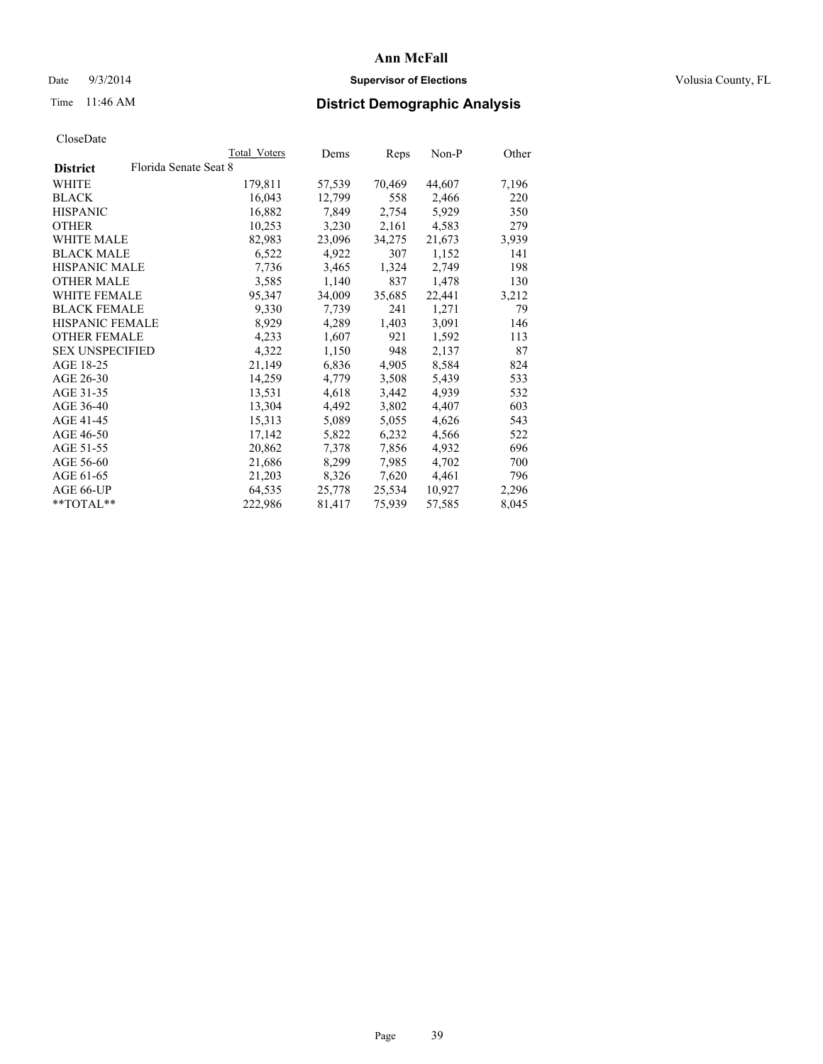## Date  $9/3/2014$  **Supervisor of Elections Supervisor of Elections** Volusia County, FL

# Time 11:46 AM **District Demographic Analysis**

|                                          | <b>Total Voters</b> | Dems   | <b>Reps</b> | Non-P  | Other |
|------------------------------------------|---------------------|--------|-------------|--------|-------|
| Florida Senate Seat 8<br><b>District</b> |                     |        |             |        |       |
| WHITE                                    | 179,811             | 57,539 | 70,469      | 44,607 | 7,196 |
| <b>BLACK</b>                             | 16,043              | 12,799 | 558         | 2,466  | 220   |
| <b>HISPANIC</b>                          | 16,882              | 7,849  | 2,754       | 5,929  | 350   |
| <b>OTHER</b>                             | 10,253              | 3,230  | 2,161       | 4,583  | 279   |
| <b>WHITE MALE</b>                        | 82,983              | 23,096 | 34,275      | 21,673 | 3,939 |
| <b>BLACK MALE</b>                        | 6,522               | 4,922  | 307         | 1,152  | 141   |
| <b>HISPANIC MALE</b>                     | 7,736               | 3,465  | 1,324       | 2,749  | 198   |
| <b>OTHER MALE</b>                        | 3.585               | 1,140  | 837         | 1,478  | 130   |
| <b>WHITE FEMALE</b>                      | 95,347              | 34,009 | 35,685      | 22,441 | 3,212 |
| <b>BLACK FEMALE</b>                      | 9,330               | 7,739  | 241         | 1,271  | 79    |
| <b>HISPANIC FEMALE</b>                   | 8,929               | 4,289  | 1,403       | 3,091  | 146   |
| <b>OTHER FEMALE</b>                      | 4,233               | 1,607  | 921         | 1,592  | 113   |
| <b>SEX UNSPECIFIED</b>                   | 4,322               | 1,150  | 948         | 2,137  | 87    |
| AGE 18-25                                | 21,149              | 6,836  | 4,905       | 8,584  | 824   |
| AGE 26-30                                | 14,259              | 4,779  | 3,508       | 5,439  | 533   |
| AGE 31-35                                | 13,531              | 4,618  | 3,442       | 4,939  | 532   |
| AGE 36-40                                | 13,304              | 4,492  | 3,802       | 4,407  | 603   |
| AGE 41-45                                | 15,313              | 5,089  | 5,055       | 4,626  | 543   |
| AGE 46-50                                | 17,142              | 5,822  | 6,232       | 4,566  | 522   |
| AGE 51-55                                | 20,862              | 7,378  | 7,856       | 4,932  | 696   |
| AGE 56-60                                | 21,686              | 8,299  | 7,985       | 4,702  | 700   |
| AGE 61-65                                | 21,203              | 8,326  | 7,620       | 4,461  | 796   |
| AGE 66-UP                                | 64,535              | 25,778 | 25,534      | 10,927 | 2,296 |
| $*$ $TOTAI.**$                           | 222,986             | 81,417 | 75,939      | 57,585 | 8,045 |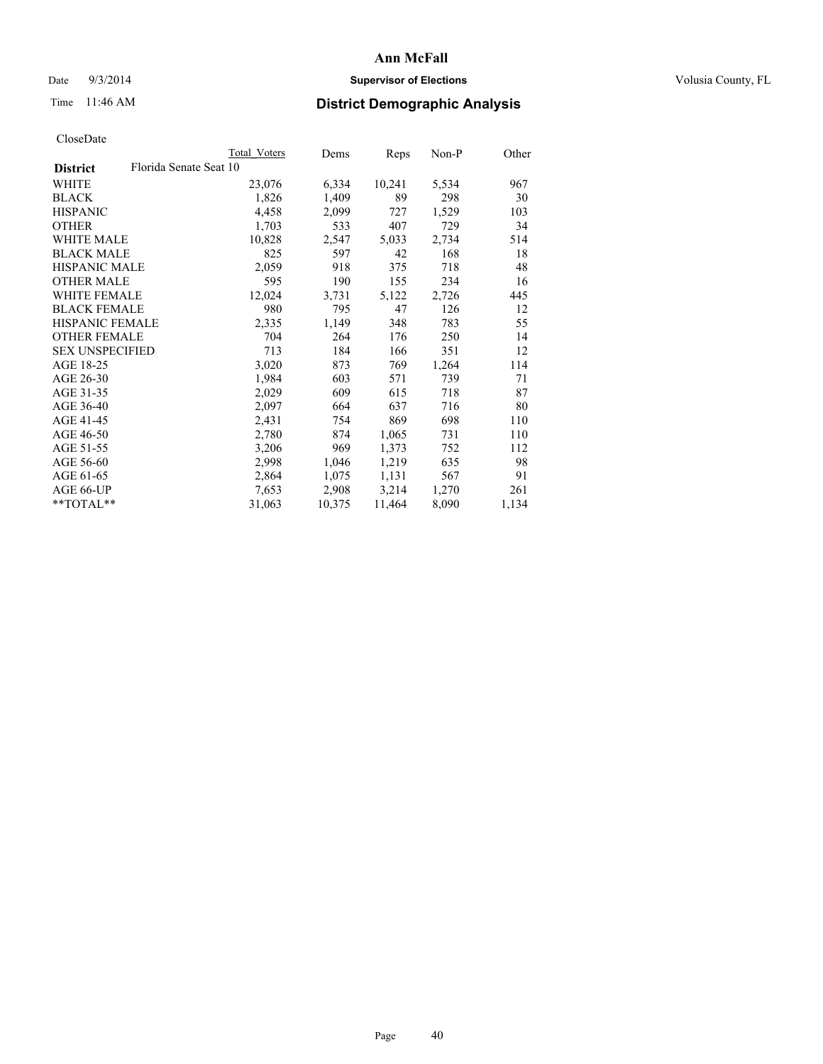## Date  $9/3/2014$  **Supervisor of Elections Supervisor of Elections** Volusia County, FL

# Time 11:46 AM **District Demographic Analysis**

|                        |                        | <b>Total Voters</b> | Dems   | Reps   | Non-P | Other |
|------------------------|------------------------|---------------------|--------|--------|-------|-------|
| <b>District</b>        | Florida Senate Seat 10 |                     |        |        |       |       |
| WHITE                  |                        | 23,076              | 6,334  | 10,241 | 5,534 | 967   |
| <b>BLACK</b>           |                        | 1,826               | 1,409  | 89     | 298   | 30    |
| <b>HISPANIC</b>        |                        | 4,458               | 2,099  | 727    | 1,529 | 103   |
| <b>OTHER</b>           |                        | 1,703               | 533    | 407    | 729   | 34    |
| WHITE MALE             |                        | 10,828              | 2,547  | 5,033  | 2,734 | 514   |
| <b>BLACK MALE</b>      |                        | 825                 | 597    | 42     | 168   | 18    |
| <b>HISPANIC MALE</b>   |                        | 2,059               | 918    | 375    | 718   | 48    |
| <b>OTHER MALE</b>      |                        | 595                 | 190    | 155    | 234   | 16    |
| <b>WHITE FEMALE</b>    |                        | 12,024              | 3,731  | 5,122  | 2,726 | 445   |
| <b>BLACK FEMALE</b>    |                        | 980                 | 795    | 47     | 126   | 12    |
| <b>HISPANIC FEMALE</b> |                        | 2,335               | 1,149  | 348    | 783   | 55    |
| <b>OTHER FEMALE</b>    |                        | 704                 | 264    | 176    | 250   | 14    |
| <b>SEX UNSPECIFIED</b> |                        | 713                 | 184    | 166    | 351   | 12    |
| AGE 18-25              |                        | 3,020               | 873    | 769    | 1,264 | 114   |
| AGE 26-30              |                        | 1,984               | 603    | 571    | 739   | 71    |
| AGE 31-35              |                        | 2,029               | 609    | 615    | 718   | 87    |
| AGE 36-40              |                        | 2,097               | 664    | 637    | 716   | 80    |
| AGE 41-45              |                        | 2,431               | 754    | 869    | 698   | 110   |
| AGE 46-50              |                        | 2,780               | 874    | 1,065  | 731   | 110   |
| AGE 51-55              |                        | 3,206               | 969    | 1,373  | 752   | 112   |
| AGE 56-60              |                        | 2,998               | 1,046  | 1,219  | 635   | 98    |
| AGE 61-65              |                        | 2,864               | 1,075  | 1,131  | 567   | 91    |
| AGE 66-UP              |                        | 7,653               | 2,908  | 3,214  | 1,270 | 261   |
| **TOTAL**              |                        | 31,063              | 10,375 | 11,464 | 8,090 | 1,134 |
|                        |                        |                     |        |        |       |       |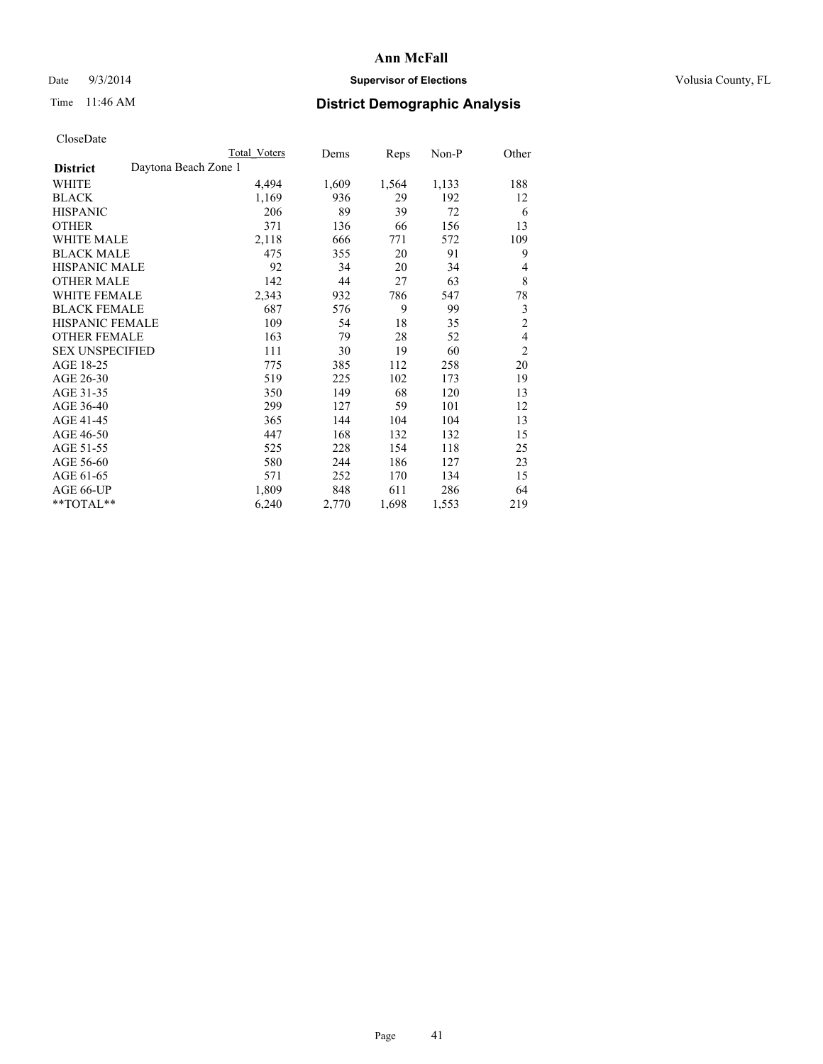## Date  $9/3/2014$  **Supervisor of Elections Supervisor of Elections** Volusia County, FL

# Time 11:46 AM **District Demographic Analysis**

|                                         | Total Voters | Dems  | Reps  | Non-P | Other          |
|-----------------------------------------|--------------|-------|-------|-------|----------------|
| Daytona Beach Zone 1<br><b>District</b> |              |       |       |       |                |
| WHITE                                   | 4,494        | 1,609 | 1,564 | 1,133 | 188            |
| <b>BLACK</b>                            | 1,169        | 936   | 29    | 192   | 12             |
| <b>HISPANIC</b>                         | 206          | 89    | 39    | 72    | 6              |
| <b>OTHER</b>                            | 371          | 136   | 66    | 156   | 13             |
| WHITE MALE                              | 2,118        | 666   | 771   | 572   | 109            |
| <b>BLACK MALE</b>                       | 475          | 355   | 20    | 91    | 9              |
| <b>HISPANIC MALE</b>                    | 92           | 34    | 20    | 34    | 4              |
| <b>OTHER MALE</b>                       | 142          | 44    | 27    | 63    | 8              |
| <b>WHITE FEMALE</b>                     | 2,343        | 932   | 786   | 547   | 78             |
| <b>BLACK FEMALE</b>                     | 687          | 576   | 9     | 99    | 3              |
| <b>HISPANIC FEMALE</b>                  | 109          | 54    | 18    | 35    | $\overline{2}$ |
| <b>OTHER FEMALE</b>                     | 163          | 79    | 28    | 52    | 4              |
| <b>SEX UNSPECIFIED</b>                  | 111          | 30    | 19    | 60    | $\overline{2}$ |
| AGE 18-25                               | 775          | 385   | 112   | 258   | 20             |
| AGE 26-30                               | 519          | 225   | 102   | 173   | 19             |
| AGE 31-35                               | 350          | 149   | 68    | 120   | 13             |
| AGE 36-40                               | 299          | 127   | 59    | 101   | 12             |
| AGE 41-45                               | 365          | 144   | 104   | 104   | 13             |
| AGE 46-50                               | 447          | 168   | 132   | 132   | 15             |
| AGE 51-55                               | 525          | 228   | 154   | 118   | 25             |
| AGE 56-60                               | 580          | 244   | 186   | 127   | 23             |
| AGE 61-65                               | 571          | 252   | 170   | 134   | 15             |
| AGE 66-UP                               | 1,809        | 848   | 611   | 286   | 64             |
| **TOTAL**                               | 6,240        | 2,770 | 1,698 | 1,553 | 219            |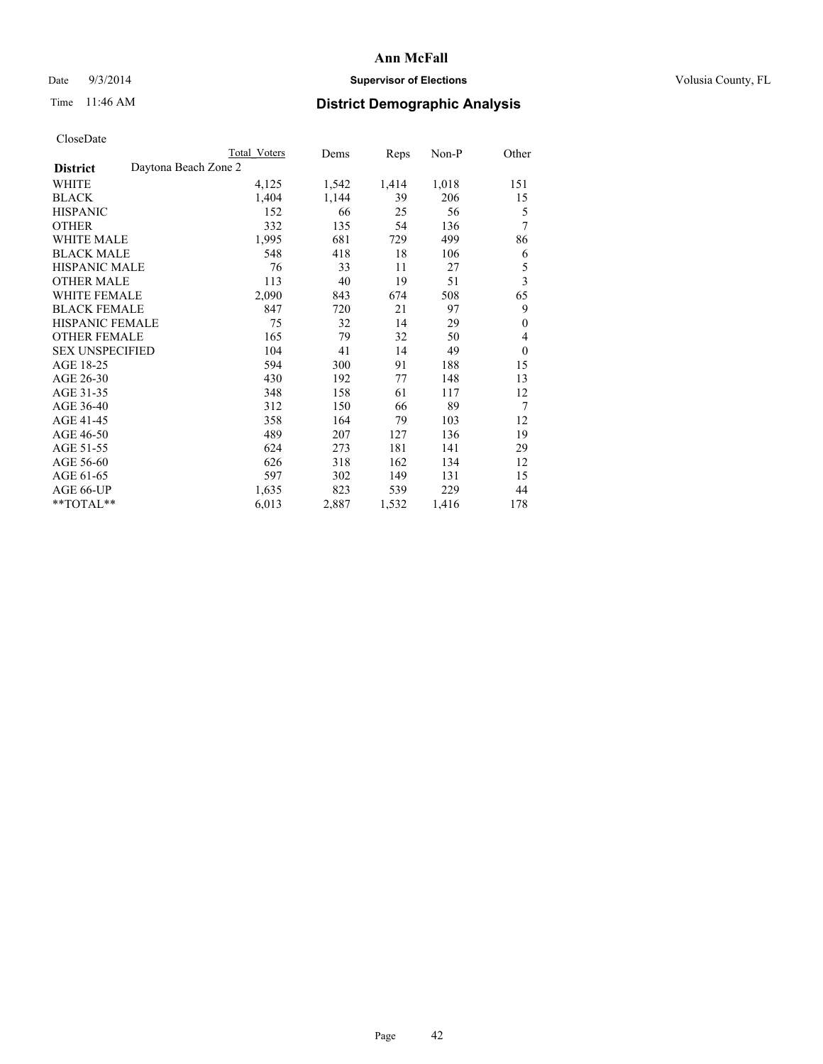## Date  $9/3/2014$  **Supervisor of Elections** Volusia County, FL

|                                         | <b>Total Voters</b> | Dems  | Reps  | $Non-P$ | Other                   |
|-----------------------------------------|---------------------|-------|-------|---------|-------------------------|
| Daytona Beach Zone 2<br><b>District</b> |                     |       |       |         |                         |
| <b>WHITE</b>                            | 4,125               | 1,542 | 1,414 | 1,018   | 151                     |
| <b>BLACK</b>                            | 1,404               | 1,144 | 39    | 206     | 15                      |
| <b>HISPANIC</b>                         | 152                 | 66    | 25    | 56      | 5                       |
| <b>OTHER</b>                            | 332                 | 135   | 54    | 136     | 7                       |
| <b>WHITE MALE</b>                       | 1,995               | 681   | 729   | 499     | 86                      |
| <b>BLACK MALE</b>                       | 548                 | 418   | 18    | 106     | 6                       |
| <b>HISPANIC MALE</b>                    | 76                  | 33    | 11    | 27      | 5                       |
| <b>OTHER MALE</b>                       | 113                 | 40    | 19    | 51      | $\overline{\mathbf{3}}$ |
| WHITE FEMALE                            | 2,090               | 843   | 674   | 508     | 65                      |
| <b>BLACK FEMALE</b>                     | 847                 | 720   | 21    | 97      | 9                       |
| HISPANIC FEMALE                         | 75                  | 32    | 14    | 29      | $\mathbf{0}$            |
| <b>OTHER FEMALE</b>                     | 165                 | 79    | 32    | 50      | 4                       |
| <b>SEX UNSPECIFIED</b>                  | 104                 | 41    | 14    | 49      | $\mathbf{0}$            |
| AGE 18-25                               | 594                 | 300   | 91    | 188     | 15                      |
| AGE 26-30                               | 430                 | 192   | 77    | 148     | 13                      |
| AGE 31-35                               | 348                 | 158   | 61    | 117     | 12                      |
| AGE 36-40                               | 312                 | 150   | 66    | 89      | 7                       |
| AGE 41-45                               | 358                 | 164   | 79    | 103     | 12                      |
| AGE 46-50                               | 489                 | 207   | 127   | 136     | 19                      |
| AGE 51-55                               | 624                 | 273   | 181   | 141     | 29                      |
| AGE 56-60                               | 626                 | 318   | 162   | 134     | 12                      |
| AGE 61-65                               | 597                 | 302   | 149   | 131     | 15                      |
| AGE 66-UP                               | 1,635               | 823   | 539   | 229     | 44                      |
| **TOTAL**                               | 6,013               | 2,887 | 1,532 | 1,416   | 178                     |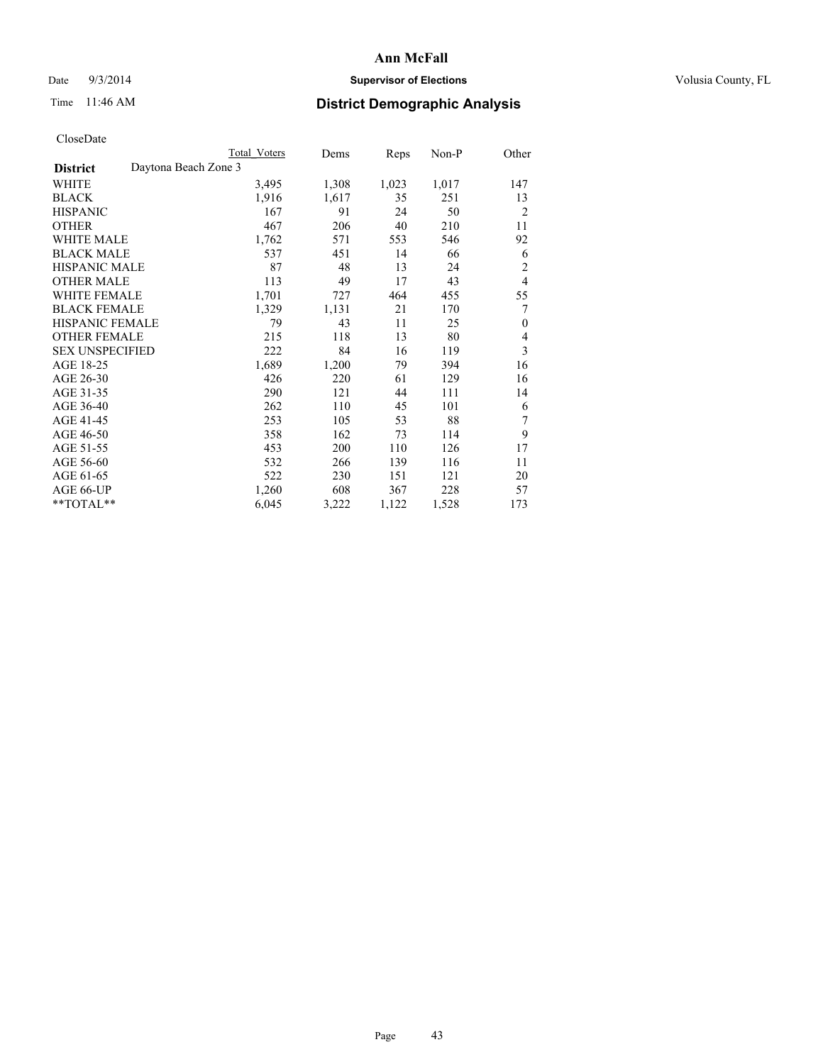## Date  $9/3/2014$  **Supervisor of Elections Supervisor of Elections** Volusia County, FL

# Time 11:46 AM **District Demographic Analysis**

|                                         | Total Voters | Dems  | Reps  | Non-P | Other          |
|-----------------------------------------|--------------|-------|-------|-------|----------------|
| Daytona Beach Zone 3<br><b>District</b> |              |       |       |       |                |
| WHITE                                   | 3,495        | 1,308 | 1,023 | 1,017 | 147            |
| <b>BLACK</b>                            | 1,916        | 1,617 | 35    | 251   | 13             |
| <b>HISPANIC</b>                         | 167          | 91    | 24    | 50    | $\overline{2}$ |
| <b>OTHER</b>                            | 467          | 206   | 40    | 210   | 11             |
| <b>WHITE MALE</b>                       | 1,762        | 571   | 553   | 546   | 92             |
| <b>BLACK MALE</b>                       | 537          | 451   | 14    | 66    | 6              |
| <b>HISPANIC MALE</b>                    | 87           | 48    | 13    | 24    | $\overline{2}$ |
| <b>OTHER MALE</b>                       | 113          | 49    | 17    | 43    | $\overline{4}$ |
| <b>WHITE FEMALE</b>                     | 1,701        | 727   | 464   | 455   | 55             |
| <b>BLACK FEMALE</b>                     | 1,329        | 1,131 | 21    | 170   | 7              |
| <b>HISPANIC FEMALE</b>                  | 79           | 43    | 11    | 25    | $\theta$       |
| <b>OTHER FEMALE</b>                     | 215          | 118   | 13    | 80    | 4              |
| <b>SEX UNSPECIFIED</b>                  | 222          | 84    | 16    | 119   | 3              |
| AGE 18-25                               | 1,689        | 1,200 | 79    | 394   | 16             |
| AGE 26-30                               | 426          | 220   | 61    | 129   | 16             |
| AGE 31-35                               | 290          | 121   | 44    | 111   | 14             |
| AGE 36-40                               | 262          | 110   | 45    | 101   | 6              |
| AGE 41-45                               | 253          | 105   | 53    | 88    | 7              |
| AGE 46-50                               | 358          | 162   | 73    | 114   | 9              |
| AGE 51-55                               | 453          | 200   | 110   | 126   | 17             |
| AGE 56-60                               | 532          | 266   | 139   | 116   | 11             |
| AGE 61-65                               | 522          | 230   | 151   | 121   | 20             |
| AGE 66-UP                               | 1,260        | 608   | 367   | 228   | 57             |
| $**TOTAL**$                             | 6,045        | 3,222 | 1,122 | 1,528 | 173            |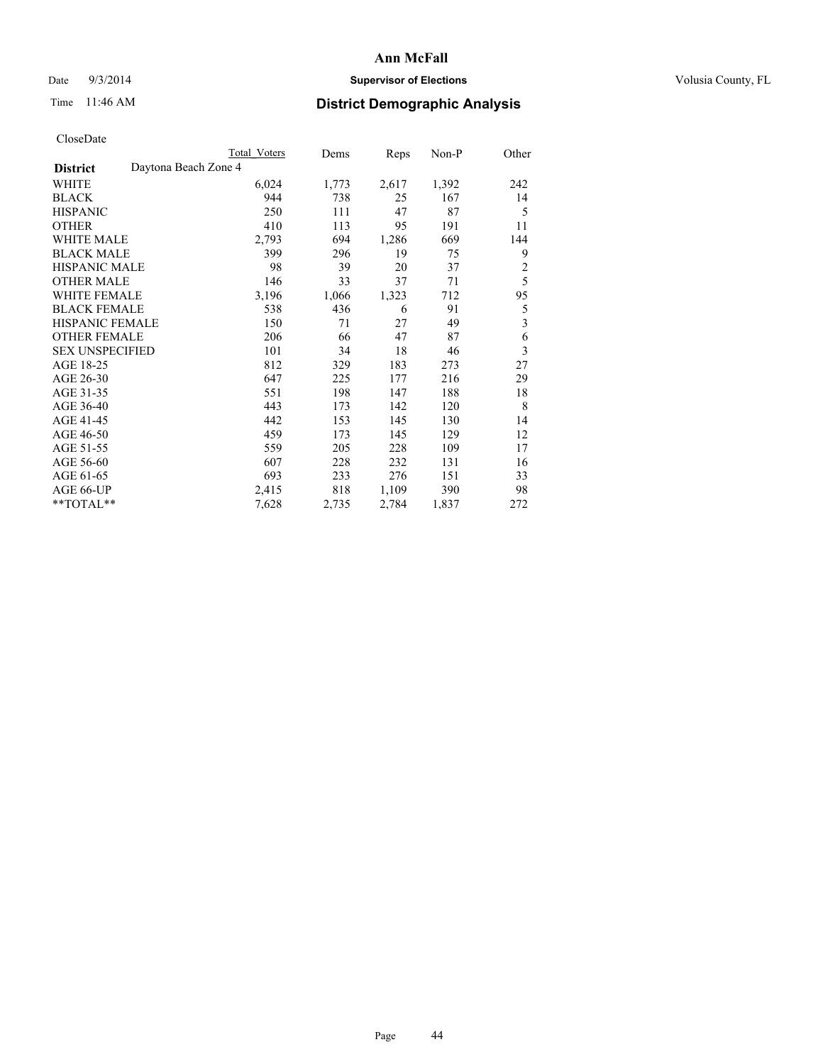## Date  $9/3/2014$  **Supervisor of Elections Supervisor of Elections** Volusia County, FL

# Time 11:46 AM **District Demographic Analysis**

|                                         | <b>Total Voters</b> | Dems  | Reps  | Non-P | Other                   |
|-----------------------------------------|---------------------|-------|-------|-------|-------------------------|
| Daytona Beach Zone 4<br><b>District</b> |                     |       |       |       |                         |
| WHITE                                   | 6,024               | 1,773 | 2,617 | 1,392 | 242                     |
| <b>BLACK</b>                            | 944                 | 738   | 25    | 167   | 14                      |
| <b>HISPANIC</b>                         | 250                 | 111   | 47    | 87    | 5                       |
| <b>OTHER</b>                            | 410                 | 113   | 95    | 191   | 11                      |
| WHITE MALE                              | 2,793               | 694   | 1,286 | 669   | 144                     |
| <b>BLACK MALE</b>                       | 399                 | 296   | 19    | 75    | 9                       |
| HISPANIC MALE                           | 98                  | 39    | 20    | 37    | $\overline{2}$          |
| <b>OTHER MALE</b>                       | 146                 | 33    | 37    | 71    | 5                       |
| <b>WHITE FEMALE</b>                     | 3,196               | 1,066 | 1,323 | 712   | 95                      |
| <b>BLACK FEMALE</b>                     | 538                 | 436   | 6     | 91    | 5                       |
| <b>HISPANIC FEMALE</b>                  | 150                 | 71    | 27    | 49    | $\overline{\mathbf{3}}$ |
| <b>OTHER FEMALE</b>                     | 206                 | 66    | 47    | 87    | 6                       |
| <b>SEX UNSPECIFIED</b>                  | 101                 | 34    | 18    | 46    | 3                       |
| AGE 18-25                               | 812                 | 329   | 183   | 273   | 27                      |
| AGE 26-30                               | 647                 | 225   | 177   | 216   | 29                      |
| AGE 31-35                               | 551                 | 198   | 147   | 188   | 18                      |
| AGE 36-40                               | 443                 | 173   | 142   | 120   | 8                       |
| AGE 41-45                               | 442                 | 153   | 145   | 130   | 14                      |
| AGE 46-50                               | 459                 | 173   | 145   | 129   | 12                      |
| AGE 51-55                               | 559                 | 205   | 228   | 109   | 17                      |
| AGE 56-60                               | 607                 | 228   | 232   | 131   | 16                      |
| AGE 61-65                               | 693                 | 233   | 276   | 151   | 33                      |
| AGE 66-UP                               | 2,415               | 818   | 1,109 | 390   | 98                      |
| **TOTAL**                               | 7,628               | 2,735 | 2,784 | 1,837 | 272                     |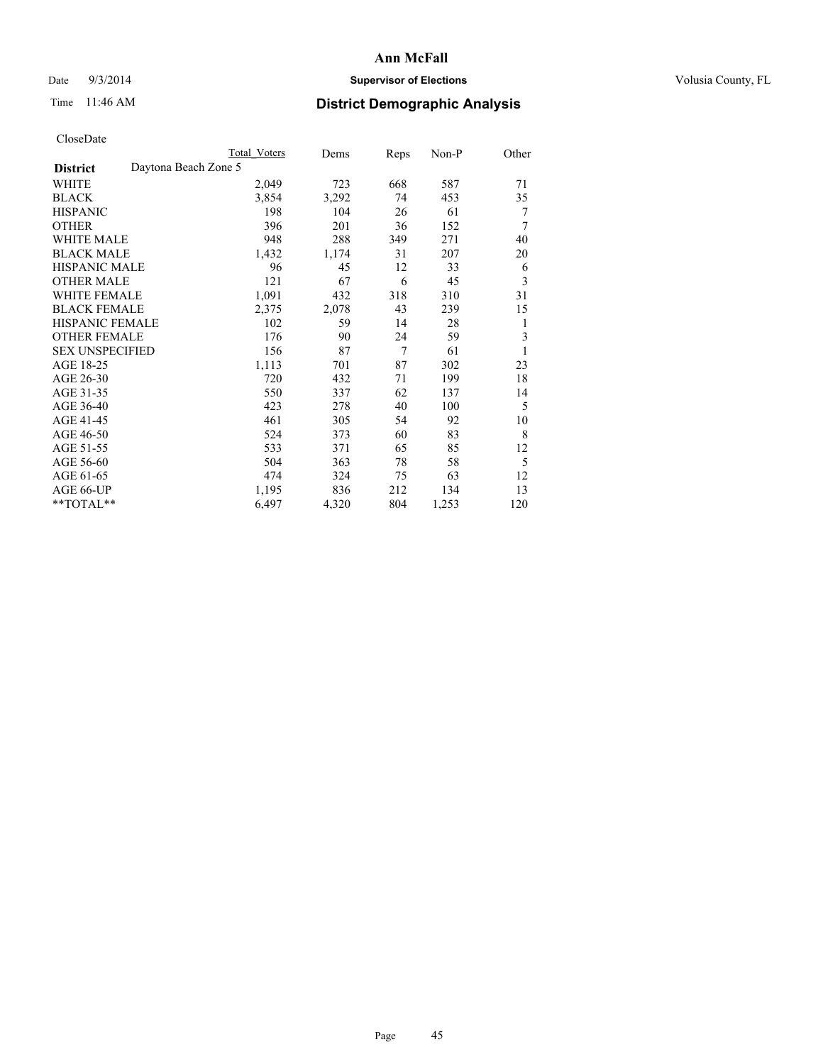## Date  $9/3/2014$  **Supervisor of Elections Supervisor of Elections** Volusia County, FL

# Time 11:46 AM **District Demographic Analysis**

|                                         | <b>Total Voters</b> | Dems  | Reps | Non-P | Other |
|-----------------------------------------|---------------------|-------|------|-------|-------|
| Daytona Beach Zone 5<br><b>District</b> |                     |       |      |       |       |
| WHITE                                   | 2,049               | 723   | 668  | 587   | 71    |
| <b>BLACK</b>                            | 3,854               | 3,292 | 74   | 453   | 35    |
| <b>HISPANIC</b>                         | 198                 | 104   | 26   | 61    | 7     |
| <b>OTHER</b>                            | 396                 | 201   | 36   | 152   | 7     |
| <b>WHITE MALE</b>                       | 948                 | 288   | 349  | 271   | 40    |
| <b>BLACK MALE</b>                       | 1,432               | 1,174 | 31   | 207   | 20    |
| HISPANIC MALE                           | 96                  | 45    | 12   | 33    | 6     |
| <b>OTHER MALE</b>                       | 121                 | 67    | 6    | 45    | 3     |
| <b>WHITE FEMALE</b>                     | 1,091               | 432   | 318  | 310   | 31    |
| <b>BLACK FEMALE</b>                     | 2,375               | 2,078 | 43   | 239   | 15    |
| <b>HISPANIC FEMALE</b>                  | 102                 | 59    | 14   | 28    | 1     |
| <b>OTHER FEMALE</b>                     | 176                 | 90    | 24   | 59    | 3     |
| <b>SEX UNSPECIFIED</b>                  | 156                 | 87    | 7    | 61    | 1     |
| AGE 18-25                               | 1,113               | 701   | 87   | 302   | 23    |
| AGE 26-30                               | 720                 | 432   | 71   | 199   | 18    |
| AGE 31-35                               | 550                 | 337   | 62   | 137   | 14    |
| AGE 36-40                               | 423                 | 278   | 40   | 100   | 5     |
| AGE 41-45                               | 461                 | 305   | 54   | 92    | 10    |
| AGE 46-50                               | 524                 | 373   | 60   | 83    | 8     |
| AGE 51-55                               | 533                 | 371   | 65   | 85    | 12    |
| AGE 56-60                               | 504                 | 363   | 78   | 58    | 5     |
| AGE 61-65                               | 474                 | 324   | 75   | 63    | 12    |
| AGE 66-UP                               | 1,195               | 836   | 212  | 134   | 13    |
| **TOTAL**                               | 6,497               | 4,320 | 804  | 1,253 | 120   |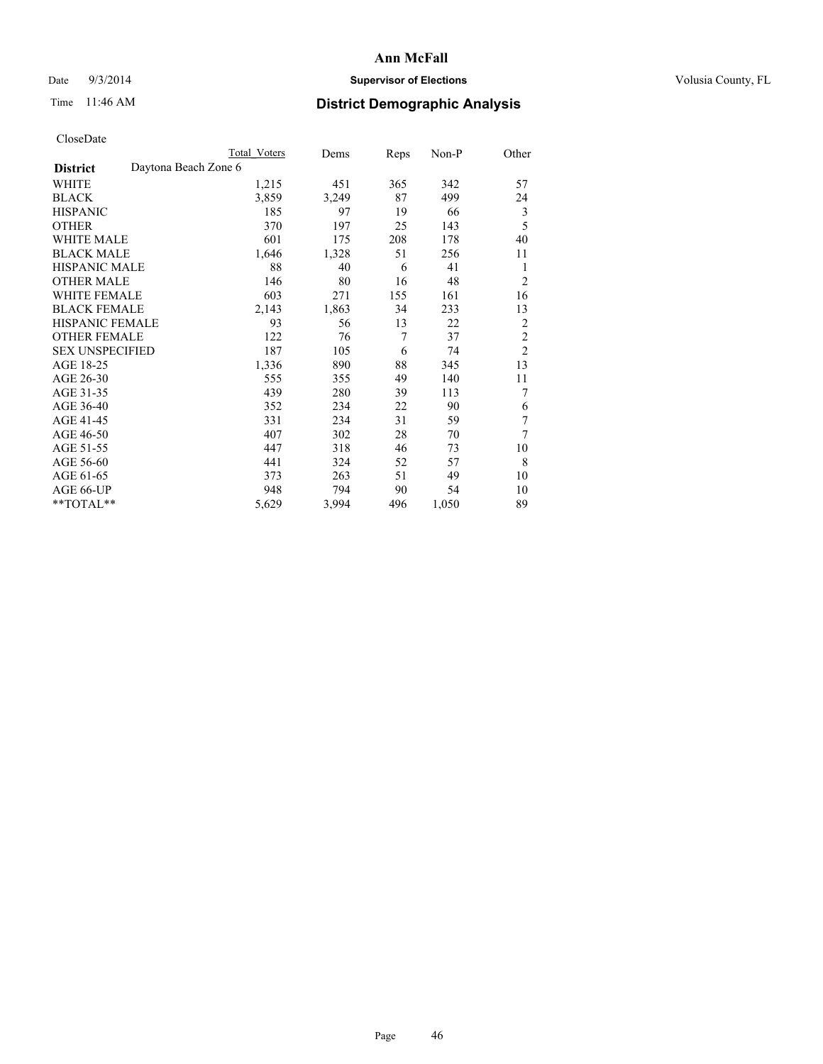## Date  $9/3/2014$  **Supervisor of Elections Supervisor of Elections** Volusia County, FL

# Time 11:46 AM **District Demographic Analysis**

|                                         | <b>Total Voters</b> | Dems  | Reps | Non-P | Other          |
|-----------------------------------------|---------------------|-------|------|-------|----------------|
| Daytona Beach Zone 6<br><b>District</b> |                     |       |      |       |                |
| WHITE                                   | 1,215               | 451   | 365  | 342   | 57             |
| <b>BLACK</b>                            | 3,859               | 3,249 | 87   | 499   | 24             |
| <b>HISPANIC</b>                         | 185                 | 97    | 19   | 66    | 3              |
| <b>OTHER</b>                            | 370                 | 197   | 25   | 143   | 5              |
| <b>WHITE MALE</b>                       | 601                 | 175   | 208  | 178   | 40             |
| <b>BLACK MALE</b>                       | 1,646               | 1,328 | 51   | 256   | 11             |
| HISPANIC MALE                           | 88                  | 40    | 6    | 41    | 1              |
| <b>OTHER MALE</b>                       | 146                 | 80    | 16   | 48    | $\overline{2}$ |
| <b>WHITE FEMALE</b>                     | 603                 | 271   | 155  | 161   | 16             |
| <b>BLACK FEMALE</b>                     | 2,143               | 1,863 | 34   | 233   | 13             |
| <b>HISPANIC FEMALE</b>                  | 93                  | 56    | 13   | 22    | $\overline{2}$ |
| <b>OTHER FEMALE</b>                     | 122                 | 76    | 7    | 37    | $\overline{c}$ |
| <b>SEX UNSPECIFIED</b>                  | 187                 | 105   | 6    | 74    | $\overline{c}$ |
| AGE 18-25                               | 1,336               | 890   | 88   | 345   | 13             |
| AGE 26-30                               | 555                 | 355   | 49   | 140   | 11             |
| AGE 31-35                               | 439                 | 280   | 39   | 113   | 7              |
| AGE 36-40                               | 352                 | 234   | 22   | 90    | 6              |
| AGE 41-45                               | 331                 | 234   | 31   | 59    | $\tau$         |
| AGE 46-50                               | 407                 | 302   | 28   | 70    | 7              |
| AGE 51-55                               | 447                 | 318   | 46   | 73    | 10             |
| AGE 56-60                               | 441                 | 324   | 52   | 57    | 8              |
| AGE 61-65                               | 373                 | 263   | 51   | 49    | 10             |
| AGE 66-UP                               | 948                 | 794   | 90   | 54    | 10             |
| **TOTAL**                               | 5,629               | 3,994 | 496  | 1,050 | 89             |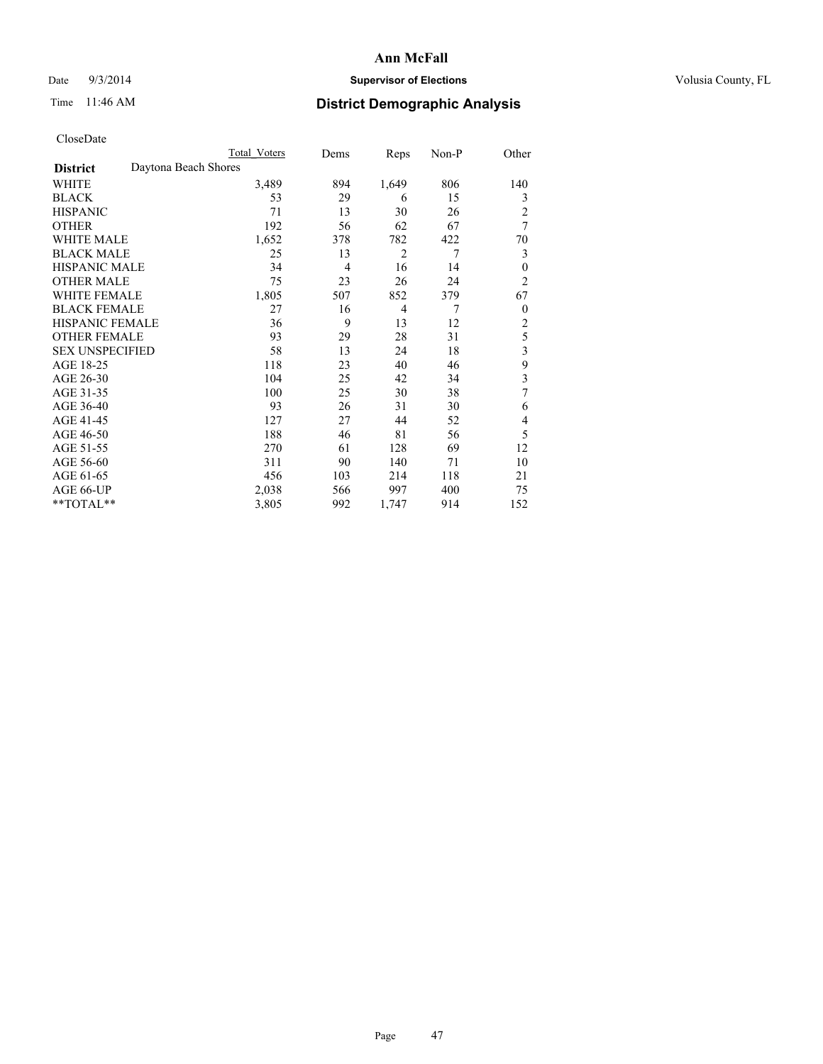## Date  $9/3/2014$  **Supervisor of Elections Supervisor of Elections** Volusia County, FL

# Time 11:46 AM **District Demographic Analysis**

|                                         | Total Voters | Dems           | Reps           | Non-P          | Other          |
|-----------------------------------------|--------------|----------------|----------------|----------------|----------------|
| Daytona Beach Shores<br><b>District</b> |              |                |                |                |                |
| WHITE                                   | 3,489        | 894            | 1,649          | 806            | 140            |
| <b>BLACK</b>                            | 53           | 29             | 6              | 15             | 3              |
| <b>HISPANIC</b>                         | 71           | 13             | 30             | 26             | $\overline{2}$ |
| <b>OTHER</b>                            | 192          | 56             | 62             | 67             | 7              |
| <b>WHITE MALE</b>                       | 1,652        | 378            | 782            | 422            | 70             |
| <b>BLACK MALE</b>                       | 25           | 13             | 2              | $\overline{7}$ | 3              |
| <b>HISPANIC MALE</b>                    | 34           | $\overline{4}$ | 16             | 14             | $\theta$       |
| <b>OTHER MALE</b>                       | 75           | 23             | 26             | 24             | $\overline{2}$ |
| <b>WHITE FEMALE</b>                     | 1,805        | 507            | 852            | 379            | 67             |
| <b>BLACK FEMALE</b>                     | 27           | 16             | $\overline{4}$ | $\overline{7}$ | $\overline{0}$ |
| <b>HISPANIC FEMALE</b>                  | 36           | 9              | 13             | 12             | $\overline{2}$ |
| <b>OTHER FEMALE</b>                     | 93           | 29             | 28             | 31             | 5              |
| <b>SEX UNSPECIFIED</b>                  | 58           | 13             | 24             | 18             | 3              |
| AGE 18-25                               | 118          | 23             | 40             | 46             | 9              |
| AGE 26-30                               | 104          | 25             | 42             | 34             | 3              |
| AGE 31-35                               | 100          | 25             | 30             | 38             | 7              |
| AGE 36-40                               | 93           | 26             | 31             | 30             | 6              |
| AGE 41-45                               | 127          | 27             | 44             | 52             | 4              |
| AGE 46-50                               | 188          | 46             | 81             | 56             | 5              |
| AGE 51-55                               | 270          | 61             | 128            | 69             | 12             |
| AGE 56-60                               | 311          | 90             | 140            | 71             | 10             |
| AGE 61-65                               | 456          | 103            | 214            | 118            | 21             |
| AGE 66-UP                               | 2,038        | 566            | 997            | 400            | 75             |
| **TOTAL**                               | 3,805        | 992            | 1,747          | 914            | 152            |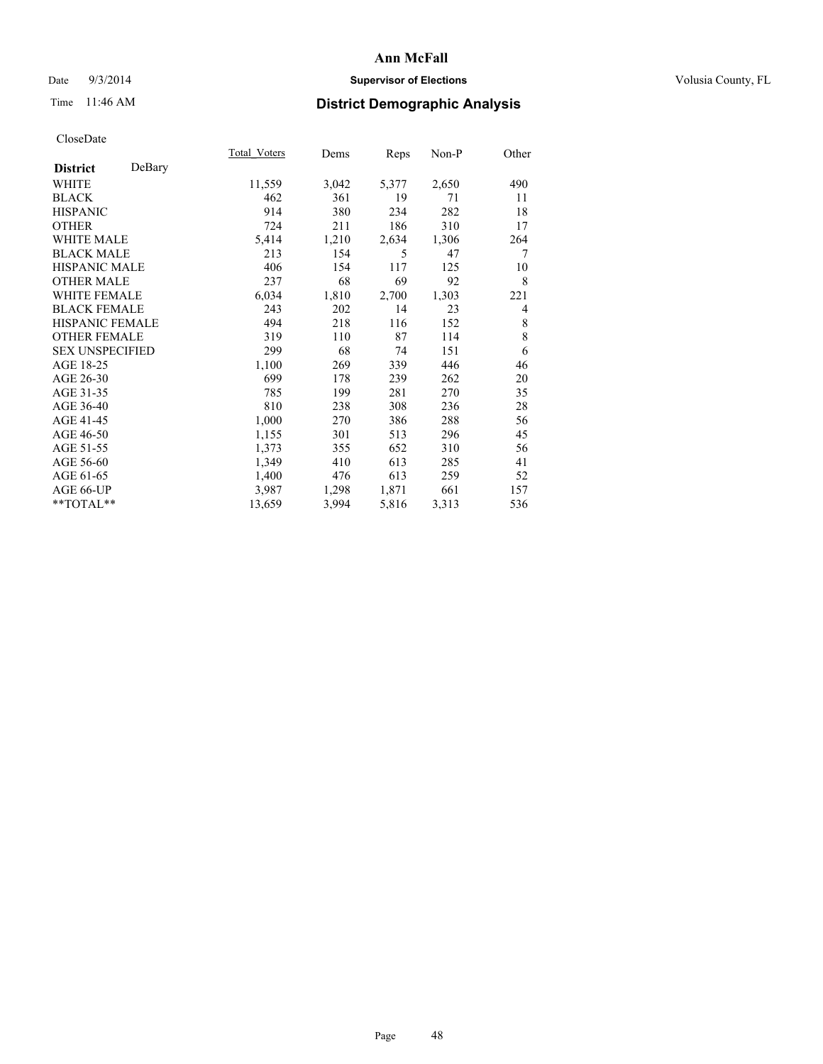## Date  $9/3/2014$  **Supervisor of Elections Supervisor of Elections** Volusia County, FL

# Time 11:46 AM **District Demographic Analysis**

|                        |        | <b>Total Voters</b> | Dems  | Reps  | Non-P | Other |
|------------------------|--------|---------------------|-------|-------|-------|-------|
| <b>District</b>        | DeBary |                     |       |       |       |       |
| WHITE                  |        | 11,559              | 3,042 | 5,377 | 2,650 | 490   |
| <b>BLACK</b>           |        | 462                 | 361   | 19    | 71    | 11    |
| <b>HISPANIC</b>        |        | 914                 | 380   | 234   | 282   | 18    |
| <b>OTHER</b>           |        | 724                 | 211   | 186   | 310   | 17    |
| WHITE MALE             |        | 5,414               | 1,210 | 2,634 | 1,306 | 264   |
| <b>BLACK MALE</b>      |        | 213                 | 154   | 5     | 47    | 7     |
| <b>HISPANIC MALE</b>   |        | 406                 | 154   | 117   | 125   | 10    |
| <b>OTHER MALE</b>      |        | 237                 | 68    | 69    | 92    | 8     |
| WHITE FEMALE           |        | 6,034               | 1,810 | 2,700 | 1,303 | 221   |
| <b>BLACK FEMALE</b>    |        | 243                 | 202   | 14    | 23    | 4     |
| HISPANIC FEMALE        |        | 494                 | 218   | 116   | 152   | 8     |
| <b>OTHER FEMALE</b>    |        | 319                 | 110   | 87    | 114   | 8     |
| <b>SEX UNSPECIFIED</b> |        | 299                 | 68    | 74    | 151   | 6     |
| AGE 18-25              |        | 1,100               | 269   | 339   | 446   | 46    |
| AGE 26-30              |        | 699                 | 178   | 239   | 262   | 20    |
| AGE 31-35              |        | 785                 | 199   | 281   | 270   | 35    |
| AGE 36-40              |        | 810                 | 238   | 308   | 236   | 28    |
| AGE 41-45              |        | 1,000               | 270   | 386   | 288   | 56    |
| AGE 46-50              |        | 1,155               | 301   | 513   | 296   | 45    |
| AGE 51-55              |        | 1,373               | 355   | 652   | 310   | 56    |
| AGE 56-60              |        | 1,349               | 410   | 613   | 285   | 41    |
| AGE 61-65              |        | 1,400               | 476   | 613   | 259   | 52    |
| AGE 66-UP              |        | 3,987               | 1,298 | 1,871 | 661   | 157   |
| **TOTAL**              |        | 13,659              | 3,994 | 5,816 | 3,313 | 536   |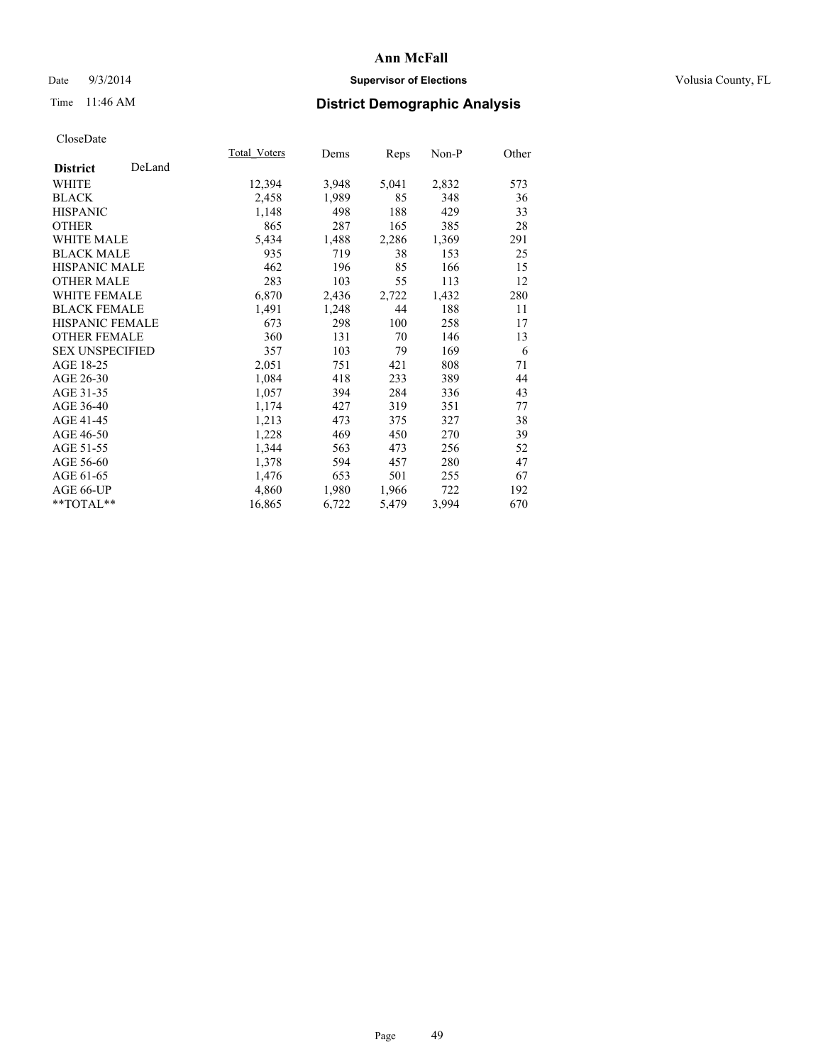## Date  $9/3/2014$  **Supervisor of Elections Supervisor of Elections** Volusia County, FL

# Time 11:46 AM **District Demographic Analysis**

|                        |        | <b>Total Voters</b> | Dems  | Reps  | Non-P | Other |
|------------------------|--------|---------------------|-------|-------|-------|-------|
| <b>District</b>        | DeLand |                     |       |       |       |       |
| WHITE                  |        | 12,394              | 3,948 | 5,041 | 2,832 | 573   |
| <b>BLACK</b>           |        | 2,458               | 1,989 | 85    | 348   | 36    |
| <b>HISPANIC</b>        |        | 1,148               | 498   | 188   | 429   | 33    |
| <b>OTHER</b>           |        | 865                 | 287   | 165   | 385   | 28    |
| WHITE MALE             |        | 5,434               | 1,488 | 2,286 | 1,369 | 291   |
| <b>BLACK MALE</b>      |        | 935                 | 719   | 38    | 153   | 25    |
| <b>HISPANIC MALE</b>   |        | 462                 | 196   | 85    | 166   | 15    |
| OTHER MALE             |        | 283                 | 103   | 55    | 113   | 12    |
| <b>WHITE FEMALE</b>    |        | 6,870               | 2,436 | 2,722 | 1,432 | 280   |
| <b>BLACK FEMALE</b>    |        | 1,491               | 1,248 | 44    | 188   | 11    |
| HISPANIC FEMALE        |        | 673                 | 298   | 100   | 258   | 17    |
| <b>OTHER FEMALE</b>    |        | 360                 | 131   | 70    | 146   | 13    |
| <b>SEX UNSPECIFIED</b> |        | 357                 | 103   | 79    | 169   | 6     |
| AGE 18-25              |        | 2,051               | 751   | 421   | 808   | 71    |
| AGE 26-30              |        | 1,084               | 418   | 233   | 389   | 44    |
| AGE 31-35              |        | 1,057               | 394   | 284   | 336   | 43    |
| AGE 36-40              |        | 1,174               | 427   | 319   | 351   | 77    |
| AGE 41-45              |        | 1,213               | 473   | 375   | 327   | 38    |
| AGE 46-50              |        | 1,228               | 469   | 450   | 270   | 39    |
| AGE 51-55              |        | 1,344               | 563   | 473   | 256   | 52    |
| AGE 56-60              |        | 1,378               | 594   | 457   | 280   | 47    |
| AGE 61-65              |        | 1,476               | 653   | 501   | 255   | 67    |
| AGE 66-UP              |        | 4,860               | 1,980 | 1,966 | 722   | 192   |
| $*$ $TOTAL**$          |        | 16,865              | 6,722 | 5,479 | 3,994 | 670   |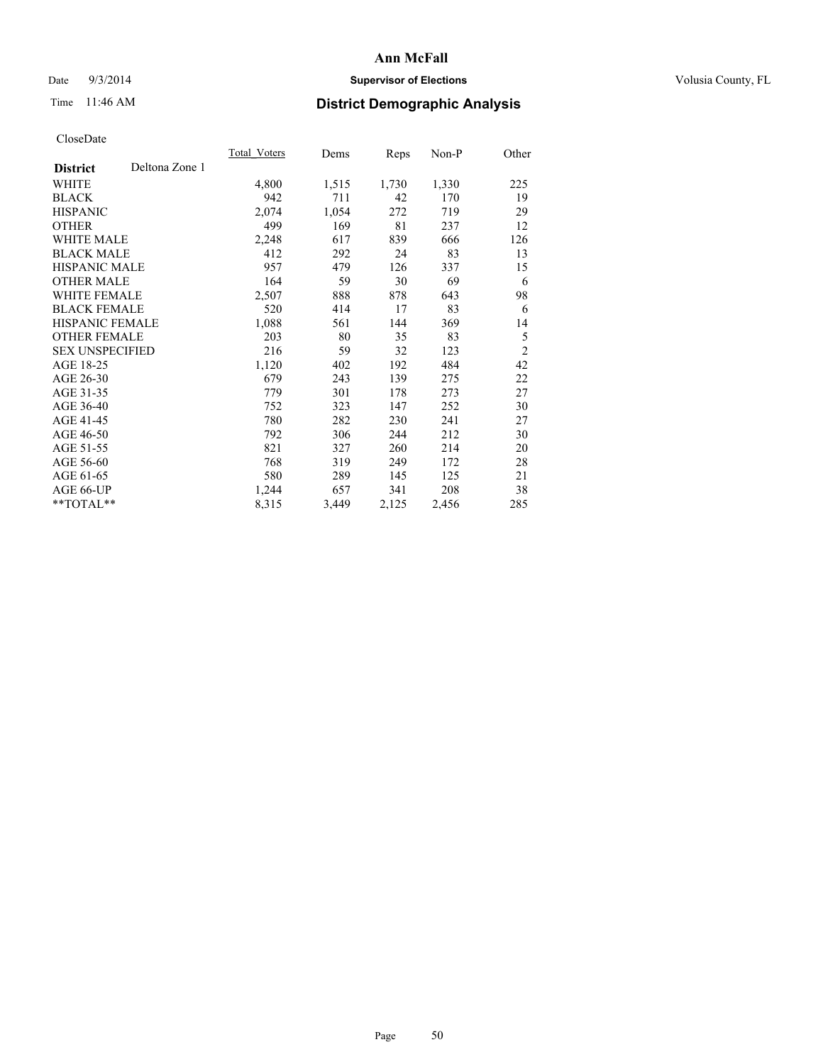## Date  $9/3/2014$  **Supervisor of Elections Supervisor of Elections** Volusia County, FL

# Time 11:46 AM **District Demographic Analysis**

|                        |                | Total Voters | Dems  | <b>Reps</b> | $Non-P$ | Other          |
|------------------------|----------------|--------------|-------|-------------|---------|----------------|
| <b>District</b>        | Deltona Zone 1 |              |       |             |         |                |
| WHITE                  |                | 4,800        | 1,515 | 1,730       | 1,330   | 225            |
| <b>BLACK</b>           |                | 942          | 711   | 42          | 170     | 19             |
| <b>HISPANIC</b>        |                | 2,074        | 1,054 | 272         | 719     | 29             |
| <b>OTHER</b>           |                | 499          | 169   | 81          | 237     | 12             |
| WHITE MALE             |                | 2,248        | 617   | 839         | 666     | 126            |
| <b>BLACK MALE</b>      |                | 412          | 292   | 24          | 83      | 13             |
| <b>HISPANIC MALE</b>   |                | 957          | 479   | 126         | 337     | 15             |
| <b>OTHER MALE</b>      |                | 164          | 59    | 30          | 69      | 6              |
| WHITE FEMALE           |                | 2,507        | 888   | 878         | 643     | 98             |
| <b>BLACK FEMALE</b>    |                | 520          | 414   | 17          | 83      | 6              |
| <b>HISPANIC FEMALE</b> |                | 1,088        | 561   | 144         | 369     | 14             |
| <b>OTHER FEMALE</b>    |                | 203          | 80    | 35          | 83      | 5              |
| <b>SEX UNSPECIFIED</b> |                | 216          | 59    | 32          | 123     | $\overline{c}$ |
| AGE 18-25              |                | 1,120        | 402   | 192         | 484     | 42             |
| AGE 26-30              |                | 679          | 243   | 139         | 275     | 22             |
| AGE 31-35              |                | 779          | 301   | 178         | 273     | 27             |
| AGE 36-40              |                | 752          | 323   | 147         | 252     | 30             |
| AGE 41-45              |                | 780          | 282   | 230         | 241     | 27             |
| AGE 46-50              |                | 792          | 306   | 244         | 212     | 30             |
| AGE 51-55              |                | 821          | 327   | 260         | 214     | 20             |
| AGE 56-60              |                | 768          | 319   | 249         | 172     | 28             |
| AGE 61-65              |                | 580          | 289   | 145         | 125     | 21             |
| AGE 66-UP              |                | 1,244        | 657   | 341         | 208     | 38             |
| **TOTAL**              |                | 8,315        | 3,449 | 2,125       | 2,456   | 285            |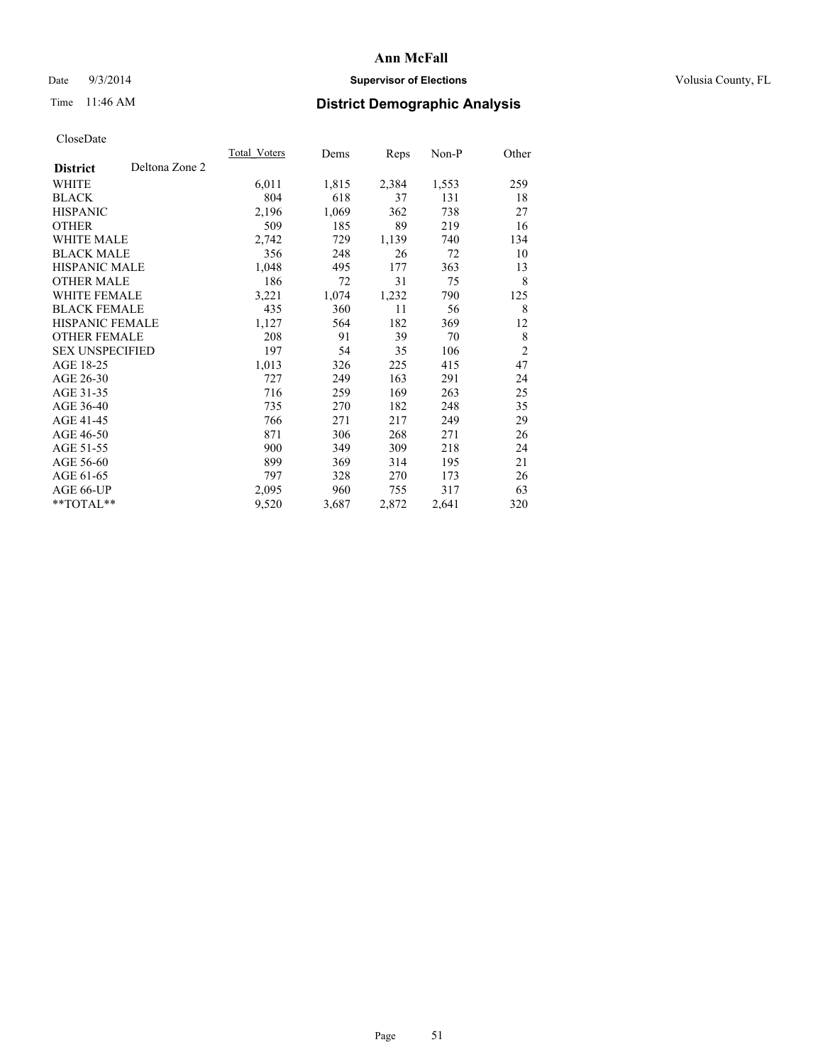## Date  $9/3/2014$  **Supervisor of Elections Supervisor of Elections** Volusia County, FL

# Time 11:46 AM **District Demographic Analysis**

|                        |                | Total Voters | Dems  | <b>Reps</b> | Non-P | Other          |
|------------------------|----------------|--------------|-------|-------------|-------|----------------|
| <b>District</b>        | Deltona Zone 2 |              |       |             |       |                |
| WHITE                  |                | 6,011        | 1,815 | 2,384       | 1,553 | 259            |
| <b>BLACK</b>           |                | 804          | 618   | 37          | 131   | 18             |
| <b>HISPANIC</b>        |                | 2,196        | 1,069 | 362         | 738   | 27             |
| OTHER                  |                | 509          | 185   | 89          | 219   | 16             |
| <b>WHITE MALE</b>      |                | 2,742        | 729   | 1,139       | 740   | 134            |
| <b>BLACK MALE</b>      |                | 356          | 248   | 26          | 72    | 10             |
| <b>HISPANIC MALE</b>   |                | 1,048        | 495   | 177         | 363   | 13             |
| <b>OTHER MALE</b>      |                | 186          | 72    | 31          | 75    | 8              |
| <b>WHITE FEMALE</b>    |                | 3,221        | 1,074 | 1,232       | 790   | 125            |
| <b>BLACK FEMALE</b>    |                | 435          | 360   | 11          | 56    | 8              |
| <b>HISPANIC FEMALE</b> |                | 1,127        | 564   | 182         | 369   | 12             |
| <b>OTHER FEMALE</b>    |                | 208          | 91    | 39          | 70    | 8              |
| <b>SEX UNSPECIFIED</b> |                | 197          | 54    | 35          | 106   | $\overline{c}$ |
| AGE 18-25              |                | 1,013        | 326   | 225         | 415   | 47             |
| AGE 26-30              |                | 727          | 249   | 163         | 291   | 24             |
| AGE 31-35              |                | 716          | 259   | 169         | 263   | 25             |
| AGE 36-40              |                | 735          | 270   | 182         | 248   | 35             |
| AGE 41-45              |                | 766          | 271   | 217         | 249   | 29             |
| AGE 46-50              |                | 871          | 306   | 268         | 271   | 26             |
| AGE 51-55              |                | 900          | 349   | 309         | 218   | 24             |
| AGE 56-60              |                | 899          | 369   | 314         | 195   | 21             |
| AGE 61-65              |                | 797          | 328   | 270         | 173   | 26             |
| AGE 66-UP              |                | 2,095        | 960   | 755         | 317   | 63             |
| **TOTAL**              |                | 9,520        | 3,687 | 2,872       | 2,641 | 320            |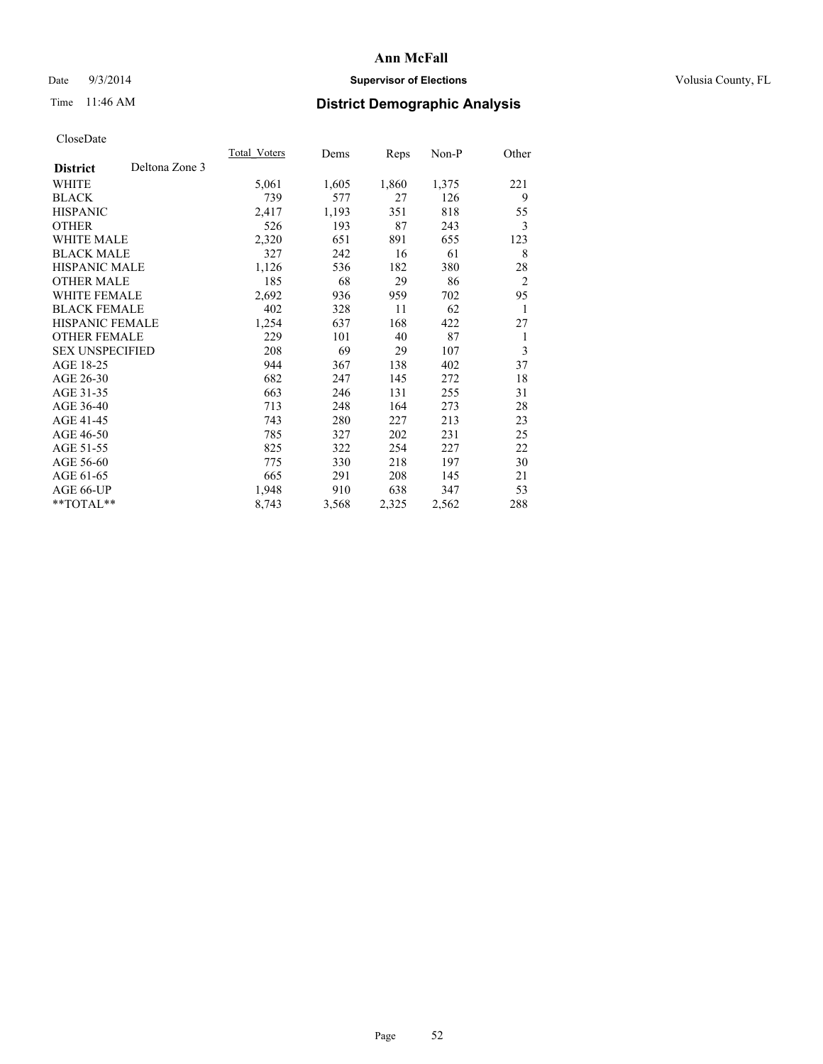## Date  $9/3/2014$  **Supervisor of Elections Supervisor of Elections** Volusia County, FL

# Time 11:46 AM **District Demographic Analysis**

|                        |                | Total Voters | Dems  | Reps  | $Non-P$ | Other          |
|------------------------|----------------|--------------|-------|-------|---------|----------------|
| <b>District</b>        | Deltona Zone 3 |              |       |       |         |                |
| WHITE                  |                | 5,061        | 1,605 | 1,860 | 1,375   | 221            |
| <b>BLACK</b>           |                | 739          | 577   | 27    | 126     | 9              |
| <b>HISPANIC</b>        |                | 2,417        | 1,193 | 351   | 818     | 55             |
| <b>OTHER</b>           |                | 526          | 193   | 87    | 243     | 3              |
| <b>WHITE MALE</b>      |                | 2,320        | 651   | 891   | 655     | 123            |
| <b>BLACK MALE</b>      |                | 327          | 242   | 16    | 61      | 8              |
| <b>HISPANIC MALE</b>   |                | 1,126        | 536   | 182   | 380     | 28             |
| <b>OTHER MALE</b>      |                | 185          | 68    | 29    | 86      | $\overline{2}$ |
| WHITE FEMALE           |                | 2,692        | 936   | 959   | 702     | 95             |
| <b>BLACK FEMALE</b>    |                | 402          | 328   | 11    | 62      | 1              |
| <b>HISPANIC FEMALE</b> |                | 1,254        | 637   | 168   | 422     | 27             |
| <b>OTHER FEMALE</b>    |                | 229          | 101   | 40    | 87      | 1              |
| <b>SEX UNSPECIFIED</b> |                | 208          | 69    | 29    | 107     | 3              |
| AGE 18-25              |                | 944          | 367   | 138   | 402     | 37             |
| AGE 26-30              |                | 682          | 247   | 145   | 272     | 18             |
| AGE 31-35              |                | 663          | 246   | 131   | 255     | 31             |
| AGE 36-40              |                | 713          | 248   | 164   | 273     | 28             |
| AGE 41-45              |                | 743          | 280   | 227   | 213     | 23             |
| AGE 46-50              |                | 785          | 327   | 202   | 231     | 25             |
| AGE 51-55              |                | 825          | 322   | 254   | 227     | 22             |
| AGE 56-60              |                | 775          | 330   | 218   | 197     | 30             |
| AGE 61-65              |                | 665          | 291   | 208   | 145     | 21             |
| AGE 66-UP              |                | 1,948        | 910   | 638   | 347     | 53             |
| **TOTAL**              |                | 8,743        | 3,568 | 2,325 | 2,562   | 288            |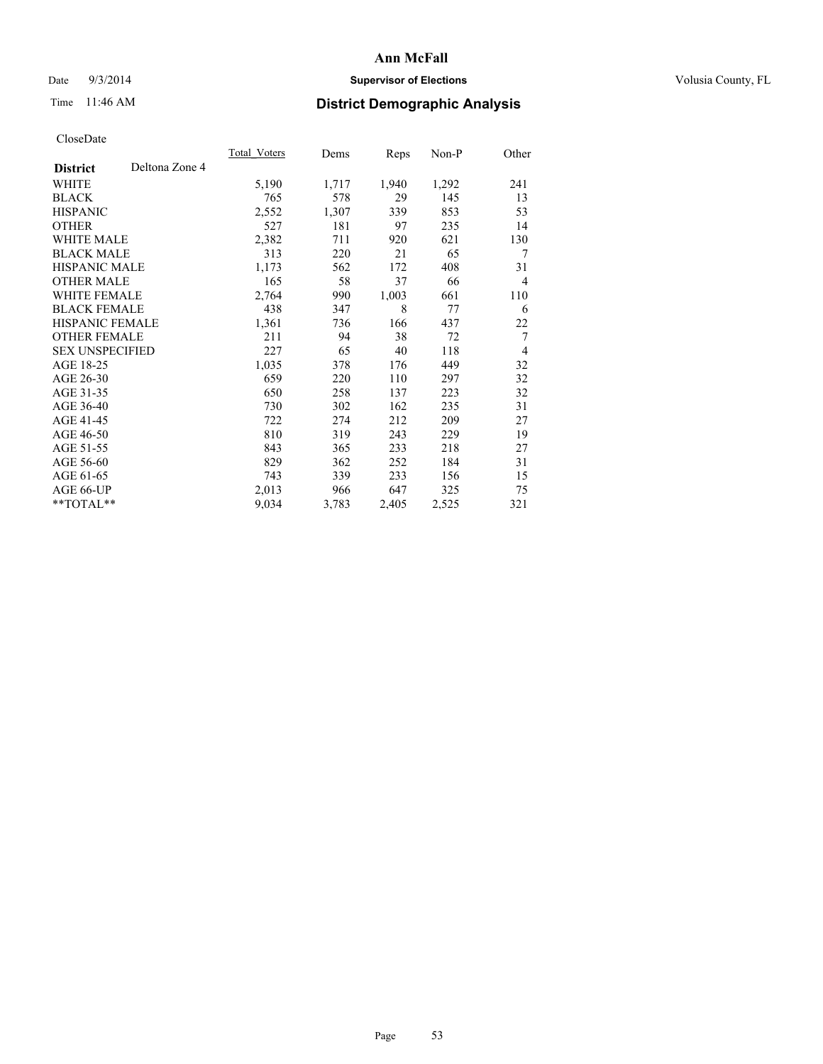## Date  $9/3/2014$  **Supervisor of Elections Supervisor of Elections** Volusia County, FL

# Time 11:46 AM **District Demographic Analysis**

|                        |                | Total Voters | Dems  | <b>Reps</b> | Non-P | Other          |
|------------------------|----------------|--------------|-------|-------------|-------|----------------|
| <b>District</b>        | Deltona Zone 4 |              |       |             |       |                |
| WHITE                  |                | 5,190        | 1,717 | 1,940       | 1,292 | 241            |
| <b>BLACK</b>           |                | 765          | 578   | 29          | 145   | 13             |
| <b>HISPANIC</b>        |                | 2,552        | 1,307 | 339         | 853   | 53             |
| <b>OTHER</b>           |                | 527          | 181   | 97          | 235   | 14             |
| <b>WHITE MALE</b>      |                | 2,382        | 711   | 920         | 621   | 130            |
| <b>BLACK MALE</b>      |                | 313          | 220   | 21          | 65    | 7              |
| <b>HISPANIC MALE</b>   |                | 1,173        | 562   | 172         | 408   | 31             |
| <b>OTHER MALE</b>      |                | 165          | 58    | 37          | 66    | $\overline{4}$ |
| <b>WHITE FEMALE</b>    |                | 2,764        | 990   | 1,003       | 661   | 110            |
| <b>BLACK FEMALE</b>    |                | 438          | 347   | 8           | 77    | 6              |
| <b>HISPANIC FEMALE</b> |                | 1,361        | 736   | 166         | 437   | 22             |
| <b>OTHER FEMALE</b>    |                | 211          | 94    | 38          | 72    | 7              |
| <b>SEX UNSPECIFIED</b> |                | 227          | 65    | 40          | 118   | $\overline{4}$ |
| AGE 18-25              |                | 1,035        | 378   | 176         | 449   | 32             |
| AGE 26-30              |                | 659          | 220   | 110         | 297   | 32             |
| AGE 31-35              |                | 650          | 258   | 137         | 223   | 32             |
| AGE 36-40              |                | 730          | 302   | 162         | 235   | 31             |
| AGE 41-45              |                | 722          | 274   | 212         | 209   | 27             |
| AGE 46-50              |                | 810          | 319   | 243         | 229   | 19             |
| AGE 51-55              |                | 843          | 365   | 233         | 218   | 27             |
| AGE 56-60              |                | 829          | 362   | 252         | 184   | 31             |
| AGE 61-65              |                | 743          | 339   | 233         | 156   | 15             |
| AGE 66-UP              |                | 2,013        | 966   | 647         | 325   | 75             |
| $*$ TOTAL $*$          |                | 9,034        | 3,783 | 2,405       | 2,525 | 321            |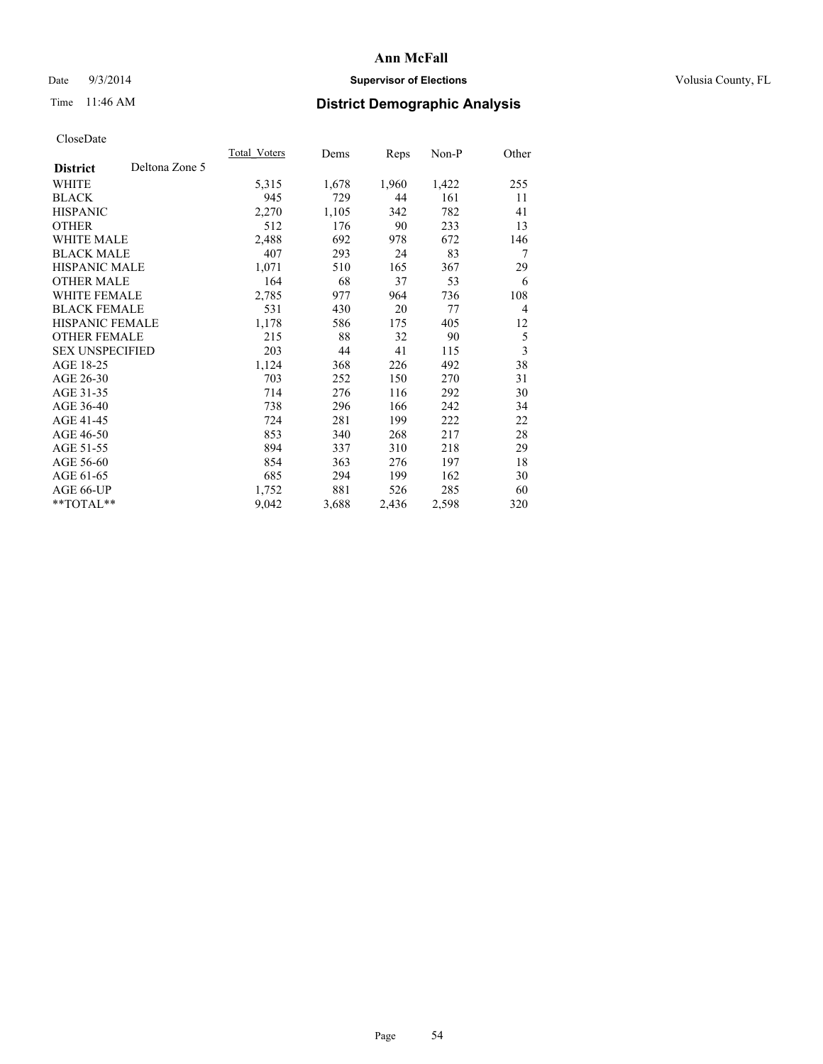## Date  $9/3/2014$  **Supervisor of Elections Supervisor of Elections** Volusia County, FL

# Time 11:46 AM **District Demographic Analysis**

|                        |                | Total Voters | Dems  | Reps  | Non-P | Other          |
|------------------------|----------------|--------------|-------|-------|-------|----------------|
| <b>District</b>        | Deltona Zone 5 |              |       |       |       |                |
| WHITE                  |                | 5,315        | 1,678 | 1,960 | 1,422 | 255            |
| <b>BLACK</b>           |                | 945          | 729   | 44    | 161   | 11             |
| <b>HISPANIC</b>        |                | 2,270        | 1,105 | 342   | 782   | 41             |
| OTHER                  |                | 512          | 176   | 90    | 233   | 13             |
| WHITE MALE             |                | 2,488        | 692   | 978   | 672   | 146            |
| <b>BLACK MALE</b>      |                | 407          | 293   | 24    | 83    | 7              |
| <b>HISPANIC MALE</b>   |                | 1,071        | 510   | 165   | 367   | 29             |
| OTHER MALE             |                | 164          | 68    | 37    | 53    | 6              |
| <b>WHITE FEMALE</b>    |                | 2,785        | 977   | 964   | 736   | 108            |
| <b>BLACK FEMALE</b>    |                | 531          | 430   | 20    | 77    | $\overline{4}$ |
| HISPANIC FEMALE        |                | 1,178        | 586   | 175   | 405   | 12             |
| <b>OTHER FEMALE</b>    |                | 215          | 88    | 32    | 90    | 5              |
| <b>SEX UNSPECIFIED</b> |                | 203          | 44    | 41    | 115   | 3              |
| AGE 18-25              |                | 1,124        | 368   | 226   | 492   | 38             |
| AGE 26-30              |                | 703          | 252   | 150   | 270   | 31             |
| AGE 31-35              |                | 714          | 276   | 116   | 292   | 30             |
| AGE 36-40              |                | 738          | 296   | 166   | 242   | 34             |
| AGE 41-45              |                | 724          | 281   | 199   | 222   | 22             |
| AGE 46-50              |                | 853          | 340   | 268   | 217   | 28             |
| AGE 51-55              |                | 894          | 337   | 310   | 218   | 29             |
| AGE 56-60              |                | 854          | 363   | 276   | 197   | 18             |
| AGE 61-65              |                | 685          | 294   | 199   | 162   | 30             |
| AGE 66-UP              |                | 1,752        | 881   | 526   | 285   | 60             |
| **TOTAL**              |                | 9,042        | 3,688 | 2,436 | 2,598 | 320            |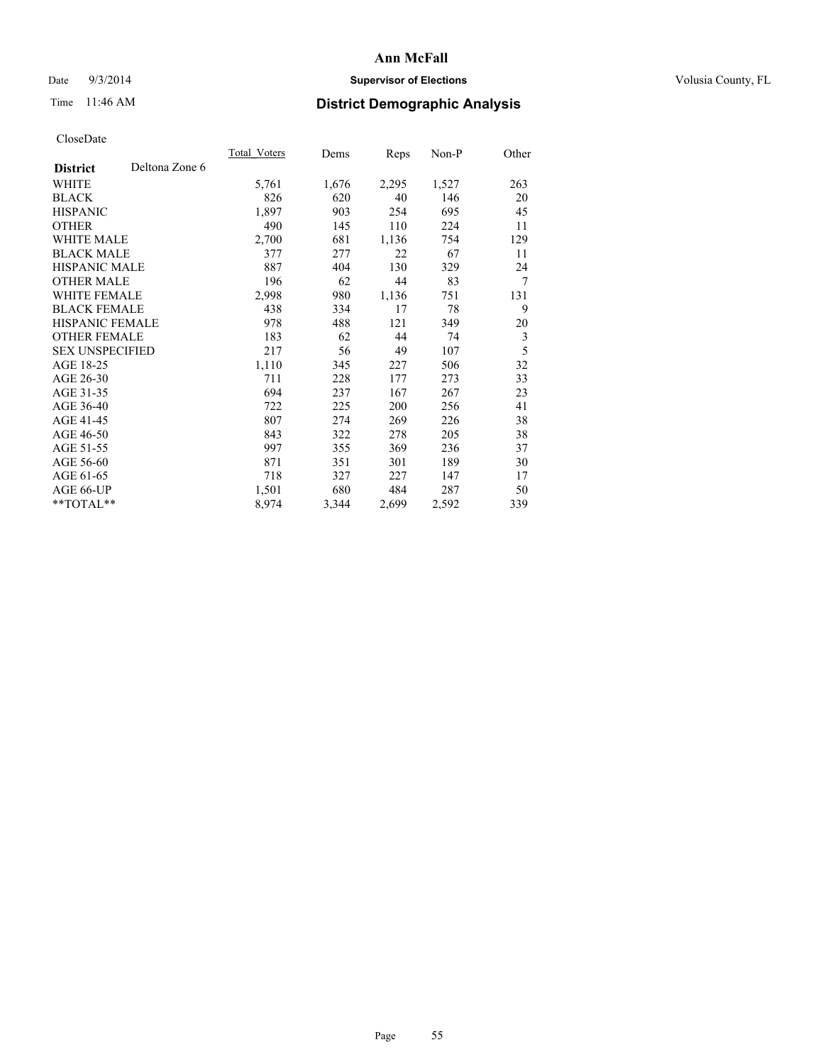## Date  $9/3/2014$  **Supervisor of Elections Supervisor of Elections** Volusia County, FL

# Time 11:46 AM **District Demographic Analysis**

|                                   | Total Voters | Dems  | <b>Reps</b> | Non-P | Other          |
|-----------------------------------|--------------|-------|-------------|-------|----------------|
| Deltona Zone 6<br><b>District</b> |              |       |             |       |                |
| WHITE                             | 5,761        | 1,676 | 2,295       | 1,527 | 263            |
| <b>BLACK</b>                      | 826          | 620   | 40          | 146   | 20             |
| <b>HISPANIC</b>                   | 1,897        | 903   | 254         | 695   | 45             |
| <b>OTHER</b>                      | 490          | 145   | 110         | 224   | 11             |
| <b>WHITE MALE</b>                 | 2,700        | 681   | 1,136       | 754   | 129            |
| <b>BLACK MALE</b>                 | 377          | 277   | 22          | 67    | 11             |
| <b>HISPANIC MALE</b>              | 887          | 404   | 130         | 329   | 24             |
| <b>OTHER MALE</b>                 | 196          | 62    | 44          | 83    | $\overline{7}$ |
| <b>WHITE FEMALE</b>               | 2,998        | 980   | 1,136       | 751   | 131            |
| <b>BLACK FEMALE</b>               | 438          | 334   | 17          | 78    | 9              |
| <b>HISPANIC FEMALE</b>            | 978          | 488   | 121         | 349   | 20             |
| <b>OTHER FEMALE</b>               | 183          | 62    | 44          | 74    | 3              |
| <b>SEX UNSPECIFIED</b>            | 217          | 56    | 49          | 107   | 5              |
| AGE 18-25                         | 1,110        | 345   | 227         | 506   | 32             |
| AGE 26-30                         | 711          | 228   | 177         | 273   | 33             |
| AGE 31-35                         | 694          | 237   | 167         | 267   | 23             |
| AGE 36-40                         | 722          | 225   | 200         | 256   | 41             |
| AGE 41-45                         | 807          | 274   | 269         | 226   | 38             |
| AGE 46-50                         | 843          | 322   | 278         | 205   | 38             |
| AGE 51-55                         | 997          | 355   | 369         | 236   | 37             |
| AGE 56-60                         | 871          | 351   | 301         | 189   | 30             |
| AGE 61-65                         | 718          | 327   | 227         | 147   | 17             |
| AGE 66-UP                         | 1,501        | 680   | 484         | 287   | 50             |
| **TOTAL**                         | 8,974        | 3,344 | 2,699       | 2,592 | 339            |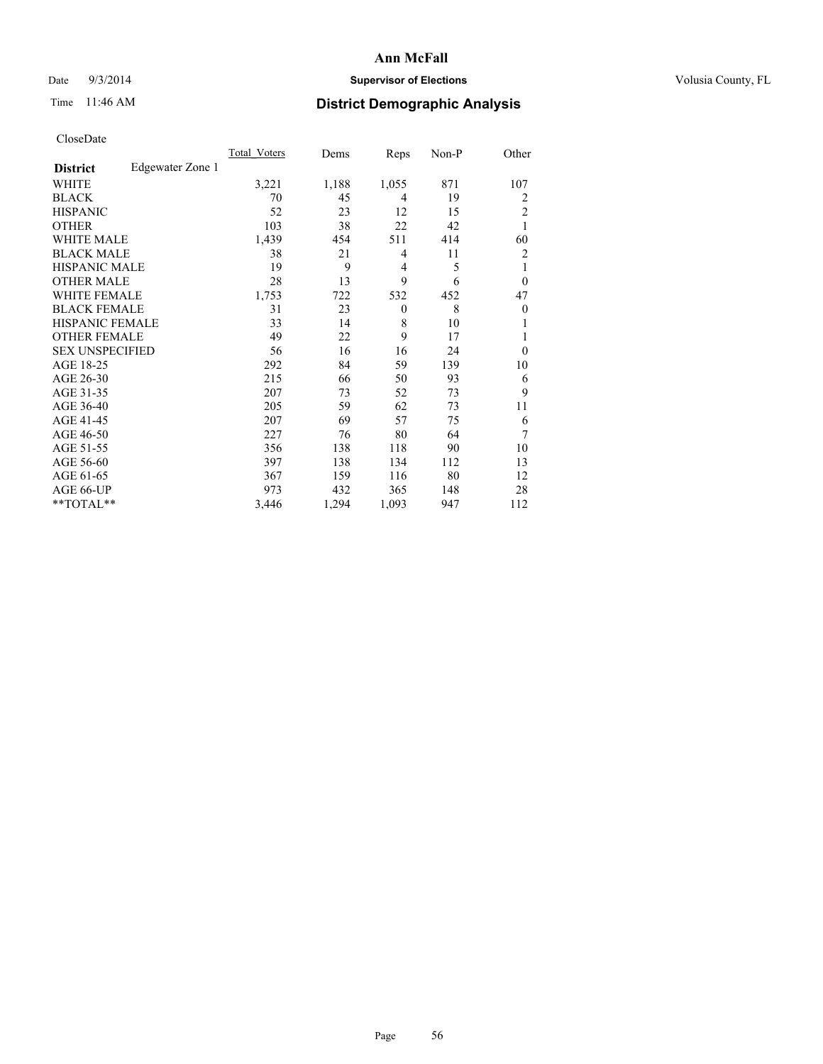## Date  $9/3/2014$  **Supervisor of Elections** Volusia County, FL

# Time 11:46 AM **District Demographic Analysis**

|                        |                  | <b>Total Voters</b> | Dems  | Reps         | Non-P | Other          |
|------------------------|------------------|---------------------|-------|--------------|-------|----------------|
| <b>District</b>        | Edgewater Zone 1 |                     |       |              |       |                |
| WHITE                  |                  | 3,221               | 1,188 | 1,055        | 871   | 107            |
| <b>BLACK</b>           |                  | 70                  | 45    | 4            | 19    | $\overline{2}$ |
| <b>HISPANIC</b>        |                  | 52                  | 23    | 12           | 15    | $\overline{2}$ |
| <b>OTHER</b>           |                  | 103                 | 38    | 22           | 42    | 1              |
| WHITE MALE             |                  | 1,439               | 454   | 511          | 414   | 60             |
| <b>BLACK MALE</b>      |                  | 38                  | 21    | 4            | 11    | $\overline{2}$ |
| <b>HISPANIC MALE</b>   |                  | 19                  | 9     | 4            | 5     | 1              |
| <b>OTHER MALE</b>      |                  | 28                  | 13    | 9            | 6     | $\overline{0}$ |
| WHITE FEMALE           |                  | 1,753               | 722   | 532          | 452   | 47             |
| <b>BLACK FEMALE</b>    |                  | 31                  | 23    | $\mathbf{0}$ | 8     | $\overline{0}$ |
| <b>HISPANIC FEMALE</b> |                  | 33                  | 14    | 8            | 10    |                |
| <b>OTHER FEMALE</b>    |                  | 49                  | 22    | 9            | 17    |                |
| <b>SEX UNSPECIFIED</b> |                  | 56                  | 16    | 16           | 24    | $\theta$       |
| AGE 18-25              |                  | 292                 | 84    | 59           | 139   | 10             |
| AGE 26-30              |                  | 215                 | 66    | 50           | 93    | 6              |
| AGE 31-35              |                  | 207                 | 73    | 52           | 73    | 9              |
| AGE 36-40              |                  | 205                 | 59    | 62           | 73    | 11             |
| AGE 41-45              |                  | 207                 | 69    | 57           | 75    | 6              |
| AGE 46-50              |                  | 227                 | 76    | 80           | 64    | 7              |
| AGE 51-55              |                  | 356                 | 138   | 118          | 90    | 10             |
| AGE 56-60              |                  | 397                 | 138   | 134          | 112   | 13             |
| AGE 61-65              |                  | 367                 | 159   | 116          | 80    | 12             |
| AGE 66-UP              |                  | 973                 | 432   | 365          | 148   | 28             |
| **TOTAL**              |                  | 3,446               | 1,294 | 1,093        | 947   | 112            |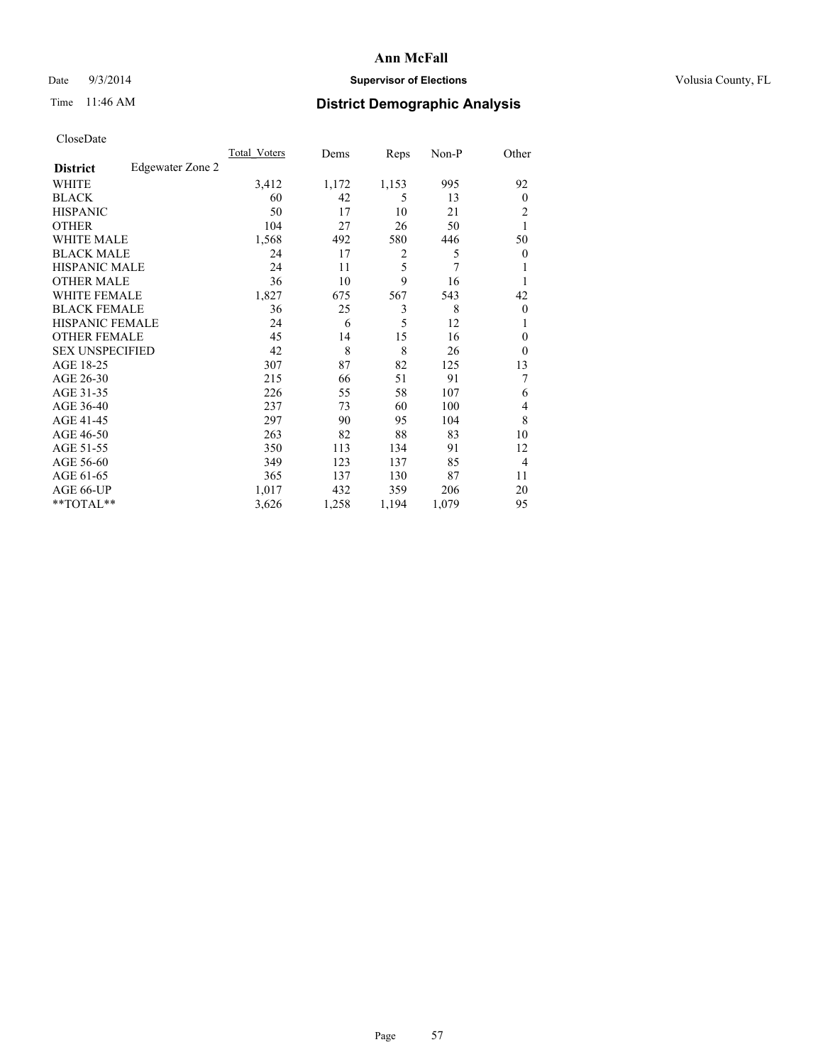## Date  $9/3/2014$  **Supervisor of Elections Supervisor of Elections** Volusia County, FL

# Time 11:46 AM **District Demographic Analysis**

|                        |                  | <b>Total Voters</b> | Dems  | Reps  | Non-P | Other          |
|------------------------|------------------|---------------------|-------|-------|-------|----------------|
| <b>District</b>        | Edgewater Zone 2 |                     |       |       |       |                |
| WHITE                  |                  | 3,412               | 1,172 | 1,153 | 995   | 92             |
| <b>BLACK</b>           |                  | 60                  | 42    | 5     | 13    | $\Omega$       |
| <b>HISPANIC</b>        |                  | 50                  | 17    | 10    | 21    | 2              |
| <b>OTHER</b>           |                  | 104                 | 27    | 26    | 50    | 1              |
| WHITE MALE             |                  | 1,568               | 492   | 580   | 446   | 50             |
| <b>BLACK MALE</b>      |                  | 24                  | 17    | 2     | 5     | $\overline{0}$ |
| <b>HISPANIC MALE</b>   |                  | 24                  | 11    | 5     | 7     | 1              |
| <b>OTHER MALE</b>      |                  | 36                  | 10    | 9     | 16    | 1              |
| WHITE FEMALE           |                  | 1,827               | 675   | 567   | 543   | 42             |
| <b>BLACK FEMALE</b>    |                  | 36                  | 25    | 3     | 8     | $\overline{0}$ |
| <b>HISPANIC FEMALE</b> |                  | 24                  | 6     | 5     | 12    | 1              |
| <b>OTHER FEMALE</b>    |                  | 45                  | 14    | 15    | 16    | $\theta$       |
| <b>SEX UNSPECIFIED</b> |                  | 42                  | 8     | 8     | 26    | $\theta$       |
| AGE 18-25              |                  | 307                 | 87    | 82    | 125   | 13             |
| AGE 26-30              |                  | 215                 | 66    | 51    | 91    | 7              |
| AGE 31-35              |                  | 226                 | 55    | 58    | 107   | 6              |
| AGE 36-40              |                  | 237                 | 73    | 60    | 100   | 4              |
| AGE 41-45              |                  | 297                 | 90    | 95    | 104   | 8              |
| AGE 46-50              |                  | 263                 | 82    | 88    | 83    | 10             |
| AGE 51-55              |                  | 350                 | 113   | 134   | 91    | 12             |
| AGE 56-60              |                  | 349                 | 123   | 137   | 85    | 4              |
| AGE 61-65              |                  | 365                 | 137   | 130   | 87    | 11             |
| AGE 66-UP              |                  | 1,017               | 432   | 359   | 206   | 20             |
| **TOTAL**              |                  | 3,626               | 1,258 | 1,194 | 1,079 | 95             |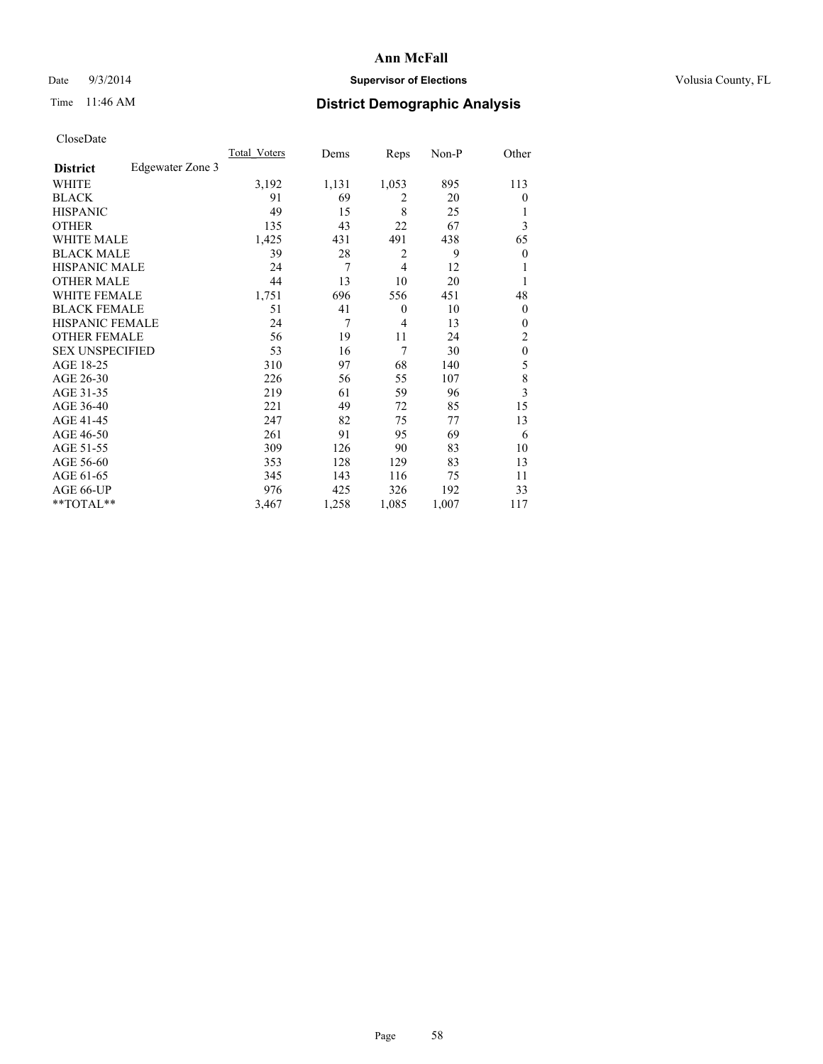## Date  $9/3/2014$  **Supervisor of Elections Supervisor of Elections** Volusia County, FL

# Time 11:46 AM **District Demographic Analysis**

|                        |                  | Total Voters | Dems  | Reps           | Non-P | Other            |
|------------------------|------------------|--------------|-------|----------------|-------|------------------|
| <b>District</b>        | Edgewater Zone 3 |              |       |                |       |                  |
| WHITE                  |                  | 3,192        | 1,131 | 1,053          | 895   | 113              |
| <b>BLACK</b>           |                  | 91           | 69    | $\overline{2}$ | 20    | $\theta$         |
| <b>HISPANIC</b>        |                  | 49           | 15    | 8              | 25    | 1                |
| <b>OTHER</b>           |                  | 135          | 43    | 22             | 67    | 3                |
| <b>WHITE MALE</b>      |                  | 1,425        | 431   | 491            | 438   | 65               |
| <b>BLACK MALE</b>      |                  | 39           | 28    | 2              | 9     | $\boldsymbol{0}$ |
| <b>HISPANIC MALE</b>   |                  | 24           | 7     | $\overline{4}$ | 12    |                  |
| <b>OTHER MALE</b>      |                  | 44           | 13    | 10             | 20    | 1                |
| <b>WHITE FEMALE</b>    |                  | 1,751        | 696   | 556            | 451   | 48               |
| <b>BLACK FEMALE</b>    |                  | 51           | 41    | $\theta$       | 10    | $\theta$         |
| <b>HISPANIC FEMALE</b> |                  | 24           | 7     | $\overline{4}$ | 13    | $\theta$         |
| <b>OTHER FEMALE</b>    |                  | 56           | 19    | 11             | 24    | 2                |
| <b>SEX UNSPECIFIED</b> |                  | 53           | 16    | 7              | 30    | $\mathbf{0}$     |
| AGE 18-25              |                  | 310          | 97    | 68             | 140   | 5                |
| AGE 26-30              |                  | 226          | 56    | 55             | 107   | $\,$ 8 $\,$      |
| AGE 31-35              |                  | 219          | 61    | 59             | 96    | 3                |
| AGE 36-40              |                  | 221          | 49    | 72             | 85    | 15               |
| AGE 41-45              |                  | 247          | 82    | 75             | 77    | 13               |
| AGE 46-50              |                  | 261          | 91    | 95             | 69    | 6                |
| AGE 51-55              |                  | 309          | 126   | 90             | 83    | 10               |
| AGE 56-60              |                  | 353          | 128   | 129            | 83    | 13               |
| AGE 61-65              |                  | 345          | 143   | 116            | 75    | 11               |
| AGE 66-UP              |                  | 976          | 425   | 326            | 192   | 33               |
| **TOTAL**              |                  | 3,467        | 1,258 | 1,085          | 1,007 | 117              |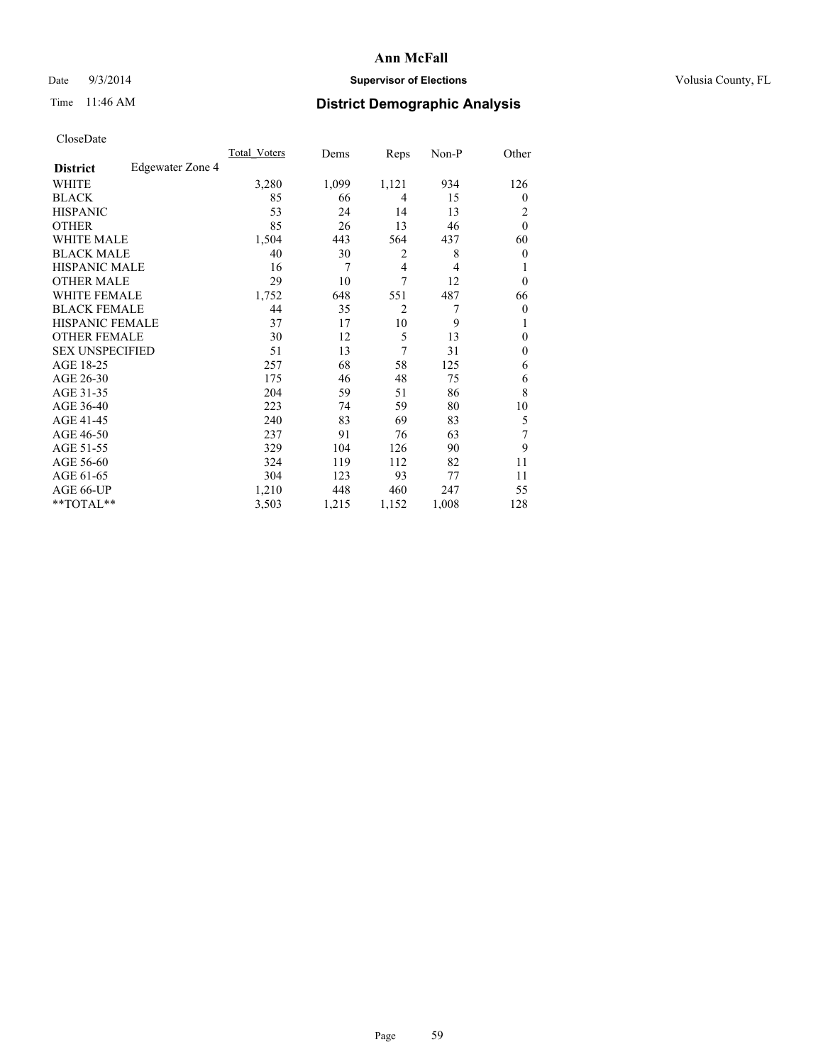## Date  $9/3/2014$  **Supervisor of Elections Supervisor of Elections** Volusia County, FL

# Time 11:46 AM **District Demographic Analysis**

|                        |                  | <b>Total Voters</b> | Dems  | Reps           | Non-P          | Other          |
|------------------------|------------------|---------------------|-------|----------------|----------------|----------------|
| <b>District</b>        | Edgewater Zone 4 |                     |       |                |                |                |
| WHITE                  |                  | 3,280               | 1,099 | 1,121          | 934            | 126            |
| <b>BLACK</b>           |                  | 85                  | 66    | 4              | 15             | $\overline{0}$ |
| <b>HISPANIC</b>        |                  | 53                  | 24    | 14             | 13             | 2              |
| <b>OTHER</b>           |                  | 85                  | 26    | 13             | 46             | $\theta$       |
| WHITE MALE             |                  | 1,504               | 443   | 564            | 437            | 60             |
| <b>BLACK MALE</b>      |                  | 40                  | 30    | 2              | 8              | $\overline{0}$ |
| <b>HISPANIC MALE</b>   |                  | 16                  | 7     | 4              | $\overline{4}$ |                |
| <b>OTHER MALE</b>      |                  | 29                  | 10    | 7              | 12             | $\overline{0}$ |
| <b>WHITE FEMALE</b>    |                  | 1,752               | 648   | 551            | 487            | 66             |
| <b>BLACK FEMALE</b>    |                  | 44                  | 35    | $\overline{2}$ | 7              | $\overline{0}$ |
| <b>HISPANIC FEMALE</b> |                  | 37                  | 17    | 10             | 9              |                |
| <b>OTHER FEMALE</b>    |                  | 30                  | 12    | 5              | 13             | $\Omega$       |
| <b>SEX UNSPECIFIED</b> |                  | 51                  | 13    | 7              | 31             | $\theta$       |
| AGE 18-25              |                  | 257                 | 68    | 58             | 125            | 6              |
| AGE 26-30              |                  | 175                 | 46    | 48             | 75             | 6              |
| AGE 31-35              |                  | 204                 | 59    | 51             | 86             | 8              |
| AGE 36-40              |                  | 223                 | 74    | 59             | 80             | 10             |
| AGE 41-45              |                  | 240                 | 83    | 69             | 83             | 5              |
| AGE 46-50              |                  | 237                 | 91    | 76             | 63             | 7              |
| AGE 51-55              |                  | 329                 | 104   | 126            | 90             | 9              |
| AGE 56-60              |                  | 324                 | 119   | 112            | 82             | 11             |
| AGE 61-65              |                  | 304                 | 123   | 93             | 77             | 11             |
| AGE 66-UP              |                  | 1,210               | 448   | 460            | 247            | 55             |
| **TOTAL**              |                  | 3,503               | 1,215 | 1,152          | 1,008          | 128            |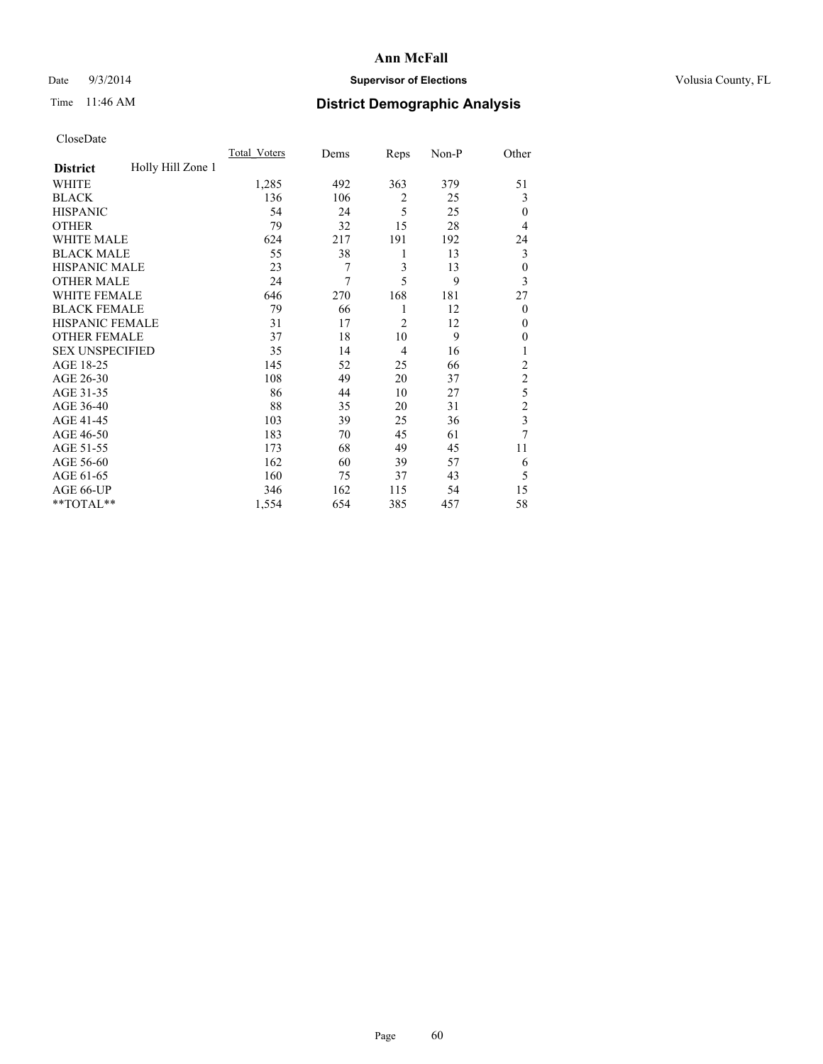## Date  $9/3/2014$  **Supervisor of Elections Supervisor of Elections** Volusia County, FL

# Time 11:46 AM **District Demographic Analysis**

|                        |                   | <b>Total Voters</b> | Dems | Reps           | Non-P | Other                   |
|------------------------|-------------------|---------------------|------|----------------|-------|-------------------------|
| <b>District</b>        | Holly Hill Zone 1 |                     |      |                |       |                         |
| WHITE                  |                   | 1,285               | 492  | 363            | 379   | 51                      |
| <b>BLACK</b>           |                   | 136                 | 106  | $\overline{2}$ | 25    | 3                       |
| <b>HISPANIC</b>        |                   | 54                  | 24   | 5              | 25    | $\theta$                |
| <b>OTHER</b>           |                   | 79                  | 32   | 15             | 28    | 4                       |
| WHITE MALE             |                   | 624                 | 217  | 191            | 192   | 24                      |
| <b>BLACK MALE</b>      |                   | 55                  | 38   | 1              | 13    | 3                       |
| <b>HISPANIC MALE</b>   |                   | 23                  | 7    | 3              | 13    | $\boldsymbol{0}$        |
| <b>OTHER MALE</b>      |                   | 24                  | 7    | 5              | 9     | 3                       |
| WHITE FEMALE           |                   | 646                 | 270  | 168            | 181   | 27                      |
| <b>BLACK FEMALE</b>    |                   | 79                  | 66   | 1              | 12    | $\overline{0}$          |
| <b>HISPANIC FEMALE</b> |                   | 31                  | 17   | $\overline{c}$ | 12    | $\theta$                |
| <b>OTHER FEMALE</b>    |                   | 37                  | 18   | 10             | 9     | $\theta$                |
| <b>SEX UNSPECIFIED</b> |                   | 35                  | 14   | 4              | 16    | 1                       |
| AGE 18-25              |                   | 145                 | 52   | 25             | 66    | $\overline{2}$          |
| AGE 26-30              |                   | 108                 | 49   | 20             | 37    | $\overline{c}$          |
| AGE 31-35              |                   | 86                  | 44   | 10             | 27    | 5                       |
| AGE 36-40              |                   | 88                  | 35   | 20             | 31    | $\overline{c}$          |
| AGE 41-45              |                   | 103                 | 39   | 25             | 36    | $\overline{\mathbf{3}}$ |
| AGE 46-50              |                   | 183                 | 70   | 45             | 61    | 7                       |
| AGE 51-55              |                   | 173                 | 68   | 49             | 45    | 11                      |
| AGE 56-60              |                   | 162                 | 60   | 39             | 57    | 6                       |
| AGE 61-65              |                   | 160                 | 75   | 37             | 43    | 5                       |
| AGE 66-UP              |                   | 346                 | 162  | 115            | 54    | 15                      |
| **TOTAL**              |                   | 1,554               | 654  | 385            | 457   | 58                      |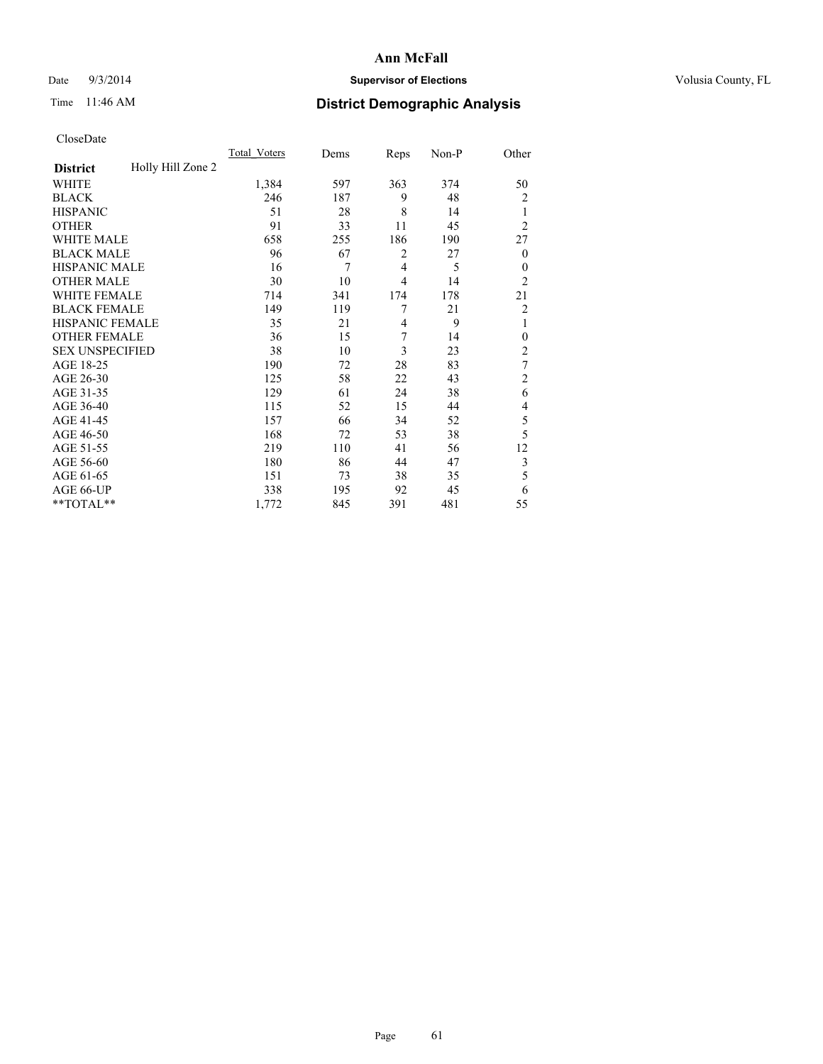## Date  $9/3/2014$  **Supervisor of Elections Supervisor of Elections** Volusia County, FL

# Time 11:46 AM **District Demographic Analysis**

|                        |                   | <b>Total Voters</b> | Dems | Reps           | Non-P | Other          |
|------------------------|-------------------|---------------------|------|----------------|-------|----------------|
| <b>District</b>        | Holly Hill Zone 2 |                     |      |                |       |                |
| WHITE                  |                   | 1,384               | 597  | 363            | 374   | 50             |
| <b>BLACK</b>           |                   | 246                 | 187  | 9              | 48    | $\overline{c}$ |
| <b>HISPANIC</b>        |                   | 51                  | 28   | 8              | 14    | 1              |
| <b>OTHER</b>           |                   | 91                  | 33   | 11             | 45    | $\overline{2}$ |
| WHITE MALE             |                   | 658                 | 255  | 186            | 190   | 27             |
| <b>BLACK MALE</b>      |                   | 96                  | 67   | $\overline{2}$ | 27    | $\theta$       |
| <b>HISPANIC MALE</b>   |                   | 16                  | 7    | $\overline{4}$ | 5     | $\theta$       |
| <b>OTHER MALE</b>      |                   | 30                  | 10   | $\overline{4}$ | 14    | $\overline{2}$ |
| WHITE FEMALE           |                   | 714                 | 341  | 174            | 178   | 21             |
| <b>BLACK FEMALE</b>    |                   | 149                 | 119  | 7              | 21    | $\overline{c}$ |
| <b>HISPANIC FEMALE</b> |                   | 35                  | 21   | 4              | 9     | 1              |
| <b>OTHER FEMALE</b>    |                   | 36                  | 15   | 7              | 14    | $\theta$       |
| <b>SEX UNSPECIFIED</b> |                   | 38                  | 10   | 3              | 23    | $\overline{2}$ |
| AGE 18-25              |                   | 190                 | 72   | 28             | 83    | $\tau$         |
| AGE 26-30              |                   | 125                 | 58   | 22             | 43    | $\overline{2}$ |
| AGE 31-35              |                   | 129                 | 61   | 24             | 38    | 6              |
| AGE 36-40              |                   | 115                 | 52   | 15             | 44    | 4              |
| AGE 41-45              |                   | 157                 | 66   | 34             | 52    | 5              |
| AGE 46-50              |                   | 168                 | 72   | 53             | 38    | 5              |
| AGE 51-55              |                   | 219                 | 110  | 41             | 56    | 12             |
| AGE 56-60              |                   | 180                 | 86   | 44             | 47    | 3              |
| AGE 61-65              |                   | 151                 | 73   | 38             | 35    | 5              |
| AGE 66-UP              |                   | 338                 | 195  | 92             | 45    | 6              |
| **TOTAL**              |                   | 1,772               | 845  | 391            | 481   | 55             |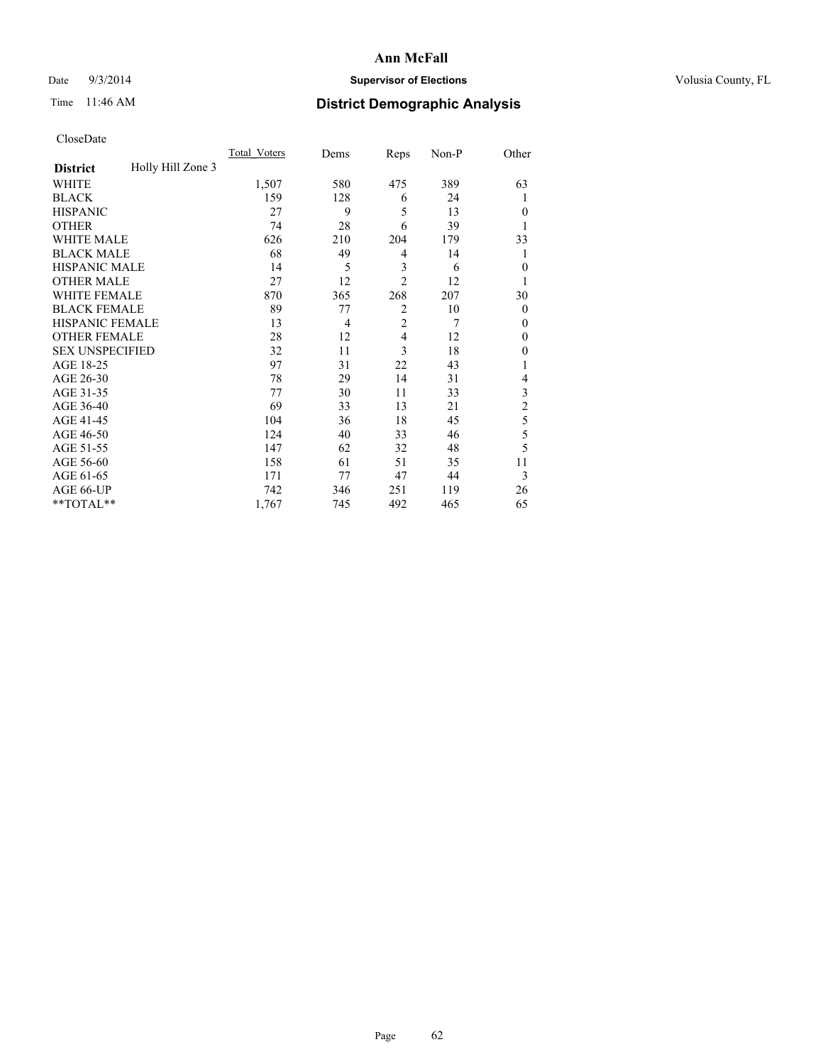## Date  $9/3/2014$  **Supervisor of Elections Supervisor of Elections** Volusia County, FL

# Time 11:46 AM **District Demographic Analysis**

|                        |                   | <b>Total Voters</b> | Dems | Reps           | Non-P | Other          |
|------------------------|-------------------|---------------------|------|----------------|-------|----------------|
| <b>District</b>        | Holly Hill Zone 3 |                     |      |                |       |                |
| WHITE                  |                   | 1,507               | 580  | 475            | 389   | 63             |
| <b>BLACK</b>           |                   | 159                 | 128  | 6              | 24    | 1              |
| <b>HISPANIC</b>        |                   | 27                  | 9    | 5              | 13    | $\theta$       |
| <b>OTHER</b>           |                   | 74                  | 28   | 6              | 39    |                |
| WHITE MALE             |                   | 626                 | 210  | 204            | 179   | 33             |
| <b>BLACK MALE</b>      |                   | 68                  | 49   | 4              | 14    | 1              |
| <b>HISPANIC MALE</b>   |                   | 14                  | 5    | 3              | 6     | $\theta$       |
| <b>OTHER MALE</b>      |                   | 27                  | 12   | $\overline{2}$ | 12    |                |
| <b>WHITE FEMALE</b>    |                   | 870                 | 365  | 268            | 207   | 30             |
| <b>BLACK FEMALE</b>    |                   | 89                  | 77   | $\overline{2}$ | 10    | $\mathbf{0}$   |
| <b>HISPANIC FEMALE</b> |                   | 13                  | 4    | $\overline{2}$ | 7     | $\Omega$       |
| <b>OTHER FEMALE</b>    |                   | 28                  | 12   | 4              | 12    | $\Omega$       |
| <b>SEX UNSPECIFIED</b> |                   | 32                  | 11   | 3              | 18    | $\theta$       |
| AGE 18-25              |                   | 97                  | 31   | 22             | 43    |                |
| AGE 26-30              |                   | 78                  | 29   | 14             | 31    | 4              |
| AGE 31-35              |                   | 77                  | 30   | 11             | 33    | 3              |
| AGE 36-40              |                   | 69                  | 33   | 13             | 21    | $\overline{c}$ |
| AGE 41-45              |                   | 104                 | 36   | 18             | 45    | 5              |
| AGE 46-50              |                   | 124                 | 40   | 33             | 46    | 5              |
| AGE 51-55              |                   | 147                 | 62   | 32             | 48    | 5              |
| AGE 56-60              |                   | 158                 | 61   | 51             | 35    | 11             |
| AGE 61-65              |                   | 171                 | 77   | 47             | 44    | 3              |
| AGE 66-UP              |                   | 742                 | 346  | 251            | 119   | 26             |
| **TOTAL**              |                   | 1,767               | 745  | 492            | 465   | 65             |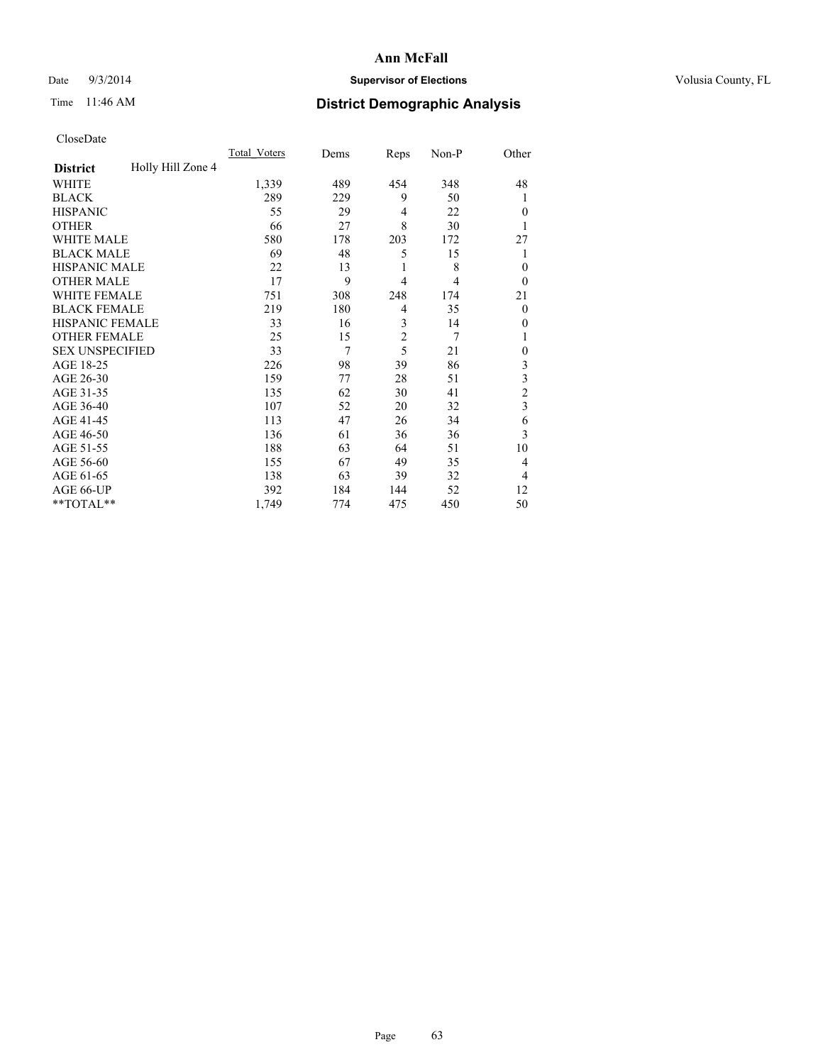## Date  $9/3/2014$  **Supervisor of Elections Supervisor of Elections** Volusia County, FL

# Time 11:46 AM **District Demographic Analysis**

|                        |                   | <b>Total Voters</b> | Dems | Reps           | Non-P | Other          |
|------------------------|-------------------|---------------------|------|----------------|-------|----------------|
| <b>District</b>        | Holly Hill Zone 4 |                     |      |                |       |                |
| WHITE                  |                   | 1,339               | 489  | 454            | 348   | 48             |
| <b>BLACK</b>           |                   | 289                 | 229  | 9              | 50    | 1              |
| <b>HISPANIC</b>        |                   | 55                  | 29   | $\overline{4}$ | 22    | $\theta$       |
| <b>OTHER</b>           |                   | 66                  | 27   | 8              | 30    |                |
| WHITE MALE             |                   | 580                 | 178  | 203            | 172   | 27             |
| <b>BLACK MALE</b>      |                   | 69                  | 48   | 5              | 15    | 1              |
| <b>HISPANIC MALE</b>   |                   | 22                  | 13   | 1              | 8     | $\theta$       |
| <b>OTHER MALE</b>      |                   | 17                  | 9    | $\overline{4}$ | 4     | $\theta$       |
| WHITE FEMALE           |                   | 751                 | 308  | 248            | 174   | 21             |
| <b>BLACK FEMALE</b>    |                   | 219                 | 180  | $\overline{4}$ | 35    | $\overline{0}$ |
| <b>HISPANIC FEMALE</b> |                   | 33                  | 16   | 3              | 14    | 0              |
| <b>OTHER FEMALE</b>    |                   | 25                  | 15   | $\overline{c}$ | 7     |                |
| <b>SEX UNSPECIFIED</b> |                   | 33                  | 7    | 5              | 21    | $\mathbf{0}$   |
| AGE 18-25              |                   | 226                 | 98   | 39             | 86    | 3              |
| AGE 26-30              |                   | 159                 | 77   | 28             | 51    | 3              |
| AGE 31-35              |                   | 135                 | 62   | 30             | 41    | $\overline{c}$ |
| AGE 36-40              |                   | 107                 | 52   | 20             | 32    | 3              |
| AGE 41-45              |                   | 113                 | 47   | 26             | 34    | 6              |
| AGE 46-50              |                   | 136                 | 61   | 36             | 36    | 3              |
| AGE 51-55              |                   | 188                 | 63   | 64             | 51    | 10             |
| AGE 56-60              |                   | 155                 | 67   | 49             | 35    | 4              |
| AGE 61-65              |                   | 138                 | 63   | 39             | 32    | 4              |
| AGE 66-UP              |                   | 392                 | 184  | 144            | 52    | 12             |
| **TOTAL**              |                   | 1,749               | 774  | 475            | 450   | 50             |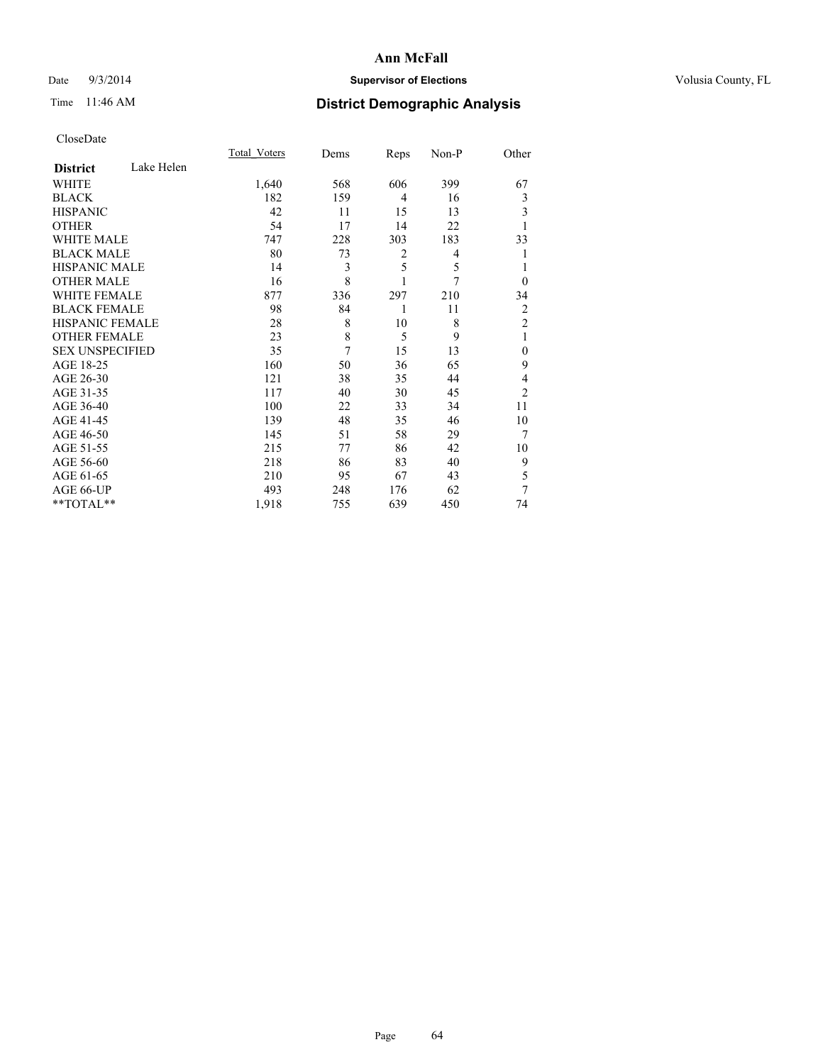## Date  $9/3/2014$  **Supervisor of Elections Supervisor of Elections** Volusia County, FL

# Time 11:46 AM **District Demographic Analysis**

|                        |            | <b>Total Voters</b> | Dems | Reps           | Non-P | Other          |
|------------------------|------------|---------------------|------|----------------|-------|----------------|
| <b>District</b>        | Lake Helen |                     |      |                |       |                |
| WHITE                  |            | 1,640               | 568  | 606            | 399   | 67             |
| <b>BLACK</b>           |            | 182                 | 159  | $\overline{4}$ | 16    | 3              |
| <b>HISPANIC</b>        |            | 42                  | 11   | 15             | 13    | 3              |
| <b>OTHER</b>           |            | 54                  | 17   | 14             | 22    |                |
| WHITE MALE             |            | 747                 | 228  | 303            | 183   | 33             |
| <b>BLACK MALE</b>      |            | 80                  | 73   | 2              | 4     |                |
| <b>HISPANIC MALE</b>   |            | 14                  | 3    | 5              | 5     | 1              |
| <b>OTHER MALE</b>      |            | 16                  | 8    | 1              | 7     | $\Omega$       |
| WHITE FEMALE           |            | 877                 | 336  | 297            | 210   | 34             |
| <b>BLACK FEMALE</b>    |            | 98                  | 84   | 1              | 11    | 2              |
| <b>HISPANIC FEMALE</b> |            | 28                  | 8    | 10             | 8     | $\overline{2}$ |
| <b>OTHER FEMALE</b>    |            | 23                  | 8    | 5              | 9     | 1              |
| <b>SEX UNSPECIFIED</b> |            | 35                  | 7    | 15             | 13    | $\mathbf{0}$   |
| AGE 18-25              |            | 160                 | 50   | 36             | 65    | 9              |
| AGE 26-30              |            | 121                 | 38   | 35             | 44    | 4              |
| AGE 31-35              |            | 117                 | 40   | 30             | 45    | $\overline{2}$ |
| AGE 36-40              |            | 100                 | 22   | 33             | 34    | 11             |
| AGE 41-45              |            | 139                 | 48   | 35             | 46    | 10             |
| AGE 46-50              |            | 145                 | 51   | 58             | 29    | 7              |
| AGE 51-55              |            | 215                 | 77   | 86             | 42    | 10             |
| AGE 56-60              |            | 218                 | 86   | 83             | 40    | 9              |
| AGE 61-65              |            | 210                 | 95   | 67             | 43    | 5              |
| AGE 66-UP              |            | 493                 | 248  | 176            | 62    | 7              |
| **TOTAL**              |            | 1,918               | 755  | 639            | 450   | 74             |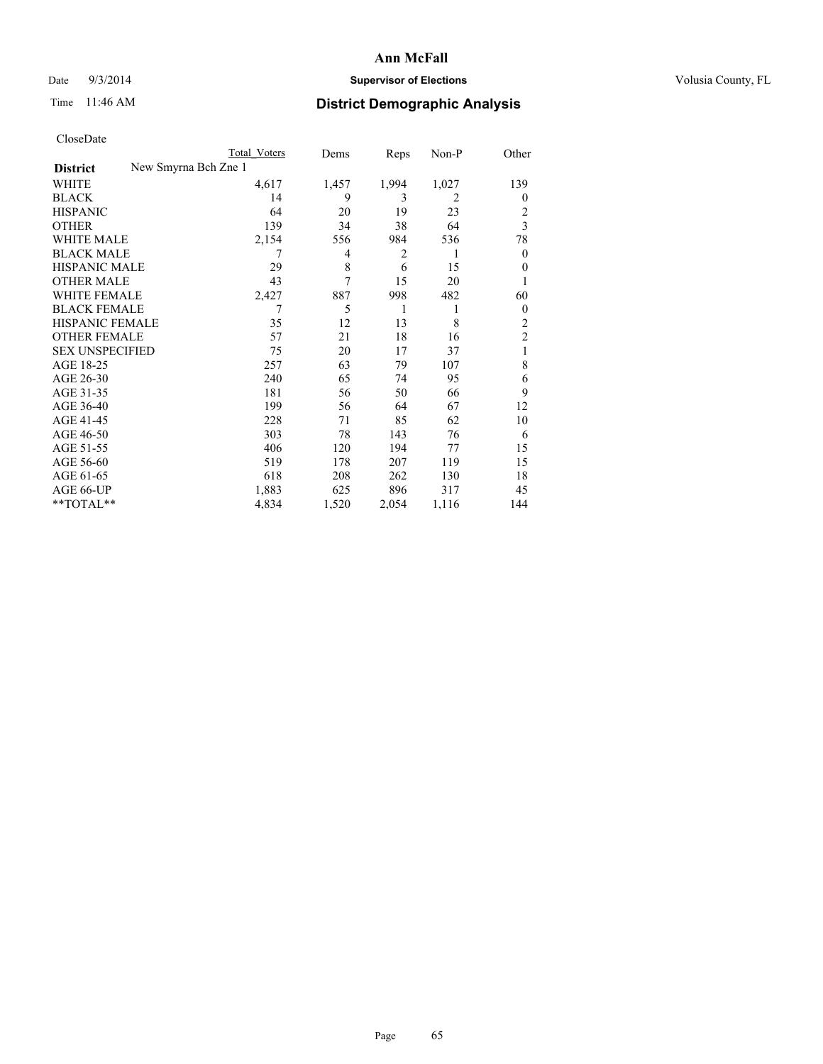## Date  $9/3/2014$  **Supervisor of Elections Supervisor of Elections** Volusia County, FL

| Total Voters         | Dems  | Reps           | Non-P          | Other          |
|----------------------|-------|----------------|----------------|----------------|
| New Smyrna Bch Zne 1 |       |                |                |                |
| 4,617                | 1,457 | 1,994          | 1,027          | 139            |
| 14                   | 9     | 3              | $\overline{2}$ | $\overline{0}$ |
| 64                   | 20    | 19             | 23             | 2              |
| 139                  | 34    | 38             | 64             | 3              |
| 2,154                | 556   | 984            | 536            | 78             |
| 7                    | 4     | $\overline{2}$ | 1              | $\overline{0}$ |
| 29                   | 8     | 6              | 15             | $\theta$       |
| 43                   | 7     | 15             | 20             |                |
| 2,427                | 887   | 998            | 482            | 60             |
| 7                    | 5     | 1              | 1              | $\theta$       |
| 35                   | 12    | 13             | 8              | $\overline{c}$ |
| 57                   | 21    | 18             | 16             | $\overline{c}$ |
| 75                   | 20    | 17             | 37             | 1              |
| 257                  | 63    | 79             | 107            | 8              |
| 240                  | 65    | 74             | 95             | 6              |
| 181                  | 56    | 50             | 66             | 9              |
| 199                  | 56    | 64             | 67             | 12             |
| 228                  | 71    | 85             | 62             | 10             |
| 303                  | 78    | 143            | 76             | 6              |
| 406                  | 120   | 194            | 77             | 15             |
| 519                  | 178   | 207            | 119            | 15             |
| 618                  | 208   | 262            | 130            | 18             |
| 1,883                | 625   | 896            | 317            | 45             |
| 4,834                | 1,520 | 2,054          | 1,116          | 144            |
|                      |       |                |                |                |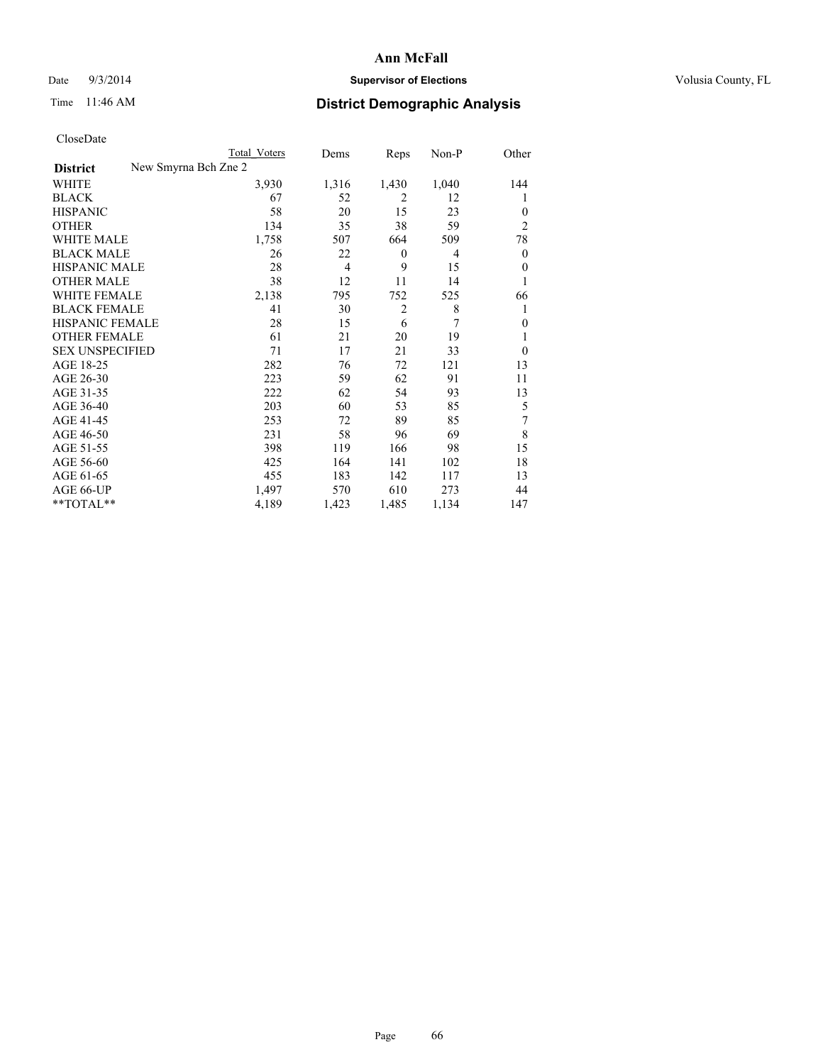## Date  $9/3/2014$  **Supervisor of Elections Supervisor of Elections** Volusia County, FL

|                                         | Total Voters | Dems           | Reps             | Non-P | Other            |
|-----------------------------------------|--------------|----------------|------------------|-------|------------------|
| New Smyrna Bch Zne 2<br><b>District</b> |              |                |                  |       |                  |
| WHITE                                   | 3,930        | 1,316          | 1,430            | 1,040 | 144              |
| <b>BLACK</b>                            | 67           | 52             | 2                | 12    | 1                |
| <b>HISPANIC</b>                         | 58           | 20             | 15               | 23    | $\theta$         |
| <b>OTHER</b>                            | 134          | 35             | 38               | 59    | $\overline{2}$   |
| <b>WHITE MALE</b>                       | 1,758        | 507            | 664              | 509   | 78               |
| <b>BLACK MALE</b>                       | 26           | 22             | $\boldsymbol{0}$ | 4     | $\boldsymbol{0}$ |
| <b>HISPANIC MALE</b>                    | 28           | $\overline{4}$ | 9                | 15    | $\mathbf{0}$     |
| <b>OTHER MALE</b>                       | 38           | 12             | 11               | 14    | 1                |
| <b>WHITE FEMALE</b>                     | 2,138        | 795            | 752              | 525   | 66               |
| <b>BLACK FEMALE</b>                     | 41           | 30             | $\overline{2}$   | 8     | 1                |
| HISPANIC FEMALE                         | 28           | 15             | 6                | 7     | $\theta$         |
| <b>OTHER FEMALE</b>                     | 61           | 21             | 20               | 19    |                  |
| <b>SEX UNSPECIFIED</b>                  | 71           | 17             | 21               | 33    | $\theta$         |
| AGE 18-25                               | 282          | 76             | 72               | 121   | 13               |
| AGE 26-30                               | 223          | 59             | 62               | 91    | 11               |
| AGE 31-35                               | 222          | 62             | 54               | 93    | 13               |
| AGE 36-40                               | 203          | 60             | 53               | 85    | 5                |
| AGE 41-45                               | 253          | 72             | 89               | 85    | 7                |
| AGE 46-50                               | 231          | 58             | 96               | 69    | 8                |
| AGE 51-55                               | 398          | 119            | 166              | 98    | 15               |
| AGE 56-60                               | 425          | 164            | 141              | 102   | 18               |
| AGE 61-65                               | 455          | 183            | 142              | 117   | 13               |
| AGE 66-UP                               | 1,497        | 570            | 610              | 273   | 44               |
| **TOTAL**                               | 4,189        | 1,423          | 1,485            | 1,134 | 147              |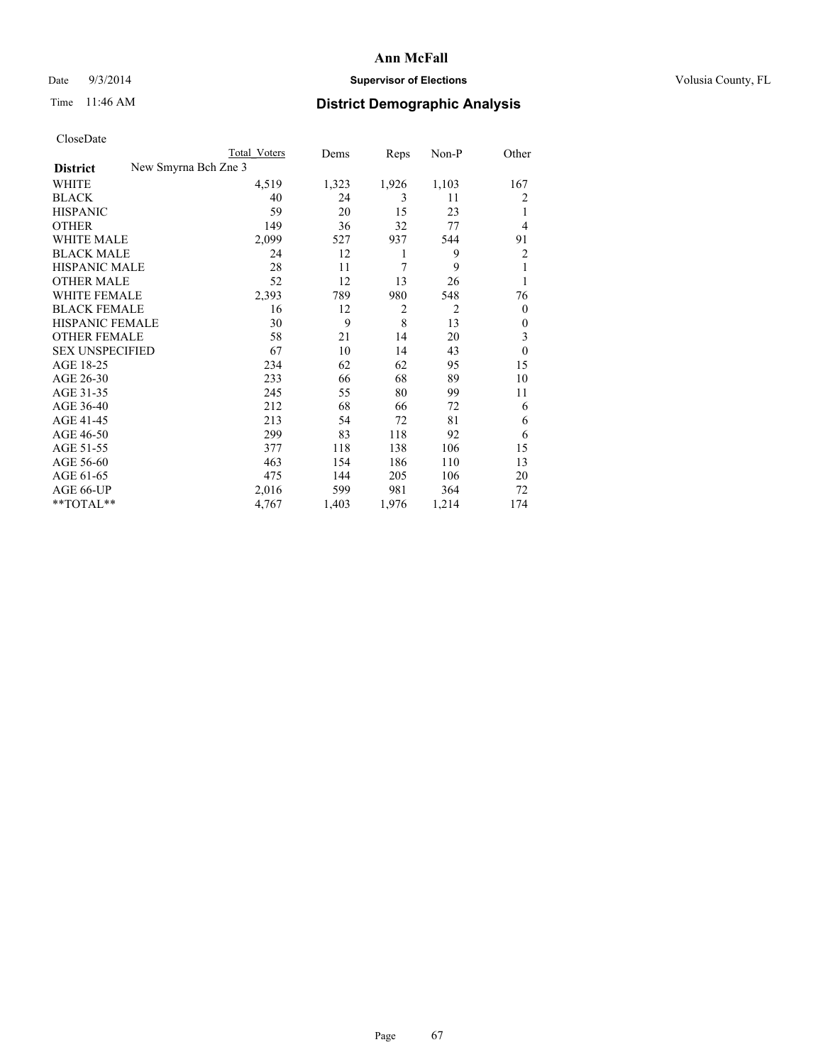## Date  $9/3/2014$  **Supervisor of Elections Supervisor of Elections** Volusia County, FL

|                        | <b>Total Voters</b>  | Dems  | Reps           | Non-P          | Other          |
|------------------------|----------------------|-------|----------------|----------------|----------------|
| <b>District</b>        | New Smyrna Bch Zne 3 |       |                |                |                |
| WHITE                  | 4,519                | 1,323 | 1,926          | 1,103          | 167            |
| <b>BLACK</b>           | 40                   | 24    | 3              | 11             | 2              |
| <b>HISPANIC</b>        | 59                   | 20    | 15             | 23             | 1              |
| <b>OTHER</b>           | 149                  | 36    | 32             | 77             | $\overline{4}$ |
| <b>WHITE MALE</b>      | 2,099                | 527   | 937            | 544            | 91             |
| <b>BLACK MALE</b>      | 24                   | 12    | 1              | 9              | $\overline{2}$ |
| <b>HISPANIC MALE</b>   | 28                   | 11    | 7              | 9              | 1              |
| <b>OTHER MALE</b>      | 52                   | 12    | 13             | 26             | 1              |
| <b>WHITE FEMALE</b>    | 2,393                | 789   | 980            | 548            | 76             |
| <b>BLACK FEMALE</b>    | 16                   | 12    | $\overline{2}$ | $\overline{2}$ | $\overline{0}$ |
| <b>HISPANIC FEMALE</b> | 30                   | 9     | 8              | 13             | $\Omega$       |
| <b>OTHER FEMALE</b>    | 58                   | 21    | 14             | 20             | 3              |
| <b>SEX UNSPECIFIED</b> | 67                   | 10    | 14             | 43             | $\theta$       |
| AGE 18-25              | 234                  | 62    | 62             | 95             | 15             |
| AGE 26-30              | 233                  | 66    | 68             | 89             | 10             |
| AGE 31-35              | 245                  | 55    | 80             | 99             | 11             |
| AGE 36-40              | 212                  | 68    | 66             | 72             | 6              |
| AGE 41-45              | 213                  | 54    | 72             | 81             | 6              |
| AGE 46-50              | 299                  | 83    | 118            | 92             | 6              |
| AGE 51-55              | 377                  | 118   | 138            | 106            | 15             |
| AGE 56-60              | 463                  | 154   | 186            | 110            | 13             |
| AGE 61-65              | 475                  | 144   | 205            | 106            | 20             |
| AGE 66-UP              | 2,016                | 599   | 981            | 364            | 72             |
| **TOTAL**              | 4,767                | 1,403 | 1,976          | 1,214          | 174            |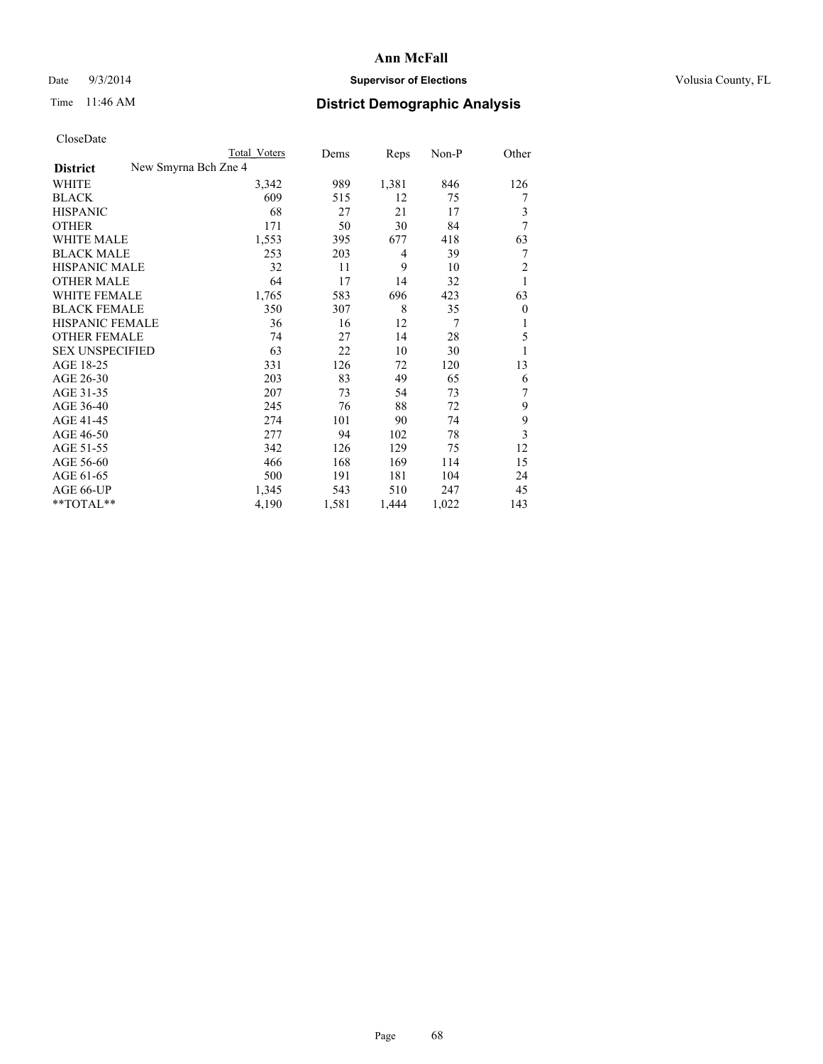## Date  $9/3/2014$  **Supervisor of Elections Supervisor of Elections** Volusia County, FL

| Total Voters | Dems                 | Reps           | Non-P | Other          |
|--------------|----------------------|----------------|-------|----------------|
|              |                      |                |       |                |
| 3,342        | 989                  | 1,381          | 846   | 126            |
| 609          | 515                  | 12             | 75    | 7              |
| 68           | 27                   | 21             | 17    | 3              |
| 171          | 50                   | 30             | 84    | 7              |
| 1,553        | 395                  | 677            | 418   | 63             |
| 253          | 203                  | $\overline{4}$ | 39    | 7              |
| 32           | 11                   | 9              | 10    | $\overline{c}$ |
| 64           | 17                   | 14             | 32    | 1              |
| 1,765        | 583                  | 696            | 423   | 63             |
| 350          | 307                  | 8              | 35    | $\theta$       |
| 36           | 16                   | 12             | 7     | 1              |
| 74           | 27                   | 14             | 28    | 5              |
| 63           | 22                   | 10             | 30    | 1              |
| 331          | 126                  | 72             | 120   | 13             |
| 203          | 83                   | 49             | 65    | 6              |
| 207          | 73                   | 54             | 73    | 7              |
| 245          | 76                   | 88             | 72    | 9              |
| 274          | 101                  | 90             | 74    | 9              |
| 277          | 94                   | 102            | 78    | 3              |
| 342          | 126                  | 129            | 75    | 12             |
| 466          | 168                  | 169            | 114   | 15             |
| 500          | 191                  | 181            | 104   | 24             |
| 1,345        | 543                  | 510            | 247   | 45             |
| 4,190        | 1,581                | 1,444          | 1,022 | 143            |
|              | New Smyrna Bch Zne 4 |                |       |                |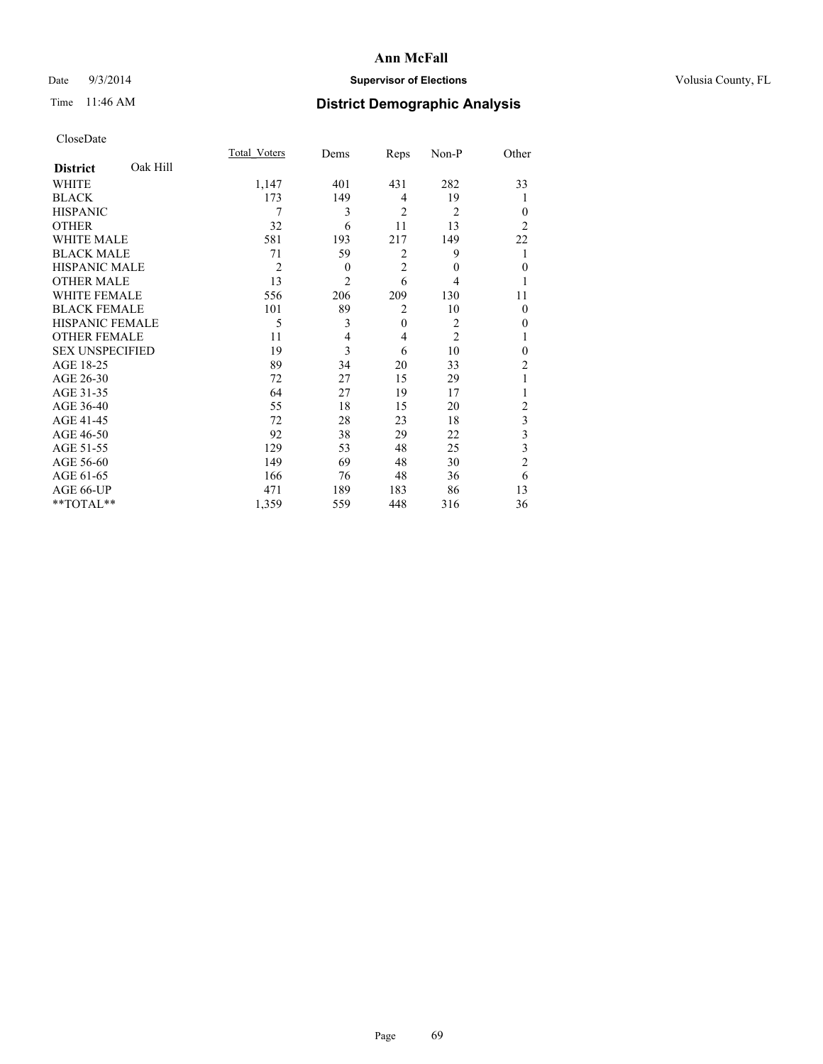## Date  $9/3/2014$  **Supervisor of Elections Supervisor of Elections** Volusia County, FL

# Time 11:46 AM **District Demographic Analysis**

|                        |          | Total Voters   | Dems           | Reps           | Non-P          | Other          |
|------------------------|----------|----------------|----------------|----------------|----------------|----------------|
| <b>District</b>        | Oak Hill |                |                |                |                |                |
| <b>WHITE</b>           |          | 1,147          | 401            | 431            | 282            | 33             |
| <b>BLACK</b>           |          | 173            | 149            | 4              | 19             |                |
| <b>HISPANIC</b>        |          | 7              | 3              | $\overline{2}$ | $\overline{2}$ | $\theta$       |
| <b>OTHER</b>           |          | 32             | 6              | 11             | 13             | $\overline{2}$ |
| WHITE MALE             |          | 581            | 193            | 217            | 149            | 22             |
| <b>BLACK MALE</b>      |          | 71             | 59             | 2              | 9              | 1              |
| <b>HISPANIC MALE</b>   |          | $\overline{2}$ | $\theta$       | $\overline{2}$ | $\mathbf{0}$   | $\mathbf{0}$   |
| <b>OTHER MALE</b>      |          | 13             | $\overline{2}$ | 6              | 4              | 1              |
| <b>WHITE FEMALE</b>    |          | 556            | 206            | 209            | 130            | 11             |
| <b>BLACK FEMALE</b>    |          | 101            | 89             | $\overline{2}$ | 10             | $\theta$       |
| <b>HISPANIC FEMALE</b> |          | 5              | 3              | $\mathbf{0}$   | $\overline{c}$ | 0              |
| <b>OTHER FEMALE</b>    |          | 11             | 4              | 4              | $\overline{c}$ |                |
| <b>SEX UNSPECIFIED</b> |          | 19             | $\overline{3}$ | 6              | 10             | $\mathbf{0}$   |
| AGE 18-25              |          | 89             | 34             | 20             | 33             | $\overline{c}$ |
| AGE 26-30              |          | 72             | 27             | 15             | 29             | 1              |
| AGE 31-35              |          | 64             | 27             | 19             | 17             |                |
| AGE 36-40              |          | 55             | 18             | 15             | 20             | $\overline{c}$ |
| AGE 41-45              |          | 72             | 28             | 23             | 18             | 3              |
| AGE 46-50              |          | 92             | 38             | 29             | 22             | 3              |
| AGE 51-55              |          | 129            | 53             | 48             | 25             | 3              |
| AGE 56-60              |          | 149            | 69             | 48             | 30             | $\overline{c}$ |
| AGE 61-65              |          | 166            | 76             | 48             | 36             | 6              |
| AGE 66-UP              |          | 471            | 189            | 183            | 86             | 13             |
| **TOTAL**              |          | 1,359          | 559            | 448            | 316            | 36             |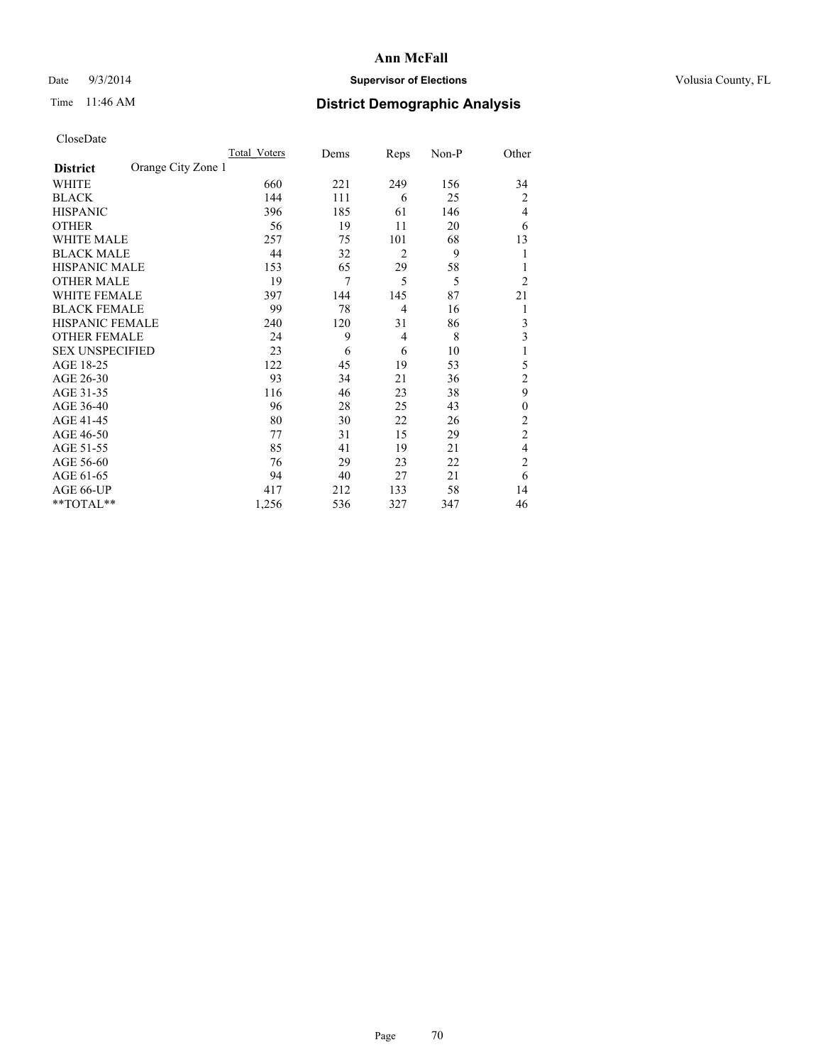## Date  $9/3/2014$  **Supervisor of Elections Supervisor of Elections** Volusia County, FL

# Time 11:46 AM **District Demographic Analysis**

|                        |                    | Total Voters | Dems | Reps           | Non-P | Other          |
|------------------------|--------------------|--------------|------|----------------|-------|----------------|
| <b>District</b>        | Orange City Zone 1 |              |      |                |       |                |
| WHITE                  |                    | 660          | 221  | 249            | 156   | 34             |
| <b>BLACK</b>           |                    | 144          | 111  | 6              | 25    | $\overline{c}$ |
| <b>HISPANIC</b>        |                    | 396          | 185  | 61             | 146   | 4              |
| <b>OTHER</b>           |                    | 56           | 19   | 11             | 20    | 6              |
| WHITE MALE             |                    | 257          | 75   | 101            | 68    | 13             |
| <b>BLACK MALE</b>      |                    | 44           | 32   | $\overline{2}$ | 9     | 1              |
| <b>HISPANIC MALE</b>   |                    | 153          | 65   | 29             | 58    | 1              |
| <b>OTHER MALE</b>      |                    | 19           | 7    | 5              | 5     | 2              |
| <b>WHITE FEMALE</b>    |                    | 397          | 144  | 145            | 87    | 21             |
| <b>BLACK FEMALE</b>    |                    | 99           | 78   | $\overline{4}$ | 16    | 1              |
| HISPANIC FEMALE        |                    | 240          | 120  | 31             | 86    | 3              |
| <b>OTHER FEMALE</b>    |                    | 24           | 9    | 4              | 8     | 3              |
| <b>SEX UNSPECIFIED</b> |                    | 23           | 6    | 6              | 10    | 1              |
| AGE 18-25              |                    | 122          | 45   | 19             | 53    | 5              |
| AGE 26-30              |                    | 93           | 34   | 21             | 36    | $\overline{2}$ |
| AGE 31-35              |                    | 116          | 46   | 23             | 38    | 9              |
| AGE 36-40              |                    | 96           | 28   | 25             | 43    | $\mathbf{0}$   |
| AGE 41-45              |                    | 80           | 30   | 22             | 26    | 2              |
| AGE 46-50              |                    | 77           | 31   | 15             | 29    | $\overline{2}$ |
| AGE 51-55              |                    | 85           | 41   | 19             | 21    | 4              |
| AGE 56-60              |                    | 76           | 29   | 23             | 22    | $\overline{c}$ |
| AGE 61-65              |                    | 94           | 40   | 27             | 21    | 6              |
| AGE 66-UP              |                    | 417          | 212  | 133            | 58    | 14             |
| **TOTAL**              |                    | 1,256        | 536  | 327            | 347   | 46             |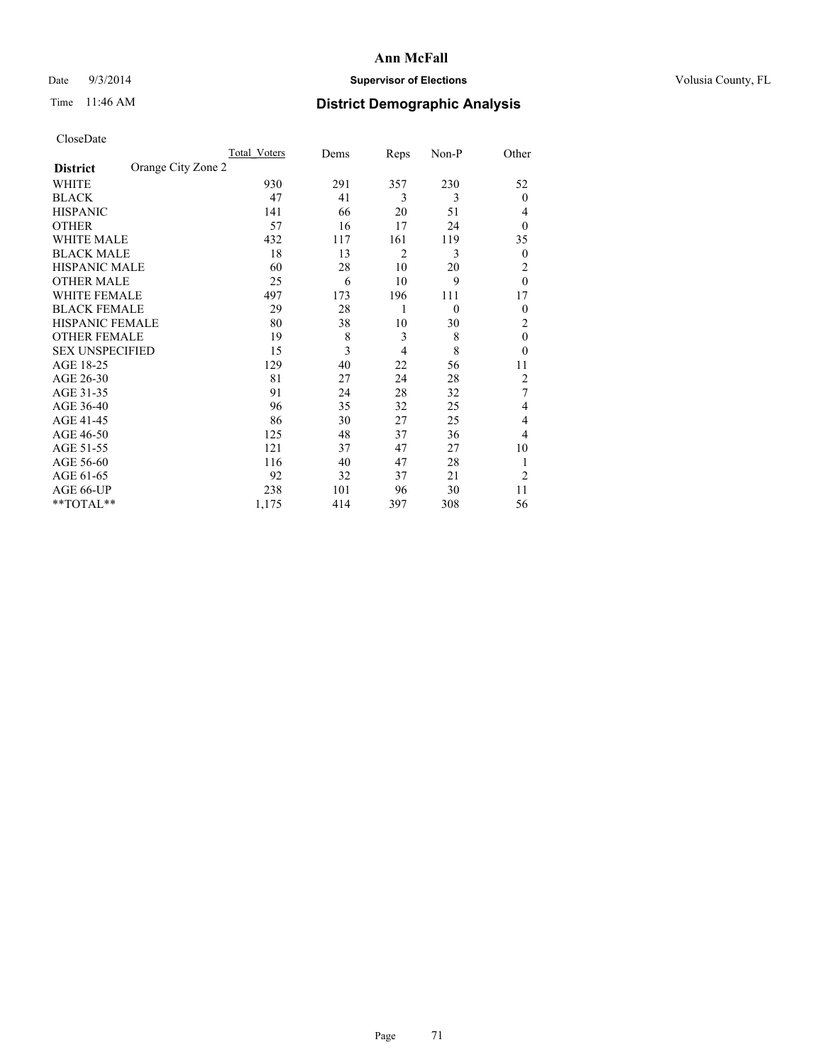## Date  $9/3/2014$  **Supervisor of Elections Supervisor of Elections** Volusia County, FL

# Time 11:46 AM **District Demographic Analysis**

|                        |                    | <b>Total Voters</b> | Dems | Reps | Non-P    | Other          |
|------------------------|--------------------|---------------------|------|------|----------|----------------|
| <b>District</b>        | Orange City Zone 2 |                     |      |      |          |                |
| WHITE                  |                    | 930                 | 291  | 357  | 230      | 52             |
| <b>BLACK</b>           |                    | 47                  | 41   | 3    | 3        | $\mathbf{0}$   |
| <b>HISPANIC</b>        |                    | 141                 | 66   | 20   | 51       | 4              |
| <b>OTHER</b>           |                    | 57                  | 16   | 17   | 24       | $\theta$       |
| WHITE MALE             |                    | 432                 | 117  | 161  | 119      | 35             |
| <b>BLACK MALE</b>      |                    | 18                  | 13   | 2    | 3        | $\mathbf{0}$   |
| <b>HISPANIC MALE</b>   |                    | 60                  | 28   | 10   | 20       | 2              |
| <b>OTHER MALE</b>      |                    | 25                  | 6    | 10   | 9        | $\theta$       |
| WHITE FEMALE           |                    | 497                 | 173  | 196  | 111      | 17             |
| <b>BLACK FEMALE</b>    |                    | 29                  | 28   | 1    | $\theta$ | $\theta$       |
| <b>HISPANIC FEMALE</b> |                    | 80                  | 38   | 10   | 30       | 2              |
| <b>OTHER FEMALE</b>    |                    | 19                  | 8    | 3    | 8        | $\theta$       |
| <b>SEX UNSPECIFIED</b> |                    | 15                  | 3    | 4    | 8        | $\theta$       |
| AGE 18-25              |                    | 129                 | 40   | 22   | 56       | 11             |
| AGE 26-30              |                    | 81                  | 27   | 24   | 28       | $\overline{2}$ |
| AGE 31-35              |                    | 91                  | 24   | 28   | 32       | 7              |
| AGE 36-40              |                    | 96                  | 35   | 32   | 25       | 4              |
| AGE 41-45              |                    | 86                  | 30   | 27   | 25       | 4              |
| AGE 46-50              |                    | 125                 | 48   | 37   | 36       | 4              |
| AGE 51-55              |                    | 121                 | 37   | 47   | 27       | 10             |
| AGE 56-60              |                    | 116                 | 40   | 47   | 28       | 1              |
| AGE 61-65              |                    | 92                  | 32   | 37   | 21       | $\overline{2}$ |
| AGE 66-UP              |                    | 238                 | 101  | 96   | 30       | 11             |
| **TOTAL**              |                    | 1,175               | 414  | 397  | 308      | 56             |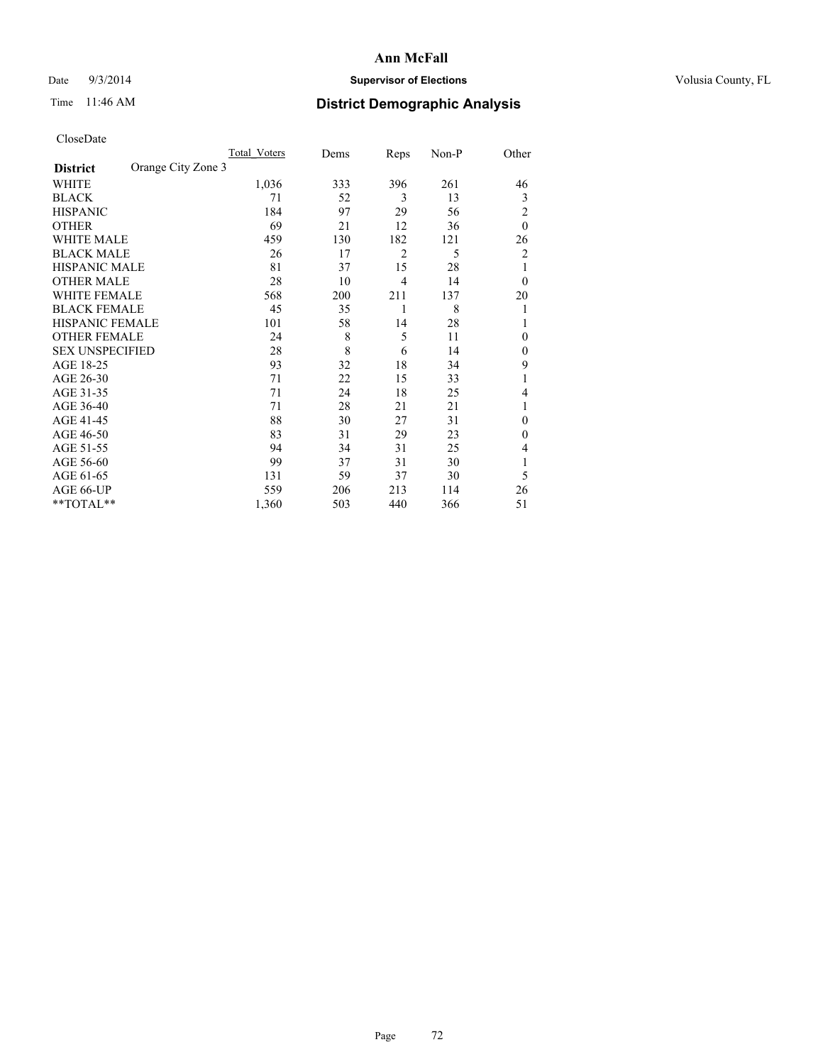## Date  $9/3/2014$  **Supervisor of Elections Supervisor of Elections** Volusia County, FL

# Time 11:46 AM **District Demographic Analysis**

|                        |                    | Total Voters | Dems | Reps           | Non-P | Other          |
|------------------------|--------------------|--------------|------|----------------|-------|----------------|
| <b>District</b>        | Orange City Zone 3 |              |      |                |       |                |
| WHITE                  |                    | 1,036        | 333  | 396            | 261   | 46             |
| <b>BLACK</b>           |                    | 71           | 52   | 3              | 13    | 3              |
| <b>HISPANIC</b>        |                    | 184          | 97   | 29             | 56    | 2              |
| <b>OTHER</b>           |                    | 69           | 21   | 12             | 36    | $\theta$       |
| WHITE MALE             |                    | 459          | 130  | 182            | 121   | 26             |
| <b>BLACK MALE</b>      |                    | 26           | 17   | $\overline{2}$ | 5     | 2              |
| <b>HISPANIC MALE</b>   |                    | 81           | 37   | 15             | 28    | 1              |
| <b>OTHER MALE</b>      |                    | 28           | 10   | $\overline{4}$ | 14    | $\overline{0}$ |
| <b>WHITE FEMALE</b>    |                    | 568          | 200  | 211            | 137   | 20             |
| <b>BLACK FEMALE</b>    |                    | 45           | 35   | 1              | 8     | 1              |
| <b>HISPANIC FEMALE</b> |                    | 101          | 58   | 14             | 28    | 1              |
| <b>OTHER FEMALE</b>    |                    | 24           | 8    | 5              | 11    | $\theta$       |
| <b>SEX UNSPECIFIED</b> |                    | 28           | 8    | 6              | 14    | $\mathbf{0}$   |
| AGE 18-25              |                    | 93           | 32   | 18             | 34    | 9              |
| AGE 26-30              |                    | 71           | 22   | 15             | 33    | 1              |
| AGE 31-35              |                    | 71           | 24   | 18             | 25    | 4              |
| AGE 36-40              |                    | 71           | 28   | 21             | 21    | 1              |
| AGE 41-45              |                    | 88           | 30   | 27             | 31    | 0              |
| AGE 46-50              |                    | 83           | 31   | 29             | 23    | $\theta$       |
| AGE 51-55              |                    | 94           | 34   | 31             | 25    | 4              |
| AGE 56-60              |                    | 99           | 37   | 31             | 30    |                |
| AGE 61-65              |                    | 131          | 59   | 37             | 30    | 5              |
| AGE 66-UP              |                    | 559          | 206  | 213            | 114   | 26             |
| **TOTAL**              |                    | 1,360        | 503  | 440            | 366   | 51             |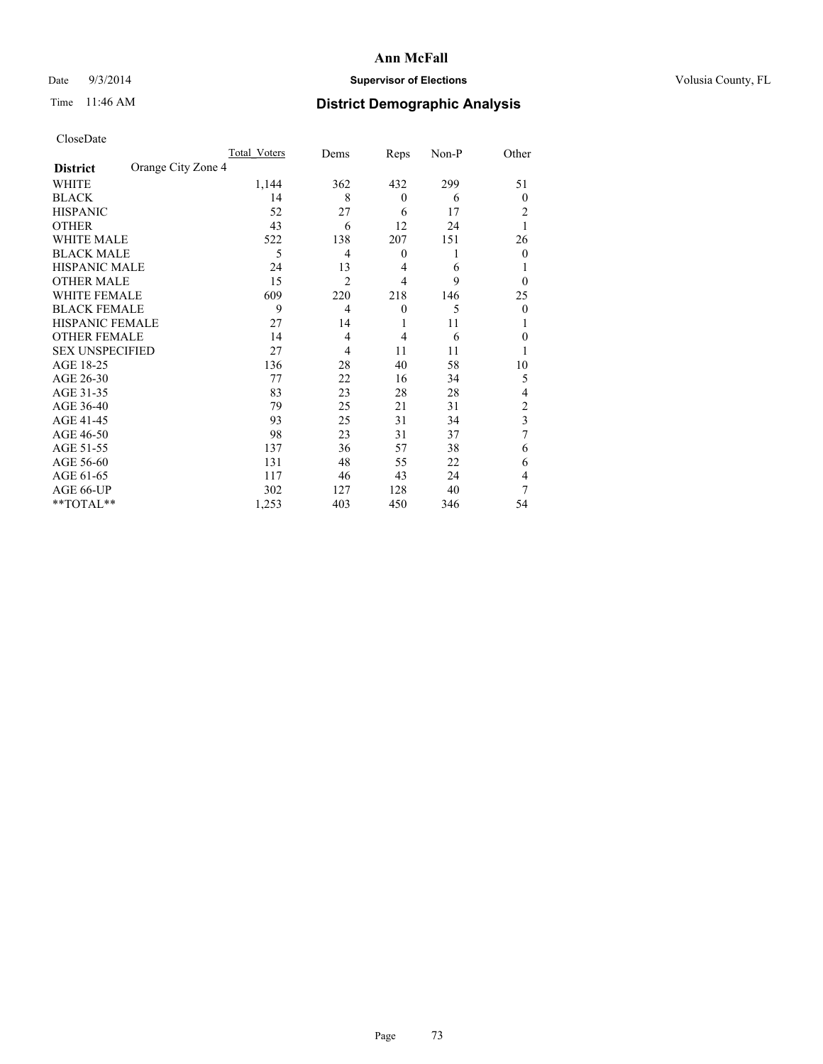## Date  $9/3/2014$  **Supervisor of Elections Supervisor of Elections** Volusia County, FL

# Time 11:46 AM **District Demographic Analysis**

|                        |                    | Total Voters | Dems           | Reps             | Non-P | Other          |
|------------------------|--------------------|--------------|----------------|------------------|-------|----------------|
| <b>District</b>        | Orange City Zone 4 |              |                |                  |       |                |
| WHITE                  |                    | 1,144        | 362            | 432              | 299   | 51             |
| <b>BLACK</b>           |                    | 14           | 8              | $\theta$         | 6     | $\theta$       |
| <b>HISPANIC</b>        |                    | 52           | 27             | 6                | 17    | 2              |
| <b>OTHER</b>           |                    | 43           | 6              | 12               | 24    |                |
| WHITE MALE             |                    | 522          | 138            | 207              | 151   | 26             |
| <b>BLACK MALE</b>      |                    | 5            | 4              | $\boldsymbol{0}$ | 1     | $\theta$       |
| <b>HISPANIC MALE</b>   |                    | 24           | 13             | 4                | 6     |                |
| <b>OTHER MALE</b>      |                    | 15           | $\overline{2}$ | 4                | 9     | $\theta$       |
| <b>WHITE FEMALE</b>    |                    | 609          | 220            | 218              | 146   | 25             |
| <b>BLACK FEMALE</b>    |                    | 9            | 4              | $\theta$         | 5     | $\theta$       |
| <b>HISPANIC FEMALE</b> |                    | 27           | 14             | 1                | 11    |                |
| <b>OTHER FEMALE</b>    |                    | 14           | 4              | $\overline{4}$   | 6     | 0              |
| <b>SEX UNSPECIFIED</b> |                    | 27           | 4              | 11               | 11    |                |
| AGE 18-25              |                    | 136          | 28             | 40               | 58    | 10             |
| AGE 26-30              |                    | 77           | 22             | 16               | 34    | 5              |
| AGE 31-35              |                    | 83           | 23             | 28               | 28    | 4              |
| AGE 36-40              |                    | 79           | 25             | 21               | 31    | $\overline{c}$ |
| AGE 41-45              |                    | 93           | 25             | 31               | 34    | 3              |
| AGE 46-50              |                    | 98           | 23             | 31               | 37    | 7              |
| AGE 51-55              |                    | 137          | 36             | 57               | 38    | 6              |
| AGE 56-60              |                    | 131          | 48             | 55               | 22    | 6              |
| AGE 61-65              |                    | 117          | 46             | 43               | 24    | 4              |
| AGE 66-UP              |                    | 302          | 127            | 128              | 40    | 7              |
| **TOTAL**              |                    | 1,253        | 403            | 450              | 346   | 54             |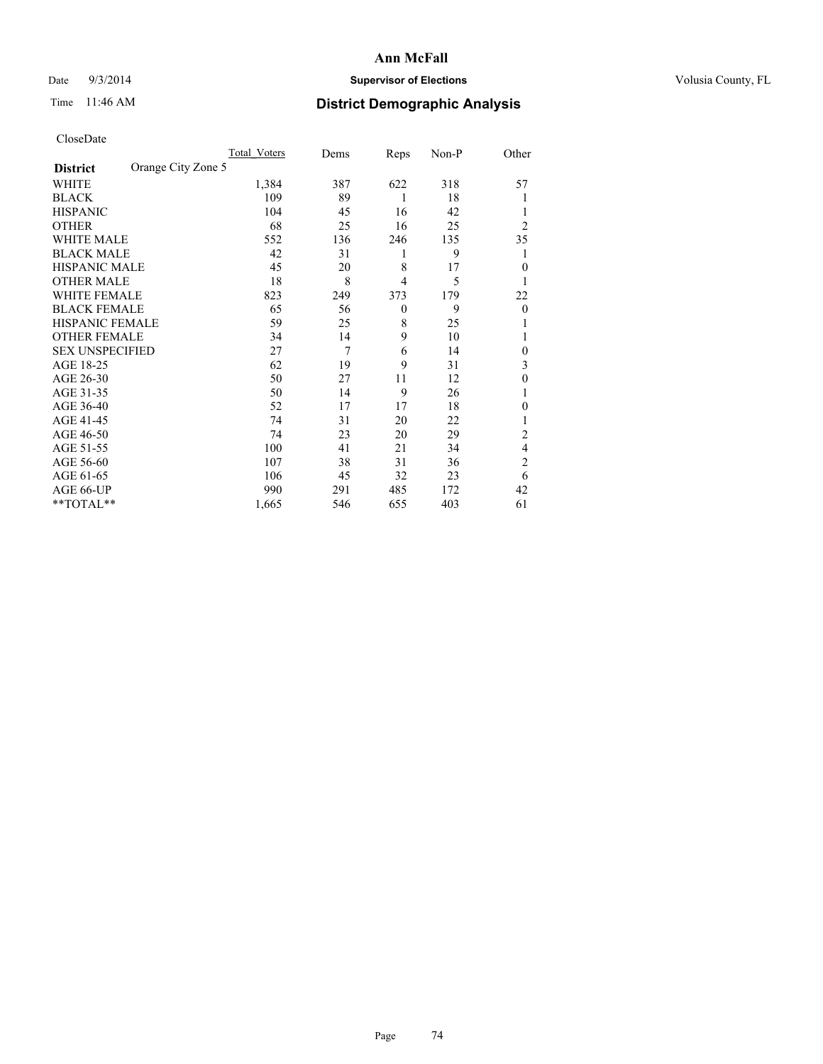## Date  $9/3/2014$  **Supervisor of Elections Supervisor of Elections** Volusia County, FL

# Time 11:46 AM **District Demographic Analysis**

|                        |                    | <b>Total Voters</b> | Dems | Reps           | Non-P | Other          |
|------------------------|--------------------|---------------------|------|----------------|-------|----------------|
| <b>District</b>        | Orange City Zone 5 |                     |      |                |       |                |
| WHITE                  |                    | 1,384               | 387  | 622            | 318   | 57             |
| <b>BLACK</b>           |                    | 109                 | 89   | 1              | 18    | 1              |
| <b>HISPANIC</b>        |                    | 104                 | 45   | 16             | 42    | 1              |
| <b>OTHER</b>           |                    | 68                  | 25   | 16             | 25    | $\overline{2}$ |
| WHITE MALE             |                    | 552                 | 136  | 246            | 135   | 35             |
| <b>BLACK MALE</b>      |                    | 42                  | 31   | 1              | 9     | 1              |
| <b>HISPANIC MALE</b>   |                    | 45                  | 20   | 8              | 17    | $\mathbf{0}$   |
| <b>OTHER MALE</b>      |                    | 18                  | 8    | $\overline{4}$ | 5     | 1              |
| WHITE FEMALE           |                    | 823                 | 249  | 373            | 179   | 22             |
| <b>BLACK FEMALE</b>    |                    | 65                  | 56   | $\overline{0}$ | 9     | $\theta$       |
| <b>HISPANIC FEMALE</b> |                    | 59                  | 25   | 8              | 25    | 1              |
| <b>OTHER FEMALE</b>    |                    | 34                  | 14   | 9              | 10    | 1              |
| <b>SEX UNSPECIFIED</b> |                    | 27                  | 7    | 6              | 14    | $\theta$       |
| AGE 18-25              |                    | 62                  | 19   | 9              | 31    | 3              |
| AGE 26-30              |                    | 50                  | 27   | 11             | 12    | $\mathbf{0}$   |
| AGE 31-35              |                    | 50                  | 14   | 9              | 26    | 1              |
| AGE 36-40              |                    | 52                  | 17   | 17             | 18    | $\theta$       |
| AGE 41-45              |                    | 74                  | 31   | 20             | 22    | 1              |
| AGE 46-50              |                    | 74                  | 23   | 20             | 29    | 2              |
| AGE 51-55              |                    | 100                 | 41   | 21             | 34    | 4              |
| AGE 56-60              |                    | 107                 | 38   | 31             | 36    | $\overline{c}$ |
| AGE 61-65              |                    | 106                 | 45   | 32             | 23    | 6              |
| AGE 66-UP              |                    | 990                 | 291  | 485            | 172   | 42             |
| **TOTAL**              |                    | 1,665               | 546  | 655            | 403   | 61             |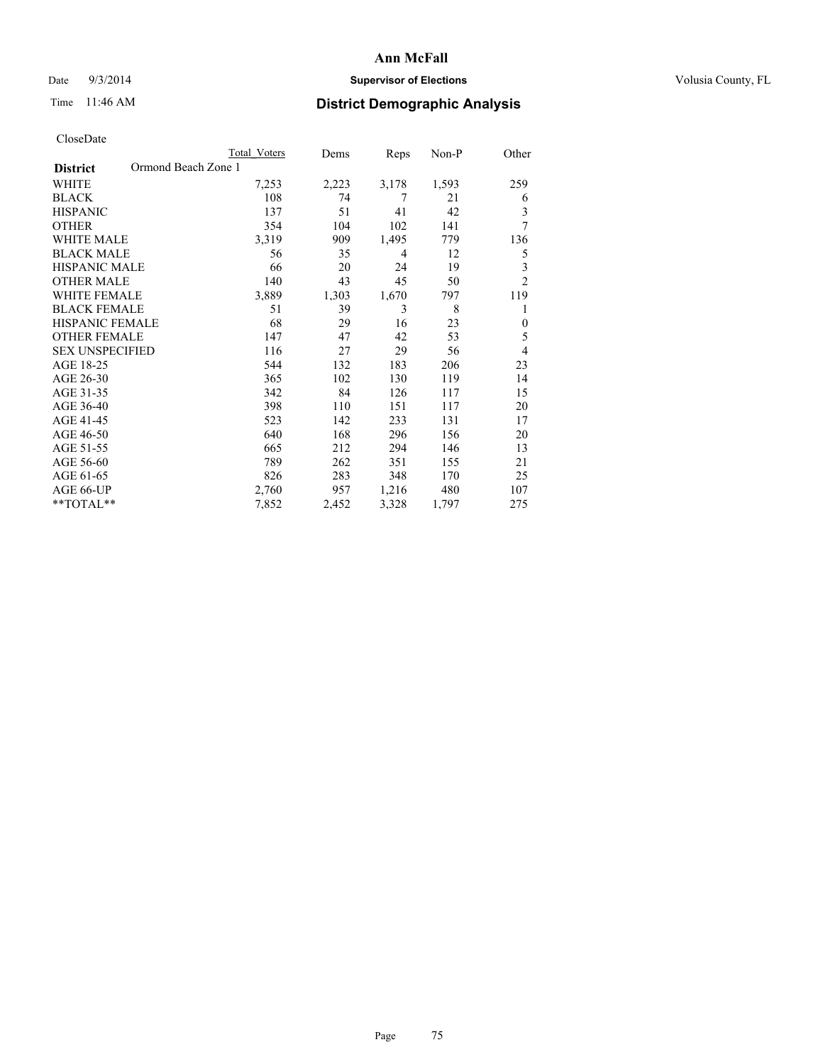## Date  $9/3/2014$  **Supervisor of Elections Supervisor of Elections** Volusia County, FL

# Time 11:46 AM **District Demographic Analysis**

|                                        | Total Voters | Dems  | Reps  | Non-P | Other          |
|----------------------------------------|--------------|-------|-------|-------|----------------|
| Ormond Beach Zone 1<br><b>District</b> |              |       |       |       |                |
| WHITE                                  | 7,253        | 2,223 | 3,178 | 1,593 | 259            |
| <b>BLACK</b>                           | 108          | 74    | 7     | 21    | 6              |
| <b>HISPANIC</b>                        | 137          | 51    | 41    | 42    | 3              |
| <b>OTHER</b>                           | 354          | 104   | 102   | 141   | 7              |
| <b>WHITE MALE</b>                      | 3,319        | 909   | 1,495 | 779   | 136            |
| <b>BLACK MALE</b>                      | 56           | 35    | 4     | 12    | 5              |
| <b>HISPANIC MALE</b>                   | 66           | 20    | 24    | 19    | 3              |
| <b>OTHER MALE</b>                      | 140          | 43    | 45    | 50    | $\overline{2}$ |
| <b>WHITE FEMALE</b>                    | 3,889        | 1,303 | 1,670 | 797   | 119            |
| <b>BLACK FEMALE</b>                    | 51           | 39    | 3     | 8     | 1              |
| <b>HISPANIC FEMALE</b>                 | 68           | 29    | 16    | 23    | $\mathbf{0}$   |
| <b>OTHER FEMALE</b>                    | 147          | 47    | 42    | 53    | 5              |
| <b>SEX UNSPECIFIED</b>                 | 116          | 27    | 29    | 56    | 4              |
| AGE 18-25                              | 544          | 132   | 183   | 206   | 23             |
| AGE 26-30                              | 365          | 102   | 130   | 119   | 14             |
| AGE 31-35                              | 342          | 84    | 126   | 117   | 15             |
| AGE 36-40                              | 398          | 110   | 151   | 117   | 20             |
| AGE 41-45                              | 523          | 142   | 233   | 131   | 17             |
| AGE 46-50                              | 640          | 168   | 296   | 156   | 20             |
| AGE 51-55                              | 665          | 212   | 294   | 146   | 13             |
| AGE 56-60                              | 789          | 262   | 351   | 155   | 21             |
| AGE 61-65                              | 826          | 283   | 348   | 170   | 25             |
| AGE 66-UP                              | 2,760        | 957   | 1,216 | 480   | 107            |
| **TOTAL**                              | 7,852        | 2,452 | 3,328 | 1,797 | 275            |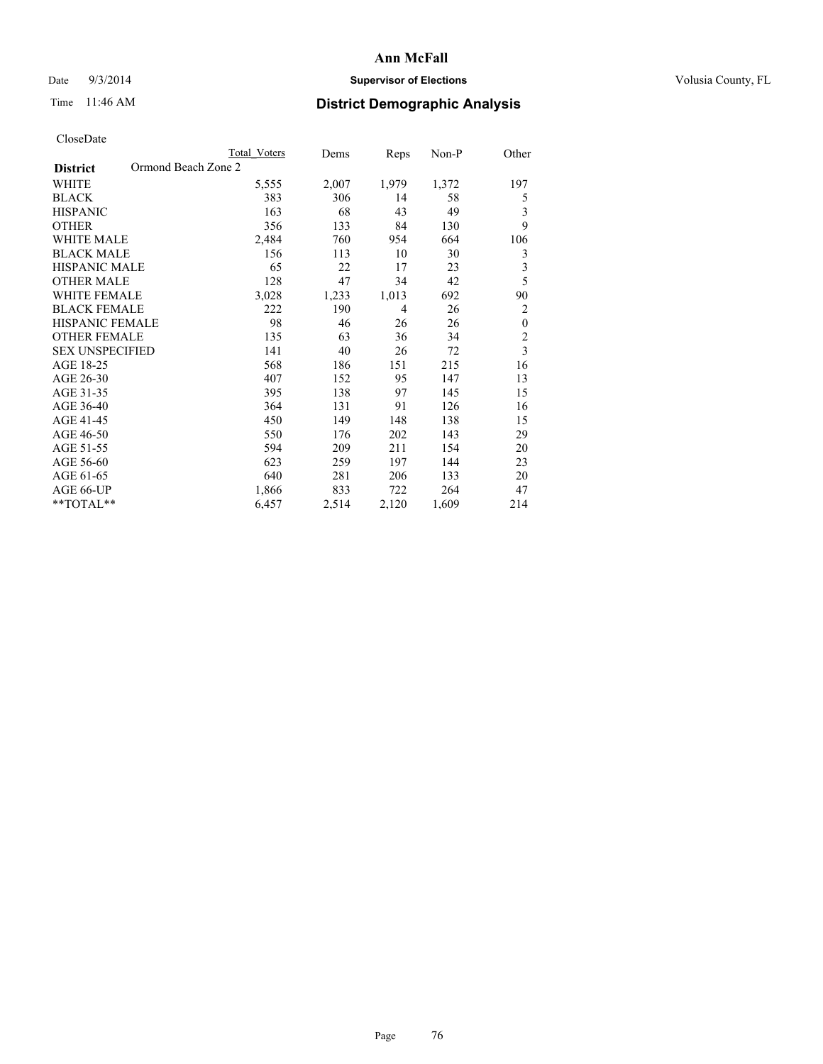## Date  $9/3/2014$  **Supervisor of Elections Supervisor of Elections** Volusia County, FL

# Time 11:46 AM **District Demographic Analysis**

|                                        | Total Voters | Dems  | Reps  | Non-P | Other                   |
|----------------------------------------|--------------|-------|-------|-------|-------------------------|
| Ormond Beach Zone 2<br><b>District</b> |              |       |       |       |                         |
| WHITE                                  | 5,555        | 2,007 | 1,979 | 1,372 | 197                     |
| <b>BLACK</b>                           | 383          | 306   | 14    | 58    | 5                       |
| <b>HISPANIC</b>                        | 163          | 68    | 43    | 49    | 3                       |
| <b>OTHER</b>                           | 356          | 133   | 84    | 130   | 9                       |
| <b>WHITE MALE</b>                      | 2,484        | 760   | 954   | 664   | 106                     |
| <b>BLACK MALE</b>                      | 156          | 113   | 10    | 30    | 3                       |
| HISPANIC MALE                          | 65           | 22    | 17    | 23    | 3                       |
| <b>OTHER MALE</b>                      | 128          | 47    | 34    | 42    | 5                       |
| <b>WHITE FEMALE</b>                    | 3,028        | 1,233 | 1,013 | 692   | 90                      |
| <b>BLACK FEMALE</b>                    | 222          | 190   | 4     | 26    | $\overline{2}$          |
| <b>HISPANIC FEMALE</b>                 | 98           | 46    | 26    | 26    | $\boldsymbol{0}$        |
| <b>OTHER FEMALE</b>                    | 135          | 63    | 36    | 34    | $\overline{c}$          |
| <b>SEX UNSPECIFIED</b>                 | 141          | 40    | 26    | 72    | $\overline{\mathbf{3}}$ |
| AGE 18-25                              | 568          | 186   | 151   | 215   | 16                      |
| AGE 26-30                              | 407          | 152   | 95    | 147   | 13                      |
| AGE 31-35                              | 395          | 138   | 97    | 145   | 15                      |
| AGE 36-40                              | 364          | 131   | 91    | 126   | 16                      |
| AGE 41-45                              | 450          | 149   | 148   | 138   | 15                      |
| AGE 46-50                              | 550          | 176   | 202   | 143   | 29                      |
| AGE 51-55                              | 594          | 209   | 211   | 154   | 20                      |
| AGE 56-60                              | 623          | 259   | 197   | 144   | 23                      |
| AGE 61-65                              | 640          | 281   | 206   | 133   | 20                      |
| AGE 66-UP                              | 1,866        | 833   | 722   | 264   | 47                      |
| **TOTAL**                              | 6,457        | 2,514 | 2,120 | 1,609 | 214                     |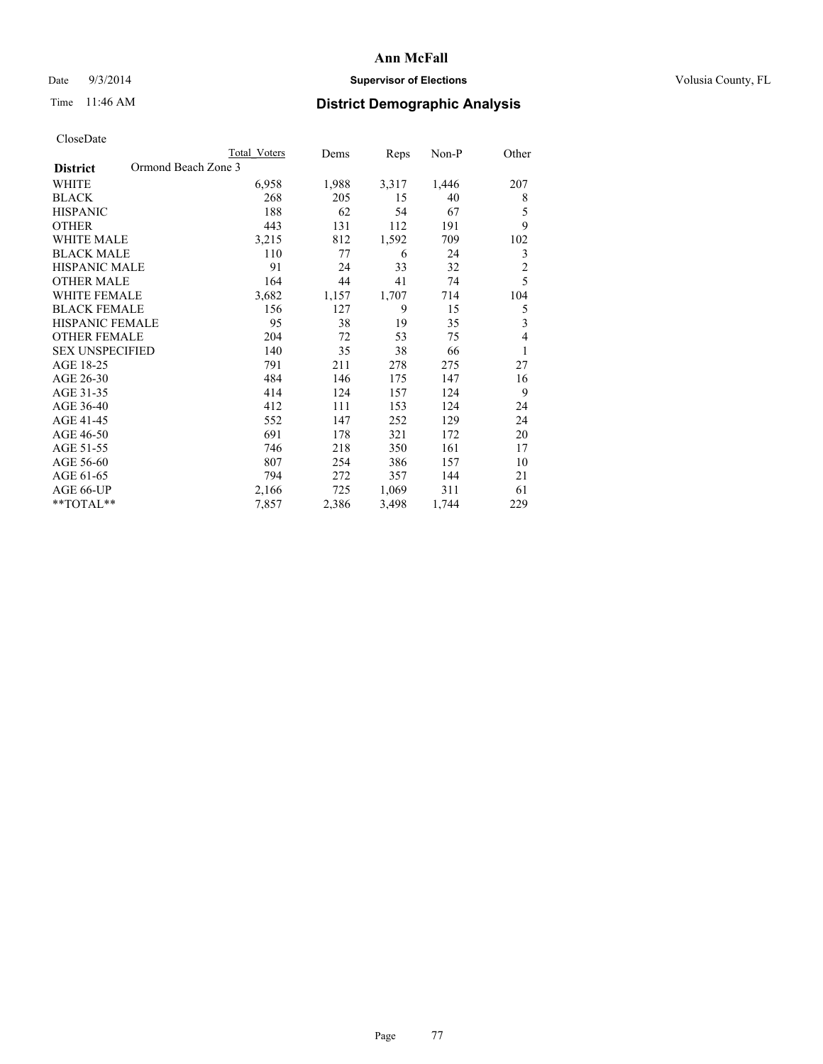## Date  $9/3/2014$  **Supervisor of Elections Supervisor of Elections** Volusia County, FL

# Time 11:46 AM **District Demographic Analysis**

|                                        | Total Voters | Dems  | <b>Reps</b> | Non-P | Other          |
|----------------------------------------|--------------|-------|-------------|-------|----------------|
| Ormond Beach Zone 3<br><b>District</b> |              |       |             |       |                |
| WHITE                                  | 6,958        | 1,988 | 3,317       | 1,446 | 207            |
| <b>BLACK</b>                           | 268          | 205   | 15          | 40    | 8              |
| <b>HISPANIC</b>                        | 188          | 62    | 54          | 67    | 5              |
| <b>OTHER</b>                           | 443          | 131   | 112         | 191   | 9              |
| <b>WHITE MALE</b>                      | 3,215        | 812   | 1,592       | 709   | 102            |
| <b>BLACK MALE</b>                      | 110          | 77    | 6           | 24    | 3              |
| <b>HISPANIC MALE</b>                   | 91           | 24    | 33          | 32    | $\overline{c}$ |
| <b>OTHER MALE</b>                      | 164          | 44    | 41          | 74    | 5              |
| WHITE FEMALE                           | 3,682        | 1,157 | 1,707       | 714   | 104            |
| <b>BLACK FEMALE</b>                    | 156          | 127   | 9           | 15    | 5              |
| <b>HISPANIC FEMALE</b>                 | 95           | 38    | 19          | 35    | 3              |
| <b>OTHER FEMALE</b>                    | 204          | 72    | 53          | 75    | 4              |
| <b>SEX UNSPECIFIED</b>                 | 140          | 35    | 38          | 66    | 1              |
| AGE 18-25                              | 791          | 211   | 278         | 275   | 27             |
| AGE 26-30                              | 484          | 146   | 175         | 147   | 16             |
| AGE 31-35                              | 414          | 124   | 157         | 124   | 9              |
| AGE 36-40                              | 412          | 111   | 153         | 124   | 24             |
| AGE 41-45                              | 552          | 147   | 252         | 129   | 24             |
| AGE 46-50                              | 691          | 178   | 321         | 172   | 20             |
| AGE 51-55                              | 746          | 218   | 350         | 161   | 17             |
| AGE 56-60                              | 807          | 254   | 386         | 157   | 10             |
| AGE 61-65                              | 794          | 272   | 357         | 144   | 21             |
| AGE 66-UP                              | 2,166        | 725   | 1,069       | 311   | 61             |
| **TOTAL**                              | 7,857        | 2,386 | 3,498       | 1,744 | 229            |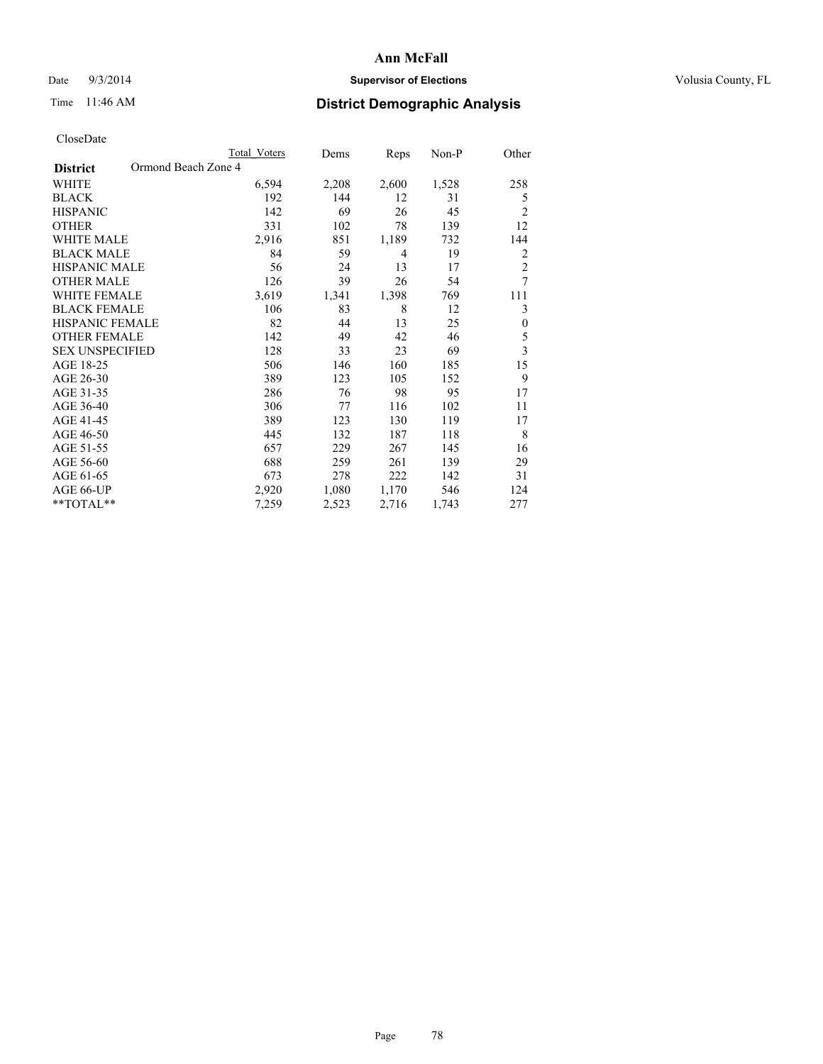## Date  $9/3/2014$  **Supervisor of Elections Supervisor of Elections** Volusia County, FL

# Time 11:46 AM **District Demographic Analysis**

|                                        | Total Voters | Dems  | Reps  | Non-P | Other          |
|----------------------------------------|--------------|-------|-------|-------|----------------|
| Ormond Beach Zone 4<br><b>District</b> |              |       |       |       |                |
| WHITE                                  | 6,594        | 2,208 | 2,600 | 1,528 | 258            |
| <b>BLACK</b>                           | 192          | 144   | 12    | 31    | 5              |
| <b>HISPANIC</b>                        | 142          | 69    | 26    | 45    | 2              |
| <b>OTHER</b>                           | 331          | 102   | 78    | 139   | 12             |
| <b>WHITE MALE</b>                      | 2,916        | 851   | 1,189 | 732   | 144            |
| <b>BLACK MALE</b>                      | 84           | 59    | 4     | 19    | $\overline{2}$ |
| <b>HISPANIC MALE</b>                   | 56           | 24    | 13    | 17    | $\overline{2}$ |
| <b>OTHER MALE</b>                      | 126          | 39    | 26    | 54    | 7              |
| <b>WHITE FEMALE</b>                    | 3,619        | 1,341 | 1,398 | 769   | 111            |
| <b>BLACK FEMALE</b>                    | 106          | 83    | 8     | 12    | 3              |
| <b>HISPANIC FEMALE</b>                 | 82           | 44    | 13    | 25    | $\mathbf{0}$   |
| <b>OTHER FEMALE</b>                    | 142          | 49    | 42    | 46    | 5              |
| <b>SEX UNSPECIFIED</b>                 | 128          | 33    | 23    | 69    | 3              |
| AGE 18-25                              | 506          | 146   | 160   | 185   | 15             |
| AGE 26-30                              | 389          | 123   | 105   | 152   | 9              |
| AGE 31-35                              | 286          | 76    | 98    | 95    | 17             |
| AGE 36-40                              | 306          | 77    | 116   | 102   | 11             |
| AGE 41-45                              | 389          | 123   | 130   | 119   | 17             |
| AGE 46-50                              | 445          | 132   | 187   | 118   | 8              |
| AGE 51-55                              | 657          | 229   | 267   | 145   | 16             |
| AGE 56-60                              | 688          | 259   | 261   | 139   | 29             |
| AGE 61-65                              | 673          | 278   | 222   | 142   | 31             |
| AGE 66-UP                              | 2,920        | 1,080 | 1,170 | 546   | 124            |
| **TOTAL**                              | 7,259        | 2,523 | 2,716 | 1,743 | 277            |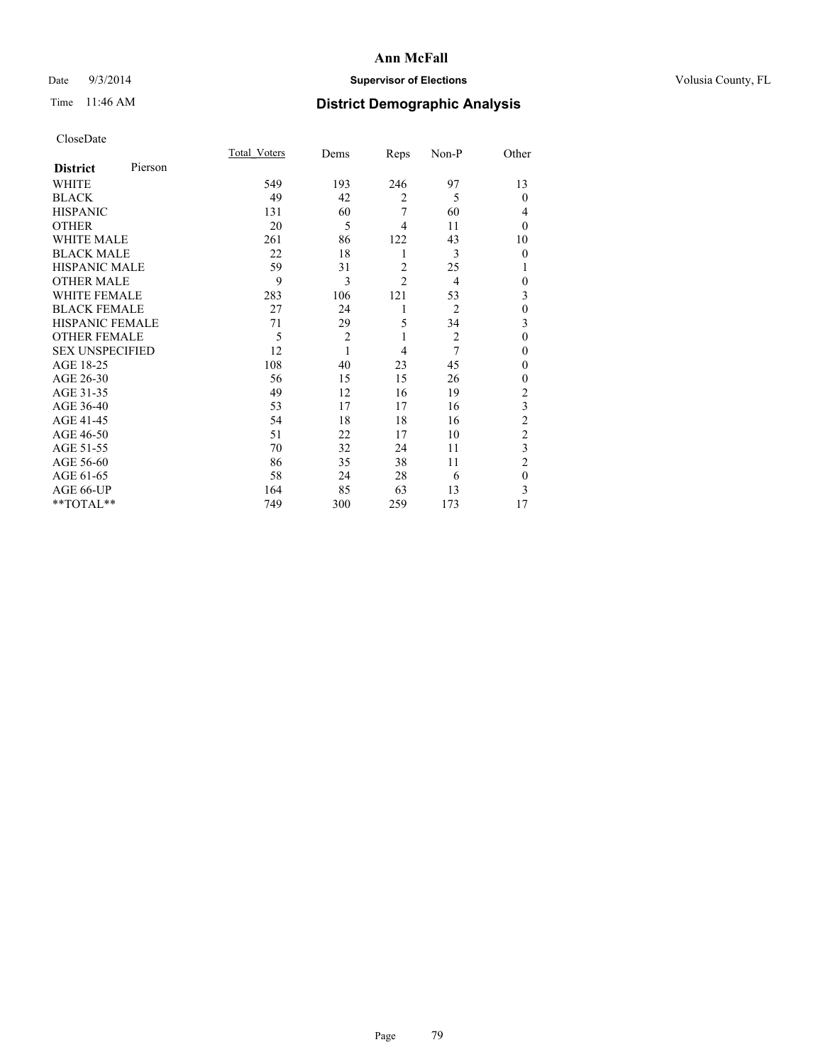## Date  $9/3/2014$  **Supervisor of Elections Supervisor of Elections** Volusia County, FL

# Time 11:46 AM **District Demographic Analysis**

|                        |         | Total Voters | Dems           | Reps           | Non-P          | Other          |
|------------------------|---------|--------------|----------------|----------------|----------------|----------------|
| <b>District</b>        | Pierson |              |                |                |                |                |
| WHITE                  |         | 549          | 193            | 246            | 97             | 13             |
| <b>BLACK</b>           |         | 49           | 42             | $\overline{2}$ | 5              | $\theta$       |
| <b>HISPANIC</b>        |         | 131          | 60             | 7              | 60             | 4              |
| <b>OTHER</b>           |         | 20           | 5              | 4              | 11             | $\theta$       |
| WHITE MALE             |         | 261          | 86             | 122            | 43             | 10             |
| <b>BLACK MALE</b>      |         | 22           | 18             | 1              | 3              | $\theta$       |
| <b>HISPANIC MALE</b>   |         | 59           | 31             | $\overline{2}$ | 25             | 1              |
| <b>OTHER MALE</b>      |         | 9            | 3              | $\overline{c}$ | $\overline{4}$ | $\mathbf{0}$   |
| <b>WHITE FEMALE</b>    |         | 283          | 106            | 121            | 53             | 3              |
| <b>BLACK FEMALE</b>    |         | 27           | 24             | 1              | $\overline{2}$ | $\mathbf{0}$   |
| <b>HISPANIC FEMALE</b> |         | 71           | 29             | 5              | 34             | 3              |
| <b>OTHER FEMALE</b>    |         | 5            | $\overline{c}$ | 1              | $\overline{c}$ | $\theta$       |
| <b>SEX UNSPECIFIED</b> |         | 12           | $\mathbf{1}$   | 4              | 7              | $\theta$       |
| AGE 18-25              |         | 108          | 40             | 23             | 45             | $\theta$       |
| AGE 26-30              |         | 56           | 15             | 15             | 26             | $\mathbf{0}$   |
| AGE 31-35              |         | 49           | 12             | 16             | 19             | $\overline{2}$ |
| AGE 36-40              |         | 53           | 17             | 17             | 16             | 3              |
| AGE 41-45              |         | 54           | 18             | 18             | 16             | $\overline{c}$ |
| AGE 46-50              |         | 51           | 22             | 17             | 10             | $\overline{2}$ |
| AGE 51-55              |         | 70           | 32             | 24             | 11             | 3              |
| AGE 56-60              |         | 86           | 35             | 38             | 11             | $\overline{2}$ |
| AGE 61-65              |         | 58           | 24             | 28             | 6              | $\mathbf{0}$   |
| AGE 66-UP              |         | 164          | 85             | 63             | 13             | 3              |
| **TOTAL**              |         | 749          | 300            | 259            | 173            | 17             |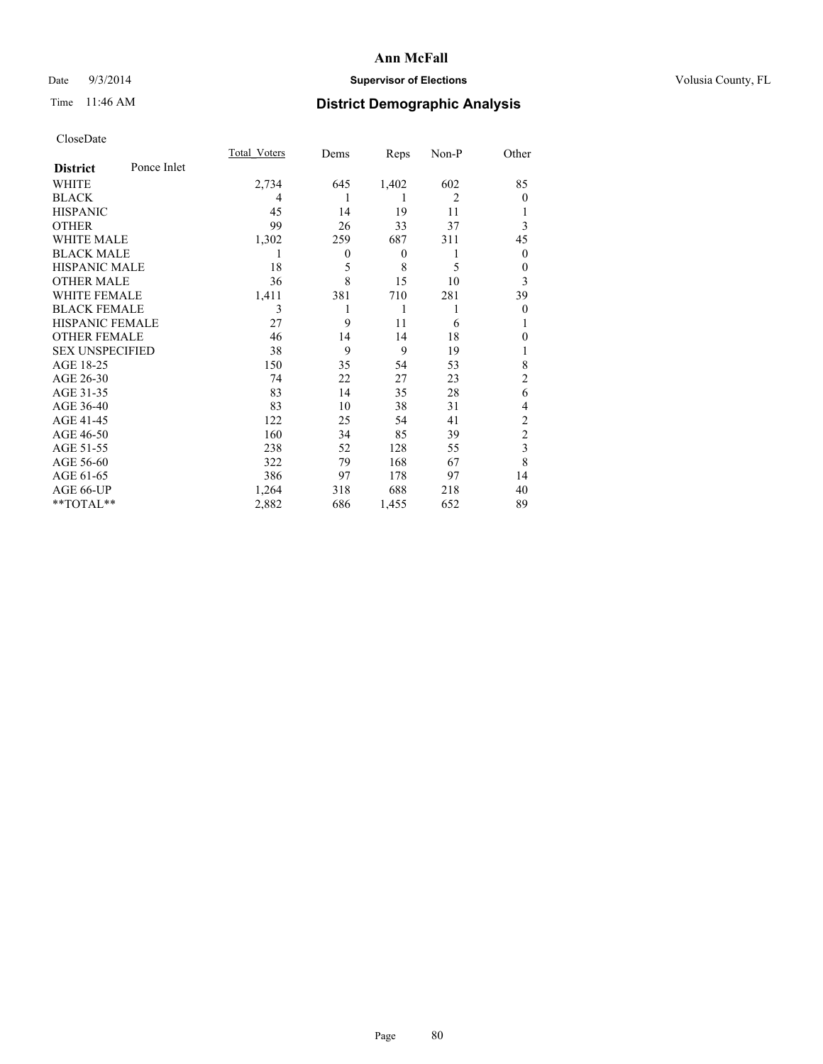## Date  $9/3/2014$  **Supervisor of Elections Supervisor of Elections** Volusia County, FL

# Time 11:46 AM **District Demographic Analysis**

|                        |             | Total Voters | Dems             | Reps             | Non-P          | Other          |
|------------------------|-------------|--------------|------------------|------------------|----------------|----------------|
| <b>District</b>        | Ponce Inlet |              |                  |                  |                |                |
| WHITE                  |             | 2,734        | 645              | 1,402            | 602            | 85             |
| <b>BLACK</b>           |             | 4            | 1                | 1                | $\overline{2}$ | $\Omega$       |
| <b>HISPANIC</b>        |             | 45           | 14               | 19               | 11             |                |
| <b>OTHER</b>           |             | 99           | 26               | 33               | 37             | 3              |
| WHITE MALE             |             | 1,302        | 259              | 687              | 311            | 45             |
| <b>BLACK MALE</b>      |             | 1            | $\boldsymbol{0}$ | $\boldsymbol{0}$ | 1              | $\mathbf{0}$   |
| <b>HISPANIC MALE</b>   |             | 18           | 5                | 8                | 5              | 0              |
| <b>OTHER MALE</b>      |             | 36           | 8                | 15               | 10             | 3              |
| <b>WHITE FEMALE</b>    |             | 1,411        | 381              | 710              | 281            | 39             |
| <b>BLACK FEMALE</b>    |             | 3            | 1                | 1                | 1              | $\theta$       |
| <b>HISPANIC FEMALE</b> |             | 27           | 9                | 11               | 6              |                |
| <b>OTHER FEMALE</b>    |             | 46           | 14               | 14               | 18             | $\Omega$       |
| <b>SEX UNSPECIFIED</b> |             | 38           | 9                | 9                | 19             |                |
| AGE 18-25              |             | 150          | 35               | 54               | 53             | 8              |
| AGE 26-30              |             | 74           | 22               | 27               | 23             | $\overline{2}$ |
| AGE 31-35              |             | 83           | 14               | 35               | 28             | 6              |
| AGE 36-40              |             | 83           | 10               | 38               | 31             | 4              |
| AGE 41-45              |             | 122          | 25               | 54               | 41             | $\overline{c}$ |
| AGE 46-50              |             | 160          | 34               | 85               | 39             | $\overline{2}$ |
| AGE 51-55              |             | 238          | 52               | 128              | 55             | 3              |
| AGE 56-60              |             | 322          | 79               | 168              | 67             | 8              |
| AGE 61-65              |             | 386          | 97               | 178              | 97             | 14             |
| AGE 66-UP              |             | 1,264        | 318              | 688              | 218            | 40             |
| **TOTAL**              |             | 2,882        | 686              | 1,455            | 652            | 89             |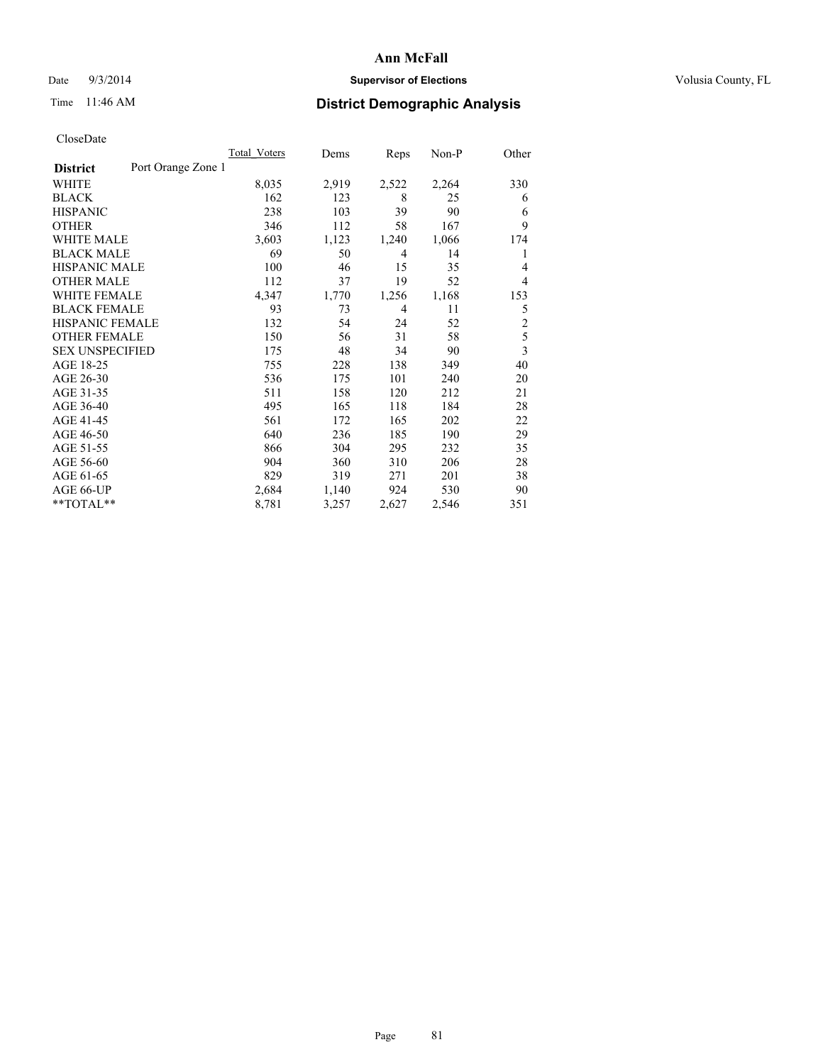## Date  $9/3/2014$  **Supervisor of Elections Supervisor of Elections** Volusia County, FL

# Time 11:46 AM **District Demographic Analysis**

|                        |                    | Total Voters | Dems  | Reps  | Non-P | Other          |
|------------------------|--------------------|--------------|-------|-------|-------|----------------|
| <b>District</b>        | Port Orange Zone 1 |              |       |       |       |                |
| WHITE                  |                    | 8,035        | 2,919 | 2,522 | 2,264 | 330            |
| <b>BLACK</b>           |                    | 162          | 123   | 8     | 25    | 6              |
| <b>HISPANIC</b>        |                    | 238          | 103   | 39    | 90    | 6              |
| <b>OTHER</b>           |                    | 346          | 112   | 58    | 167   | 9              |
| WHITE MALE             |                    | 3,603        | 1,123 | 1,240 | 1,066 | 174            |
| <b>BLACK MALE</b>      |                    | 69           | 50    | 4     | 14    | 1              |
| <b>HISPANIC MALE</b>   |                    | 100          | 46    | 15    | 35    | 4              |
| <b>OTHER MALE</b>      |                    | 112          | 37    | 19    | 52    | 4              |
| <b>WHITE FEMALE</b>    |                    | 4,347        | 1,770 | 1,256 | 1,168 | 153            |
| <b>BLACK FEMALE</b>    |                    | 93           | 73    | 4     | 11    | 5              |
| <b>HISPANIC FEMALE</b> |                    | 132          | 54    | 24    | 52    | $\overline{2}$ |
| <b>OTHER FEMALE</b>    |                    | 150          | 56    | 31    | 58    | 5              |
| <b>SEX UNSPECIFIED</b> |                    | 175          | 48    | 34    | 90    | 3              |
| AGE 18-25              |                    | 755          | 228   | 138   | 349   | 40             |
| AGE 26-30              |                    | 536          | 175   | 101   | 240   | 20             |
| AGE 31-35              |                    | 511          | 158   | 120   | 212   | 21             |
| AGE 36-40              |                    | 495          | 165   | 118   | 184   | 28             |
| AGE 41-45              |                    | 561          | 172   | 165   | 202   | 22             |
| AGE 46-50              |                    | 640          | 236   | 185   | 190   | 29             |
| AGE 51-55              |                    | 866          | 304   | 295   | 232   | 35             |
| AGE 56-60              |                    | 904          | 360   | 310   | 206   | 28             |
| AGE 61-65              |                    | 829          | 319   | 271   | 201   | 38             |
| AGE 66-UP              |                    | 2,684        | 1,140 | 924   | 530   | 90             |
| **TOTAL**              |                    | 8,781        | 3,257 | 2,627 | 2,546 | 351            |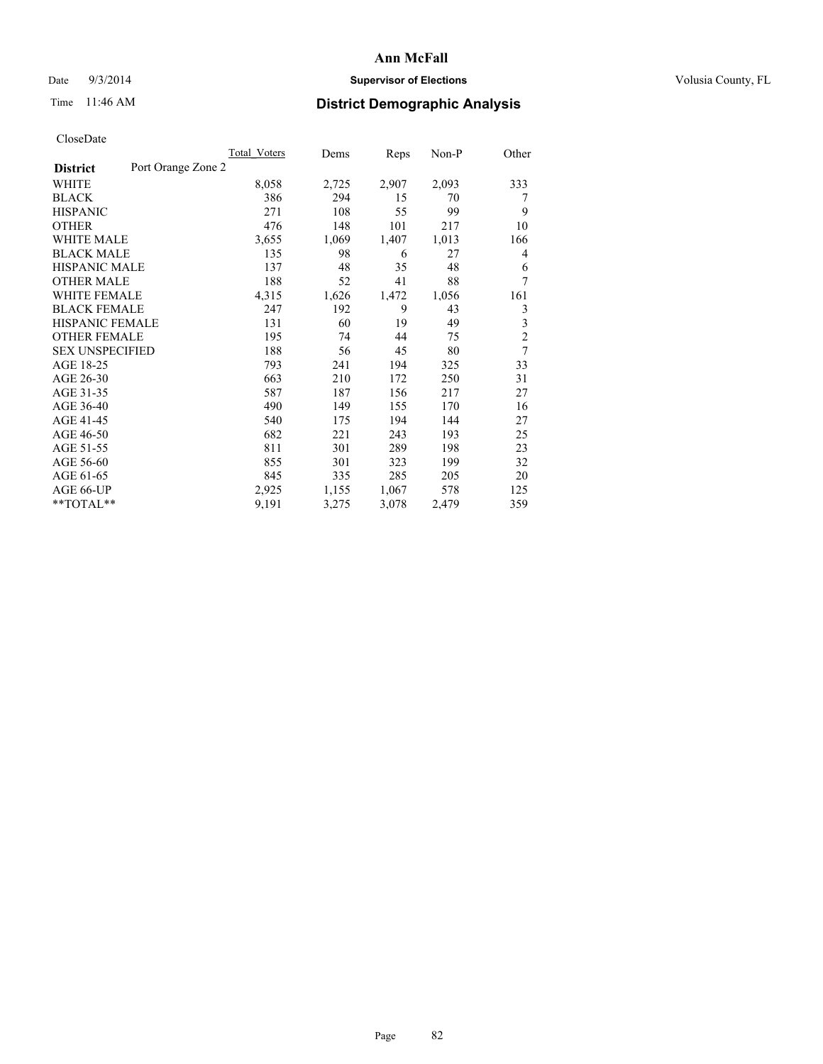## Date  $9/3/2014$  **Supervisor of Elections Supervisor of Elections** Volusia County, FL

# Time 11:46 AM **District Demographic Analysis**

|                        |                    | Total Voters | Dems  | Reps  | Non-P | Other          |
|------------------------|--------------------|--------------|-------|-------|-------|----------------|
| <b>District</b>        | Port Orange Zone 2 |              |       |       |       |                |
| WHITE                  |                    | 8,058        | 2,725 | 2,907 | 2,093 | 333            |
| <b>BLACK</b>           |                    | 386          | 294   | 15    | 70    | 7              |
| <b>HISPANIC</b>        |                    | 271          | 108   | 55    | 99    | 9              |
| <b>OTHER</b>           |                    | 476          | 148   | 101   | 217   | 10             |
| WHITE MALE             |                    | 3,655        | 1,069 | 1,407 | 1,013 | 166            |
| <b>BLACK MALE</b>      |                    | 135          | 98    | 6     | 27    | 4              |
| <b>HISPANIC MALE</b>   |                    | 137          | 48    | 35    | 48    | 6              |
| <b>OTHER MALE</b>      |                    | 188          | 52    | 41    | 88    | 7              |
| <b>WHITE FEMALE</b>    |                    | 4,315        | 1,626 | 1,472 | 1,056 | 161            |
| <b>BLACK FEMALE</b>    |                    | 247          | 192   | 9     | 43    | 3              |
| <b>HISPANIC FEMALE</b> |                    | 131          | 60    | 19    | 49    | 3              |
| <b>OTHER FEMALE</b>    |                    | 195          | 74    | 44    | 75    | $\overline{c}$ |
| <b>SEX UNSPECIFIED</b> |                    | 188          | 56    | 45    | 80    | 7              |
| AGE 18-25              |                    | 793          | 241   | 194   | 325   | 33             |
| AGE 26-30              |                    | 663          | 210   | 172   | 250   | 31             |
| AGE 31-35              |                    | 587          | 187   | 156   | 217   | 27             |
| AGE 36-40              |                    | 490          | 149   | 155   | 170   | 16             |
| AGE 41-45              |                    | 540          | 175   | 194   | 144   | 27             |
| AGE 46-50              |                    | 682          | 221   | 243   | 193   | 25             |
| AGE 51-55              |                    | 811          | 301   | 289   | 198   | 23             |
| AGE 56-60              |                    | 855          | 301   | 323   | 199   | 32             |
| AGE 61-65              |                    | 845          | 335   | 285   | 205   | 20             |
| AGE 66-UP              |                    | 2,925        | 1,155 | 1,067 | 578   | 125            |
| **TOTAL**              |                    | 9,191        | 3,275 | 3,078 | 2,479 | 359            |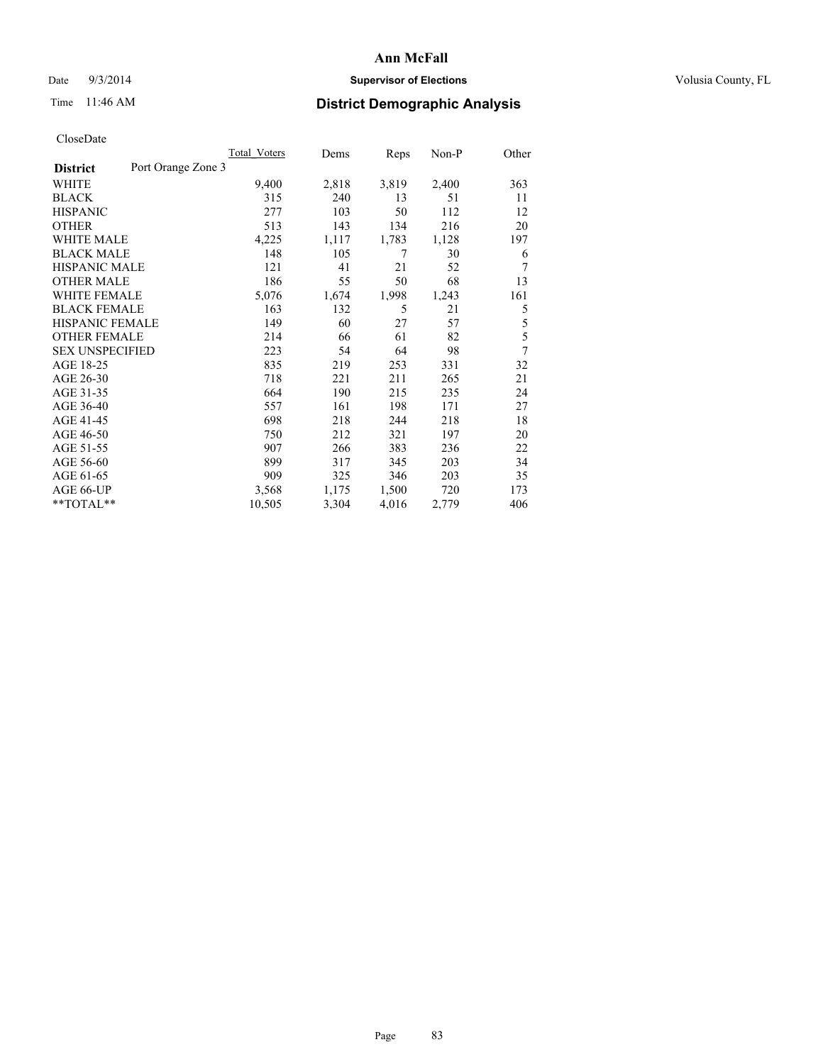## Date  $9/3/2014$  **Supervisor of Elections Supervisor of Elections** Volusia County, FL

# Time 11:46 AM **District Demographic Analysis**

|                        | Total Voters       | Dems  | Reps  | $Non-P$ | Other |
|------------------------|--------------------|-------|-------|---------|-------|
| <b>District</b>        | Port Orange Zone 3 |       |       |         |       |
| WHITE                  | 9,400              | 2,818 | 3,819 | 2,400   | 363   |
| <b>BLACK</b>           | 315                | 240   | 13    | 51      | 11    |
| <b>HISPANIC</b>        | 277                | 103   | 50    | 112     | 12    |
| <b>OTHER</b>           | 513                | 143   | 134   | 216     | 20    |
| <b>WHITE MALE</b>      | 4,225              | 1,117 | 1,783 | 1,128   | 197   |
| <b>BLACK MALE</b>      | 148                | 105   | 7     | 30      | 6     |
| <b>HISPANIC MALE</b>   | 121                | 41    | 21    | 52      | 7     |
| <b>OTHER MALE</b>      | 186                | 55    | 50    | 68      | 13    |
| <b>WHITE FEMALE</b>    | 5,076              | 1,674 | 1,998 | 1,243   | 161   |
| <b>BLACK FEMALE</b>    | 163                | 132   | 5     | 21      | 5     |
| <b>HISPANIC FEMALE</b> | 149                | 60    | 27    | 57      | 5     |
| <b>OTHER FEMALE</b>    | 214                | 66    | 61    | 82      | 5     |
| <b>SEX UNSPECIFIED</b> | 223                | 54    | 64    | 98      | 7     |
| AGE 18-25              | 835                | 219   | 253   | 331     | 32    |
| AGE 26-30              | 718                | 221   | 211   | 265     | 21    |
| AGE 31-35              | 664                | 190   | 215   | 235     | 24    |
| AGE 36-40              | 557                | 161   | 198   | 171     | 27    |
| AGE 41-45              | 698                | 218   | 244   | 218     | 18    |
| AGE 46-50              | 750                | 212   | 321   | 197     | 20    |
| AGE 51-55              | 907                | 266   | 383   | 236     | 22    |
| AGE 56-60              | 899                | 317   | 345   | 203     | 34    |
| AGE 61-65              | 909                | 325   | 346   | 203     | 35    |
| AGE 66-UP              | 3,568              | 1,175 | 1,500 | 720     | 173   |
| **TOTAL**              | 10,505             | 3,304 | 4,016 | 2,779   | 406   |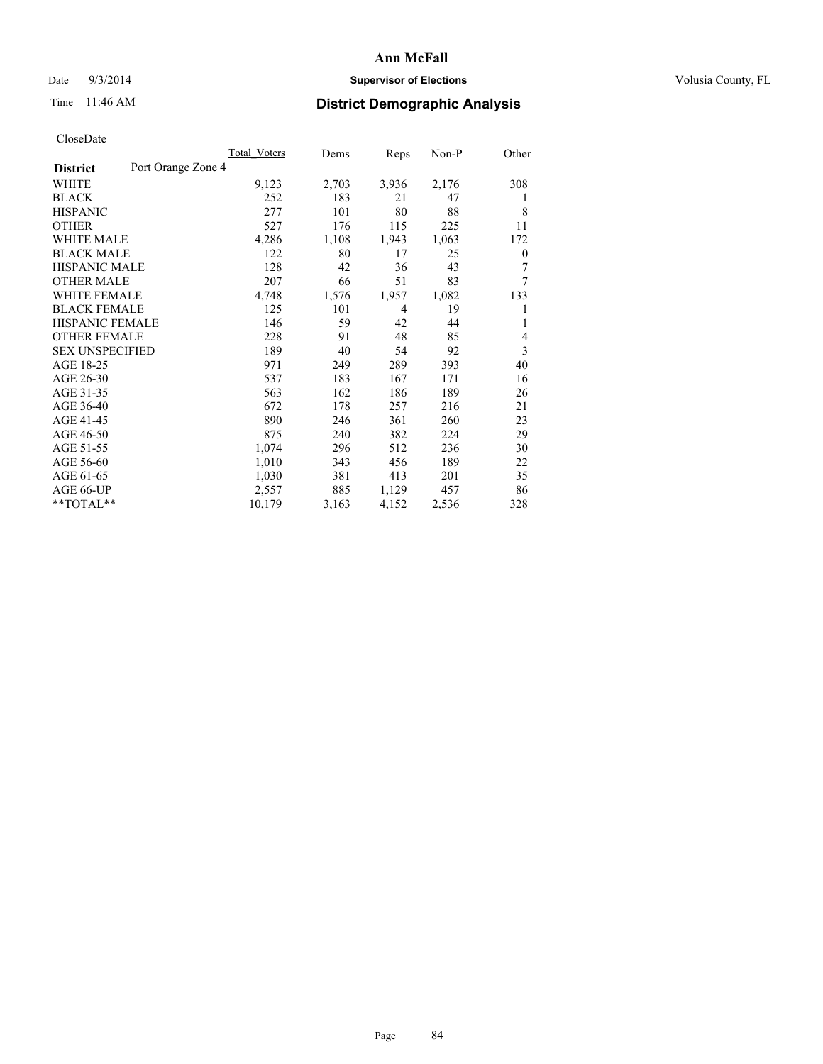## Date  $9/3/2014$  **Supervisor of Elections Supervisor of Elections** Volusia County, FL

# Time 11:46 AM **District Demographic Analysis**

|                        | Total Voters       | Dems            | Reps           | Non-P | Other |
|------------------------|--------------------|-----------------|----------------|-------|-------|
| <b>District</b>        | Port Orange Zone 4 |                 |                |       |       |
| WHITE                  |                    | 2,703<br>9,123  | 3,936          | 2,176 | 308   |
| <b>BLACK</b>           |                    | 252<br>183      | 21             | 47    | 1     |
| <b>HISPANIC</b>        |                    | 277<br>101      | 80             | 88    | 8     |
| <b>OTHER</b>           |                    | 527<br>176      | 115            | 225   | 11    |
| <b>WHITE MALE</b>      |                    | 4,286<br>1,108  | 1,943          | 1,063 | 172   |
| <b>BLACK MALE</b>      |                    | 122<br>80       | 17             | 25    | 0     |
| <b>HISPANIC MALE</b>   |                    | 128<br>42       | 36             | 43    | 7     |
| <b>OTHER MALE</b>      |                    | 207<br>66       | 51             | 83    | 7     |
| <b>WHITE FEMALE</b>    |                    | 4,748<br>1,576  | 1,957          | 1,082 | 133   |
| <b>BLACK FEMALE</b>    |                    | 125<br>101      | $\overline{4}$ | 19    | 1     |
| <b>HISPANIC FEMALE</b> |                    | 146<br>59       | 42             | 44    | 1     |
| <b>OTHER FEMALE</b>    |                    | 228<br>91       | 48             | 85    | 4     |
| <b>SEX UNSPECIFIED</b> |                    | 189<br>40       | 54             | 92    | 3     |
| AGE 18-25              |                    | 971<br>249      | 289            | 393   | 40    |
| AGE 26-30              |                    | 537<br>183      | 167            | 171   | 16    |
| AGE 31-35              |                    | 563<br>162      | 186            | 189   | 26    |
| AGE 36-40              |                    | 672<br>178      | 257            | 216   | 21    |
| AGE 41-45              |                    | 890<br>246      | 361            | 260   | 23    |
| AGE 46-50              |                    | 875<br>240      | 382            | 224   | 29    |
| AGE 51-55              |                    | 1,074<br>296    | 512            | 236   | 30    |
| AGE 56-60              |                    | 1,010<br>343    | 456            | 189   | 22    |
| AGE 61-65              |                    | 1,030<br>381    | 413            | 201   | 35    |
| AGE 66-UP              |                    | 2,557<br>885    | 1,129          | 457   | 86    |
| **TOTAL**              |                    | 10,179<br>3,163 | 4,152          | 2,536 | 328   |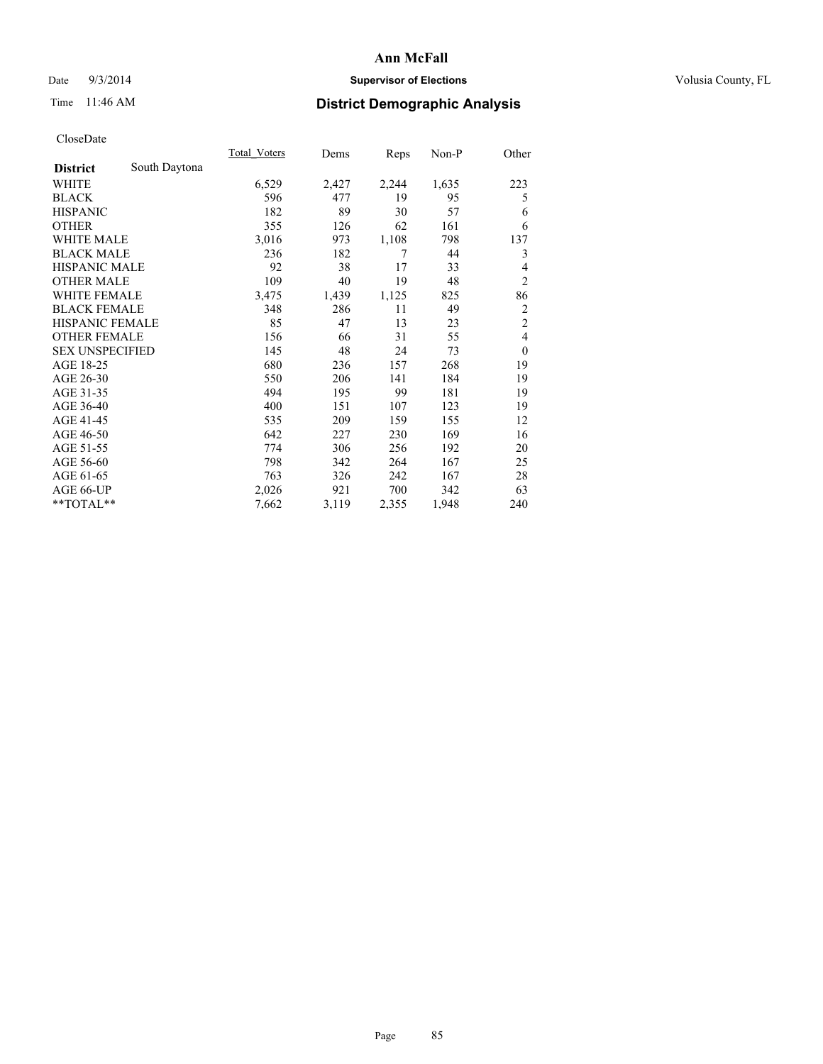## Date  $9/3/2014$  **Supervisor of Elections Supervisor of Elections** Volusia County, FL

# Time 11:46 AM **District Demographic Analysis**

|                        |               | Total Voters | Dems  | Reps  | Non-P | Other          |
|------------------------|---------------|--------------|-------|-------|-------|----------------|
| <b>District</b>        | South Daytona |              |       |       |       |                |
| WHITE                  |               | 6,529        | 2,427 | 2,244 | 1,635 | 223            |
| <b>BLACK</b>           |               | 596          | 477   | 19    | 95    | 5              |
| <b>HISPANIC</b>        |               | 182          | 89    | 30    | 57    | 6              |
| <b>OTHER</b>           |               | 355          | 126   | 62    | 161   | 6              |
| <b>WHITE MALE</b>      |               | 3,016        | 973   | 1,108 | 798   | 137            |
| <b>BLACK MALE</b>      |               | 236          | 182   | 7     | 44    | 3              |
| <b>HISPANIC MALE</b>   |               | 92           | 38    | 17    | 33    | 4              |
| <b>OTHER MALE</b>      |               | 109          | 40    | 19    | 48    | $\overline{2}$ |
| <b>WHITE FEMALE</b>    |               | 3,475        | 1,439 | 1,125 | 825   | 86             |
| <b>BLACK FEMALE</b>    |               | 348          | 286   | 11    | 49    | $\overline{2}$ |
| <b>HISPANIC FEMALE</b> |               | 85           | 47    | 13    | 23    | $\overline{c}$ |
| <b>OTHER FEMALE</b>    |               | 156          | 66    | 31    | 55    | $\overline{4}$ |
| <b>SEX UNSPECIFIED</b> |               | 145          | 48    | 24    | 73    | $\overline{0}$ |
| AGE 18-25              |               | 680          | 236   | 157   | 268   | 19             |
| AGE 26-30              |               | 550          | 206   | 141   | 184   | 19             |
| AGE 31-35              |               | 494          | 195   | 99    | 181   | 19             |
| AGE 36-40              |               | 400          | 151   | 107   | 123   | 19             |
| AGE 41-45              |               | 535          | 209   | 159   | 155   | 12             |
| AGE 46-50              |               | 642          | 227   | 230   | 169   | 16             |
| AGE 51-55              |               | 774          | 306   | 256   | 192   | 20             |
| AGE 56-60              |               | 798          | 342   | 264   | 167   | 25             |
| AGE 61-65              |               | 763          | 326   | 242   | 167   | 28             |
| AGE 66-UP              |               | 2,026        | 921   | 700   | 342   | 63             |
| $*$ TOTAL $*$          |               | 7,662        | 3,119 | 2,355 | 1,948 | 240            |